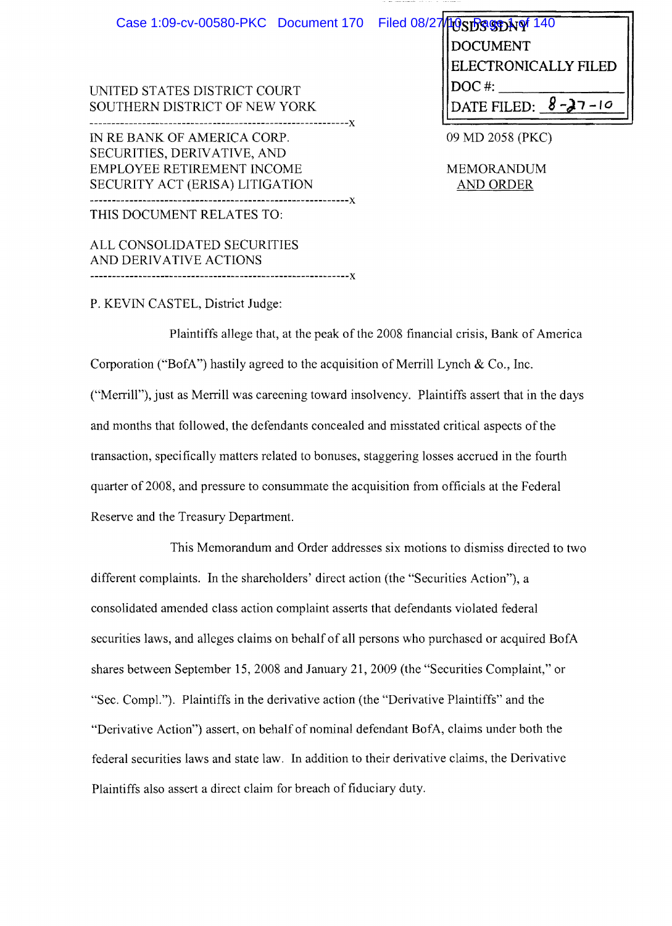| Case 1:09-cv-00580-PKC Document 170 Filed 08/27 10 St 930 Not 140<br>UNITED STATES DISTRICT COURT | <b>DOCUMENT</b><br><b>ELECTRONICALLY FILED</b><br>$DOC$ #: |
|---------------------------------------------------------------------------------------------------|------------------------------------------------------------|
|                                                                                                   |                                                            |
| SOUTHERN DISTRICT OF NEW YORK                                                                     | DATE FILED: $8 - 27 - 10$                                  |
|                                                                                                   |                                                            |
| IN RE BANK OF AMERICA CORP.                                                                       | 09 MD 2058 (PKC)                                           |
| SECURITIES, DERIVATIVE, AND                                                                       |                                                            |
| <b>EMPLOYEE RETIREMENT INCOME</b>                                                                 | <b>MEMORANDUM</b>                                          |
| SECURITY ACT (ERISA) LITIGATION                                                                   | <b>AND ORDER</b>                                           |
| ÷Χ                                                                                                |                                                            |
| THIS DOCUMENT RELATES TO:                                                                         |                                                            |
| ALL CONSOLIDATED SECURITIES                                                                       |                                                            |
| AND DERIVATIVE ACTIONS                                                                            |                                                            |

P. KEVIN CASTEL, District Judge:

Plaintiffs allege that, at the peak of the 2008 financial crisis, Bank of America Corporation ("BofA") hastily agreed to the acquisition of Merrill Lynch  $& Co., Inc.$ ("Merrill"), just as Merrill was careening toward insolvency. Plaintiffs assert that in the days and months that followed, the defendants concealed and misstated critical aspects of the transaction, specifically matters related to bonuses, staggering losses accrued in the fourth quarter of 2008, and pressure to consummate the acquisition from officials at the Federal Reserve and the Treasury Department.

-----------------------------------------------------------x

This Memorandum and Order addresses six motions to dismiss directed to two different complaints. In the shareholders' direct action (the "Securities Action"), a consolidated amended class action complaint asserts that defendants violated federal securities laws, and alleges claims on behalf of all persons who purchased or acquired BofA shares between September 15, 2008 and January 21,2009 (the "Securities Complaint," or "Sec. Compl."). Plaintiffs in the derivative action (the "Derivative Plaintiffs" and the "Derivative Action") assert, on behalf of nominal defendant BofA, claims under both the federal securities laws and state law. In addition to their derivative claims, the Derivative Plaintiffs also assert a direct claim for breach of fiduciary duty.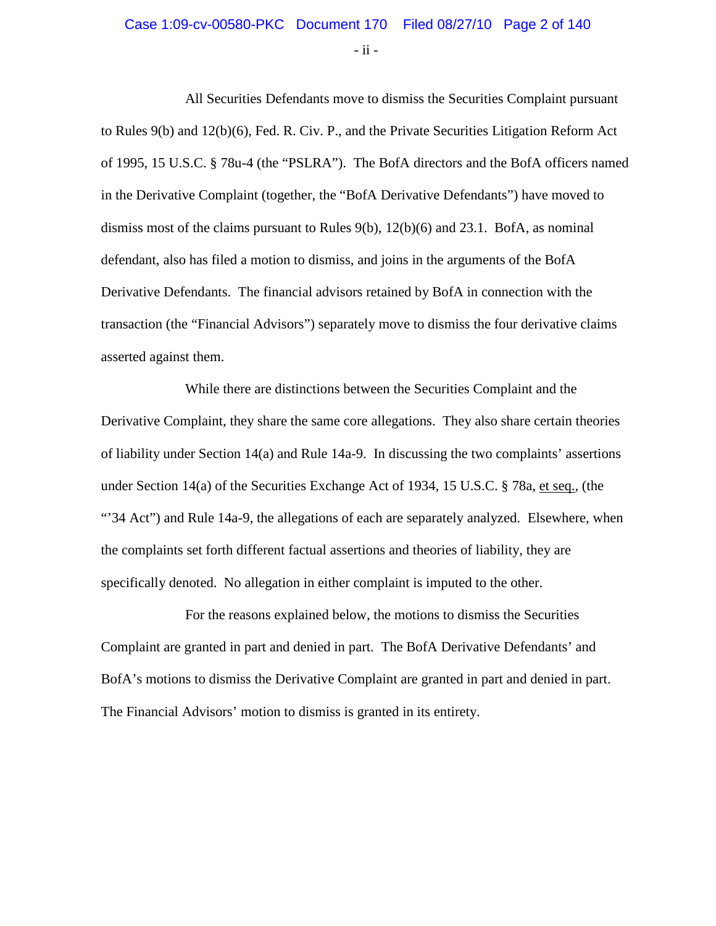#### Case 1:09-cv-00580-PKC Document 170 Filed 08/27/10 Page 2 of 140

 $-$  ii  $-$ 

All Securities Defendants move to dismiss the Securities Complaint pursuant to Rules 9(b) and 12(b)(6), Fed. R. Civ. P., and the Private Securities Litigation Reform Act of 1995, 15 U.S.C. § 78u-4 (the "PSLRA"). The BofA directors and the BofA officers named in the Derivative Complaint (together, the "BofA Derivative Defendants") have moved to dismiss most of the claims pursuant to Rules  $9(b)$ ,  $12(b)(6)$  and  $23.1$ . BofA, as nominal defendant, also has filed a motion to dismiss, and joins in the arguments of the BofA Derivative Defendants. The financial advisors retained by BofA in connection with the transaction (the "Financial Advisors") separately move to dismiss the four derivative claims asserted against them.

While there are distinctions between the Securities Complaint and the Derivative Complaint, they share the same core allegations. They also share certain theories of liability under Section 14(a) and Rule 14a-9. In discussing the two complaints' assertions under Section 14(a) of the Securities Exchange Act of 1934, 15 U.S.C. § 78a, et seq., (the "'34 Act") and Rule 14a-9, the allegations of each are separately analyzed. Elsewhere, when the complaints set forth different factual assertions and theories of liability, they are specifically denoted. No allegation in either complaint is imputed to the other.

For the reasons explained below, the motions to dismiss the Securities Complaint are granted in part and denied in part. The BofA Derivative Defendants' and BofA's motions to dismiss the Derivative Complaint are granted in part and denied in part. The Financial Advisors' motion to dismiss is granted in its entirety.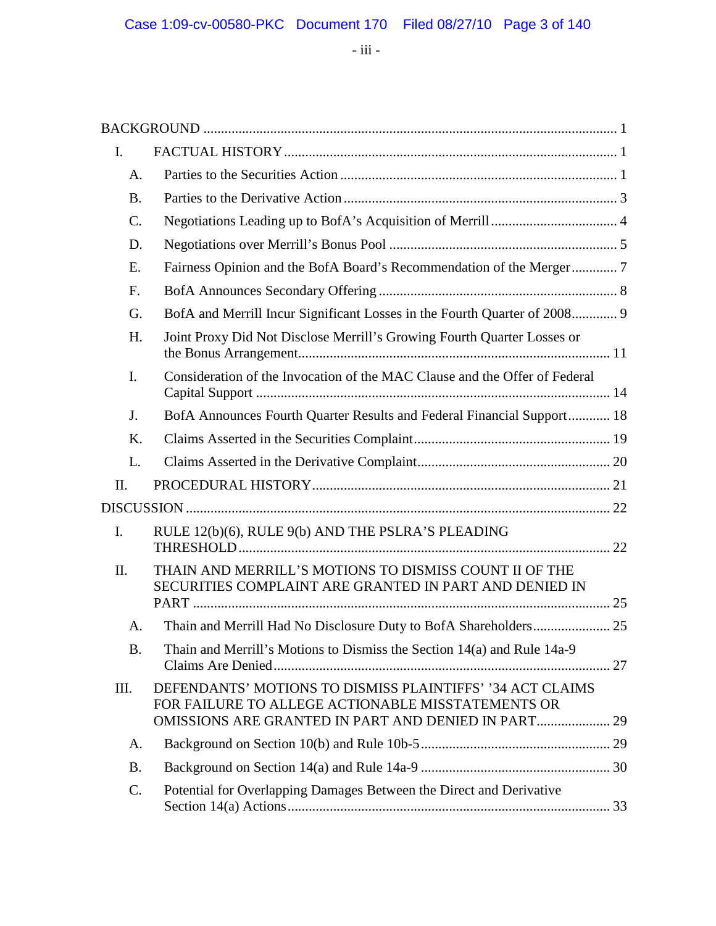- iii -

| I.        |                                                                                                                                                                              |  |
|-----------|------------------------------------------------------------------------------------------------------------------------------------------------------------------------------|--|
| A.        |                                                                                                                                                                              |  |
| <b>B.</b> |                                                                                                                                                                              |  |
| C.        |                                                                                                                                                                              |  |
| D.        |                                                                                                                                                                              |  |
| E.        | Fairness Opinion and the BofA Board's Recommendation of the Merger7                                                                                                          |  |
| F.        |                                                                                                                                                                              |  |
| G.        | BofA and Merrill Incur Significant Losses in the Fourth Quarter of 2008 9                                                                                                    |  |
| H.        | Joint Proxy Did Not Disclose Merrill's Growing Fourth Quarter Losses or                                                                                                      |  |
| I.        | Consideration of the Invocation of the MAC Clause and the Offer of Federal                                                                                                   |  |
| J.        | BofA Announces Fourth Quarter Results and Federal Financial Support 18                                                                                                       |  |
| Κ.        |                                                                                                                                                                              |  |
| L.        |                                                                                                                                                                              |  |
| II.       |                                                                                                                                                                              |  |
|           |                                                                                                                                                                              |  |
| I.        | RULE 12(b)(6), RULE 9(b) AND THE PSLRA'S PLEADING                                                                                                                            |  |
| Π.        | THAIN AND MERRILL'S MOTIONS TO DISMISS COUNT II OF THE<br>SECURITIES COMPLAINT ARE GRANTED IN PART AND DENIED IN                                                             |  |
| A.        | Thain and Merrill Had No Disclosure Duty to BofA Shareholders 25                                                                                                             |  |
| <b>B.</b> | Thain and Merrill's Motions to Dismiss the Section 14(a) and Rule 14a-9                                                                                                      |  |
| Ш.        | DEFENDANTS' MOTIONS TO DISMISS PLAINTIFFS' '34 ACT CLAIMS<br>FOR FAILURE TO ALLEGE ACTIONABLE MISSTATEMENTS OR<br><b>OMISSIONS ARE GRANTED IN PART AND DENIED IN PART 29</b> |  |
| A.        |                                                                                                                                                                              |  |
| <b>B.</b> |                                                                                                                                                                              |  |
| C.        | Potential for Overlapping Damages Between the Direct and Derivative                                                                                                          |  |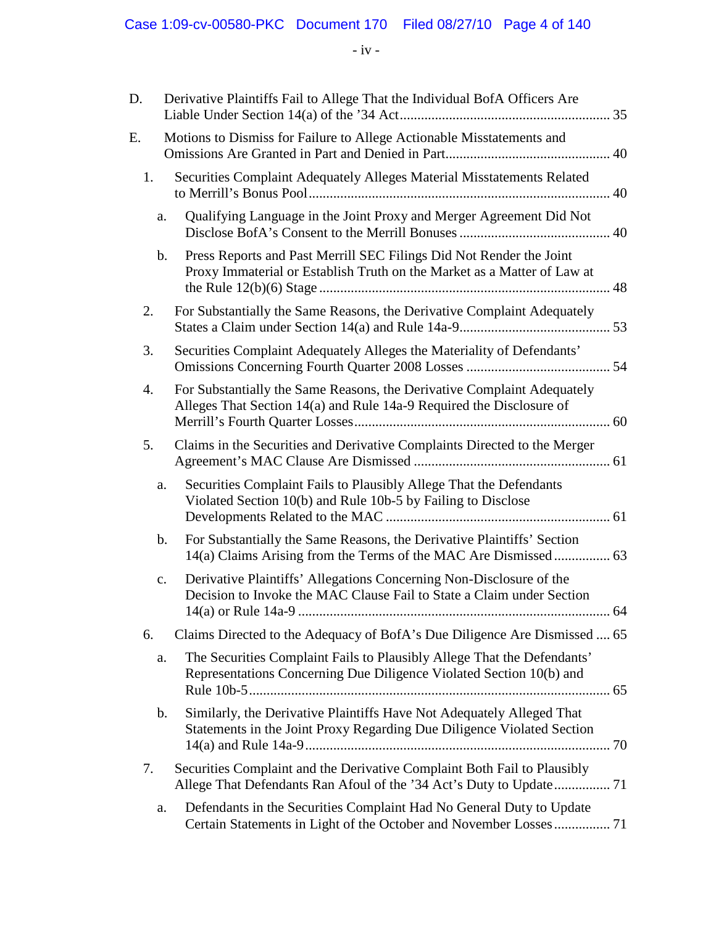- iv -

| D. | Derivative Plaintiffs Fail to Allege That the Individual BofA Officers Are                                                                            |  |
|----|-------------------------------------------------------------------------------------------------------------------------------------------------------|--|
| Е. | Motions to Dismiss for Failure to Allege Actionable Misstatements and                                                                                 |  |
| 1. | Securities Complaint Adequately Alleges Material Misstatements Related                                                                                |  |
|    | Qualifying Language in the Joint Proxy and Merger Agreement Did Not<br>a.                                                                             |  |
|    | Press Reports and Past Merrill SEC Filings Did Not Render the Joint<br>b.<br>Proxy Immaterial or Establish Truth on the Market as a Matter of Law at  |  |
| 2. | For Substantially the Same Reasons, the Derivative Complaint Adequately                                                                               |  |
| 3. | Securities Complaint Adequately Alleges the Materiality of Defendants'                                                                                |  |
| 4. | For Substantially the Same Reasons, the Derivative Complaint Adequately<br>Alleges That Section 14(a) and Rule 14a-9 Required the Disclosure of       |  |
| 5. | Claims in the Securities and Derivative Complaints Directed to the Merger                                                                             |  |
|    | Securities Complaint Fails to Plausibly Allege That the Defendants<br>a.<br>Violated Section 10(b) and Rule 10b-5 by Failing to Disclose              |  |
|    | For Substantially the Same Reasons, the Derivative Plaintiffs' Section<br>b.<br>14(a) Claims Arising from the Terms of the MAC Are Dismissed  63      |  |
|    | Derivative Plaintiffs' Allegations Concerning Non-Disclosure of the<br>c.<br>Decision to Invoke the MAC Clause Fail to State a Claim under Section    |  |
| 6. | Claims Directed to the Adequacy of BofA's Due Diligence Are Dismissed  65                                                                             |  |
|    | The Securities Complaint Fails to Plausibly Allege That the Defendants'<br>a.<br>Representations Concerning Due Diligence Violated Section 10(b) and  |  |
|    | Similarly, the Derivative Plaintiffs Have Not Adequately Alleged That<br>b.<br>Statements in the Joint Proxy Regarding Due Diligence Violated Section |  |
| 7. | Securities Complaint and the Derivative Complaint Both Fail to Plausibly                                                                              |  |
|    | Defendants in the Securities Complaint Had No General Duty to Update<br>a.<br>Certain Statements in Light of the October and November Losses 71       |  |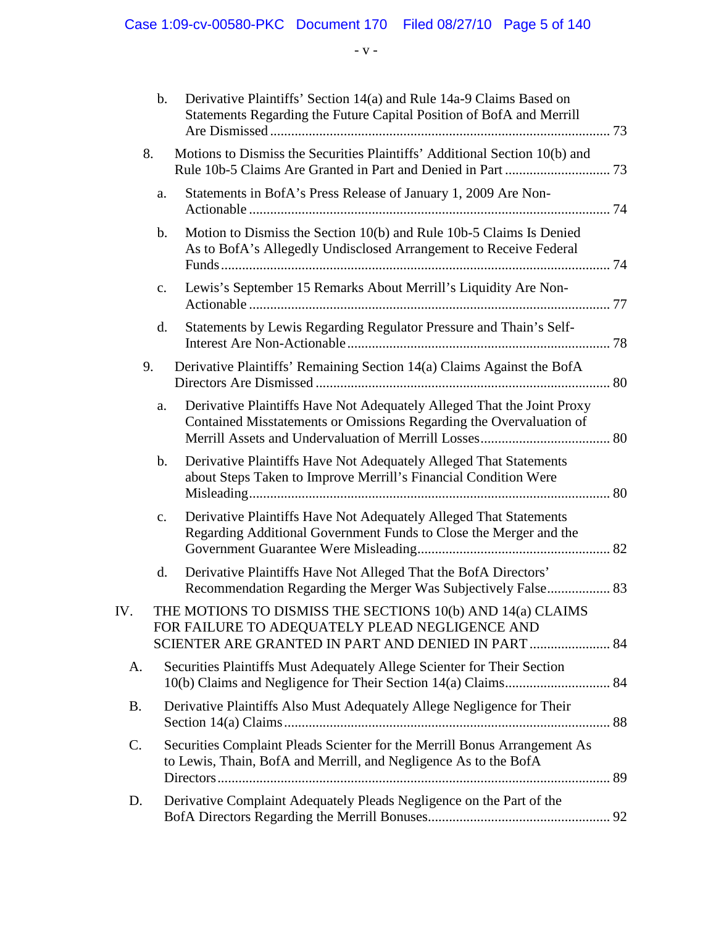Case 1:09-cv-00580-PKC Document 170 Filed 08/27/10 Page 5 of 140

- v -

|           | $\mathbf b$ .  | Derivative Plaintiffs' Section 14(a) and Rule 14a-9 Claims Based on<br>Statements Regarding the Future Capital Position of BofA and Merrill   |  |
|-----------|----------------|-----------------------------------------------------------------------------------------------------------------------------------------------|--|
|           | 8.             | Motions to Dismiss the Securities Plaintiffs' Additional Section 10(b) and                                                                    |  |
|           | a.             | Statements in BofA's Press Release of January 1, 2009 Are Non-                                                                                |  |
|           | $\mathbf{b}$ . | Motion to Dismiss the Section 10(b) and Rule 10b-5 Claims Is Denied<br>As to BofA's Allegedly Undisclosed Arrangement to Receive Federal      |  |
|           | c.             | Lewis's September 15 Remarks About Merrill's Liquidity Are Non-                                                                               |  |
|           | d.             | Statements by Lewis Regarding Regulator Pressure and Thain's Self-                                                                            |  |
|           | 9.             | Derivative Plaintiffs' Remaining Section 14(a) Claims Against the BofA                                                                        |  |
|           | a.             | Derivative Plaintiffs Have Not Adequately Alleged That the Joint Proxy<br>Contained Misstatements or Omissions Regarding the Overvaluation of |  |
|           | $\mathbf b$ .  | Derivative Plaintiffs Have Not Adequately Alleged That Statements<br>about Steps Taken to Improve Merrill's Financial Condition Were          |  |
|           | $C_{\bullet}$  | Derivative Plaintiffs Have Not Adequately Alleged That Statements<br>Regarding Additional Government Funds to Close the Merger and the        |  |
|           | d.             | Derivative Plaintiffs Have Not Alleged That the BofA Directors'<br>Recommendation Regarding the Merger Was Subjectively False 83              |  |
| IV        |                | THE MOTIONS TO DISMISS THE SECTIONS 10(b) AND 14(a) CLAIMS<br>FOR FAILURE TO ADEQUATELY PLEAD NEGLIGENCE AND                                  |  |
| А.        |                | Securities Plaintiffs Must Adequately Allege Scienter for Their Section                                                                       |  |
| <b>B.</b> |                | Derivative Plaintiffs Also Must Adequately Allege Negligence for Their                                                                        |  |
| C.        |                | Securities Complaint Pleads Scienter for the Merrill Bonus Arrangement As<br>to Lewis, Thain, BofA and Merrill, and Negligence As to the BofA |  |
| D.        |                | Derivative Complaint Adequately Pleads Negligence on the Part of the                                                                          |  |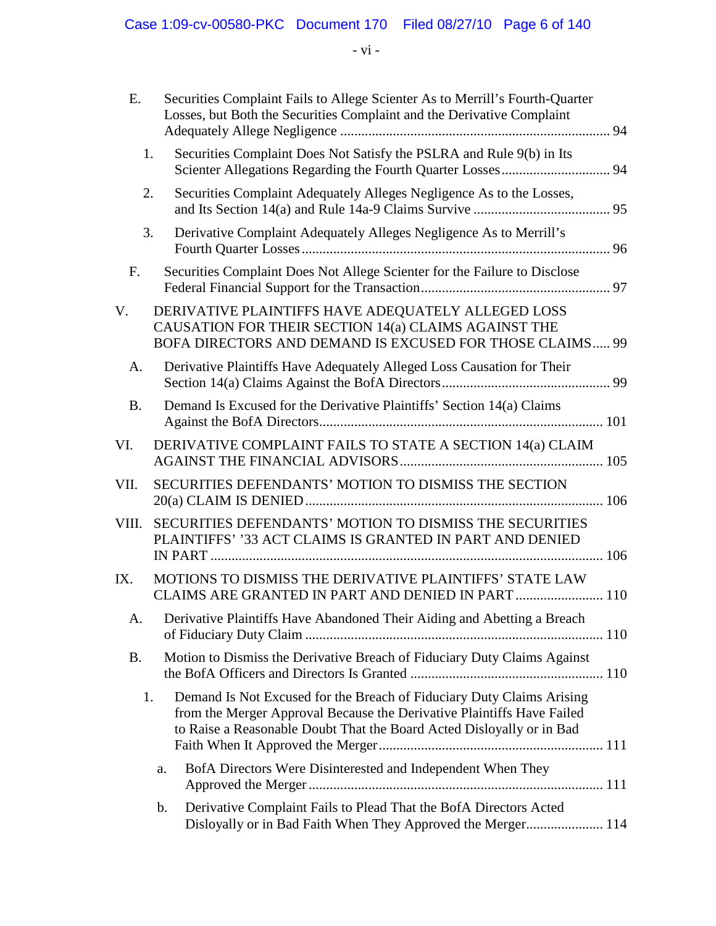- vi -

| E.        | Securities Complaint Fails to Allege Scienter As to Merrill's Fourth-Quarter<br>Losses, but Both the Securities Complaint and the Derivative Complaint                                                                         |  |
|-----------|--------------------------------------------------------------------------------------------------------------------------------------------------------------------------------------------------------------------------------|--|
|           | Securities Complaint Does Not Satisfy the PSLRA and Rule 9(b) in Its<br>1.                                                                                                                                                     |  |
|           | Securities Complaint Adequately Alleges Negligence As to the Losses,<br>2.                                                                                                                                                     |  |
|           | 3.<br>Derivative Complaint Adequately Alleges Negligence As to Merrill's                                                                                                                                                       |  |
| F.        | Securities Complaint Does Not Allege Scienter for the Failure to Disclose                                                                                                                                                      |  |
| V.        | DERIVATIVE PLAINTIFFS HAVE ADEQUATELY ALLEGED LOSS<br>CAUSATION FOR THEIR SECTION 14(a) CLAIMS AGAINST THE<br><b>BOFA DIRECTORS AND DEMAND IS EXCUSED FOR THOSE CLAIMS 99</b>                                                  |  |
| A.        | Derivative Plaintiffs Have Adequately Alleged Loss Causation for Their                                                                                                                                                         |  |
| <b>B.</b> | Demand Is Excused for the Derivative Plaintiffs' Section 14(a) Claims                                                                                                                                                          |  |
| VI.       | DERIVATIVE COMPLAINT FAILS TO STATE A SECTION 14(a) CLAIM                                                                                                                                                                      |  |
| VII.      | SECURITIES DEFENDANTS' MOTION TO DISMISS THE SECTION                                                                                                                                                                           |  |
| VIII.     | SECURITIES DEFENDANTS' MOTION TO DISMISS THE SECURITIES<br>PLAINTIFFS' '33 ACT CLAIMS IS GRANTED IN PART AND DENIED                                                                                                            |  |
| IX.       | MOTIONS TO DISMISS THE DERIVATIVE PLAINTIFFS' STATE LAW<br>CLAIMS ARE GRANTED IN PART AND DENIED IN PART  110                                                                                                                  |  |
| A.        | Derivative Plaintiffs Have Abandoned Their Aiding and Abetting a Breach                                                                                                                                                        |  |
| <b>B.</b> | Motion to Dismiss the Derivative Breach of Fiduciary Duty Claims Against                                                                                                                                                       |  |
|           | Demand Is Not Excused for the Breach of Fiduciary Duty Claims Arising<br>1.<br>from the Merger Approval Because the Derivative Plaintiffs Have Failed<br>to Raise a Reasonable Doubt That the Board Acted Disloyally or in Bad |  |
|           | BofA Directors Were Disinterested and Independent When They<br>a.                                                                                                                                                              |  |
|           | Derivative Complaint Fails to Plead That the BofA Directors Acted<br>b.<br>Disloyally or in Bad Faith When They Approved the Merger 114                                                                                        |  |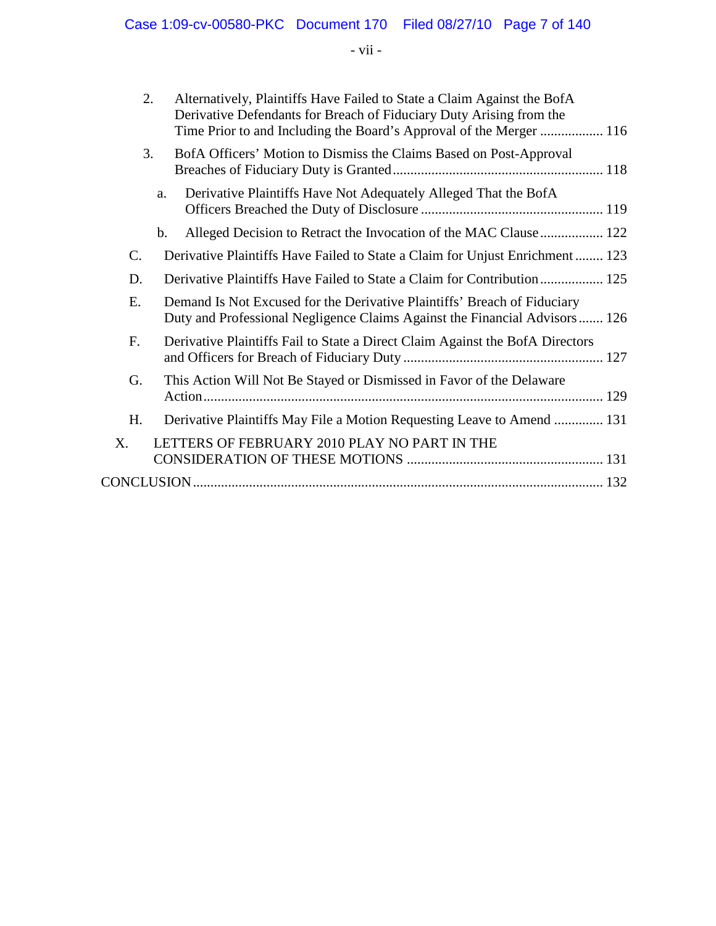- vii -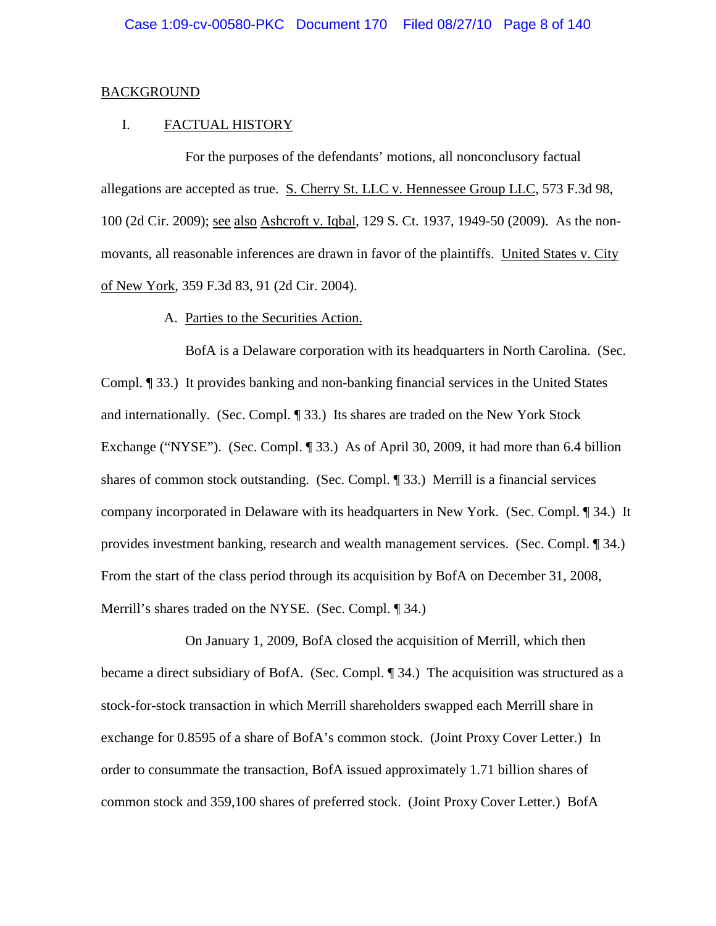#### BACKGROUND

#### I. FACTUAL HISTORY

For the purposes of the defendants' motions, all nonconclusory factual allegations are accepted as true. S. Cherry St. LLC v. Hennessee Group LLC, 573 F.3d 98, 100 (2d Cir. 2009); see also Ashcroft v. Iqbal, 129 S. Ct. 1937, 1949-50 (2009). As the nonmovants, all reasonable inferences are drawn in favor of the plaintiffs. United States v. City of New York*,* 359 F.3d 83, 91 (2d Cir. 2004).

#### A. Parties to the Securities Action.

BofA is a Delaware corporation with its headquarters in North Carolina. (Sec. Compl. ¶ 33.) It provides banking and non-banking financial services in the United States and internationally. (Sec. Compl. ¶ 33.) Its shares are traded on the New York Stock Exchange ("NYSE"). (Sec. Compl. ¶ 33.) As of April 30, 2009, it had more than 6.4 billion shares of common stock outstanding. (Sec. Compl. ¶ 33.) Merrill is a financial services company incorporated in Delaware with its headquarters in New York. (Sec. Compl. ¶ 34.) It provides investment banking, research and wealth management services. (Sec. Compl. ¶ 34.) From the start of the class period through its acquisition by BofA on December 31, 2008, Merrill's shares traded on the NYSE. (Sec. Compl. ¶ 34.)

On January 1, 2009, BofA closed the acquisition of Merrill, which then became a direct subsidiary of BofA. (Sec. Compl. ¶ 34.) The acquisition was structured as a stock-for-stock transaction in which Merrill shareholders swapped each Merrill share in exchange for 0.8595 of a share of BofA's common stock. (Joint Proxy Cover Letter.) In order to consummate the transaction, BofA issued approximately 1.71 billion shares of common stock and 359,100 shares of preferred stock. (Joint Proxy Cover Letter.) BofA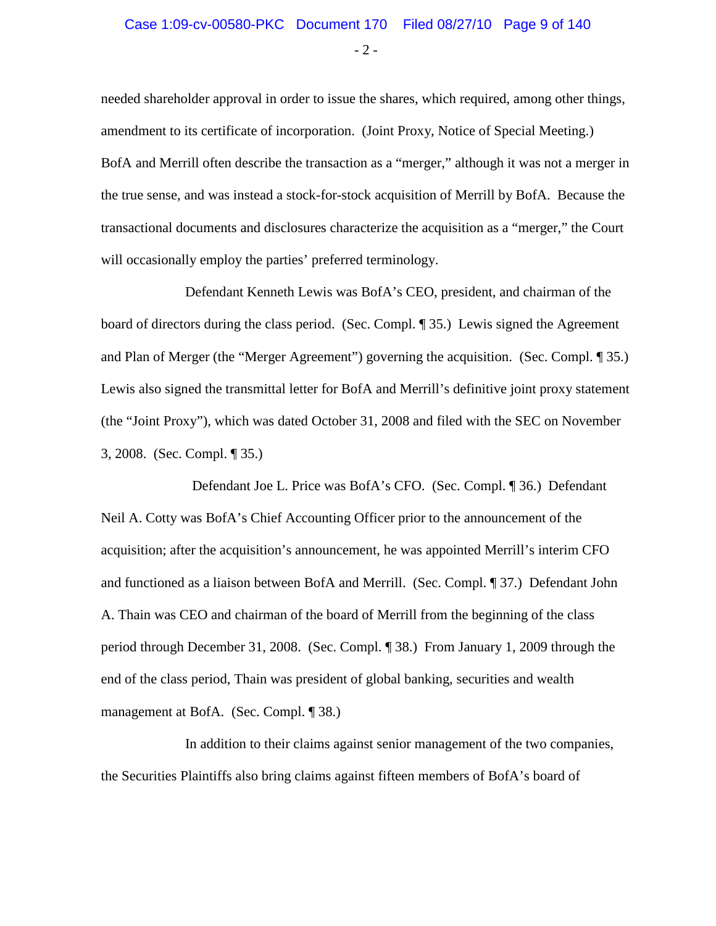$-2 -$ 

needed shareholder approval in order to issue the shares, which required, among other things, amendment to its certificate of incorporation. (Joint Proxy, Notice of Special Meeting.) BofA and Merrill often describe the transaction as a "merger," although it was not a merger in the true sense, and was instead a stock-for-stock acquisition of Merrill by BofA. Because the transactional documents and disclosures characterize the acquisition as a "merger," the Court will occasionally employ the parties' preferred terminology.

Defendant Kenneth Lewis was BofA's CEO, president, and chairman of the board of directors during the class period. (Sec. Compl. ¶ 35.) Lewis signed the Agreement and Plan of Merger (the "Merger Agreement") governing the acquisition. (Sec. Compl. ¶ 35.) Lewis also signed the transmittal letter for BofA and Merrill's definitive joint proxy statement (the "Joint Proxy"), which was dated October 31, 2008 and filed with the SEC on November 3, 2008. (Sec. Compl. ¶ 35.)

 Defendant Joe L. Price was BofA's CFO. (Sec. Compl. ¶ 36.) Defendant Neil A. Cotty was BofA's Chief Accounting Officer prior to the announcement of the acquisition; after the acquisition's announcement, he was appointed Merrill's interim CFO and functioned as a liaison between BofA and Merrill. (Sec. Compl. ¶ 37.) Defendant John A. Thain was CEO and chairman of the board of Merrill from the beginning of the class period through December 31, 2008. (Sec. Compl. ¶ 38.) From January 1, 2009 through the end of the class period, Thain was president of global banking, securities and wealth management at BofA. (Sec. Compl. ¶ 38.)

In addition to their claims against senior management of the two companies, the Securities Plaintiffs also bring claims against fifteen members of BofA's board of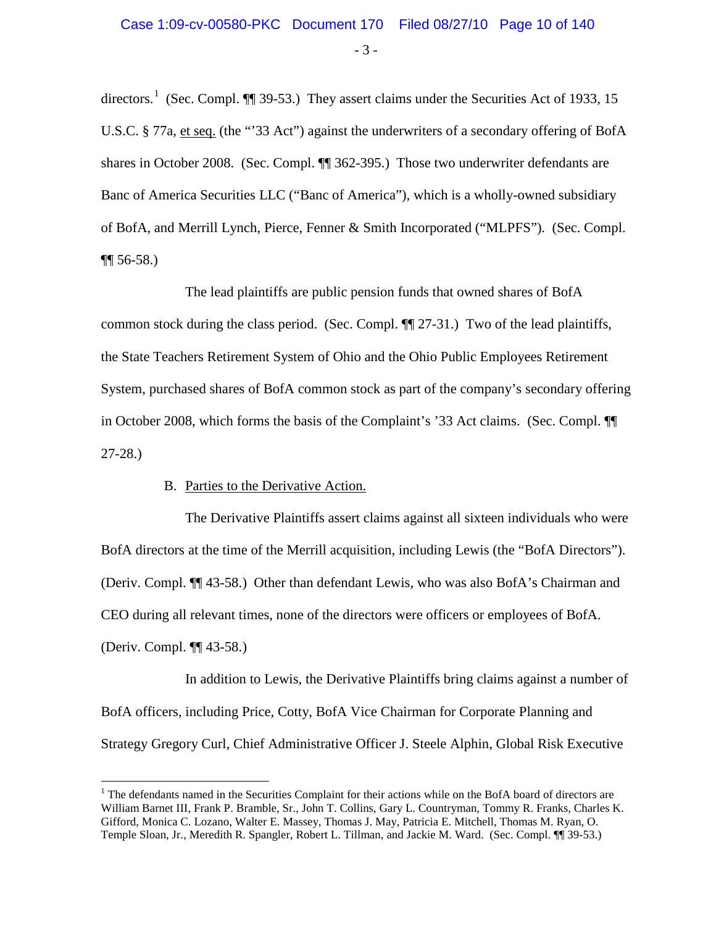- 3 -

directors.<sup>[1](#page-9-0)</sup> (Sec. Compl.  $\P$ ] 39-53.) They assert claims under the Securities Act of 1933, 15 U.S.C. § 77a, et seq. (the "'33 Act") against the underwriters of a secondary offering of BofA shares in October 2008. (Sec. Compl. ¶¶ 362-395.) Those two underwriter defendants are Banc of America Securities LLC ("Banc of America"), which is a wholly-owned subsidiary of BofA, and Merrill Lynch, Pierce, Fenner & Smith Incorporated ("MLPFS"). (Sec. Compl.  $\P\P$  56-58.)

The lead plaintiffs are public pension funds that owned shares of BofA common stock during the class period. (Sec. Compl. ¶¶ 27-31.) Two of the lead plaintiffs, the State Teachers Retirement System of Ohio and the Ohio Public Employees Retirement System, purchased shares of BofA common stock as part of the company's secondary offering in October 2008, which forms the basis of the Complaint's '33 Act claims. (Sec. Compl. ¶¶ 27-28.)

#### B. Parties to the Derivative Action.

The Derivative Plaintiffs assert claims against all sixteen individuals who were BofA directors at the time of the Merrill acquisition, including Lewis (the "BofA Directors"). (Deriv. Compl. ¶¶ 43-58.) Other than defendant Lewis, who was also BofA's Chairman and CEO during all relevant times, none of the directors were officers or employees of BofA. (Deriv. Compl. ¶¶ 43-58.)

In addition to Lewis, the Derivative Plaintiffs bring claims against a number of BofA officers, including Price, Cotty, BofA Vice Chairman for Corporate Planning and Strategy Gregory Curl, Chief Administrative Officer J. Steele Alphin, Global Risk Executive

<span id="page-9-0"></span><sup>&</sup>lt;sup>1</sup> The defendants named in the Securities Complaint for their actions while on the BofA board of directors are William Barnet III, Frank P. Bramble, Sr., John T. Collins, Gary L. Countryman, Tommy R. Franks, Charles K. Gifford, Monica C. Lozano, Walter E. Massey, Thomas J. May, Patricia E. Mitchell, Thomas M. Ryan, O. Temple Sloan, Jr., Meredith R. Spangler, Robert L. Tillman, and Jackie M. Ward. (Sec. Compl. ¶¶ 39-53.)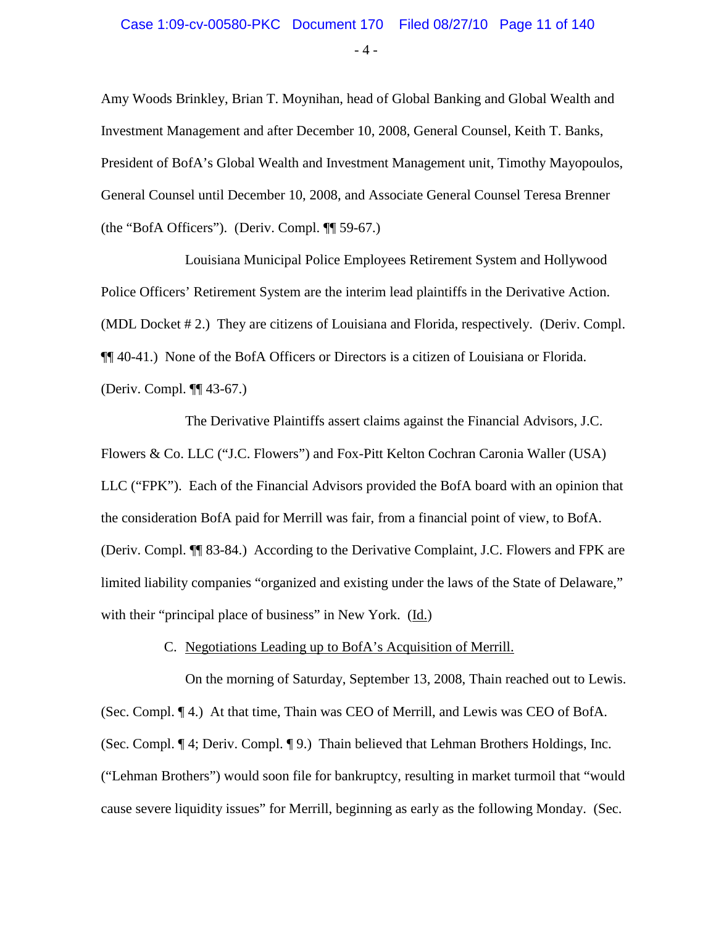#### Case 1:09-cv-00580-PKC Document 170 Filed 08/27/10 Page 11 of 140

 $-4 -$ 

Amy Woods Brinkley, Brian T. Moynihan, head of Global Banking and Global Wealth and Investment Management and after December 10, 2008, General Counsel, Keith T. Banks, President of BofA's Global Wealth and Investment Management unit, Timothy Mayopoulos, General Counsel until December 10, 2008, and Associate General Counsel Teresa Brenner (the "BofA Officers"). (Deriv. Compl. ¶¶ 59-67.)

Louisiana Municipal Police Employees Retirement System and Hollywood Police Officers' Retirement System are the interim lead plaintiffs in the Derivative Action. (MDL Docket # 2.) They are citizens of Louisiana and Florida, respectively. (Deriv. Compl. ¶¶ 40-41.) None of the BofA Officers or Directors is a citizen of Louisiana or Florida. (Deriv. Compl. ¶¶ 43-67.)

The Derivative Plaintiffs assert claims against the Financial Advisors, J.C. Flowers & Co. LLC ("J.C. Flowers") and Fox-Pitt Kelton Cochran Caronia Waller (USA) LLC ("FPK"). Each of the Financial Advisors provided the BofA board with an opinion that the consideration BofA paid for Merrill was fair, from a financial point of view, to BofA. (Deriv. Compl. ¶¶ 83-84.) According to the Derivative Complaint, J.C. Flowers and FPK are limited liability companies "organized and existing under the laws of the State of Delaware," with their "principal place of business" in New York. (Id.)

#### C. Negotiations Leading up to BofA's Acquisition of Merrill.

On the morning of Saturday, September 13, 2008, Thain reached out to Lewis. (Sec. Compl. ¶ 4.) At that time, Thain was CEO of Merrill, and Lewis was CEO of BofA. (Sec. Compl. ¶ 4; Deriv. Compl. ¶ 9.) Thain believed that Lehman Brothers Holdings, Inc. ("Lehman Brothers") would soon file for bankruptcy, resulting in market turmoil that "would cause severe liquidity issues" for Merrill, beginning as early as the following Monday. (Sec.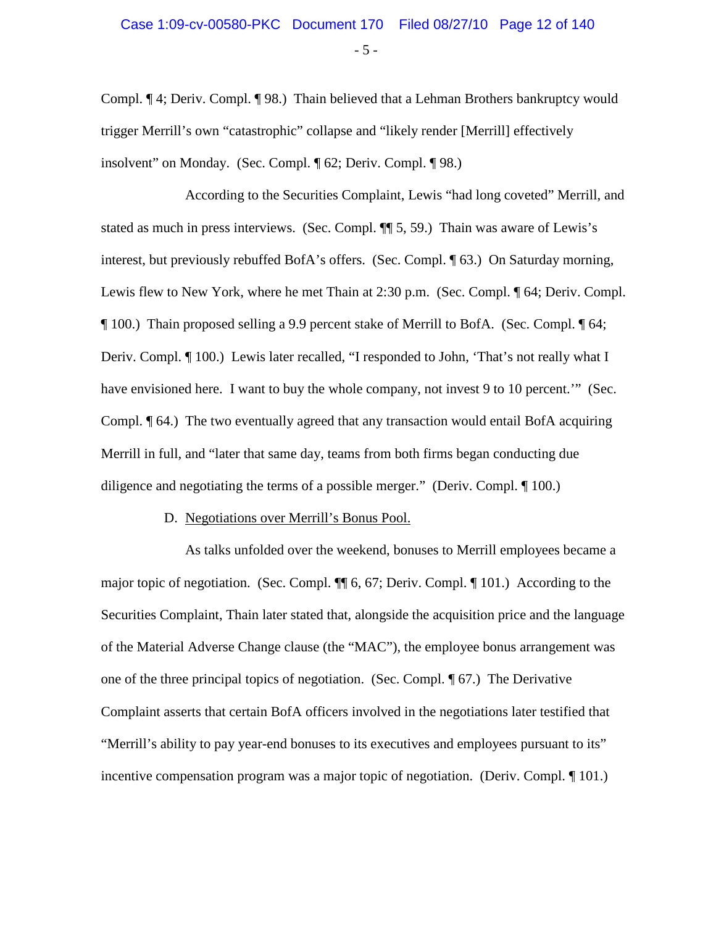$-5 -$ 

Compl. ¶ 4; Deriv. Compl. ¶ 98.) Thain believed that a Lehman Brothers bankruptcy would trigger Merrill's own "catastrophic" collapse and "likely render [Merrill] effectively insolvent" on Monday. (Sec. Compl. ¶ 62; Deriv. Compl. ¶ 98.)

According to the Securities Complaint, Lewis "had long coveted" Merrill, and stated as much in press interviews. (Sec. Compl. ¶¶ 5, 59.) Thain was aware of Lewis's interest, but previously rebuffed BofA's offers. (Sec. Compl. ¶ 63.) On Saturday morning, Lewis flew to New York, where he met Thain at 2:30 p.m. (Sec. Compl.  $\P$  64; Deriv. Compl. ¶ 100.) Thain proposed selling a 9.9 percent stake of Merrill to BofA. (Sec. Compl. ¶ 64; Deriv. Compl. ¶ 100.) Lewis later recalled, "I responded to John, 'That's not really what I have envisioned here. I want to buy the whole company, not invest 9 to 10 percent." (Sec. Compl. ¶ 64.) The two eventually agreed that any transaction would entail BofA acquiring Merrill in full, and "later that same day, teams from both firms began conducting due diligence and negotiating the terms of a possible merger." (Deriv. Compl. ¶ 100.)

#### D. Negotiations over Merrill's Bonus Pool.

As talks unfolded over the weekend, bonuses to Merrill employees became a major topic of negotiation. (Sec. Compl. ¶¶ 6, 67; Deriv. Compl. ¶ 101.) According to the Securities Complaint, Thain later stated that, alongside the acquisition price and the language of the Material Adverse Change clause (the "MAC"), the employee bonus arrangement was one of the three principal topics of negotiation. (Sec. Compl. ¶ 67.) The Derivative Complaint asserts that certain BofA officers involved in the negotiations later testified that "Merrill's ability to pay year-end bonuses to its executives and employees pursuant to its" incentive compensation program was a major topic of negotiation. (Deriv. Compl. ¶ 101.)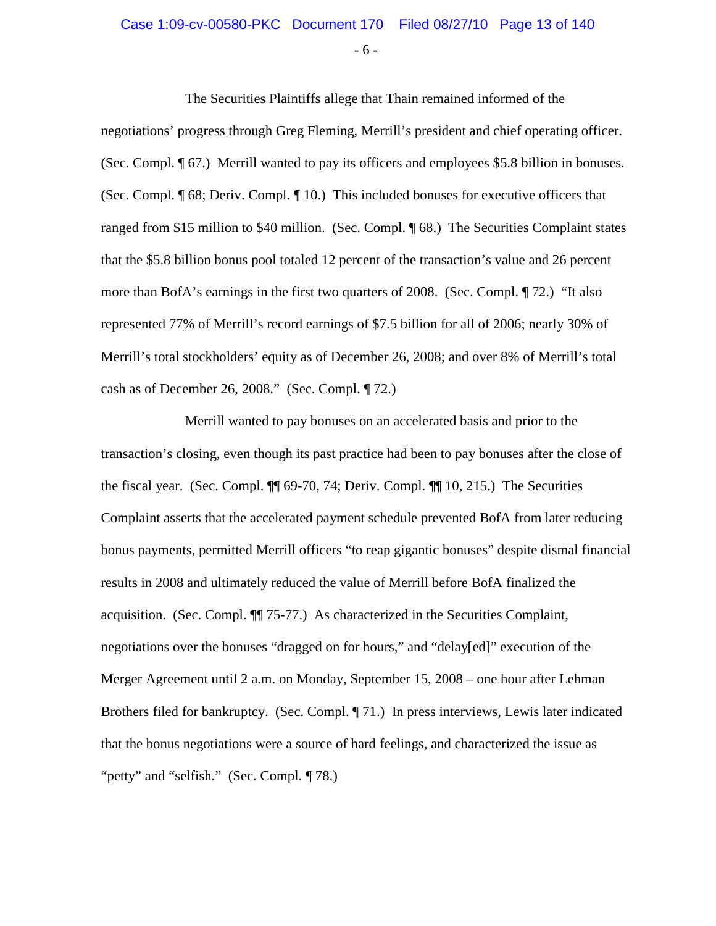#### Case 1:09-cv-00580-PKC Document 170 Filed 08/27/10 Page 13 of 140

- 6 -

The Securities Plaintiffs allege that Thain remained informed of the negotiations' progress through Greg Fleming, Merrill's president and chief operating officer. (Sec. Compl. ¶ 67.) Merrill wanted to pay its officers and employees \$5.8 billion in bonuses. (Sec. Compl. ¶ 68; Deriv. Compl. ¶ 10.) This included bonuses for executive officers that ranged from \$15 million to \$40 million. (Sec. Compl. ¶ 68.) The Securities Complaint states that the \$5.8 billion bonus pool totaled 12 percent of the transaction's value and 26 percent more than BofA's earnings in the first two quarters of 2008. (Sec. Compl. ¶ 72.) "It also represented 77% of Merrill's record earnings of \$7.5 billion for all of 2006; nearly 30% of Merrill's total stockholders' equity as of December 26, 2008; and over 8% of Merrill's total cash as of December 26, 2008." (Sec. Compl. ¶ 72.)

Merrill wanted to pay bonuses on an accelerated basis and prior to the transaction's closing, even though its past practice had been to pay bonuses after the close of the fiscal year. (Sec. Compl. ¶¶ 69-70, 74; Deriv. Compl. ¶¶ 10, 215.) The Securities Complaint asserts that the accelerated payment schedule prevented BofA from later reducing bonus payments, permitted Merrill officers "to reap gigantic bonuses" despite dismal financial results in 2008 and ultimately reduced the value of Merrill before BofA finalized the acquisition. (Sec. Compl. ¶¶ 75-77.) As characterized in the Securities Complaint, negotiations over the bonuses "dragged on for hours," and "delay[ed]" execution of the Merger Agreement until 2 a.m. on Monday, September 15, 2008 – one hour after Lehman Brothers filed for bankruptcy. (Sec. Compl. ¶ 71.) In press interviews, Lewis later indicated that the bonus negotiations were a source of hard feelings, and characterized the issue as "petty" and "selfish." (Sec. Compl. ¶ 78.)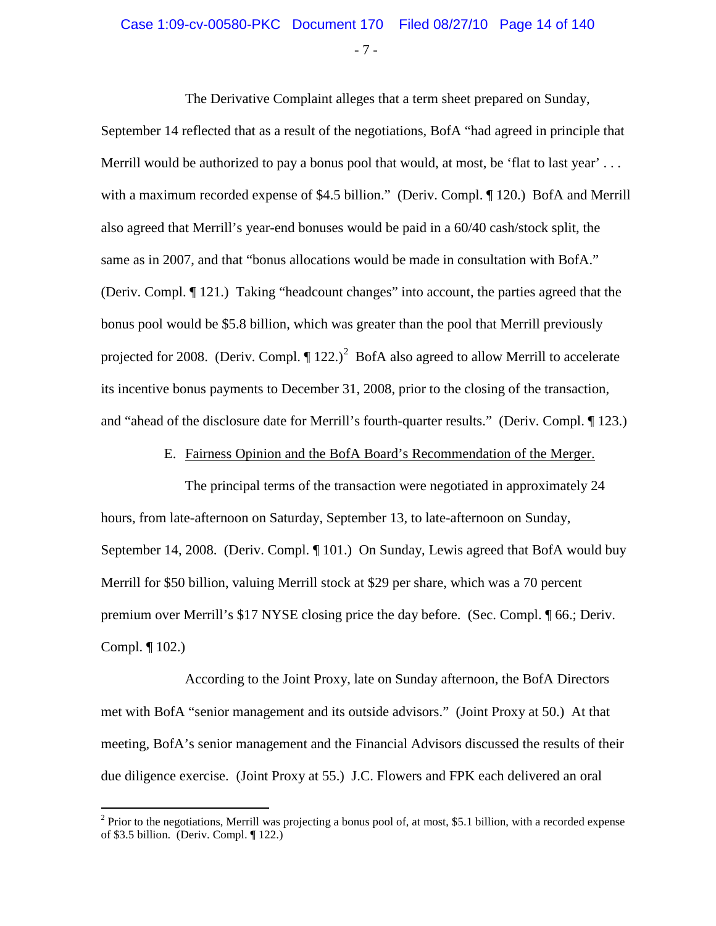- 7 -

The Derivative Complaint alleges that a term sheet prepared on Sunday,

September 14 reflected that as a result of the negotiations, BofA "had agreed in principle that Merrill would be authorized to pay a bonus pool that would, at most, be 'flat to last year' ... with a maximum recorded expense of \$4.5 billion." (Deriv. Compl. ¶ 120.) BofA and Merrill also agreed that Merrill's year-end bonuses would be paid in a 60/40 cash/stock split, the same as in 2007, and that "bonus allocations would be made in consultation with BofA." (Deriv. Compl. ¶ 121.) Taking "headcount changes" into account, the parties agreed that the bonus pool would be \$5.8 billion, which was greater than the pool that Merrill previously projected for [2](#page-13-0)008. (Deriv. Compl.  $\P$  122.)<sup>2</sup> BofA also agreed to allow Merrill to accelerate its incentive bonus payments to December 31, 2008, prior to the closing of the transaction, and "ahead of the disclosure date for Merrill's fourth-quarter results." (Deriv. Compl. ¶ 123.)

E. Fairness Opinion and the BofA Board's Recommendation of the Merger.

The principal terms of the transaction were negotiated in approximately 24 hours, from late-afternoon on Saturday, September 13, to late-afternoon on Sunday, September 14, 2008. (Deriv. Compl. ¶ 101.) On Sunday, Lewis agreed that BofA would buy Merrill for \$50 billion, valuing Merrill stock at \$29 per share, which was a 70 percent premium over Merrill's \$17 NYSE closing price the day before. (Sec. Compl. ¶ 66.; Deriv. Compl. ¶ 102.)

According to the Joint Proxy, late on Sunday afternoon, the BofA Directors met with BofA "senior management and its outside advisors." (Joint Proxy at 50.) At that meeting, BofA's senior management and the Financial Advisors discussed the results of their due diligence exercise. (Joint Proxy at 55.) J.C. Flowers and FPK each delivered an oral

<span id="page-13-0"></span> $2$  Prior to the negotiations, Merrill was projecting a bonus pool of, at most, \$5.1 billion, with a recorded expense of \$3.5 billion. (Deriv. Compl. ¶ 122.)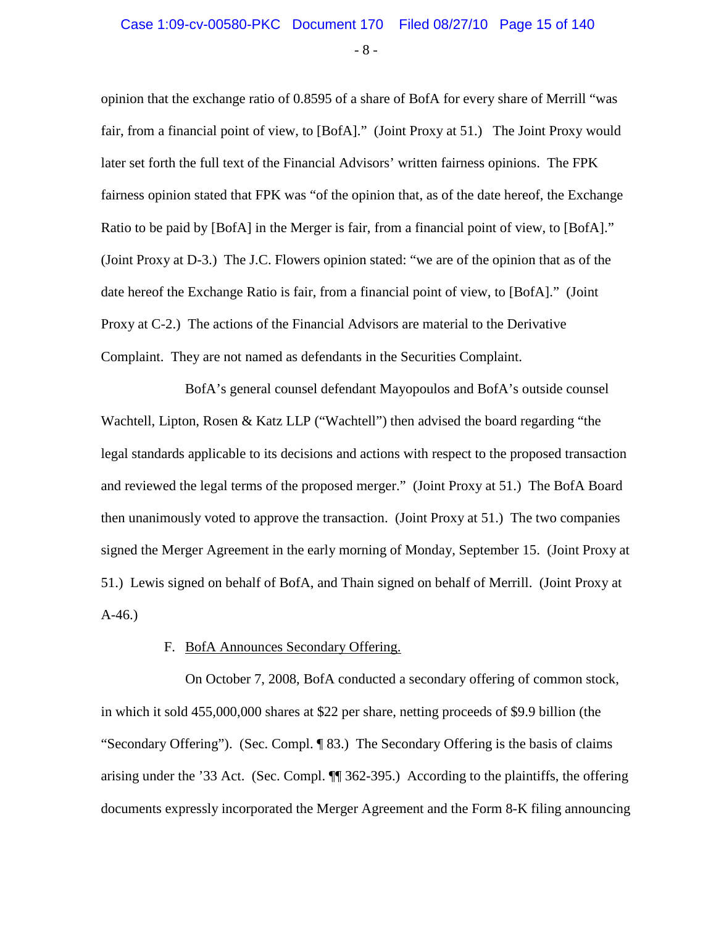- 8 -

opinion that the exchange ratio of 0.8595 of a share of BofA for every share of Merrill "was fair, from a financial point of view, to [BofA]." (Joint Proxy at 51.) The Joint Proxy would later set forth the full text of the Financial Advisors' written fairness opinions. The FPK fairness opinion stated that FPK was "of the opinion that, as of the date hereof, the Exchange Ratio to be paid by [BofA] in the Merger is fair, from a financial point of view, to [BofA]." (Joint Proxy at D-3.) The J.C. Flowers opinion stated: "we are of the opinion that as of the date hereof the Exchange Ratio is fair, from a financial point of view, to [BofA]." (Joint Proxy at C-2.) The actions of the Financial Advisors are material to the Derivative Complaint. They are not named as defendants in the Securities Complaint.

BofA's general counsel defendant Mayopoulos and BofA's outside counsel Wachtell, Lipton, Rosen & Katz LLP ("Wachtell") then advised the board regarding "the legal standards applicable to its decisions and actions with respect to the proposed transaction and reviewed the legal terms of the proposed merger." (Joint Proxy at 51.) The BofA Board then unanimously voted to approve the transaction. (Joint Proxy at 51.) The two companies signed the Merger Agreement in the early morning of Monday, September 15. (Joint Proxy at 51.) Lewis signed on behalf of BofA, and Thain signed on behalf of Merrill. (Joint Proxy at A-46.)

#### F. BofA Announces Secondary Offering.

On October 7, 2008, BofA conducted a secondary offering of common stock, in which it sold 455,000,000 shares at \$22 per share, netting proceeds of \$9.9 billion (the "Secondary Offering"). (Sec. Compl. ¶ 83.) The Secondary Offering is the basis of claims arising under the '33 Act. (Sec. Compl. ¶¶ 362-395.) According to the plaintiffs, the offering documents expressly incorporated the Merger Agreement and the Form 8-K filing announcing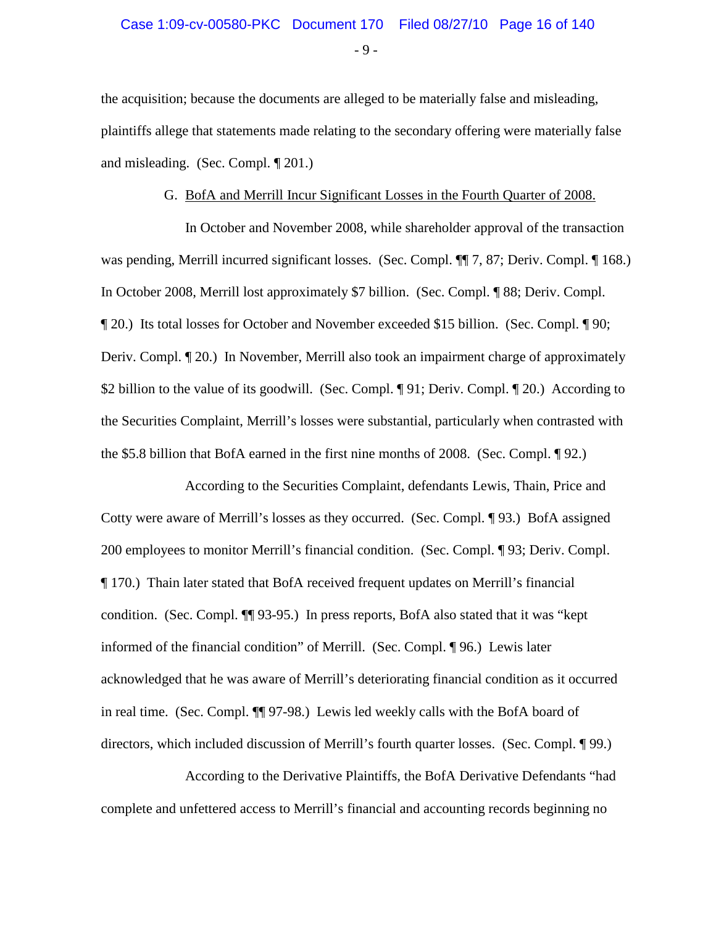$-9 -$ 

the acquisition; because the documents are alleged to be materially false and misleading, plaintiffs allege that statements made relating to the secondary offering were materially false and misleading. (Sec. Compl. ¶ 201.)

#### G. BofA and Merrill Incur Significant Losses in the Fourth Quarter of 2008.

In October and November 2008, while shareholder approval of the transaction was pending, Merrill incurred significant losses. (Sec. Compl.  $\P$  7, 87; Deriv. Compl.  $\P$  168.) In October 2008, Merrill lost approximately \$7 billion. (Sec. Compl. ¶ 88; Deriv. Compl. ¶ 20.) Its total losses for October and November exceeded \$15 billion. (Sec. Compl. ¶ 90; Deriv. Compl. ¶ 20.) In November, Merrill also took an impairment charge of approximately \$2 billion to the value of its goodwill. (Sec. Compl. ¶ 91; Deriv. Compl. ¶ 20.) According to the Securities Complaint, Merrill's losses were substantial, particularly when contrasted with the \$5.8 billion that BofA earned in the first nine months of 2008. (Sec. Compl. ¶ 92.)

According to the Securities Complaint, defendants Lewis, Thain, Price and Cotty were aware of Merrill's losses as they occurred. (Sec. Compl. ¶ 93.) BofA assigned 200 employees to monitor Merrill's financial condition. (Sec. Compl. ¶ 93; Deriv. Compl. ¶ 170.) Thain later stated that BofA received frequent updates on Merrill's financial condition. (Sec. Compl. ¶¶ 93-95.) In press reports, BofA also stated that it was "kept informed of the financial condition" of Merrill. (Sec. Compl. ¶ 96.) Lewis later acknowledged that he was aware of Merrill's deteriorating financial condition as it occurred in real time. (Sec. Compl. ¶¶ 97-98.) Lewis led weekly calls with the BofA board of directors, which included discussion of Merrill's fourth quarter losses. (Sec. Compl. ¶ 99.)

According to the Derivative Plaintiffs, the BofA Derivative Defendants "had complete and unfettered access to Merrill's financial and accounting records beginning no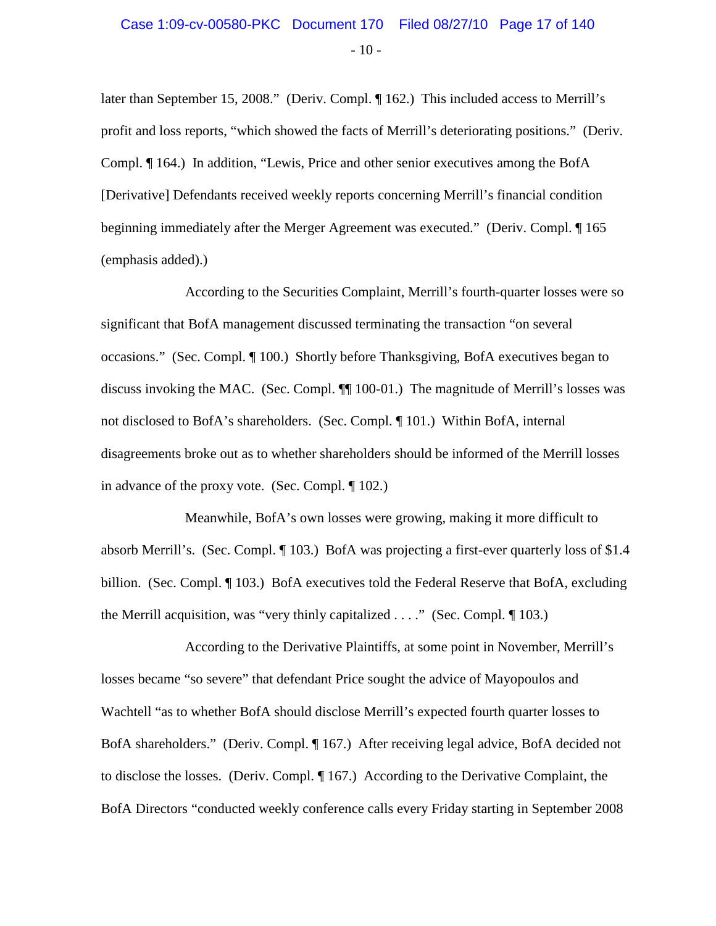### $-10-$ Case 1:09-cv-00580-PKC Document 170 Filed 08/27/10 Page 17 of 140

later than September 15, 2008." (Deriv. Compl. ¶ 162.) This included access to Merrill's profit and loss reports, "which showed the facts of Merrill's deteriorating positions." (Deriv. Compl. ¶ 164.) In addition, "Lewis, Price and other senior executives among the BofA [Derivative] Defendants received weekly reports concerning Merrill's financial condition beginning immediately after the Merger Agreement was executed." (Deriv. Compl. ¶ 165 (emphasis added).)

According to the Securities Complaint, Merrill's fourth-quarter losses were so significant that BofA management discussed terminating the transaction "on several occasions." (Sec. Compl. ¶ 100.) Shortly before Thanksgiving, BofA executives began to discuss invoking the MAC. (Sec. Compl. ¶¶ 100-01.) The magnitude of Merrill's losses was not disclosed to BofA's shareholders. (Sec. Compl. ¶ 101.) Within BofA, internal disagreements broke out as to whether shareholders should be informed of the Merrill losses in advance of the proxy vote. (Sec. Compl. ¶ 102.)

Meanwhile, BofA's own losses were growing, making it more difficult to absorb Merrill's. (Sec. Compl. ¶ 103.) BofA was projecting a first-ever quarterly loss of \$1.4 billion. (Sec. Compl. ¶ 103.) BofA executives told the Federal Reserve that BofA, excluding the Merrill acquisition, was "very thinly capitalized . . . ." (Sec. Compl. ¶ 103.)

According to the Derivative Plaintiffs, at some point in November, Merrill's losses became "so severe" that defendant Price sought the advice of Mayopoulos and Wachtell "as to whether BofA should disclose Merrill's expected fourth quarter losses to BofA shareholders." (Deriv. Compl. 167.) After receiving legal advice, BofA decided not to disclose the losses. (Deriv. Compl. ¶ 167.) According to the Derivative Complaint, the BofA Directors "conducted weekly conference calls every Friday starting in September 2008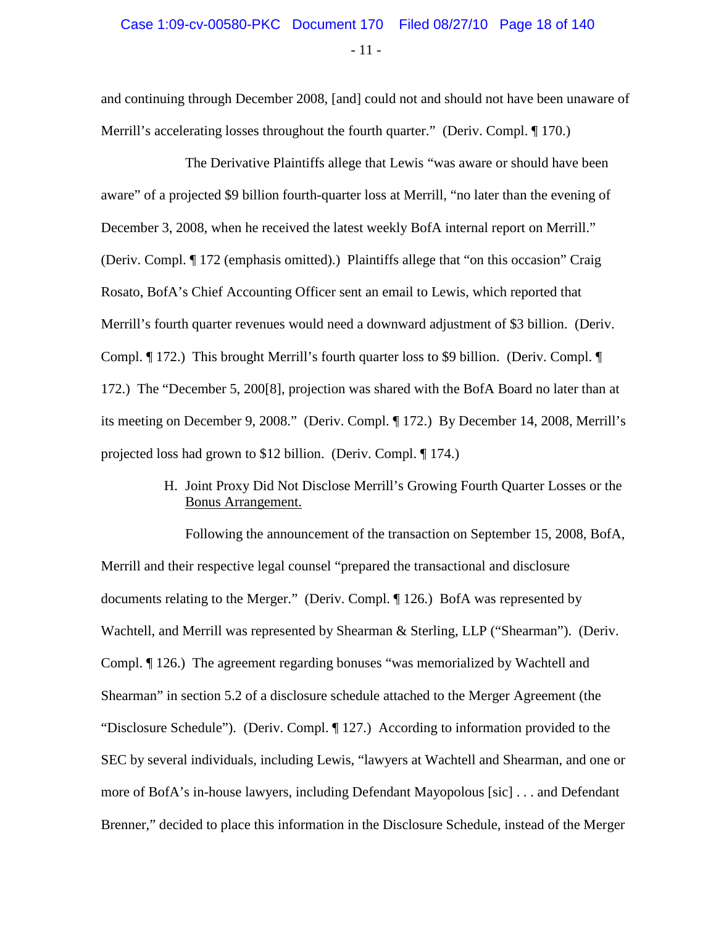### - 11 - Case 1:09-cv-00580-PKC Document 170 Filed 08/27/10 Page 18 of 140

and continuing through December 2008, [and] could not and should not have been unaware of Merrill's accelerating losses throughout the fourth quarter." (Deriv. Compl. 170.)

The Derivative Plaintiffs allege that Lewis "was aware or should have been aware" of a projected \$9 billion fourth-quarter loss at Merrill, "no later than the evening of December 3, 2008, when he received the latest weekly BofA internal report on Merrill." (Deriv. Compl. ¶ 172 (emphasis omitted).) Plaintiffs allege that "on this occasion" Craig Rosato, BofA's Chief Accounting Officer sent an email to Lewis, which reported that Merrill's fourth quarter revenues would need a downward adjustment of \$3 billion. (Deriv. Compl. ¶ 172.) This brought Merrill's fourth quarter loss to \$9 billion. (Deriv. Compl. ¶ 172.) The "December 5, 200[8], projection was shared with the BofA Board no later than at its meeting on December 9, 2008." (Deriv. Compl. ¶ 172.) By December 14, 2008, Merrill's projected loss had grown to \$12 billion. (Deriv. Compl. ¶ 174.)

#### H. Joint Proxy Did Not Disclose Merrill's Growing Fourth Quarter Losses or the Bonus Arrangement.

Following the announcement of the transaction on September 15, 2008, BofA, Merrill and their respective legal counsel "prepared the transactional and disclosure documents relating to the Merger." (Deriv. Compl. ¶ 126.) BofA was represented by Wachtell, and Merrill was represented by Shearman & Sterling, LLP ("Shearman"). (Deriv. Compl. ¶ 126.) The agreement regarding bonuses "was memorialized by Wachtell and Shearman" in section 5.2 of a disclosure schedule attached to the Merger Agreement (the "Disclosure Schedule"). (Deriv. Compl. ¶ 127.) According to information provided to the SEC by several individuals, including Lewis, "lawyers at Wachtell and Shearman, and one or more of BofA's in-house lawyers, including Defendant Mayopolous [sic] . . . and Defendant Brenner," decided to place this information in the Disclosure Schedule, instead of the Merger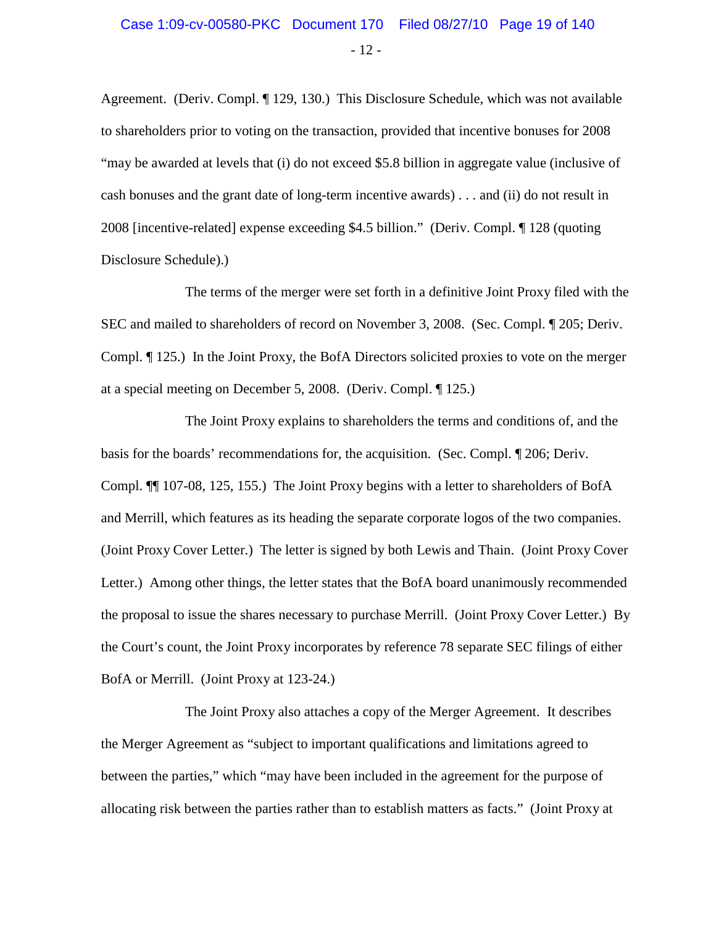### - 12 - Case 1:09-cv-00580-PKC Document 170 Filed 08/27/10 Page 19 of 140

Agreement. (Deriv. Compl. ¶ 129, 130.) This Disclosure Schedule, which was not available to shareholders prior to voting on the transaction, provided that incentive bonuses for 2008 "may be awarded at levels that (i) do not exceed \$5.8 billion in aggregate value (inclusive of cash bonuses and the grant date of long-term incentive awards) . . . and (ii) do not result in 2008 [incentive-related] expense exceeding \$4.5 billion." (Deriv. Compl. ¶ 128 (quoting Disclosure Schedule).)

The terms of the merger were set forth in a definitive Joint Proxy filed with the SEC and mailed to shareholders of record on November 3, 2008. (Sec. Compl. ¶ 205; Deriv. Compl. ¶ 125.) In the Joint Proxy, the BofA Directors solicited proxies to vote on the merger at a special meeting on December 5, 2008. (Deriv. Compl. ¶ 125.)

The Joint Proxy explains to shareholders the terms and conditions of, and the basis for the boards' recommendations for, the acquisition. (Sec. Compl. ¶ 206; Deriv. Compl. ¶¶ 107-08, 125, 155.) The Joint Proxy begins with a letter to shareholders of BofA and Merrill, which features as its heading the separate corporate logos of the two companies. (Joint Proxy Cover Letter.) The letter is signed by both Lewis and Thain. (Joint Proxy Cover Letter.) Among other things, the letter states that the BofA board unanimously recommended the proposal to issue the shares necessary to purchase Merrill. (Joint Proxy Cover Letter.) By the Court's count, the Joint Proxy incorporates by reference 78 separate SEC filings of either BofA or Merrill. (Joint Proxy at 123-24.)

The Joint Proxy also attaches a copy of the Merger Agreement. It describes the Merger Agreement as "subject to important qualifications and limitations agreed to between the parties," which "may have been included in the agreement for the purpose of allocating risk between the parties rather than to establish matters as facts." (Joint Proxy at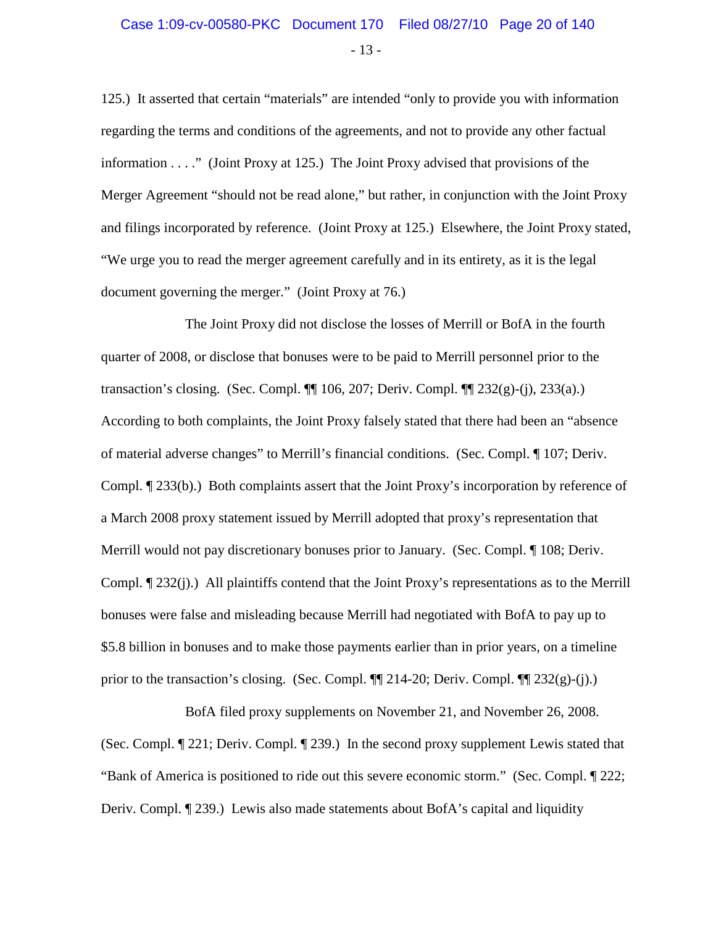### - 13 - Case 1:09-cv-00580-PKC Document 170 Filed 08/27/10 Page 20 of 140

125.) It asserted that certain "materials" are intended "only to provide you with information regarding the terms and conditions of the agreements, and not to provide any other factual information . . . ." (Joint Proxy at 125.) The Joint Proxy advised that provisions of the Merger Agreement "should not be read alone," but rather, in conjunction with the Joint Proxy and filings incorporated by reference. (Joint Proxy at 125.) Elsewhere, the Joint Proxy stated, "We urge you to read the merger agreement carefully and in its entirety, as it is the legal document governing the merger." (Joint Proxy at 76.)

The Joint Proxy did not disclose the losses of Merrill or BofA in the fourth quarter of 2008, or disclose that bonuses were to be paid to Merrill personnel prior to the transaction's closing. (Sec. Compl. ¶¶ 106, 207; Deriv. Compl. ¶¶ 232(g)-(j), 233(a).) According to both complaints, the Joint Proxy falsely stated that there had been an "absence of material adverse changes" to Merrill's financial conditions. (Sec. Compl. ¶ 107; Deriv. Compl. ¶ 233(b).) Both complaints assert that the Joint Proxy's incorporation by reference of a March 2008 proxy statement issued by Merrill adopted that proxy's representation that Merrill would not pay discretionary bonuses prior to January. (Sec. Compl. ¶ 108; Deriv. Compl. ¶ 232(j).) All plaintiffs contend that the Joint Proxy's representations as to the Merrill bonuses were false and misleading because Merrill had negotiated with BofA to pay up to \$5.8 billion in bonuses and to make those payments earlier than in prior years, on a timeline prior to the transaction's closing. (Sec. Compl.  $\P$  214-20; Deriv. Compl.  $\P$  232(g)-(j).)

BofA filed proxy supplements on November 21, and November 26, 2008. (Sec. Compl. ¶ 221; Deriv. Compl. ¶ 239.) In the second proxy supplement Lewis stated that "Bank of America is positioned to ride out this severe economic storm." (Sec. Compl. ¶ 222; Deriv. Compl. ¶ 239.) Lewis also made statements about BofA's capital and liquidity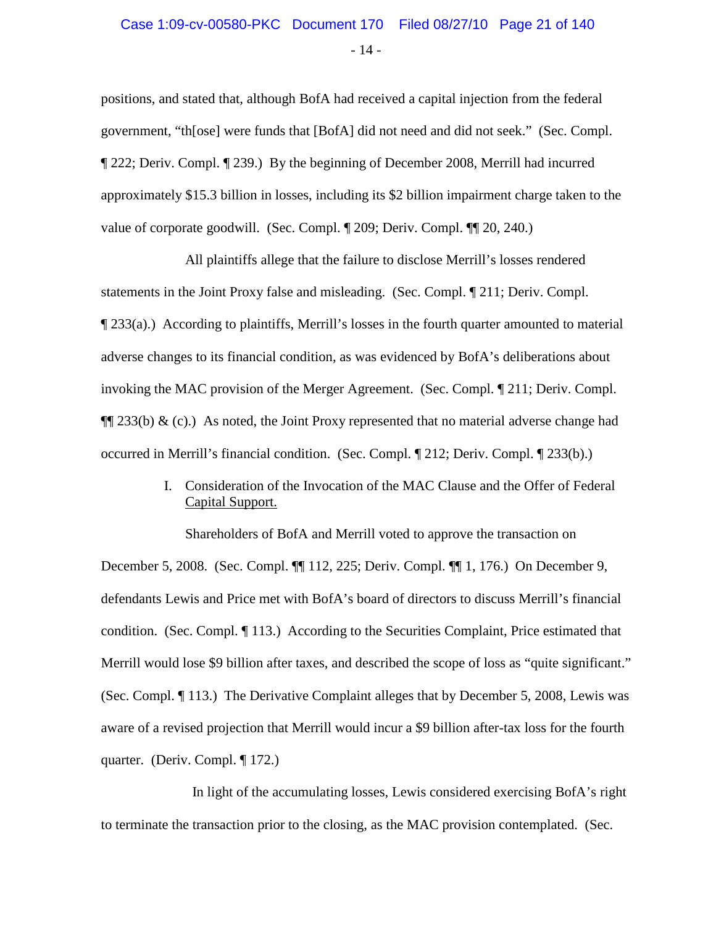# Case 1:09-cv-00580-PKC Document 170 Filed 08/27/10 Page 21 of 140

positions, and stated that, although BofA had received a capital injection from the federal government, "th[ose] were funds that [BofA] did not need and did not seek." (Sec. Compl. ¶ 222; Deriv. Compl. ¶ 239.) By the beginning of December 2008, Merrill had incurred approximately \$15.3 billion in losses, including its \$2 billion impairment charge taken to the value of corporate goodwill. (Sec. Compl. ¶ 209; Deriv. Compl. ¶¶ 20, 240.)

All plaintiffs allege that the failure to disclose Merrill's losses rendered statements in the Joint Proxy false and misleading. (Sec. Compl. ¶ 211; Deriv. Compl. ¶ 233(a).) According to plaintiffs, Merrill's losses in the fourth quarter amounted to material adverse changes to its financial condition, as was evidenced by BofA's deliberations about invoking the MAC provision of the Merger Agreement. (Sec. Compl. ¶ 211; Deriv. Compl.  $\P$ [233(b) & (c).) As noted, the Joint Proxy represented that no material adverse change had occurred in Merrill's financial condition. (Sec. Compl. ¶ 212; Deriv. Compl. ¶ 233(b).)

> I. Consideration of the Invocation of the MAC Clause and the Offer of Federal Capital Support.

Shareholders of BofA and Merrill voted to approve the transaction on December 5, 2008. (Sec. Compl. ¶¶ 112, 225; Deriv. Compl. ¶¶ 1, 176.) On December 9, defendants Lewis and Price met with BofA's board of directors to discuss Merrill's financial condition. (Sec. Compl. ¶ 113.) According to the Securities Complaint, Price estimated that Merrill would lose \$9 billion after taxes, and described the scope of loss as "quite significant." (Sec. Compl. ¶ 113.) The Derivative Complaint alleges that by December 5, 2008, Lewis was aware of a revised projection that Merrill would incur a \$9 billion after-tax loss for the fourth quarter. (Deriv. Compl. ¶ 172.)

 In light of the accumulating losses, Lewis considered exercising BofA's right to terminate the transaction prior to the closing, as the MAC provision contemplated. (Sec.

- 14 -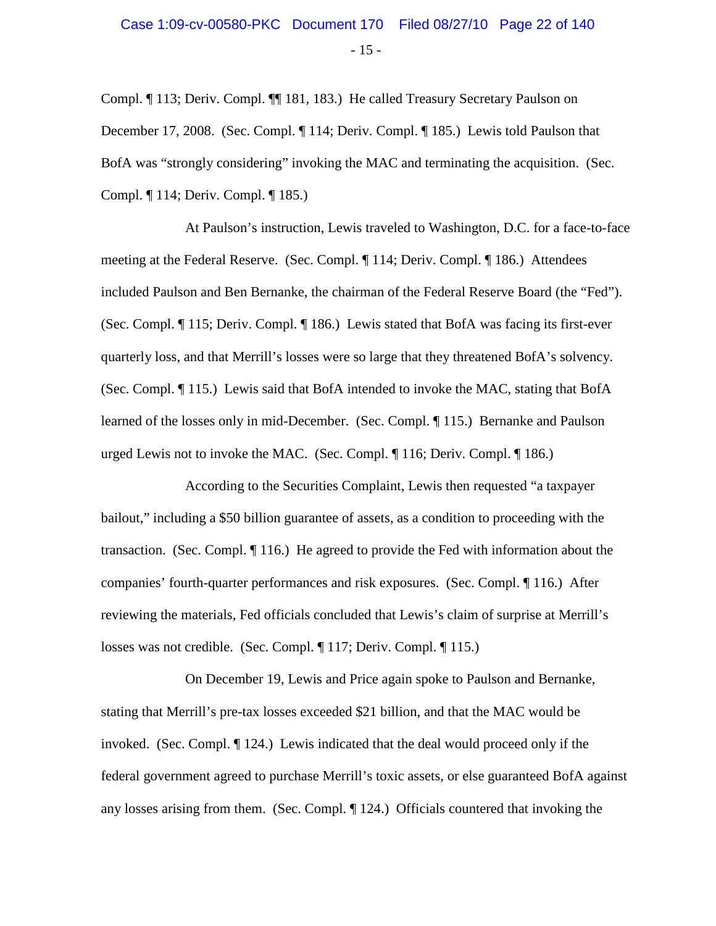### $-15 -$ Case 1:09-cv-00580-PKC Document 170 Filed 08/27/10 Page 22 of 140

Compl. ¶ 113; Deriv. Compl. ¶¶ 181, 183.) He called Treasury Secretary Paulson on December 17, 2008. (Sec. Compl. ¶ 114; Deriv. Compl. ¶ 185.) Lewis told Paulson that BofA was "strongly considering" invoking the MAC and terminating the acquisition. (Sec. Compl. ¶ 114; Deriv. Compl. ¶ 185.)

At Paulson's instruction, Lewis traveled to Washington, D.C. for a face-to-face meeting at the Federal Reserve. (Sec. Compl. ¶ 114; Deriv. Compl. ¶ 186.) Attendees included Paulson and Ben Bernanke, the chairman of the Federal Reserve Board (the "Fed"). (Sec. Compl. ¶ 115; Deriv. Compl. ¶ 186.) Lewis stated that BofA was facing its first-ever quarterly loss, and that Merrill's losses were so large that they threatened BofA's solvency. (Sec. Compl. ¶ 115.) Lewis said that BofA intended to invoke the MAC, stating that BofA learned of the losses only in mid-December. (Sec. Compl. ¶ 115.) Bernanke and Paulson urged Lewis not to invoke the MAC. (Sec. Compl. ¶ 116; Deriv. Compl. ¶ 186.)

According to the Securities Complaint, Lewis then requested "a taxpayer bailout," including a \$50 billion guarantee of assets, as a condition to proceeding with the transaction. (Sec. Compl. ¶ 116.) He agreed to provide the Fed with information about the companies' fourth-quarter performances and risk exposures. (Sec. Compl. ¶ 116.) After reviewing the materials, Fed officials concluded that Lewis's claim of surprise at Merrill's losses was not credible. (Sec. Compl. ¶ 117; Deriv. Compl. ¶ 115.)

On December 19, Lewis and Price again spoke to Paulson and Bernanke, stating that Merrill's pre-tax losses exceeded \$21 billion, and that the MAC would be invoked. (Sec. Compl. ¶ 124.) Lewis indicated that the deal would proceed only if the federal government agreed to purchase Merrill's toxic assets, or else guaranteed BofA against any losses arising from them. (Sec. Compl. ¶ 124.) Officials countered that invoking the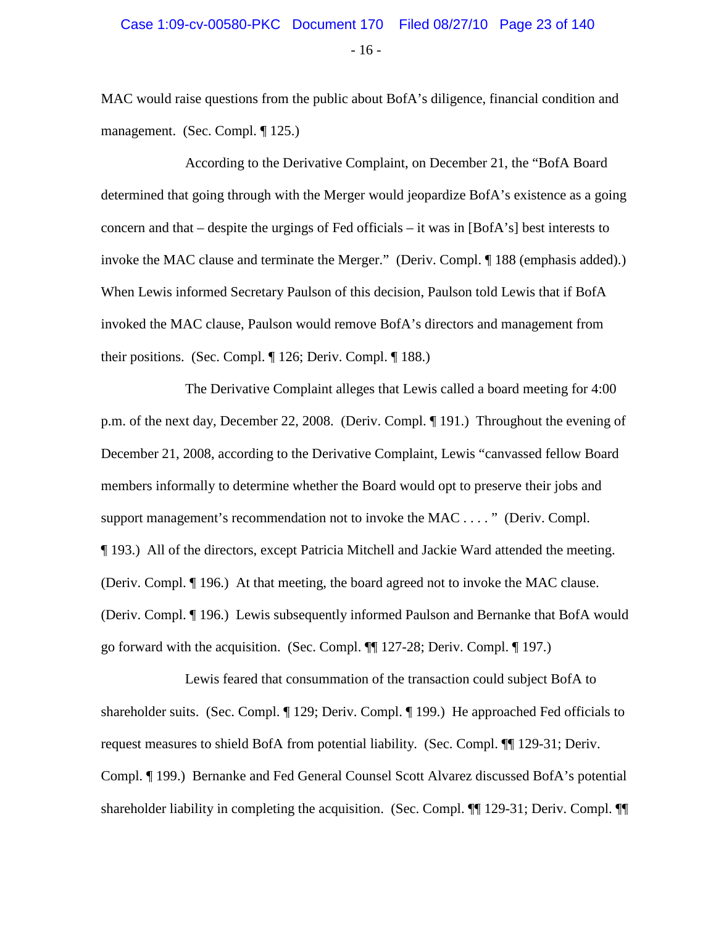- 16 -

MAC would raise questions from the public about BofA's diligence, financial condition and management. (Sec. Compl. ¶ 125.)

According to the Derivative Complaint, on December 21, the "BofA Board determined that going through with the Merger would jeopardize BofA's existence as a going concern and that – despite the urgings of Fed officials – it was in [BofA's] best interests to invoke the MAC clause and terminate the Merger." (Deriv. Compl. ¶ 188 (emphasis added).) When Lewis informed Secretary Paulson of this decision, Paulson told Lewis that if BofA invoked the MAC clause, Paulson would remove BofA's directors and management from their positions. (Sec. Compl. ¶ 126; Deriv. Compl. ¶ 188.)

The Derivative Complaint alleges that Lewis called a board meeting for 4:00 p.m. of the next day, December 22, 2008. (Deriv. Compl. ¶ 191.) Throughout the evening of December 21, 2008, according to the Derivative Complaint, Lewis "canvassed fellow Board members informally to determine whether the Board would opt to preserve their jobs and support management's recommendation not to invoke the MAC . . . . " (Deriv. Compl. ¶ 193.) All of the directors, except Patricia Mitchell and Jackie Ward attended the meeting. (Deriv. Compl. ¶ 196.) At that meeting, the board agreed not to invoke the MAC clause. (Deriv. Compl. ¶ 196.) Lewis subsequently informed Paulson and Bernanke that BofA would go forward with the acquisition. (Sec. Compl. ¶¶ 127-28; Deriv. Compl. ¶ 197.)

Lewis feared that consummation of the transaction could subject BofA to shareholder suits. (Sec. Compl. ¶ 129; Deriv. Compl. ¶ 199.) He approached Fed officials to request measures to shield BofA from potential liability. (Sec. Compl. ¶¶ 129-31; Deriv. Compl. ¶ 199.) Bernanke and Fed General Counsel Scott Alvarez discussed BofA's potential shareholder liability in completing the acquisition. (Sec. Compl. ¶¶ 129-31; Deriv. Compl. ¶¶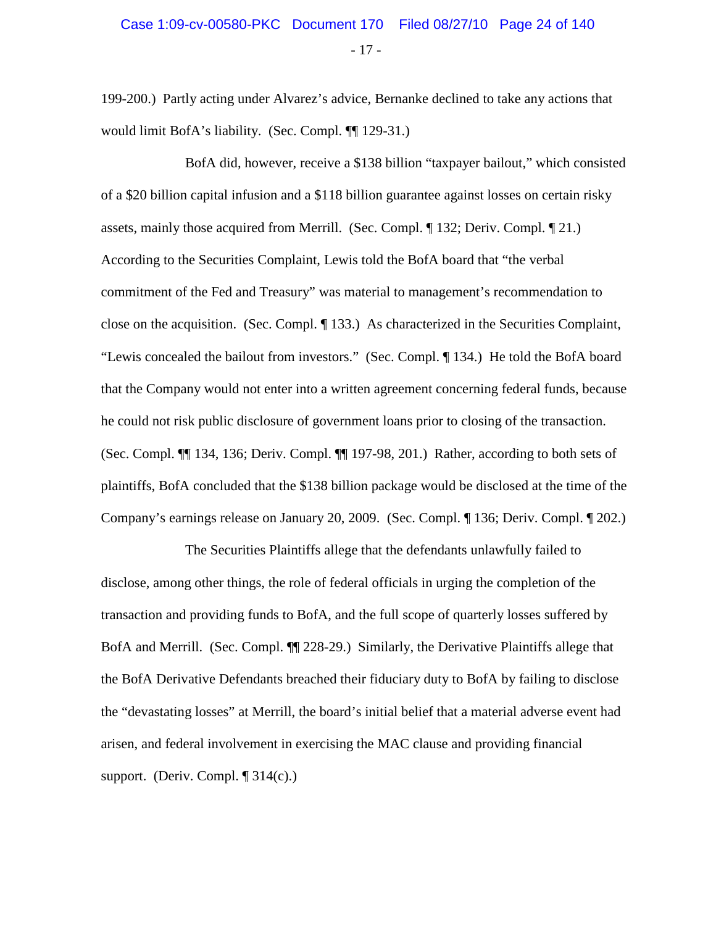199-200.) Partly acting under Alvarez's advice, Bernanke declined to take any actions that would limit BofA's liability. (Sec. Compl. ¶¶ 129-31.)

BofA did, however, receive a \$138 billion "taxpayer bailout," which consisted of a \$20 billion capital infusion and a \$118 billion guarantee against losses on certain risky assets, mainly those acquired from Merrill. (Sec. Compl. ¶ 132; Deriv. Compl. ¶ 21.) According to the Securities Complaint, Lewis told the BofA board that "the verbal commitment of the Fed and Treasury" was material to management's recommendation to close on the acquisition. (Sec. Compl. ¶ 133.) As characterized in the Securities Complaint, "Lewis concealed the bailout from investors." (Sec. Compl. ¶ 134.) He told the BofA board that the Company would not enter into a written agreement concerning federal funds, because he could not risk public disclosure of government loans prior to closing of the transaction. (Sec. Compl. ¶¶ 134, 136; Deriv. Compl. ¶¶ 197-98, 201.) Rather, according to both sets of plaintiffs, BofA concluded that the \$138 billion package would be disclosed at the time of the Company's earnings release on January 20, 2009. (Sec. Compl. ¶ 136; Deriv. Compl. ¶ 202.)

The Securities Plaintiffs allege that the defendants unlawfully failed to disclose, among other things, the role of federal officials in urging the completion of the transaction and providing funds to BofA, and the full scope of quarterly losses suffered by BofA and Merrill. (Sec. Compl. ¶¶ 228-29.) Similarly, the Derivative Plaintiffs allege that the BofA Derivative Defendants breached their fiduciary duty to BofA by failing to disclose the "devastating losses" at Merrill, the board's initial belief that a material adverse event had arisen, and federal involvement in exercising the MAC clause and providing financial support. (Deriv. Compl.  $\P$  314(c).)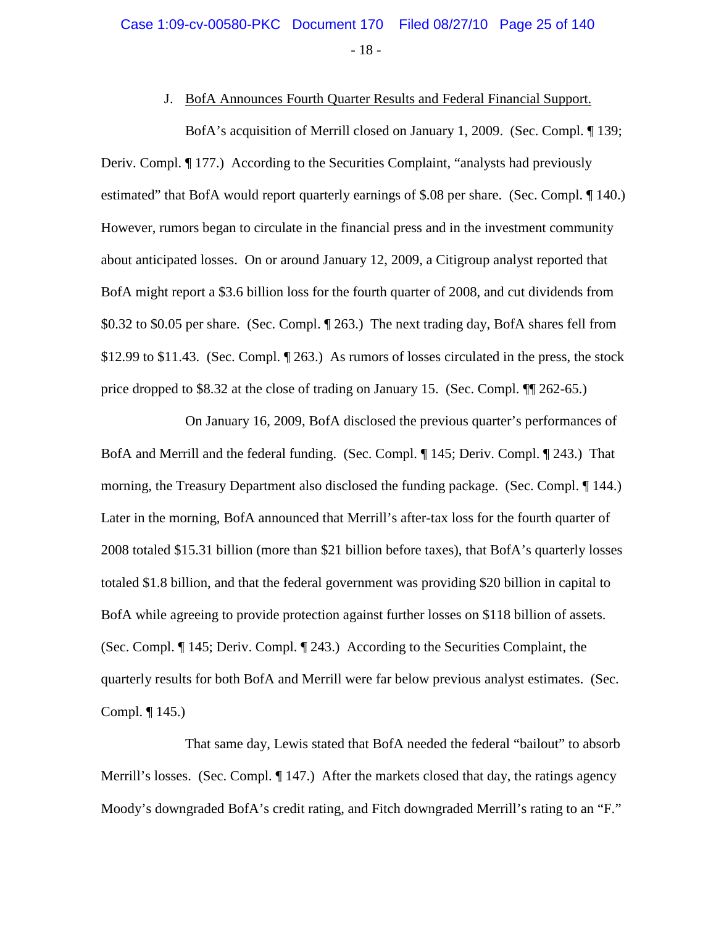#### J. BofA Announces Fourth Quarter Results and Federal Financial Support.

BofA's acquisition of Merrill closed on January 1, 2009. (Sec. Compl. ¶ 139; Deriv. Compl. ¶ 177.) According to the Securities Complaint, "analysts had previously estimated" that BofA would report quarterly earnings of \$.08 per share. (Sec. Compl. ¶ 140.) However, rumors began to circulate in the financial press and in the investment community about anticipated losses. On or around January 12, 2009, a Citigroup analyst reported that BofA might report a \$3.6 billion loss for the fourth quarter of 2008, and cut dividends from \$0.32 to \$0.05 per share. (Sec. Compl. ¶ 263.) The next trading day, BofA shares fell from \$12.99 to \$11.43. (Sec. Compl.  $\P$  263.) As rumors of losses circulated in the press, the stock price dropped to \$8.32 at the close of trading on January 15. (Sec. Compl. ¶¶ 262-65.)

On January 16, 2009, BofA disclosed the previous quarter's performances of BofA and Merrill and the federal funding. (Sec. Compl. ¶ 145; Deriv. Compl. ¶ 243.) That morning, the Treasury Department also disclosed the funding package. (Sec. Compl. ¶ 144.) Later in the morning, BofA announced that Merrill's after-tax loss for the fourth quarter of 2008 totaled \$15.31 billion (more than \$21 billion before taxes), that BofA's quarterly losses totaled \$1.8 billion, and that the federal government was providing \$20 billion in capital to BofA while agreeing to provide protection against further losses on \$118 billion of assets. (Sec. Compl. ¶ 145; Deriv. Compl. ¶ 243.) According to the Securities Complaint, the quarterly results for both BofA and Merrill were far below previous analyst estimates. (Sec. Compl. ¶ 145.)

That same day, Lewis stated that BofA needed the federal "bailout" to absorb Merrill's losses. (Sec. Compl. ¶ 147.) After the markets closed that day, the ratings agency Moody's downgraded BofA's credit rating, and Fitch downgraded Merrill's rating to an "F."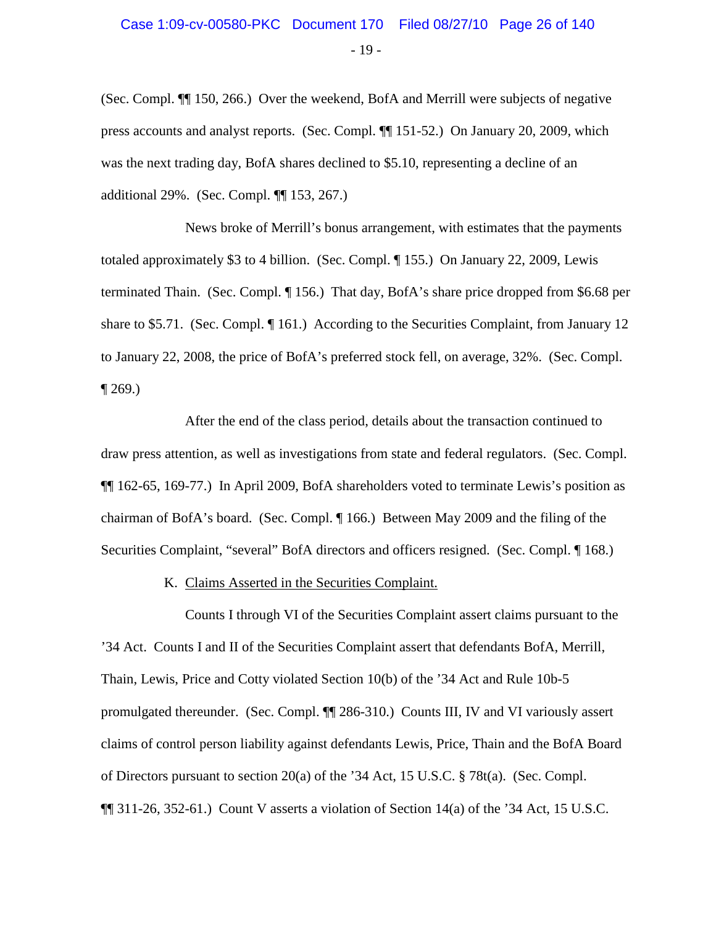### - 19 - Case 1:09-cv-00580-PKC Document 170 Filed 08/27/10 Page 26 of 140

(Sec. Compl. ¶¶ 150, 266.) Over the weekend, BofA and Merrill were subjects of negative press accounts and analyst reports. (Sec. Compl. ¶¶ 151-52.) On January 20, 2009, which was the next trading day, BofA shares declined to \$5.10, representing a decline of an additional 29%. (Sec. Compl. ¶¶ 153, 267.)

News broke of Merrill's bonus arrangement, with estimates that the payments totaled approximately \$3 to 4 billion. (Sec. Compl. ¶ 155.) On January 22, 2009, Lewis terminated Thain. (Sec. Compl. ¶ 156.) That day, BofA's share price dropped from \$6.68 per share to \$5.71. (Sec. Compl. ¶ 161.) According to the Securities Complaint, from January 12 to January 22, 2008, the price of BofA's preferred stock fell, on average, 32%. (Sec. Compl.  $\P$  269.)

After the end of the class period, details about the transaction continued to draw press attention, as well as investigations from state and federal regulators. (Sec. Compl. ¶¶ 162-65, 169-77.) In April 2009, BofA shareholders voted to terminate Lewis's position as chairman of BofA's board. (Sec. Compl. ¶ 166.) Between May 2009 and the filing of the Securities Complaint, "several" BofA directors and officers resigned. (Sec. Compl. ¶ 168.)

K. Claims Asserted in the Securities Complaint.

Counts I through VI of the Securities Complaint assert claims pursuant to the '34 Act. Counts I and II of the Securities Complaint assert that defendants BofA, Merrill, Thain, Lewis, Price and Cotty violated Section 10(b) of the '34 Act and Rule 10b-5 promulgated thereunder. (Sec. Compl. ¶¶ 286-310.) Counts III, IV and VI variously assert claims of control person liability against defendants Lewis, Price, Thain and the BofA Board of Directors pursuant to section 20(a) of the '34 Act, 15 U.S.C. § 78t(a). (Sec. Compl.  $\P$ [[ 311-26, 352-61.) Count V asserts a violation of Section 14(a) of the '34 Act, 15 U.S.C.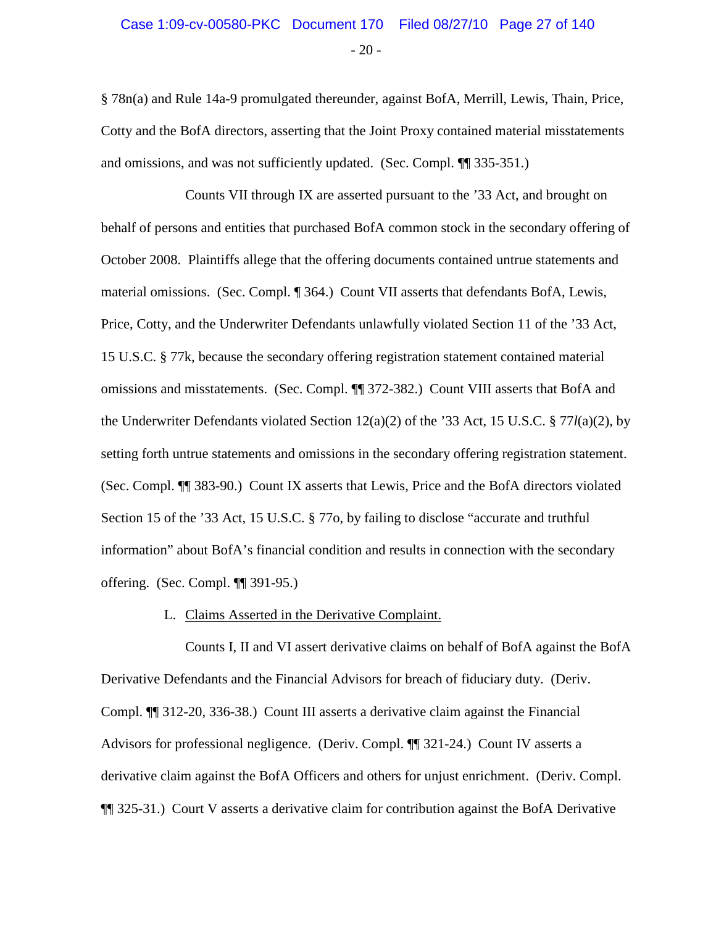### $-20-$ Case 1:09-cv-00580-PKC Document 170 Filed 08/27/10 Page 27 of 140

§ 78n(a) and Rule 14a-9 promulgated thereunder, against BofA, Merrill, Lewis, Thain, Price, Cotty and the BofA directors, asserting that the Joint Proxy contained material misstatements and omissions, and was not sufficiently updated. (Sec. Compl. ¶¶ 335-351.)

Counts VII through IX are asserted pursuant to the '33 Act, and brought on behalf of persons and entities that purchased BofA common stock in the secondary offering of October 2008. Plaintiffs allege that the offering documents contained untrue statements and material omissions. (Sec. Compl. ¶ 364.) Count VII asserts that defendants BofA, Lewis, Price, Cotty, and the Underwriter Defendants unlawfully violated Section 11 of the '33 Act, 15 U.S.C. § 77k, because the secondary offering registration statement contained material omissions and misstatements. (Sec. Compl. ¶¶ 372-382.) Count VIII asserts that BofA and the Underwriter Defendants violated Section 12(a)(2) of the '33 Act, 15 U.S.C. § 77*l*(a)(2), by setting forth untrue statements and omissions in the secondary offering registration statement. (Sec. Compl. ¶¶ 383-90.) Count IX asserts that Lewis, Price and the BofA directors violated Section 15 of the '33 Act, 15 U.S.C. § 77o, by failing to disclose "accurate and truthful information" about BofA's financial condition and results in connection with the secondary offering. (Sec. Compl. ¶¶ 391-95.)

#### L. Claims Asserted in the Derivative Complaint.

Counts I, II and VI assert derivative claims on behalf of BofA against the BofA Derivative Defendants and the Financial Advisors for breach of fiduciary duty. (Deriv. Compl. ¶¶ 312-20, 336-38.) Count III asserts a derivative claim against the Financial Advisors for professional negligence. (Deriv. Compl. ¶¶ 321-24.) Count IV asserts a derivative claim against the BofA Officers and others for unjust enrichment. (Deriv. Compl. ¶¶ 325-31.) Court V asserts a derivative claim for contribution against the BofA Derivative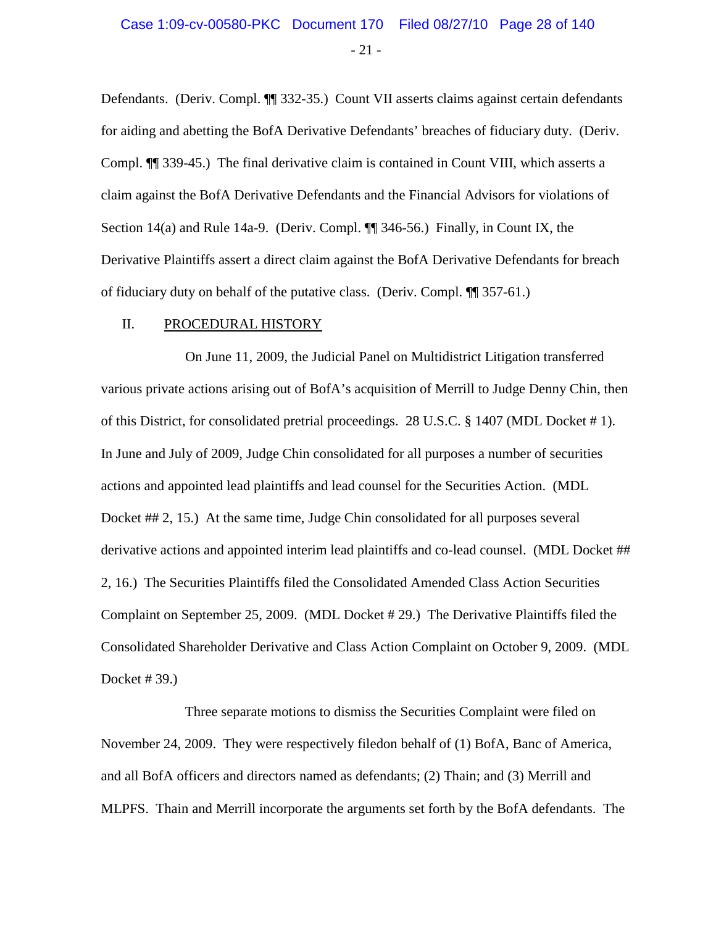$-21 -$ 

Defendants. (Deriv. Compl. ¶¶ 332-35.) Count VII asserts claims against certain defendants for aiding and abetting the BofA Derivative Defendants' breaches of fiduciary duty. (Deriv. Compl. ¶¶ 339-45.) The final derivative claim is contained in Count VIII, which asserts a claim against the BofA Derivative Defendants and the Financial Advisors for violations of Section 14(a) and Rule 14a-9. (Deriv. Compl. ¶¶ 346-56.) Finally, in Count IX, the Derivative Plaintiffs assert a direct claim against the BofA Derivative Defendants for breach of fiduciary duty on behalf of the putative class. (Deriv. Compl. ¶¶ 357-61.)

#### II. PROCEDURAL HISTORY

On June 11, 2009, the Judicial Panel on Multidistrict Litigation transferred various private actions arising out of BofA's acquisition of Merrill to Judge Denny Chin, then of this District, for consolidated pretrial proceedings. 28 U.S.C. § 1407 (MDL Docket # 1). In June and July of 2009, Judge Chin consolidated for all purposes a number of securities actions and appointed lead plaintiffs and lead counsel for the Securities Action. (MDL Docket ## 2, 15.) At the same time, Judge Chin consolidated for all purposes several derivative actions and appointed interim lead plaintiffs and co-lead counsel. (MDL Docket ## 2, 16.) The Securities Plaintiffs filed the Consolidated Amended Class Action Securities Complaint on September 25, 2009. (MDL Docket # 29.) The Derivative Plaintiffs filed the Consolidated Shareholder Derivative and Class Action Complaint on October 9, 2009. (MDL Docket # 39.)

Three separate motions to dismiss the Securities Complaint were filed on November 24, 2009. They were respectively filedon behalf of (1) BofA, Banc of America, and all BofA officers and directors named as defendants; (2) Thain; and (3) Merrill and MLPFS. Thain and Merrill incorporate the arguments set forth by the BofA defendants. The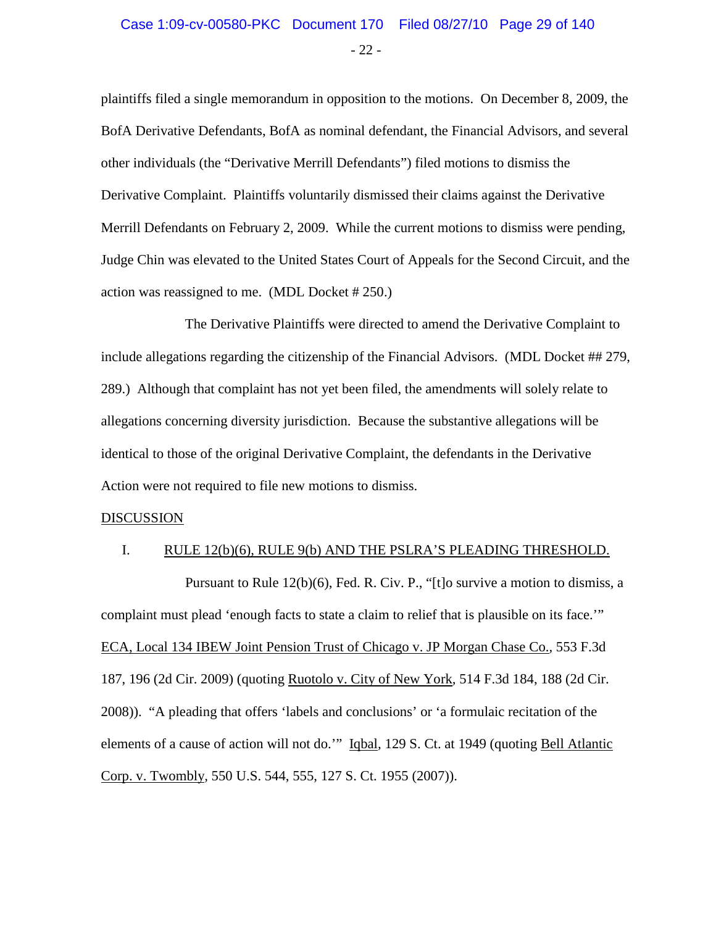### Case 1:09-cv-00580-PKC Document 170 Filed 08/27/10 Page 29 of 140

- 22 -

plaintiffs filed a single memorandum in opposition to the motions. On December 8, 2009, the BofA Derivative Defendants, BofA as nominal defendant, the Financial Advisors, and several other individuals (the "Derivative Merrill Defendants") filed motions to dismiss the Derivative Complaint. Plaintiffs voluntarily dismissed their claims against the Derivative Merrill Defendants on February 2, 2009. While the current motions to dismiss were pending, Judge Chin was elevated to the United States Court of Appeals for the Second Circuit, and the action was reassigned to me. (MDL Docket # 250.)

The Derivative Plaintiffs were directed to amend the Derivative Complaint to include allegations regarding the citizenship of the Financial Advisors. (MDL Docket ## 279, 289.) Although that complaint has not yet been filed, the amendments will solely relate to allegations concerning diversity jurisdiction. Because the substantive allegations will be identical to those of the original Derivative Complaint, the defendants in the Derivative Action were not required to file new motions to dismiss.

#### DISCUSSION

#### I. RULE 12(b)(6), RULE 9(b) AND THE PSLRA'S PLEADING THRESHOLD.

Pursuant to Rule 12(b)(6), Fed. R. Civ. P., "[t]o survive a motion to dismiss, a complaint must plead 'enough facts to state a claim to relief that is plausible on its face.'" ECA, Local 134 IBEW Joint Pension Trust of Chicago v. JP Morgan Chase Co.*,* 553 F.3d 187, 196 (2d Cir. 2009) (quoting Ruotolo v. City of New York*,* 514 F.3d 184, 188 (2d Cir. 2008)). "A pleading that offers 'labels and conclusions' or 'a formulaic recitation of the elements of a cause of action will not do.'" Iqbal*,* 129 S. Ct. at 1949 (quoting Bell Atlantic Corp. v. Twombly*,* 550 U.S. 544, 555, 127 S. Ct. 1955 (2007)).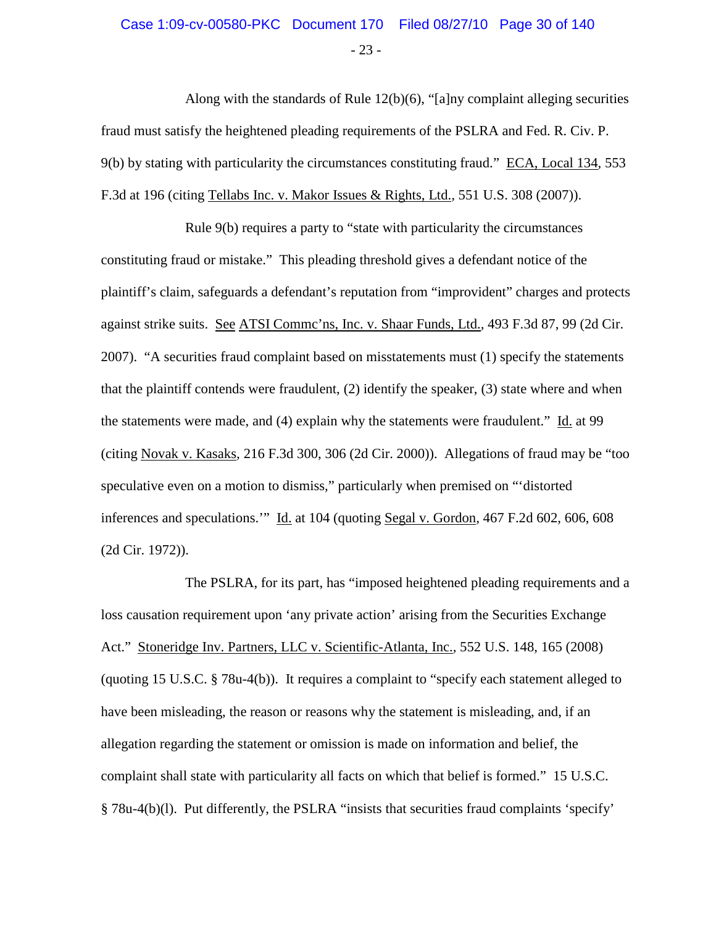### - 23 - Case 1:09-cv-00580-PKC Document 170 Filed 08/27/10 Page 30 of 140

Along with the standards of Rule  $12(b)(6)$ , "[a]ny complaint alleging securities fraud must satisfy the heightened pleading requirements of the PSLRA and Fed. R. Civ. P. 9(b) by stating with particularity the circumstances constituting fraud." ECA, Local 134*,* 553 F.3d at 196 (citing Tellabs Inc. v. Makor Issues & Rights, Ltd.*,* 551 U.S. 308 (2007)).

Rule 9(b) requires a party to "state with particularity the circumstances constituting fraud or mistake." This pleading threshold gives a defendant notice of the plaintiff's claim, safeguards a defendant's reputation from "improvident" charges and protects against strike suits. See ATSI Commc'ns, Inc. v. Shaar Funds, Ltd.*,* 493 F.3d 87, 99 (2d Cir. 2007). "A securities fraud complaint based on misstatements must (1) specify the statements that the plaintiff contends were fraudulent,  $(2)$  identify the speaker,  $(3)$  state where and when the statements were made, and (4) explain why the statements were fraudulent." Id. at 99 (citing Novak v. Kasaks*,* 216 F.3d 300, 306 (2d Cir. 2000)). Allegations of fraud may be "too speculative even on a motion to dismiss," particularly when premised on "'distorted inferences and speculations.'" Id. at 104 (quoting Segal v. Gordon*,* 467 F.2d 602, 606, 608 (2d Cir. 1972)).

The PSLRA, for its part, has "imposed heightened pleading requirements and a loss causation requirement upon 'any private action' arising from the Securities Exchange Act." Stoneridge Inv. Partners, LLC v. Scientific-Atlanta, Inc.*,* 552 U.S. 148, 165 (2008) (quoting 15 U.S.C. § 78u-4(b)). It requires a complaint to "specify each statement alleged to have been misleading, the reason or reasons why the statement is misleading, and, if an allegation regarding the statement or omission is made on information and belief, the complaint shall state with particularity all facts on which that belief is formed." 15 U.S.C. § 78u-4(b)(l). Put differently, the PSLRA "insists that securities fraud complaints 'specify'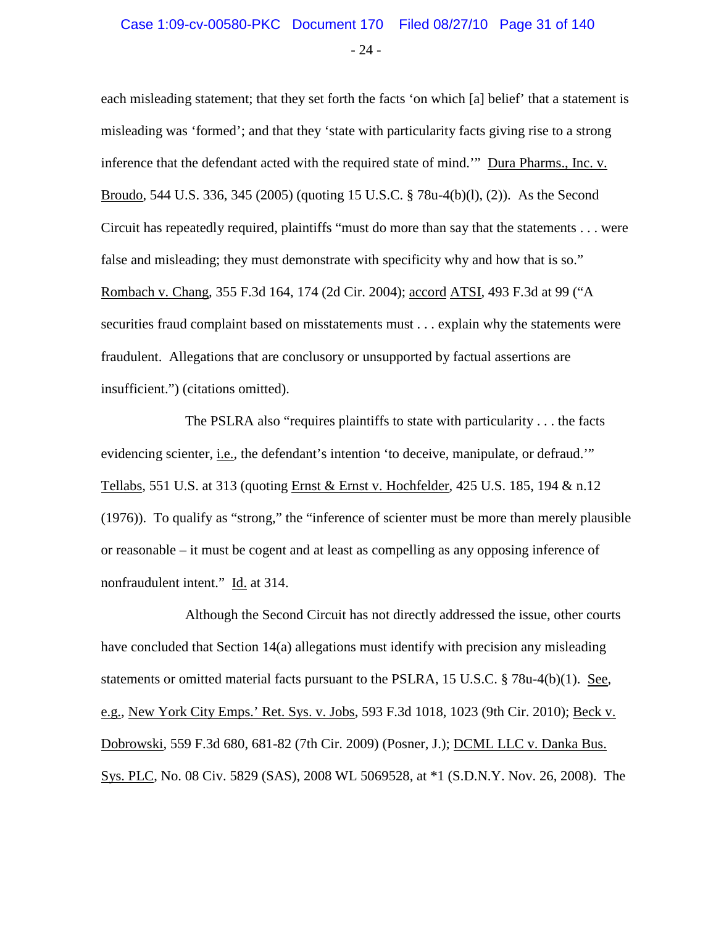### Case 1:09-cv-00580-PKC Document 170 Filed 08/27/10 Page 31 of 140

- 24 -

each misleading statement; that they set forth the facts 'on which [a] belief' that a statement is misleading was 'formed'; and that they 'state with particularity facts giving rise to a strong inference that the defendant acted with the required state of mind.'" Dura Pharms., Inc. v. Broudo*,* 544 U.S. 336, 345 (2005) (quoting 15 U.S.C. § 78u-4(b)(l), (2)). As the Second Circuit has repeatedly required, plaintiffs "must do more than say that the statements . . . were false and misleading; they must demonstrate with specificity why and how that is so." Rombach v. Chang*,* 355 F.3d 164, 174 (2d Cir. 2004); accord ATSI*,* 493 F.3d at 99 ("A securities fraud complaint based on misstatements must . . . explain why the statements were fraudulent. Allegations that are conclusory or unsupported by factual assertions are insufficient.") (citations omitted).

The PSLRA also "requires plaintiffs to state with particularity . . . the facts evidencing scienter, i.e.*,* the defendant's intention 'to deceive, manipulate, or defraud.'" Tellabs*,* 551 U.S. at 313 (quoting Ernst & Ernst v. Hochfelder*,* 425 U.S. 185, 194 & n.12 (1976)). To qualify as "strong," the "inference of scienter must be more than merely plausible or reasonable – it must be cogent and at least as compelling as any opposing inference of nonfraudulent intent." Id. at 314.

Although the Second Circuit has not directly addressed the issue, other courts have concluded that Section 14(a) allegations must identify with precision any misleading statements or omitted material facts pursuant to the PSLRA, 15 U.S.C. § 78u-4(b)(1). See, e.g., New York City Emps.' Ret. Sys. v. Jobs, 593 F.3d 1018, 1023 (9th Cir. 2010); Beck v. Dobrowski, 559 F.3d 680, 681-82 (7th Cir. 2009) (Posner, J.); DCML LLC v. Danka Bus. Sys. PLC, No. 08 Civ. 5829 (SAS), 2008 WL 5069528, at \*1 (S.D.N.Y. Nov. 26, 2008). The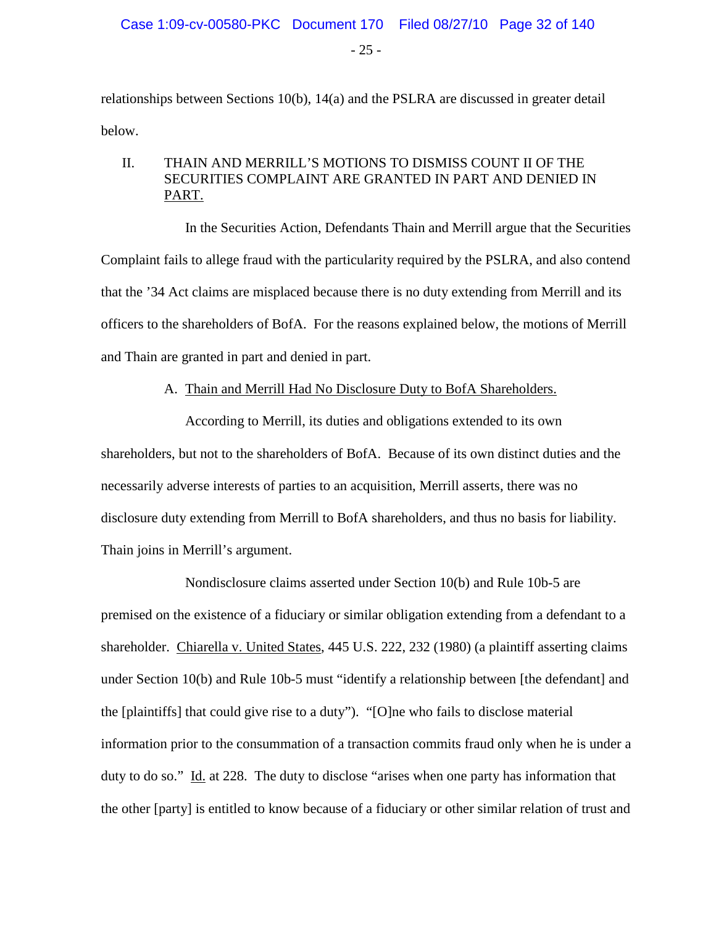$-25 -$ 

relationships between Sections 10(b), 14(a) and the PSLRA are discussed in greater detail below.

#### II. THAIN AND MERRILL'S MOTIONS TO DISMISS COUNT II OF THE SECURITIES COMPLAINT ARE GRANTED IN PART AND DENIED IN PART.

In the Securities Action, Defendants Thain and Merrill argue that the Securities Complaint fails to allege fraud with the particularity required by the PSLRA, and also contend that the '34 Act claims are misplaced because there is no duty extending from Merrill and its officers to the shareholders of BofA. For the reasons explained below, the motions of Merrill and Thain are granted in part and denied in part.

#### A. Thain and Merrill Had No Disclosure Duty to BofA Shareholders.

According to Merrill, its duties and obligations extended to its own shareholders, but not to the shareholders of BofA. Because of its own distinct duties and the necessarily adverse interests of parties to an acquisition, Merrill asserts, there was no disclosure duty extending from Merrill to BofA shareholders, and thus no basis for liability. Thain joins in Merrill's argument.

Nondisclosure claims asserted under Section 10(b) and Rule 10b-5 are premised on the existence of a fiduciary or similar obligation extending from a defendant to a shareholder. Chiarella v. United States, 445 U.S. 222, 232 (1980) (a plaintiff asserting claims under Section 10(b) and Rule 10b-5 must "identify a relationship between [the defendant] and the [plaintiffs] that could give rise to a duty"). "[O]ne who fails to disclose material information prior to the consummation of a transaction commits fraud only when he is under a duty to do so." Id. at 228. The duty to disclose "arises when one party has information that the other [party] is entitled to know because of a fiduciary or other similar relation of trust and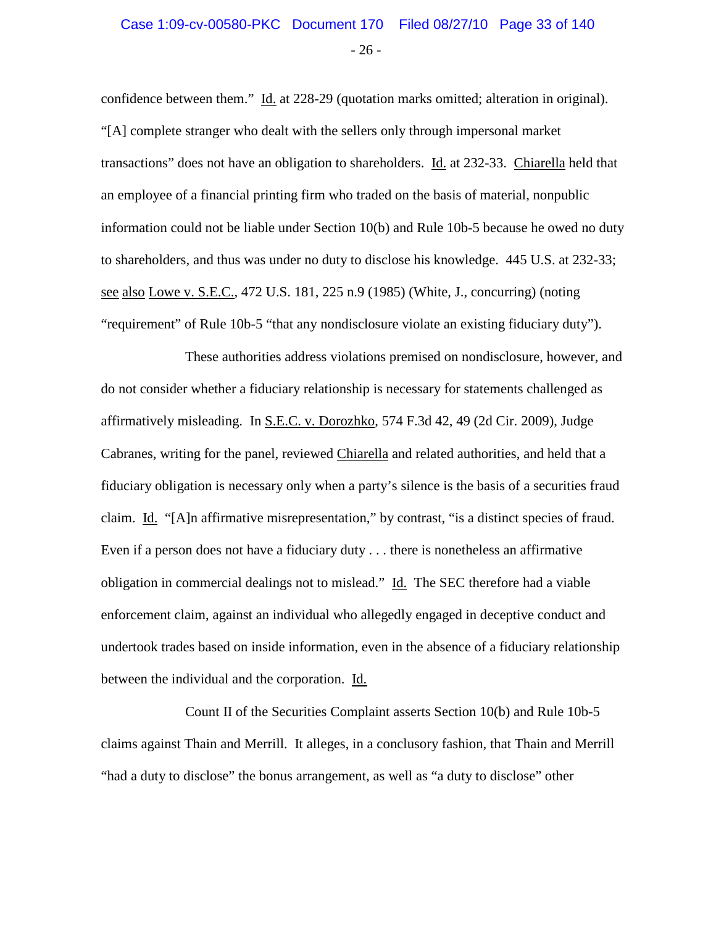### $-26 -$ Case 1:09-cv-00580-PKC Document 170 Filed 08/27/10 Page 33 of 140

confidence between them." Id. at 228-29 (quotation marks omitted; alteration in original). "[A] complete stranger who dealt with the sellers only through impersonal market transactions" does not have an obligation to shareholders. Id. at 232-33. Chiarella held that an employee of a financial printing firm who traded on the basis of material, nonpublic information could not be liable under Section 10(b) and Rule 10b-5 because he owed no duty to shareholders, and thus was under no duty to disclose his knowledge. 445 U.S. at 232-33; see also Lowe v. S.E.C., 472 U.S. 181, 225 n.9 (1985) (White, J., concurring) (noting "requirement" of Rule 10b-5 "that any nondisclosure violate an existing fiduciary duty").

These authorities address violations premised on nondisclosure, however, and do not consider whether a fiduciary relationship is necessary for statements challenged as affirmatively misleading. In S.E.C. v. Dorozhko, 574 F.3d 42, 49 (2d Cir. 2009), Judge Cabranes, writing for the panel, reviewed Chiarella and related authorities, and held that a fiduciary obligation is necessary only when a party's silence is the basis of a securities fraud claim. Id. "[A]n affirmative misrepresentation," by contrast, "is a distinct species of fraud. Even if a person does not have a fiduciary duty . . . there is nonetheless an affirmative obligation in commercial dealings not to mislead." Id. The SEC therefore had a viable enforcement claim, against an individual who allegedly engaged in deceptive conduct and undertook trades based on inside information, even in the absence of a fiduciary relationship between the individual and the corporation. Id.

Count II of the Securities Complaint asserts Section 10(b) and Rule 10b-5 claims against Thain and Merrill. It alleges, in a conclusory fashion, that Thain and Merrill "had a duty to disclose" the bonus arrangement, as well as "a duty to disclose" other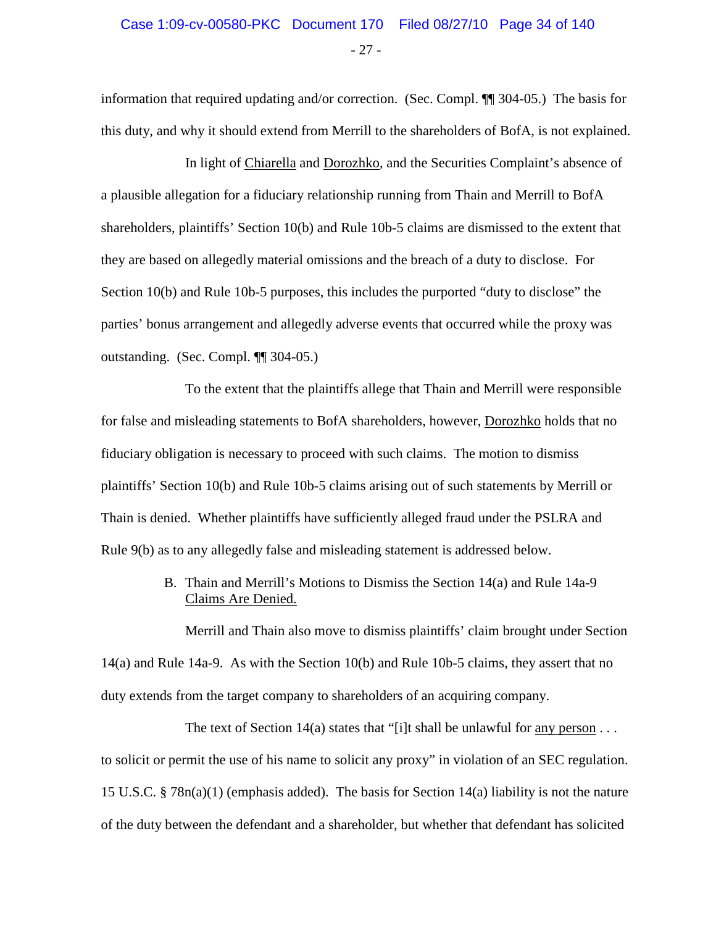information that required updating and/or correction. (Sec. Compl. ¶¶ 304-05.) The basis for this duty, and why it should extend from Merrill to the shareholders of BofA, is not explained.

In light of Chiarella and Dorozhko, and the Securities Complaint's absence of a plausible allegation for a fiduciary relationship running from Thain and Merrill to BofA shareholders, plaintiffs' Section 10(b) and Rule 10b-5 claims are dismissed to the extent that they are based on allegedly material omissions and the breach of a duty to disclose. For Section 10(b) and Rule 10b-5 purposes, this includes the purported "duty to disclose" the parties' bonus arrangement and allegedly adverse events that occurred while the proxy was outstanding. (Sec. Compl. ¶¶ 304-05.)

To the extent that the plaintiffs allege that Thain and Merrill were responsible for false and misleading statements to BofA shareholders, however, Dorozhko holds that no fiduciary obligation is necessary to proceed with such claims. The motion to dismiss plaintiffs' Section 10(b) and Rule 10b-5 claims arising out of such statements by Merrill or Thain is denied. Whether plaintiffs have sufficiently alleged fraud under the PSLRA and Rule 9(b) as to any allegedly false and misleading statement is addressed below.

> B. Thain and Merrill's Motions to Dismiss the Section 14(a) and Rule 14a-9 Claims Are Denied.

Merrill and Thain also move to dismiss plaintiffs' claim brought under Section 14(a) and Rule 14a-9. As with the Section 10(b) and Rule 10b-5 claims, they assert that no duty extends from the target company to shareholders of an acquiring company.

The text of Section 14(a) states that "[i]t shall be unlawful for any person  $\dots$ to solicit or permit the use of his name to solicit any proxy" in violation of an SEC regulation. 15 U.S.C. § 78n(a)(1) (emphasis added). The basis for Section 14(a) liability is not the nature of the duty between the defendant and a shareholder, but whether that defendant has solicited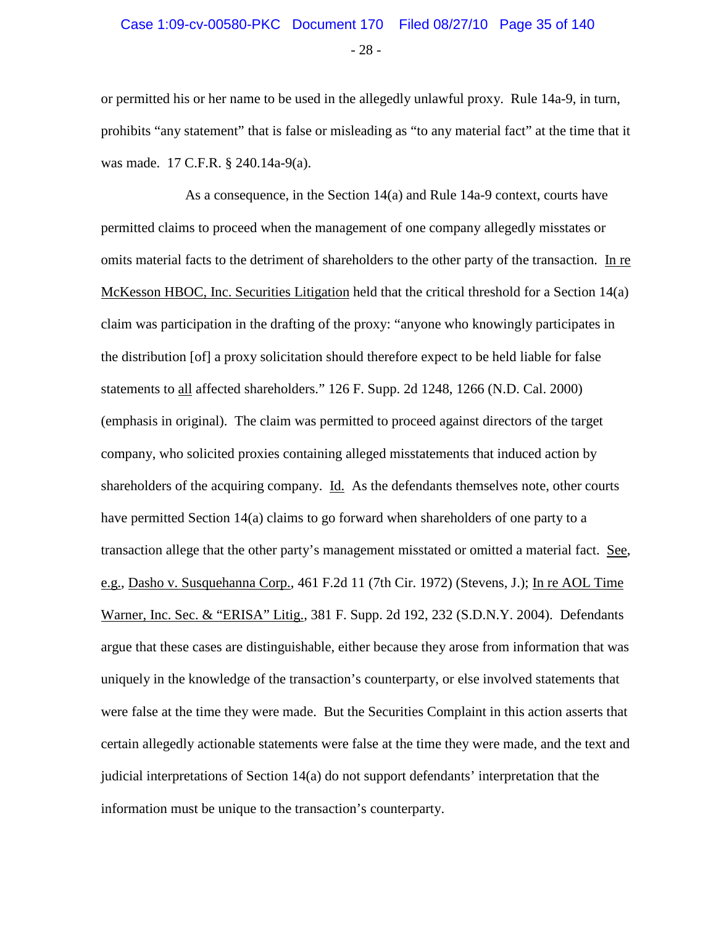## Case 1:09-cv-00580-PKC Document 170 Filed 08/27/10 Page 35 of 140

- 28 -

or permitted his or her name to be used in the allegedly unlawful proxy. Rule 14a-9, in turn, prohibits "any statement" that is false or misleading as "to any material fact" at the time that it was made. 17 C.F.R. § 240.14a-9(a).

As a consequence, in the Section 14(a) and Rule 14a-9 context, courts have permitted claims to proceed when the management of one company allegedly misstates or omits material facts to the detriment of shareholders to the other party of the transaction. In re McKesson HBOC, Inc. Securities Litigation held that the critical threshold for a Section 14(a) claim was participation in the drafting of the proxy: "anyone who knowingly participates in the distribution [of] a proxy solicitation should therefore expect to be held liable for false statements to all affected shareholders." 126 F. Supp. 2d 1248, 1266 (N.D. Cal. 2000) (emphasis in original). The claim was permitted to proceed against directors of the target company, who solicited proxies containing alleged misstatements that induced action by shareholders of the acquiring company. Id. As the defendants themselves note, other courts have permitted Section 14(a) claims to go forward when shareholders of one party to a transaction allege that the other party's management misstated or omitted a material fact. See, e.g., Dasho v. Susquehanna Corp., 461 F.2d 11 (7th Cir. 1972) (Stevens, J.); In re AOL Time Warner, Inc. Sec. & "ERISA" Litig., 381 F. Supp. 2d 192, 232 (S.D.N.Y. 2004). Defendants argue that these cases are distinguishable, either because they arose from information that was uniquely in the knowledge of the transaction's counterparty, or else involved statements that were false at the time they were made. But the Securities Complaint in this action asserts that certain allegedly actionable statements were false at the time they were made, and the text and judicial interpretations of Section 14(a) do not support defendants' interpretation that the information must be unique to the transaction's counterparty.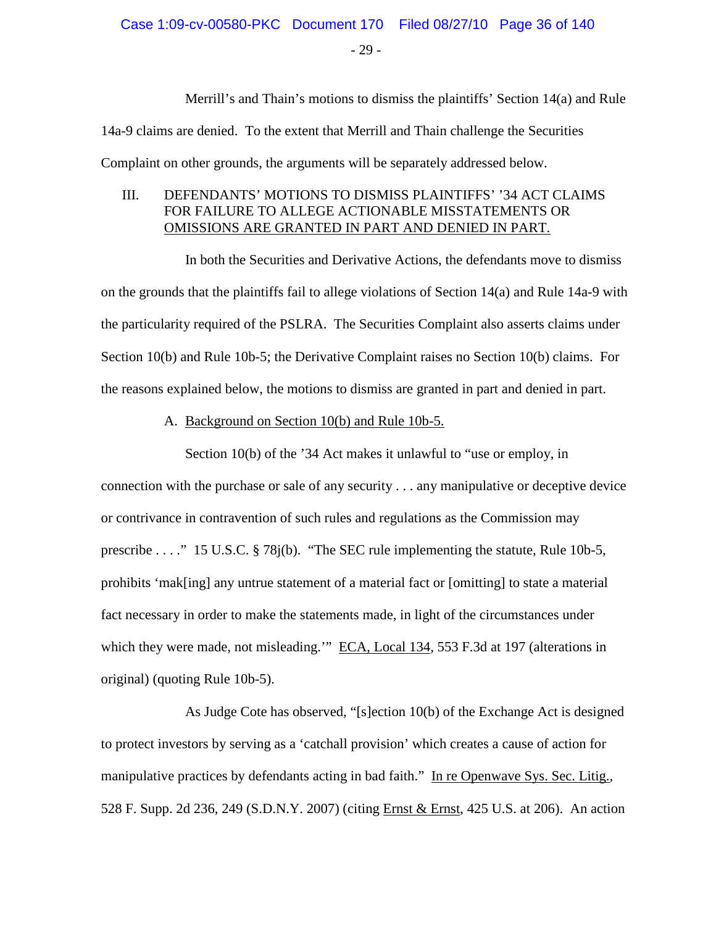- 29 -

Merrill's and Thain's motions to dismiss the plaintiffs' Section 14(a) and Rule

14a-9 claims are denied. To the extent that Merrill and Thain challenge the Securities Complaint on other grounds, the arguments will be separately addressed below.

#### III. DEFENDANTS' MOTIONS TO DISMISS PLAINTIFFS' '34 ACT CLAIMS FOR FAILURE TO ALLEGE ACTIONABLE MISSTATEMENTS OR OMISSIONS ARE GRANTED IN PART AND DENIED IN PART.

In both the Securities and Derivative Actions, the defendants move to dismiss on the grounds that the plaintiffs fail to allege violations of Section 14(a) and Rule 14a-9 with the particularity required of the PSLRA. The Securities Complaint also asserts claims under Section 10(b) and Rule 10b-5; the Derivative Complaint raises no Section 10(b) claims. For the reasons explained below, the motions to dismiss are granted in part and denied in part.

A. Background on Section 10(b) and Rule 10b-5.

Section 10(b) of the '34 Act makes it unlawful to "use or employ, in connection with the purchase or sale of any security . . . any manipulative or deceptive device or contrivance in contravention of such rules and regulations as the Commission may prescribe . . . ." 15 U.S.C. § 78j(b). "The SEC rule implementing the statute, Rule 10b-5, prohibits 'mak[ing] any untrue statement of a material fact or [omitting] to state a material fact necessary in order to make the statements made, in light of the circumstances under which they were made, not misleading." ECA, Local 134, 553 F.3d at 197 (alterations in original) (quoting Rule 10b-5).

As Judge Cote has observed, "[s]ection 10(b) of the Exchange Act is designed to protect investors by serving as a 'catchall provision' which creates a cause of action for manipulative practices by defendants acting in bad faith." In re Openwave Sys. Sec. Litig.*,* 528 F. Supp. 2d 236, 249 (S.D.N.Y. 2007) (citing Ernst & Ernst, 425 U.S. at 206). An action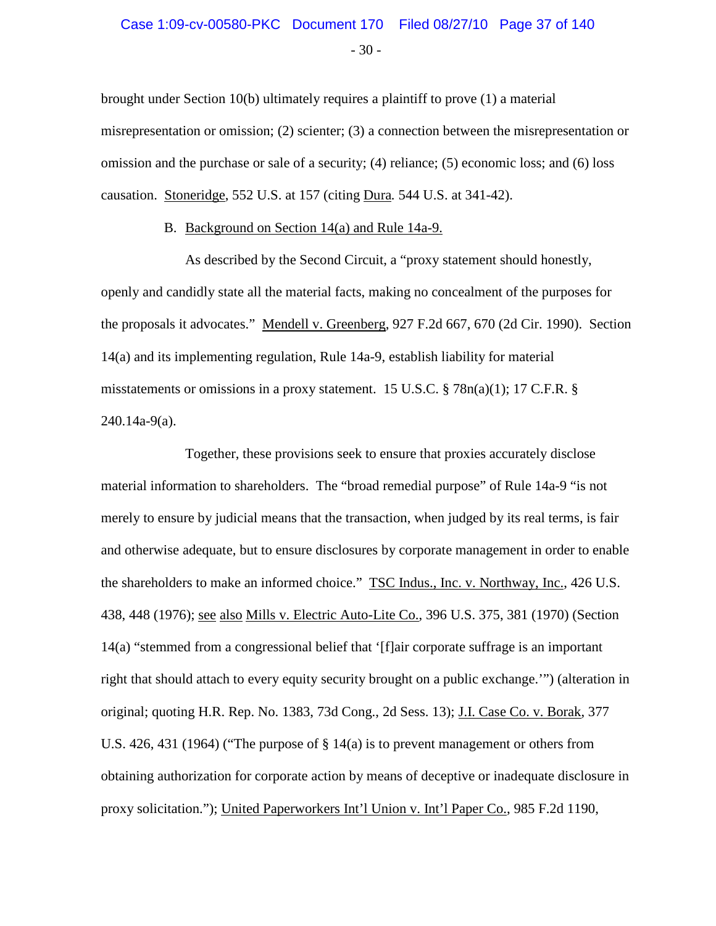#### $-30-$ Case 1:09-cv-00580-PKC Document 170 Filed 08/27/10 Page 37 of 140

brought under Section 10(b) ultimately requires a plaintiff to prove (1) a material misrepresentation or omission; (2) scienter; (3) a connection between the misrepresentation or omission and the purchase or sale of a security; (4) reliance; (5) economic loss; and (6) loss causation. Stoneridge, 552 U.S. at 157 (citing Dura*.* 544 U.S. at 341-42).

#### B. Background on Section 14(a) and Rule 14a-9.

As described by the Second Circuit, a "proxy statement should honestly, openly and candidly state all the material facts, making no concealment of the purposes for the proposals it advocates." Mendell v. Greenberg, 927 F.2d 667, 670 (2d Cir. 1990). Section 14(a) and its implementing regulation, Rule 14a-9, establish liability for material misstatements or omissions in a proxy statement. 15 U.S.C.  $\S$  78n(a)(1); 17 C.F.R.  $\S$ 240.14a-9(a).

Together, these provisions seek to ensure that proxies accurately disclose material information to shareholders. The "broad remedial purpose" of Rule 14a-9 "is not merely to ensure by judicial means that the transaction, when judged by its real terms, is fair and otherwise adequate, but to ensure disclosures by corporate management in order to enable the shareholders to make an informed choice." TSC Indus., Inc. v. Northway, Inc., 426 U.S. 438, 448 (1976); see also Mills v. Electric Auto-Lite Co., 396 U.S. 375, 381 (1970) (Section 14(a) "stemmed from a congressional belief that '[f]air corporate suffrage is an important right that should attach to every equity security brought on a public exchange.'") (alteration in original; quoting H.R. Rep. No. 1383, 73d Cong., 2d Sess. 13); J.I. Case Co. v. Borak, 377 U.S. 426, 431 (1964) ("The purpose of § 14(a) is to prevent management or others from obtaining authorization for corporate action by means of deceptive or inadequate disclosure in proxy solicitation."); United Paperworkers Int'l Union v. Int'l Paper Co., 985 F.2d 1190,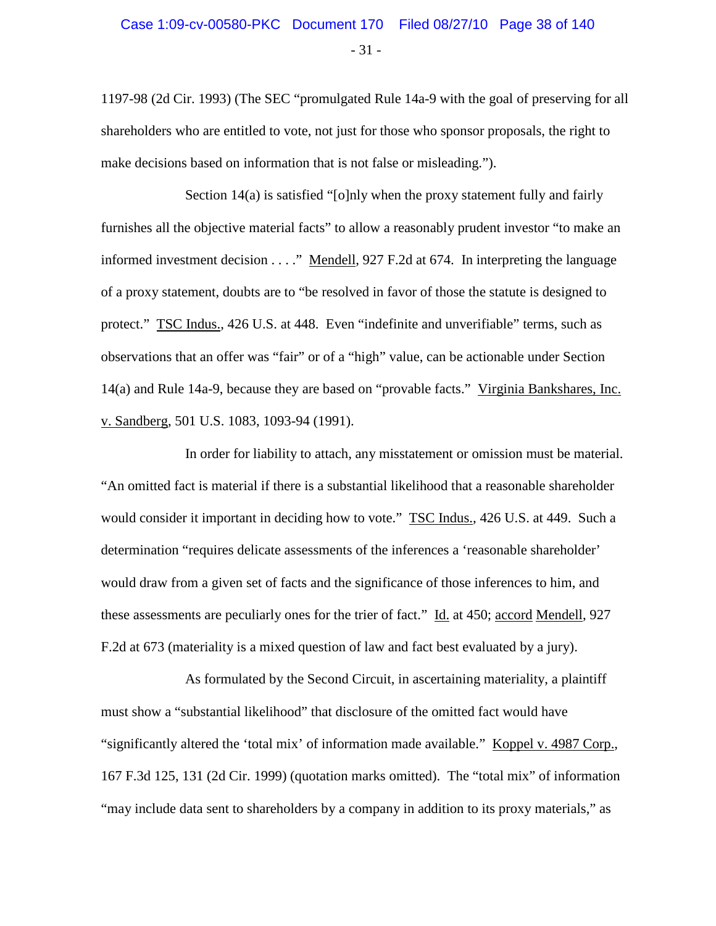1197-98 (2d Cir. 1993) (The SEC "promulgated Rule 14a-9 with the goal of preserving for all shareholders who are entitled to vote, not just for those who sponsor proposals, the right to make decisions based on information that is not false or misleading.").

Section 14(a) is satisfied "[o]nly when the proxy statement fully and fairly furnishes all the objective material facts" to allow a reasonably prudent investor "to make an informed investment decision . . . ." Mendell, 927 F.2d at 674. In interpreting the language of a proxy statement, doubts are to "be resolved in favor of those the statute is designed to protect." TSC Indus., 426 U.S. at 448. Even "indefinite and unverifiable" terms, such as observations that an offer was "fair" or of a "high" value, can be actionable under Section 14(a) and Rule 14a-9, because they are based on "provable facts." Virginia Bankshares, Inc. v. Sandberg, 501 U.S. 1083, 1093-94 (1991).

In order for liability to attach, any misstatement or omission must be material. "An omitted fact is material if there is a substantial likelihood that a reasonable shareholder would consider it important in deciding how to vote." TSC Indus., 426 U.S. at 449. Such a determination "requires delicate assessments of the inferences a 'reasonable shareholder' would draw from a given set of facts and the significance of those inferences to him, and these assessments are peculiarly ones for the trier of fact." Id. at 450; accord Mendell, 927 F.2d at 673 (materiality is a mixed question of law and fact best evaluated by a jury).

As formulated by the Second Circuit, in ascertaining materiality, a plaintiff must show a "substantial likelihood" that disclosure of the omitted fact would have "significantly altered the 'total mix' of information made available." Koppel v. 4987 Corp., 167 F.3d 125, 131 (2d Cir. 1999) (quotation marks omitted). The "total mix" of information "may include data sent to shareholders by a company in addition to its proxy materials," as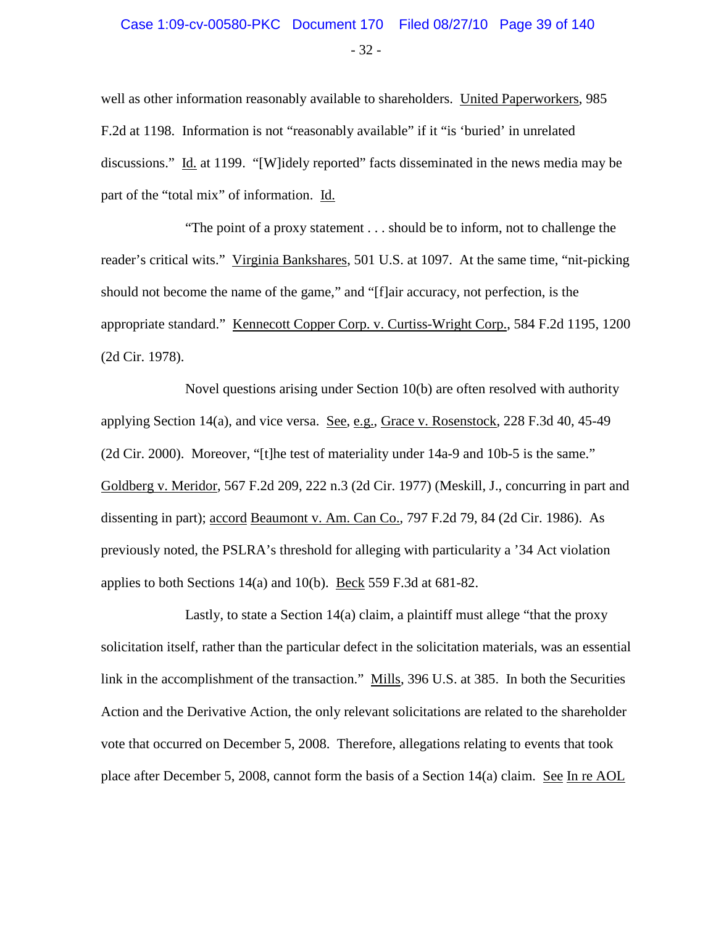#### - 32 - Case 1:09-cv-00580-PKC Document 170 Filed 08/27/10 Page 39 of 140

well as other information reasonably available to shareholders. United Paperworkers, 985 F.2d at 1198. Information is not "reasonably available" if it "is 'buried' in unrelated discussions." Id. at 1199. "[W]idely reported" facts disseminated in the news media may be part of the "total mix" of information. Id.

"The point of a proxy statement . . . should be to inform, not to challenge the reader's critical wits." Virginia Bankshares, 501 U.S. at 1097. At the same time, "nit-picking should not become the name of the game," and "[f]air accuracy, not perfection, is the appropriate standard." Kennecott Copper Corp. v. Curtiss-Wright Corp., 584 F.2d 1195, 1200 (2d Cir. 1978).

Novel questions arising under Section 10(b) are often resolved with authority applying Section 14(a), and vice versa. See, e.g., Grace v. Rosenstock, 228 F.3d 40, 45-49 (2d Cir. 2000). Moreover, "[t]he test of materiality under 14a-9 and 10b-5 is the same." Goldberg v. Meridor, 567 F.2d 209, 222 n.3 (2d Cir. 1977) (Meskill, J., concurring in part and dissenting in part); accord Beaumont v. Am. Can Co., 797 F.2d 79, 84 (2d Cir. 1986). As previously noted, the PSLRA's threshold for alleging with particularity a '34 Act violation applies to both Sections 14(a) and 10(b). Beck 559 F.3d at 681-82.

Lastly, to state a Section 14(a) claim, a plaintiff must allege "that the proxy solicitation itself, rather than the particular defect in the solicitation materials, was an essential link in the accomplishment of the transaction." Mills, 396 U.S. at 385. In both the Securities Action and the Derivative Action, the only relevant solicitations are related to the shareholder vote that occurred on December 5, 2008. Therefore, allegations relating to events that took place after December 5, 2008, cannot form the basis of a Section 14(a) claim. See In re AOL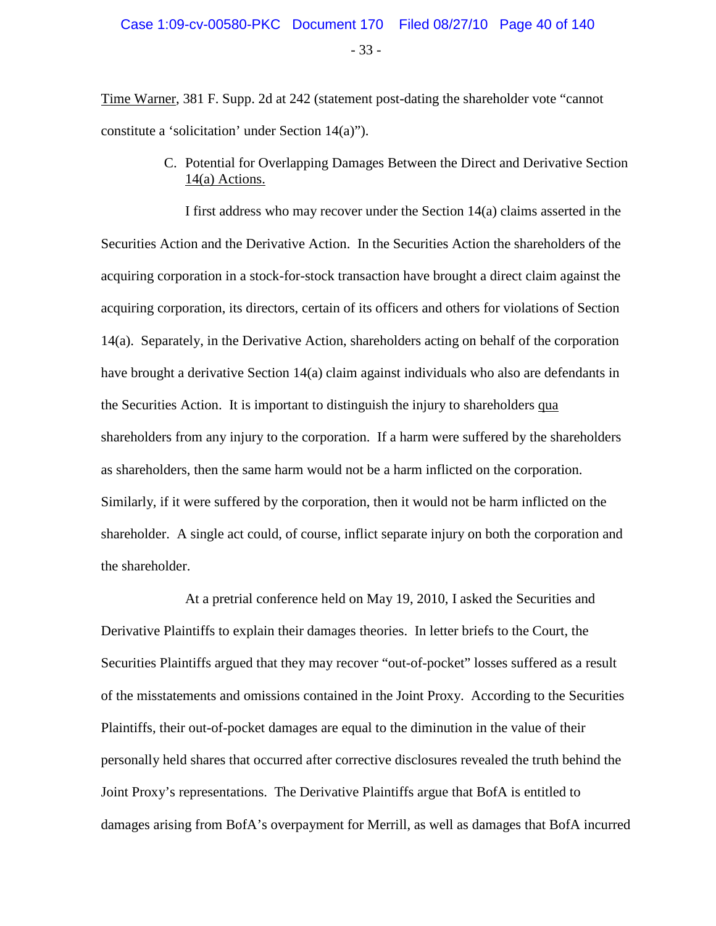- 33 -

Time Warner, 381 F. Supp. 2d at 242 (statement post-dating the shareholder vote "cannot constitute a 'solicitation' under Section 14(a)").

> C. Potential for Overlapping Damages Between the Direct and Derivative Section 14(a) Actions.

I first address who may recover under the Section 14(a) claims asserted in the Securities Action and the Derivative Action. In the Securities Action the shareholders of the acquiring corporation in a stock-for-stock transaction have brought a direct claim against the acquiring corporation, its directors, certain of its officers and others for violations of Section 14(a). Separately, in the Derivative Action, shareholders acting on behalf of the corporation have brought a derivative Section 14(a) claim against individuals who also are defendants in the Securities Action. It is important to distinguish the injury to shareholders qua shareholders from any injury to the corporation. If a harm were suffered by the shareholders as shareholders, then the same harm would not be a harm inflicted on the corporation. Similarly, if it were suffered by the corporation, then it would not be harm inflicted on the shareholder. A single act could, of course, inflict separate injury on both the corporation and the shareholder.

At a pretrial conference held on May 19, 2010, I asked the Securities and Derivative Plaintiffs to explain their damages theories. In letter briefs to the Court, the Securities Plaintiffs argued that they may recover "out-of-pocket" losses suffered as a result of the misstatements and omissions contained in the Joint Proxy. According to the Securities Plaintiffs, their out-of-pocket damages are equal to the diminution in the value of their personally held shares that occurred after corrective disclosures revealed the truth behind the Joint Proxy's representations. The Derivative Plaintiffs argue that BofA is entitled to damages arising from BofA's overpayment for Merrill, as well as damages that BofA incurred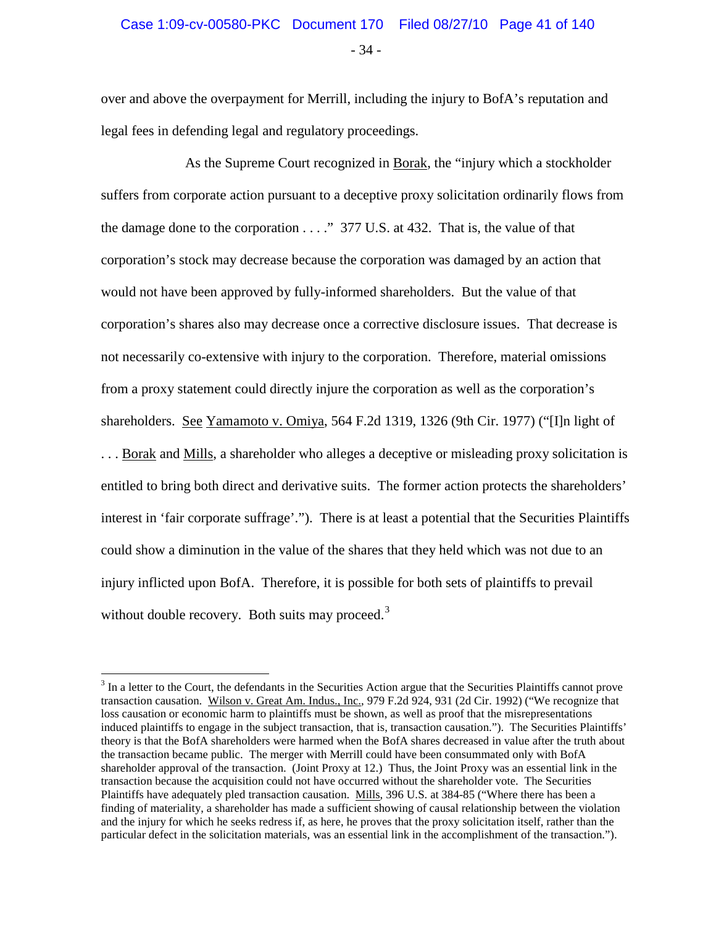- 34 -

over and above the overpayment for Merrill, including the injury to BofA's reputation and legal fees in defending legal and regulatory proceedings.

As the Supreme Court recognized in Borak, the "injury which a stockholder suffers from corporate action pursuant to a deceptive proxy solicitation ordinarily flows from the damage done to the corporation . . . ." 377 U.S. at 432. That is, the value of that corporation's stock may decrease because the corporation was damaged by an action that would not have been approved by fully-informed shareholders. But the value of that corporation's shares also may decrease once a corrective disclosure issues. That decrease is not necessarily co-extensive with injury to the corporation. Therefore, material omissions from a proxy statement could directly injure the corporation as well as the corporation's shareholders. See Yamamoto v. Omiya, 564 F.2d 1319, 1326 (9th Cir. 1977) ("[I]n light of . . . Borak and Mills, a shareholder who alleges a deceptive or misleading proxy solicitation is entitled to bring both direct and derivative suits. The former action protects the shareholders' interest in 'fair corporate suffrage'."). There is at least a potential that the Securities Plaintiffs could show a diminution in the value of the shares that they held which was not due to an injury inflicted upon BofA. Therefore, it is possible for both sets of plaintiffs to prevail without double recovery. Both suits may proceed. $3$ 

<span id="page-40-0"></span><sup>&</sup>lt;sup>3</sup> In a letter to the Court, the defendants in the Securities Action argue that the Securities Plaintiffs cannot prove transaction causation. Wilson v. Great Am. Indus., Inc., 979 F.2d 924, 931 (2d Cir. 1992) ("We recognize that loss causation or economic harm to plaintiffs must be shown, as well as proof that the misrepresentations induced plaintiffs to engage in the subject transaction, that is, transaction causation."). The Securities Plaintiffs' theory is that the BofA shareholders were harmed when the BofA shares decreased in value after the truth about the transaction became public. The merger with Merrill could have been consummated only with BofA shareholder approval of the transaction. (Joint Proxy at 12.) Thus, the Joint Proxy was an essential link in the transaction because the acquisition could not have occurred without the shareholder vote. The Securities Plaintiffs have adequately pled transaction causation. Mills, 396 U.S. at 384-85 ("Where there has been a finding of materiality, a shareholder has made a sufficient showing of causal relationship between the violation and the injury for which he seeks redress if, as here, he proves that the proxy solicitation itself, rather than the particular defect in the solicitation materials, was an essential link in the accomplishment of the transaction.").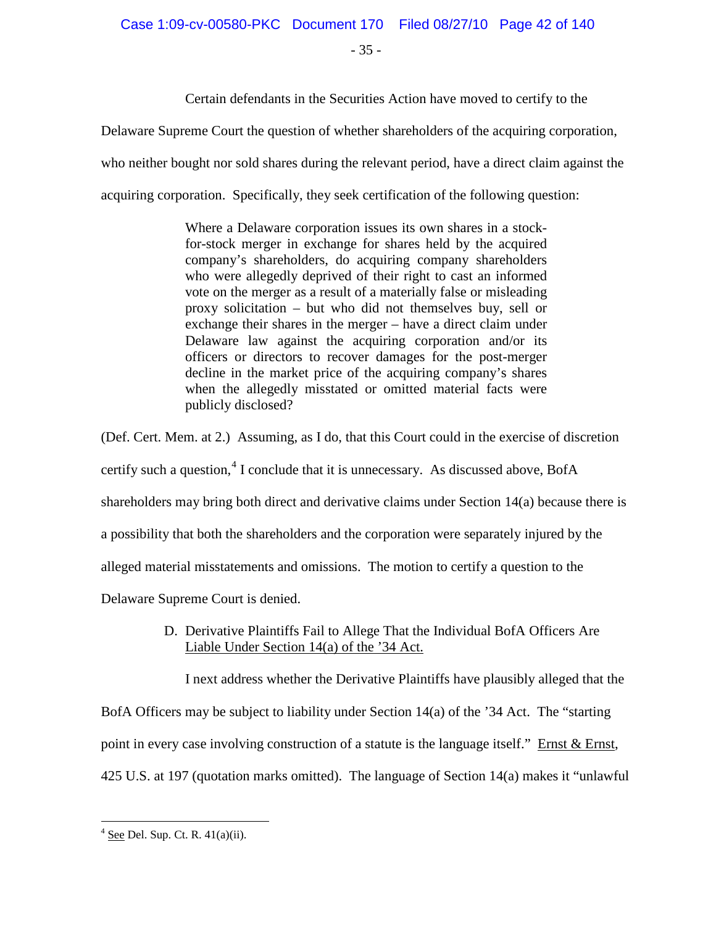- 35 -

Certain defendants in the Securities Action have moved to certify to the

Delaware Supreme Court the question of whether shareholders of the acquiring corporation,

who neither bought nor sold shares during the relevant period, have a direct claim against the

acquiring corporation. Specifically, they seek certification of the following question:

Where a Delaware corporation issues its own shares in a stockfor-stock merger in exchange for shares held by the acquired company's shareholders, do acquiring company shareholders who were allegedly deprived of their right to cast an informed vote on the merger as a result of a materially false or misleading proxy solicitation – but who did not themselves buy, sell or exchange their shares in the merger – have a direct claim under Delaware law against the acquiring corporation and/or its officers or directors to recover damages for the post-merger decline in the market price of the acquiring company's shares when the allegedly misstated or omitted material facts were publicly disclosed?

(Def. Cert. Mem. at 2.) Assuming, as I do, that this Court could in the exercise of discretion certify such a question,  $4$  I conclude that it is unnecessary. As discussed above, BofA shareholders may bring both direct and derivative claims under Section 14(a) because there is a possibility that both the shareholders and the corporation were separately injured by the alleged material misstatements and omissions. The motion to certify a question to the Delaware Supreme Court is denied.

> D. Derivative Plaintiffs Fail to Allege That the Individual BofA Officers Are Liable Under Section 14(a) of the '34 Act.

I next address whether the Derivative Plaintiffs have plausibly alleged that the

BofA Officers may be subject to liability under Section 14(a) of the '34 Act. The "starting

point in every case involving construction of a statute is the language itself." Ernst & Ernst,

425 U.S. at 197 (quotation marks omitted). The language of Section 14(a) makes it "unlawful

<span id="page-41-0"></span> $4 \text{ See}$  Del. Sup. Ct. R.  $41(a)(ii)$ .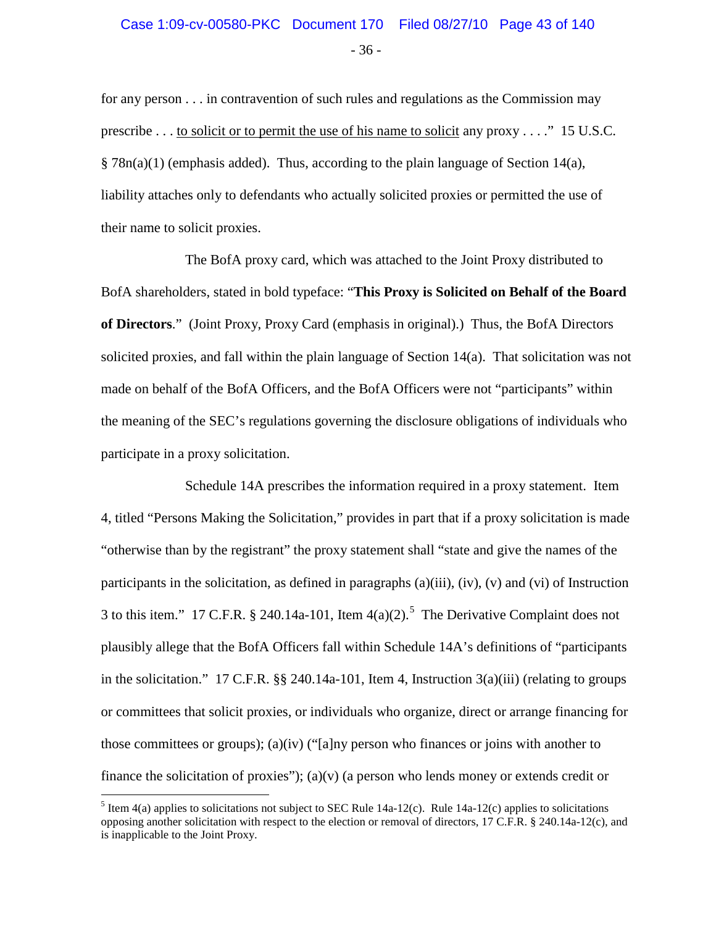for any person . . . in contravention of such rules and regulations as the Commission may prescribe . . . to solicit or to permit the use of his name to solicit any proxy . . . ." 15 U.S.C.  $§ 78n(a)(1)$  (emphasis added). Thus, according to the plain language of Section 14(a), liability attaches only to defendants who actually solicited proxies or permitted the use of their name to solicit proxies.

The BofA proxy card, which was attached to the Joint Proxy distributed to BofA shareholders, stated in bold typeface: "**This Proxy is Solicited on Behalf of the Board of Directors**." (Joint Proxy, Proxy Card (emphasis in original).) Thus, the BofA Directors solicited proxies, and fall within the plain language of Section 14(a). That solicitation was not made on behalf of the BofA Officers, and the BofA Officers were not "participants" within the meaning of the SEC's regulations governing the disclosure obligations of individuals who participate in a proxy solicitation.

Schedule 14A prescribes the information required in a proxy statement. Item 4, titled "Persons Making the Solicitation," provides in part that if a proxy solicitation is made "otherwise than by the registrant" the proxy statement shall "state and give the names of the participants in the solicitation, as defined in paragraphs  $(a)(iii)$ ,  $(iv)$ ,  $(v)$  and  $(vi)$  of Instruction 3 to this item." 17 C.F.R. § 240.14a-101, Item  $4(a)(2)$ .<sup>[5](#page-42-0)</sup> The Derivative Complaint does not plausibly allege that the BofA Officers fall within Schedule 14A's definitions of "participants in the solicitation." 17 C.F.R. §§ 240.14a-101, Item 4, Instruction 3(a)(iii) (relating to groups or committees that solicit proxies, or individuals who organize, direct or arrange financing for those committees or groups); (a)(iv) ("[a]ny person who finances or joins with another to finance the solicitation of proxies"); (a)(v) (a person who lends money or extends credit or

<span id="page-42-0"></span><sup>&</sup>lt;sup>5</sup> Item 4(a) applies to solicitations not subject to SEC Rule 14a-12(c). Rule 14a-12(c) applies to solicitations opposing another solicitation with respect to the election or removal of directors, 17 C.F.R. § 240.14a-12(c), and is inapplicable to the Joint Proxy.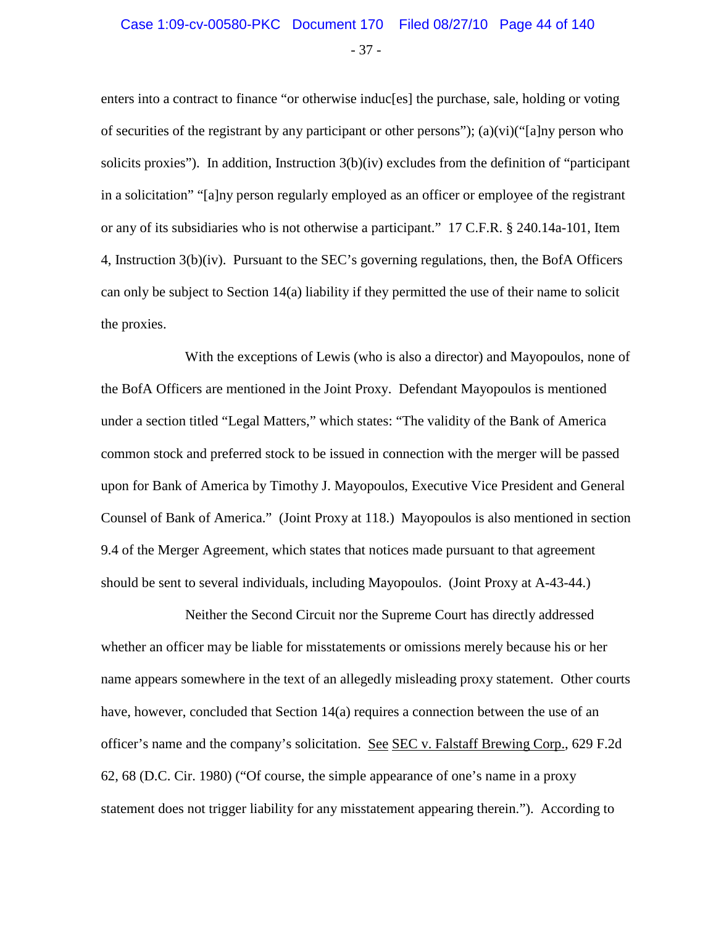#### - 37 - Case 1:09-cv-00580-PKC Document 170 Filed 08/27/10 Page 44 of 140

enters into a contract to finance "or otherwise induc[es] the purchase, sale, holding or voting of securities of the registrant by any participant or other persons"); (a)(vi)("[a]ny person who solicits proxies"). In addition, Instruction 3(b)(iv) excludes from the definition of "participant in a solicitation" "[a]ny person regularly employed as an officer or employee of the registrant or any of its subsidiaries who is not otherwise a participant." 17 C.F.R. § 240.14a-101, Item 4, Instruction 3(b)(iv). Pursuant to the SEC's governing regulations, then, the BofA Officers can only be subject to Section 14(a) liability if they permitted the use of their name to solicit the proxies.

With the exceptions of Lewis (who is also a director) and Mayopoulos, none of the BofA Officers are mentioned in the Joint Proxy. Defendant Mayopoulos is mentioned under a section titled "Legal Matters," which states: "The validity of the Bank of America common stock and preferred stock to be issued in connection with the merger will be passed upon for Bank of America by Timothy J. Mayopoulos, Executive Vice President and General Counsel of Bank of America." (Joint Proxy at 118.) Mayopoulos is also mentioned in section 9.4 of the Merger Agreement, which states that notices made pursuant to that agreement should be sent to several individuals, including Mayopoulos. (Joint Proxy at A-43-44.)

Neither the Second Circuit nor the Supreme Court has directly addressed whether an officer may be liable for misstatements or omissions merely because his or her name appears somewhere in the text of an allegedly misleading proxy statement. Other courts have, however, concluded that Section 14(a) requires a connection between the use of an officer's name and the company's solicitation. See SEC v. Falstaff Brewing Corp., 629 F.2d 62, 68 (D.C. Cir. 1980) ("Of course, the simple appearance of one's name in a proxy statement does not trigger liability for any misstatement appearing therein."). According to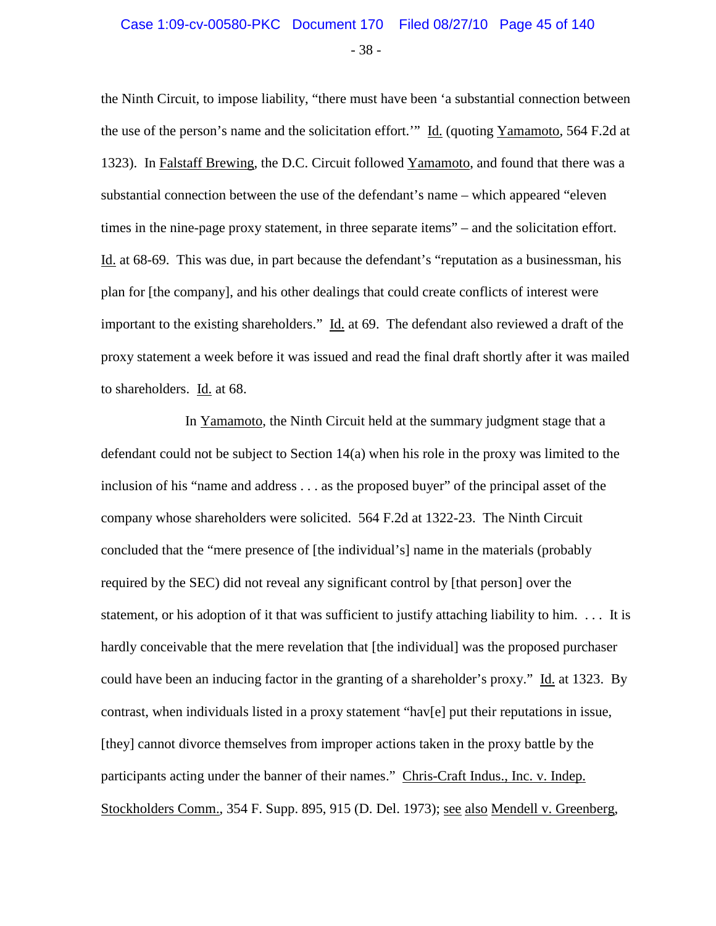## Case 1:09-cv-00580-PKC Document 170 Filed 08/27/10 Page 45 of 140

- 38 -

the Ninth Circuit, to impose liability, "there must have been 'a substantial connection between the use of the person's name and the solicitation effort.'" Id. (quoting Yamamoto, 564 F.2d at 1323). In Falstaff Brewing, the D.C. Circuit followed Yamamoto, and found that there was a substantial connection between the use of the defendant's name – which appeared "eleven times in the nine-page proxy statement, in three separate items" – and the solicitation effort. Id. at 68-69. This was due, in part because the defendant's "reputation as a businessman, his plan for [the company], and his other dealings that could create conflicts of interest were important to the existing shareholders." Id. at 69. The defendant also reviewed a draft of the proxy statement a week before it was issued and read the final draft shortly after it was mailed to shareholders. Id. at 68.

In Yamamoto, the Ninth Circuit held at the summary judgment stage that a defendant could not be subject to Section 14(a) when his role in the proxy was limited to the inclusion of his "name and address . . . as the proposed buyer" of the principal asset of the company whose shareholders were solicited. 564 F.2d at 1322-23. The Ninth Circuit concluded that the "mere presence of [the individual's] name in the materials (probably required by the SEC) did not reveal any significant control by [that person] over the statement, or his adoption of it that was sufficient to justify attaching liability to him. . . . It is hardly conceivable that the mere revelation that [the individual] was the proposed purchaser could have been an inducing factor in the granting of a shareholder's proxy." Id. at 1323. By contrast, when individuals listed in a proxy statement "hav[e] put their reputations in issue, [they] cannot divorce themselves from improper actions taken in the proxy battle by the participants acting under the banner of their names." Chris-Craft Indus., Inc. v. Indep. Stockholders Comm., 354 F. Supp. 895, 915 (D. Del. 1973); see also Mendell v. Greenberg,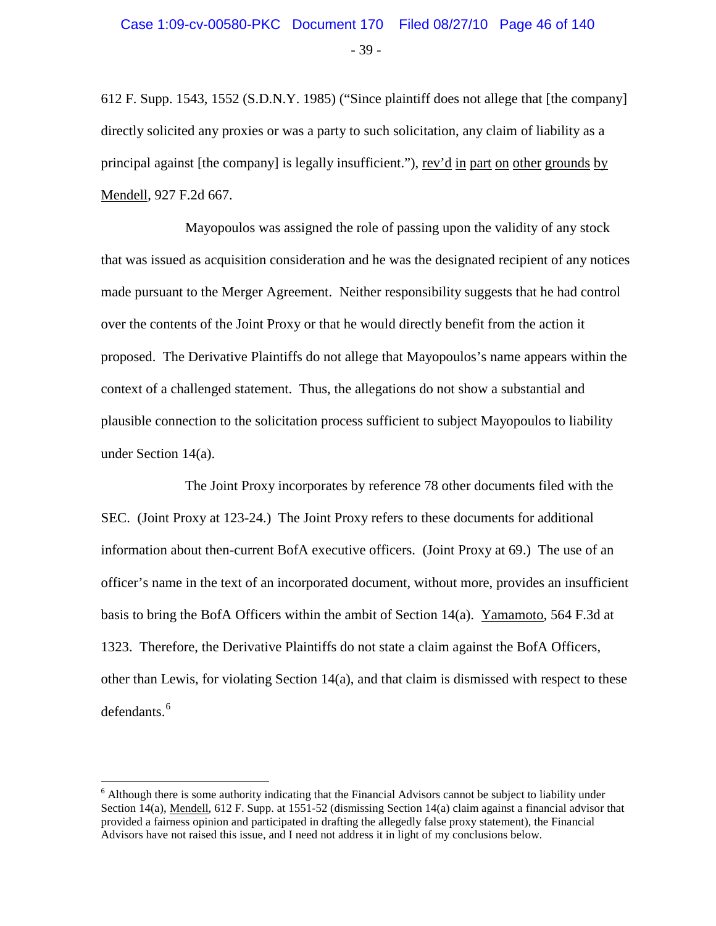612 F. Supp. 1543, 1552 (S.D.N.Y. 1985) ("Since plaintiff does not allege that [the company] directly solicited any proxies or was a party to such solicitation, any claim of liability as a principal against [the company] is legally insufficient."), rev'd in part on other grounds by Mendell, 927 F.2d 667.

Mayopoulos was assigned the role of passing upon the validity of any stock that was issued as acquisition consideration and he was the designated recipient of any notices made pursuant to the Merger Agreement. Neither responsibility suggests that he had control over the contents of the Joint Proxy or that he would directly benefit from the action it proposed. The Derivative Plaintiffs do not allege that Mayopoulos's name appears within the context of a challenged statement. Thus, the allegations do not show a substantial and plausible connection to the solicitation process sufficient to subject Mayopoulos to liability under Section 14(a).

The Joint Proxy incorporates by reference 78 other documents filed with the SEC. (Joint Proxy at 123-24.) The Joint Proxy refers to these documents for additional information about then-current BofA executive officers. (Joint Proxy at 69.) The use of an officer's name in the text of an incorporated document, without more, provides an insufficient basis to bring the BofA Officers within the ambit of Section 14(a). Yamamoto, 564 F.3d at 1323. Therefore, the Derivative Plaintiffs do not state a claim against the BofA Officers, other than Lewis, for violating Section 14(a), and that claim is dismissed with respect to these defendants.<sup>[6](#page-45-0)</sup>

<span id="page-45-0"></span><sup>&</sup>lt;sup>6</sup> Although there is some authority indicating that the Financial Advisors cannot be subject to liability under Section 14(a), Mendell, 612 F. Supp. at 1551-52 (dismissing Section 14(a) claim against a financial advisor that provided a fairness opinion and participated in drafting the allegedly false proxy statement), the Financial Advisors have not raised this issue, and I need not address it in light of my conclusions below.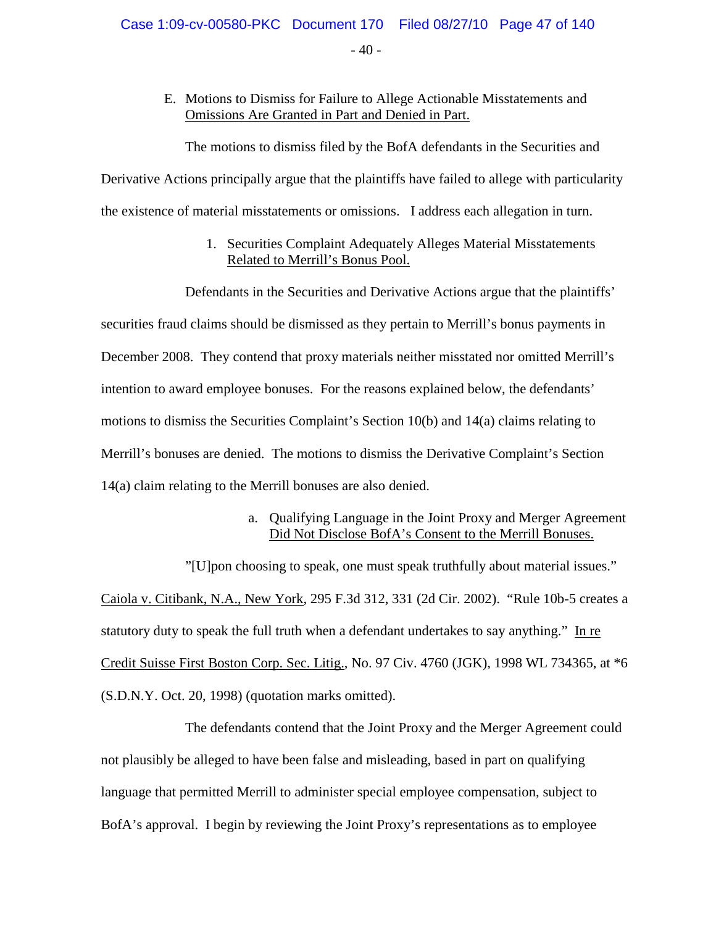$-40-$ 

#### E. Motions to Dismiss for Failure to Allege Actionable Misstatements and Omissions Are Granted in Part and Denied in Part.

The motions to dismiss filed by the BofA defendants in the Securities and

Derivative Actions principally argue that the plaintiffs have failed to allege with particularity the existence of material misstatements or omissions. I address each allegation in turn.

> 1. Securities Complaint Adequately Alleges Material Misstatements Related to Merrill's Bonus Pool.

Defendants in the Securities and Derivative Actions argue that the plaintiffs' securities fraud claims should be dismissed as they pertain to Merrill's bonus payments in December 2008. They contend that proxy materials neither misstated nor omitted Merrill's intention to award employee bonuses. For the reasons explained below, the defendants' motions to dismiss the Securities Complaint's Section 10(b) and 14(a) claims relating to Merrill's bonuses are denied. The motions to dismiss the Derivative Complaint's Section 14(a) claim relating to the Merrill bonuses are also denied.

#### a. Qualifying Language in the Joint Proxy and Merger Agreement Did Not Disclose BofA's Consent to the Merrill Bonuses.

"[U]pon choosing to speak, one must speak truthfully about material issues." Caiola v. Citibank, N.A., New York, 295 F.3d 312, 331 (2d Cir. 2002). "Rule 10b-5 creates a statutory duty to speak the full truth when a defendant undertakes to say anything." In re Credit Suisse First Boston Corp. Sec. Litig., No. 97 Civ. 4760 (JGK), 1998 WL 734365, at \*6 (S.D.N.Y. Oct. 20, 1998) (quotation marks omitted).

The defendants contend that the Joint Proxy and the Merger Agreement could not plausibly be alleged to have been false and misleading, based in part on qualifying language that permitted Merrill to administer special employee compensation, subject to BofA's approval. I begin by reviewing the Joint Proxy's representations as to employee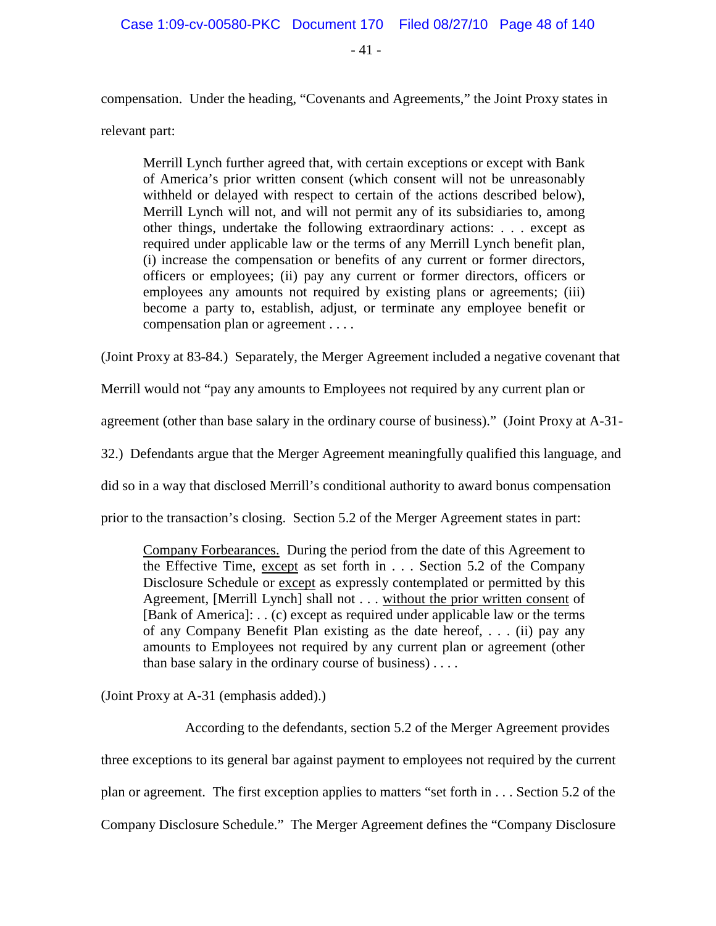$-41 -$ 

compensation. Under the heading, "Covenants and Agreements," the Joint Proxy states in

relevant part:

Merrill Lynch further agreed that, with certain exceptions or except with Bank of America's prior written consent (which consent will not be unreasonably withheld or delayed with respect to certain of the actions described below), Merrill Lynch will not, and will not permit any of its subsidiaries to, among other things, undertake the following extraordinary actions: . . . except as required under applicable law or the terms of any Merrill Lynch benefit plan, (i) increase the compensation or benefits of any current or former directors, officers or employees; (ii) pay any current or former directors, officers or employees any amounts not required by existing plans or agreements; (iii) become a party to, establish, adjust, or terminate any employee benefit or compensation plan or agreement . . . .

(Joint Proxy at 83-84.) Separately, the Merger Agreement included a negative covenant that

Merrill would not "pay any amounts to Employees not required by any current plan or

agreement (other than base salary in the ordinary course of business)." (Joint Proxy at A-31-

32.) Defendants argue that the Merger Agreement meaningfully qualified this language, and

did so in a way that disclosed Merrill's conditional authority to award bonus compensation

prior to the transaction's closing. Section 5.2 of the Merger Agreement states in part:

Company Forbearances. During the period from the date of this Agreement to the Effective Time, except as set forth in . . . Section 5.2 of the Company Disclosure Schedule or except as expressly contemplated or permitted by this Agreement, [Merrill Lynch] shall not . . . without the prior written consent of [Bank of America]: . . (c) except as required under applicable law or the terms of any Company Benefit Plan existing as the date hereof, . . . (ii) pay any amounts to Employees not required by any current plan or agreement (other than base salary in the ordinary course of business) . . . .

(Joint Proxy at A-31 (emphasis added).)

According to the defendants, section 5.2 of the Merger Agreement provides three exceptions to its general bar against payment to employees not required by the current plan or agreement. The first exception applies to matters "set forth in . . . Section 5.2 of the Company Disclosure Schedule." The Merger Agreement defines the "Company Disclosure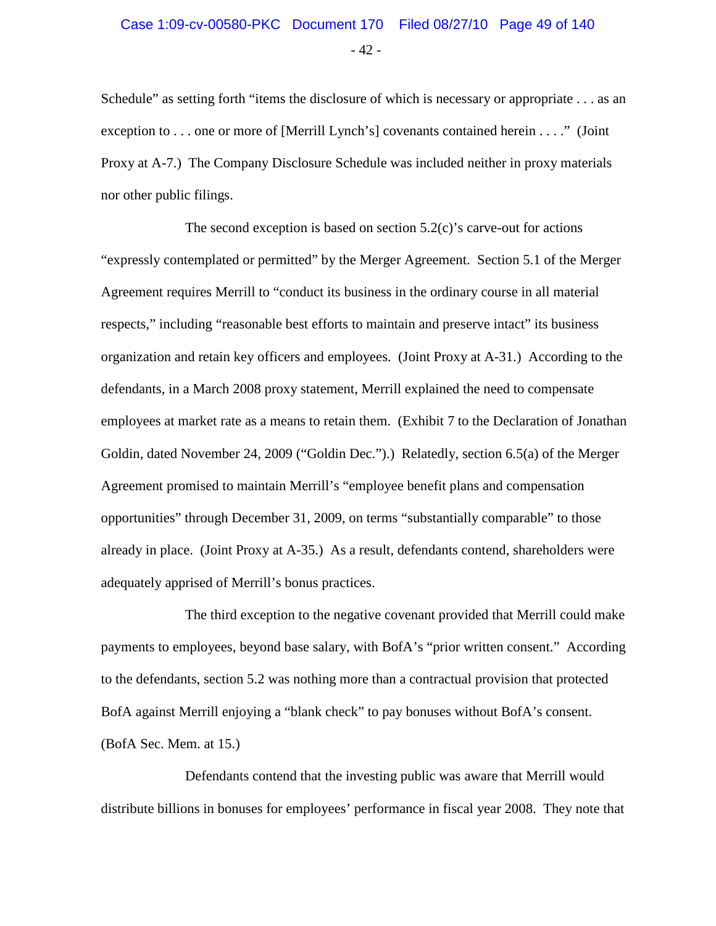Schedule" as setting forth "items the disclosure of which is necessary or appropriate . . . as an exception to . . . one or more of [Merrill Lynch's] covenants contained herein . . . ." (Joint Proxy at A-7.) The Company Disclosure Schedule was included neither in proxy materials nor other public filings.

The second exception is based on section  $5.2(c)$ 's carve-out for actions "expressly contemplated or permitted" by the Merger Agreement. Section 5.1 of the Merger Agreement requires Merrill to "conduct its business in the ordinary course in all material respects," including "reasonable best efforts to maintain and preserve intact" its business organization and retain key officers and employees. (Joint Proxy at A-31.) According to the defendants, in a March 2008 proxy statement, Merrill explained the need to compensate employees at market rate as a means to retain them. (Exhibit 7 to the Declaration of Jonathan Goldin, dated November 24, 2009 ("Goldin Dec.").) Relatedly, section 6.5(a) of the Merger Agreement promised to maintain Merrill's "employee benefit plans and compensation opportunities" through December 31, 2009, on terms "substantially comparable" to those already in place. (Joint Proxy at A-35.) As a result, defendants contend, shareholders were adequately apprised of Merrill's bonus practices.

The third exception to the negative covenant provided that Merrill could make payments to employees, beyond base salary, with BofA's "prior written consent." According to the defendants, section 5.2 was nothing more than a contractual provision that protected BofA against Merrill enjoying a "blank check" to pay bonuses without BofA's consent. (BofA Sec. Mem. at 15.)

Defendants contend that the investing public was aware that Merrill would distribute billions in bonuses for employees' performance in fiscal year 2008. They note that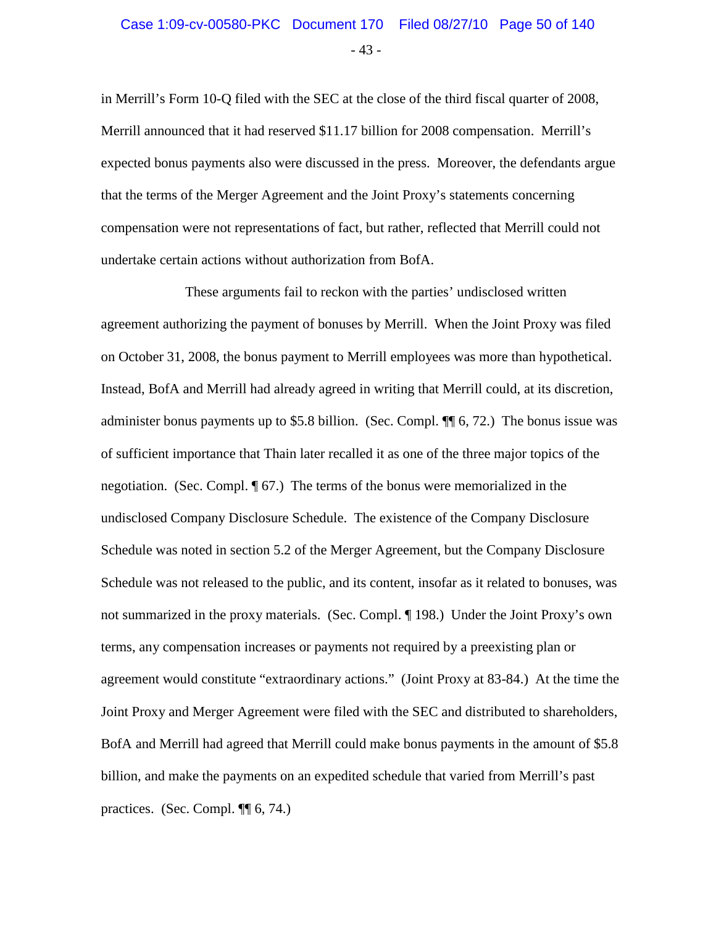## - 43 - Case 1:09-cv-00580-PKC Document 170 Filed 08/27/10 Page 50 of 140

in Merrill's Form 10-Q filed with the SEC at the close of the third fiscal quarter of 2008, Merrill announced that it had reserved \$11.17 billion for 2008 compensation. Merrill's expected bonus payments also were discussed in the press. Moreover, the defendants argue that the terms of the Merger Agreement and the Joint Proxy's statements concerning compensation were not representations of fact, but rather, reflected that Merrill could not undertake certain actions without authorization from BofA.

These arguments fail to reckon with the parties' undisclosed written agreement authorizing the payment of bonuses by Merrill. When the Joint Proxy was filed on October 31, 2008, the bonus payment to Merrill employees was more than hypothetical. Instead, BofA and Merrill had already agreed in writing that Merrill could, at its discretion, administer bonus payments up to \$5.8 billion. (Sec. Compl. ¶¶ 6, 72.) The bonus issue was of sufficient importance that Thain later recalled it as one of the three major topics of the negotiation. (Sec. Compl. ¶ 67.) The terms of the bonus were memorialized in the undisclosed Company Disclosure Schedule. The existence of the Company Disclosure Schedule was noted in section 5.2 of the Merger Agreement, but the Company Disclosure Schedule was not released to the public, and its content, insofar as it related to bonuses, was not summarized in the proxy materials. (Sec. Compl. ¶ 198.) Under the Joint Proxy's own terms, any compensation increases or payments not required by a preexisting plan or agreement would constitute "extraordinary actions." (Joint Proxy at 83-84.) At the time the Joint Proxy and Merger Agreement were filed with the SEC and distributed to shareholders, BofA and Merrill had agreed that Merrill could make bonus payments in the amount of \$5.8 billion, and make the payments on an expedited schedule that varied from Merrill's past practices. (Sec. Compl. ¶¶ 6, 74.)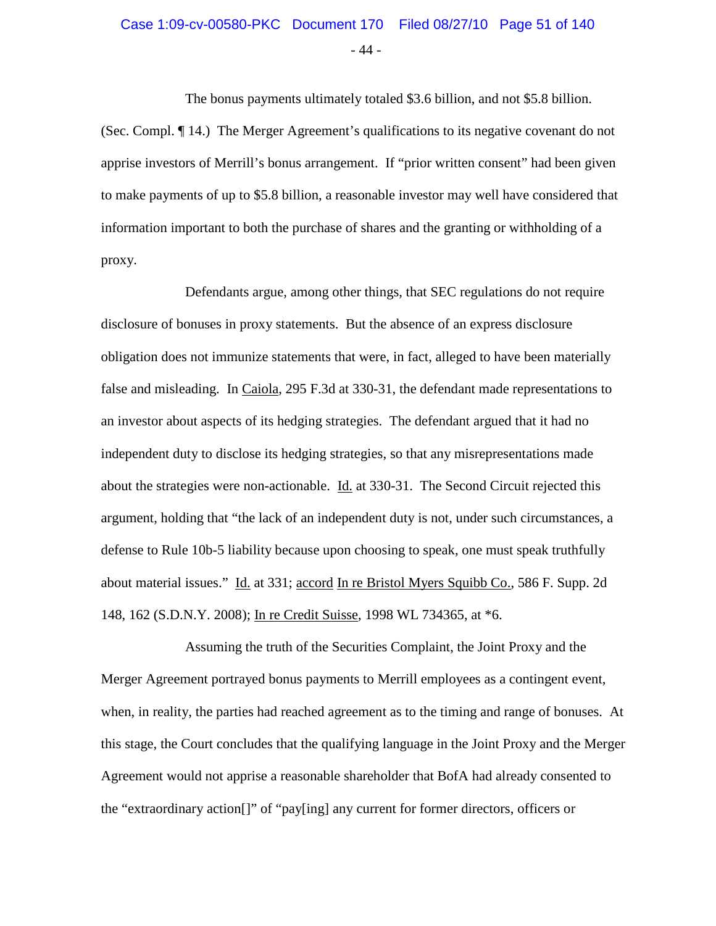# Case 1:09-cv-00580-PKC Document 170 Filed 08/27/10 Page 51 of 140

- 44 -

The bonus payments ultimately totaled \$3.6 billion, and not \$5.8 billion. (Sec. Compl. ¶ 14.) The Merger Agreement's qualifications to its negative covenant do not apprise investors of Merrill's bonus arrangement. If "prior written consent" had been given to make payments of up to \$5.8 billion, a reasonable investor may well have considered that information important to both the purchase of shares and the granting or withholding of a proxy.

Defendants argue, among other things, that SEC regulations do not require disclosure of bonuses in proxy statements. But the absence of an express disclosure obligation does not immunize statements that were, in fact, alleged to have been materially false and misleading. In Caiola, 295 F.3d at 330-31, the defendant made representations to an investor about aspects of its hedging strategies. The defendant argued that it had no independent duty to disclose its hedging strategies, so that any misrepresentations made about the strategies were non-actionable. Id. at 330-31. The Second Circuit rejected this argument, holding that "the lack of an independent duty is not, under such circumstances, a defense to Rule 10b-5 liability because upon choosing to speak, one must speak truthfully about material issues." Id. at 331; accord In re Bristol Myers Squibb Co., 586 F. Supp. 2d 148, 162 (S.D.N.Y. 2008); In re Credit Suisse, 1998 WL 734365, at \*6.

Assuming the truth of the Securities Complaint, the Joint Proxy and the Merger Agreement portrayed bonus payments to Merrill employees as a contingent event, when, in reality, the parties had reached agreement as to the timing and range of bonuses. At this stage, the Court concludes that the qualifying language in the Joint Proxy and the Merger Agreement would not apprise a reasonable shareholder that BofA had already consented to the "extraordinary action[]" of "pay[ing] any current for former directors, officers or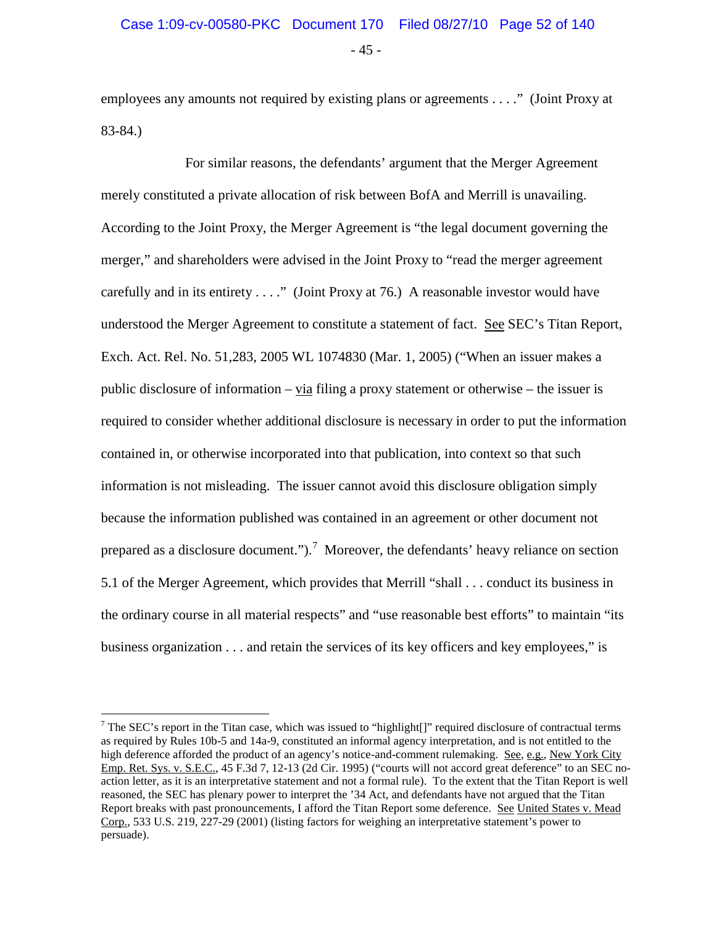employees any amounts not required by existing plans or agreements . . . ." (Joint Proxy at 83-84.)

For similar reasons, the defendants' argument that the Merger Agreement merely constituted a private allocation of risk between BofA and Merrill is unavailing. According to the Joint Proxy, the Merger Agreement is "the legal document governing the merger," and shareholders were advised in the Joint Proxy to "read the merger agreement carefully and in its entirety . . . ." (Joint Proxy at 76.) A reasonable investor would have understood the Merger Agreement to constitute a statement of fact. See SEC's Titan Report, Exch. Act. Rel. No. 51,283, 2005 WL 1074830 (Mar. 1, 2005) ("When an issuer makes a public disclosure of information – via filing a proxy statement or otherwise – the issuer is required to consider whether additional disclosure is necessary in order to put the information contained in, or otherwise incorporated into that publication, into context so that such information is not misleading. The issuer cannot avoid this disclosure obligation simply because the information published was contained in an agreement or other document not prepared as a disclosure document.").<sup>[7](#page-51-0)</sup> Moreover, the defendants' heavy reliance on section 5.1 of the Merger Agreement, which provides that Merrill "shall . . . conduct its business in the ordinary course in all material respects" and "use reasonable best efforts" to maintain "its business organization . . . and retain the services of its key officers and key employees," is

<span id="page-51-0"></span> $7$  The SEC's report in the Titan case, which was issued to "highlight[]" required disclosure of contractual terms as required by Rules 10b-5 and 14a-9, constituted an informal agency interpretation, and is not entitled to the high deference afforded the product of an agency's notice-and-comment rulemaking. See, e.g., New York City Emp. Ret. Sys. v. S.E.C., 45 F.3d 7, 12-13 (2d Cir. 1995) ("courts will not accord great deference" to an SEC noaction letter, as it is an interpretative statement and not a formal rule). To the extent that the Titan Report is well reasoned, the SEC has plenary power to interpret the '34 Act, and defendants have not argued that the Titan Report breaks with past pronouncements, I afford the Titan Report some deference. See United States v. Mead Corp., 533 U.S. 219, 227-29 (2001) (listing factors for weighing an interpretative statement's power to persuade).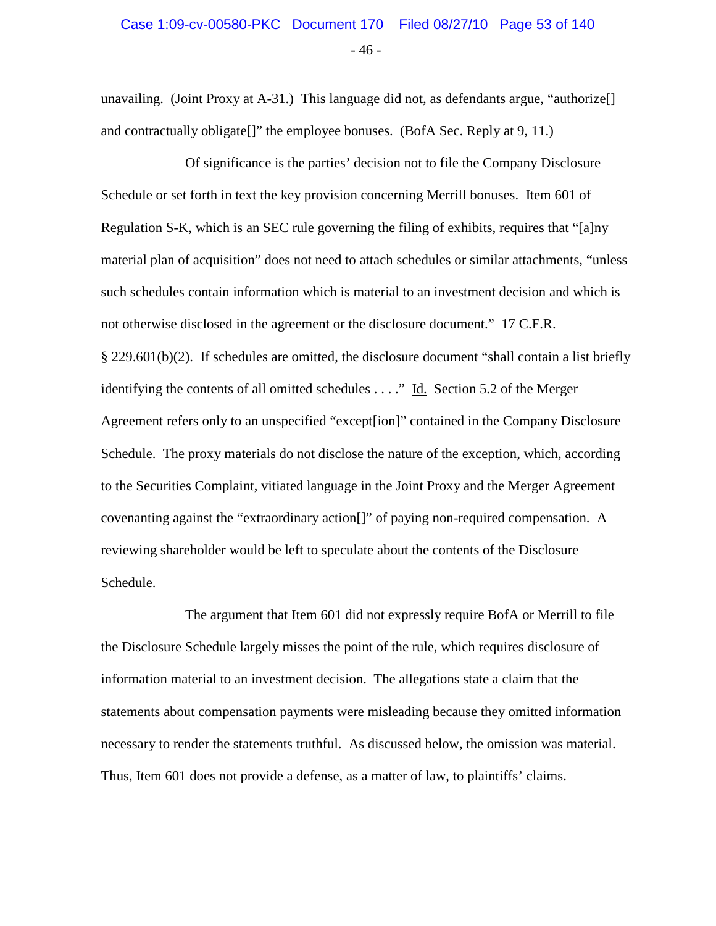## - 46 - Case 1:09-cv-00580-PKC Document 170 Filed 08/27/10 Page 53 of 140

unavailing. (Joint Proxy at A-31.) This language did not, as defendants argue, "authorize[] and contractually obligate[]" the employee bonuses. (BofA Sec. Reply at 9, 11.)

Of significance is the parties' decision not to file the Company Disclosure Schedule or set forth in text the key provision concerning Merrill bonuses. Item 601 of Regulation S-K, which is an SEC rule governing the filing of exhibits, requires that "[a]ny material plan of acquisition" does not need to attach schedules or similar attachments, "unless such schedules contain information which is material to an investment decision and which is not otherwise disclosed in the agreement or the disclosure document." 17 C.F.R. § 229.601(b)(2). If schedules are omitted, the disclosure document "shall contain a list briefly identifying the contents of all omitted schedules  $\dots$ ." Id. Section 5.2 of the Merger Agreement refers only to an unspecified "except[ion]" contained in the Company Disclosure Schedule. The proxy materials do not disclose the nature of the exception, which, according to the Securities Complaint, vitiated language in the Joint Proxy and the Merger Agreement covenanting against the "extraordinary action[]" of paying non-required compensation. A reviewing shareholder would be left to speculate about the contents of the Disclosure Schedule.

The argument that Item 601 did not expressly require BofA or Merrill to file the Disclosure Schedule largely misses the point of the rule, which requires disclosure of information material to an investment decision. The allegations state a claim that the statements about compensation payments were misleading because they omitted information necessary to render the statements truthful. As discussed below, the omission was material. Thus, Item 601 does not provide a defense, as a matter of law, to plaintiffs' claims.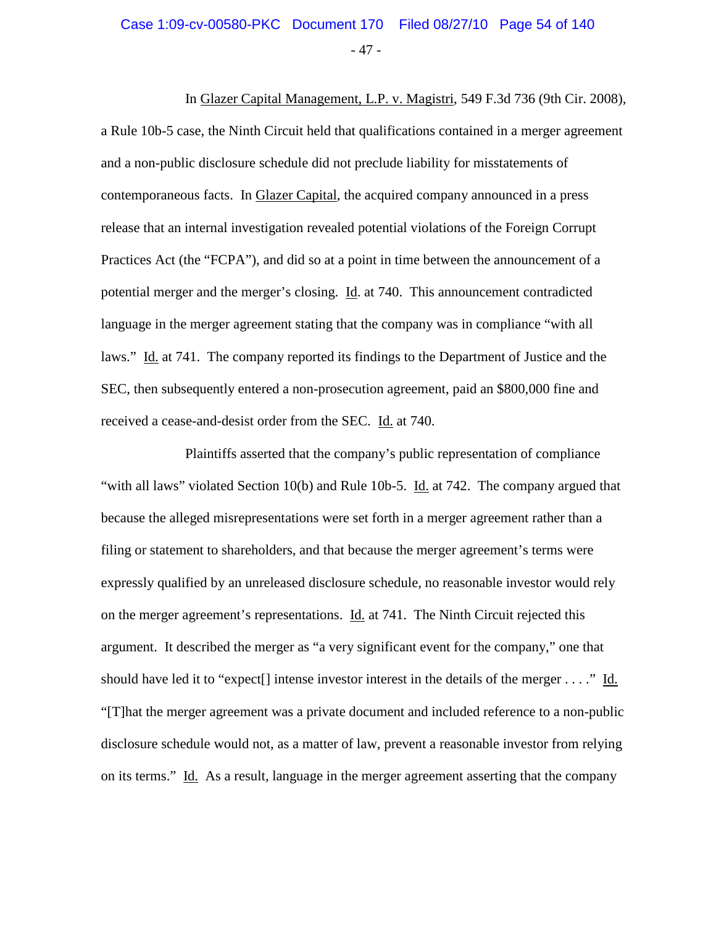#### - 47 - Case 1:09-cv-00580-PKC Document 170 Filed 08/27/10 Page 54 of 140

In Glazer Capital Management, L.P. v. Magistri, 549 F.3d 736 (9th Cir. 2008), a Rule 10b-5 case, the Ninth Circuit held that qualifications contained in a merger agreement and a non-public disclosure schedule did not preclude liability for misstatements of contemporaneous facts. In Glazer Capital, the acquired company announced in a press release that an internal investigation revealed potential violations of the Foreign Corrupt Practices Act (the "FCPA"), and did so at a point in time between the announcement of a potential merger and the merger's closing. Id. at 740. This announcement contradicted language in the merger agreement stating that the company was in compliance "with all laws." Id. at 741. The company reported its findings to the Department of Justice and the SEC, then subsequently entered a non-prosecution agreement, paid an \$800,000 fine and received a cease-and-desist order from the SEC. Id. at 740.

Plaintiffs asserted that the company's public representation of compliance "with all laws" violated Section 10(b) and Rule 10b-5. Id. at 742. The company argued that because the alleged misrepresentations were set forth in a merger agreement rather than a filing or statement to shareholders, and that because the merger agreement's terms were expressly qualified by an unreleased disclosure schedule, no reasonable investor would rely on the merger agreement's representations. Id. at 741. The Ninth Circuit rejected this argument. It described the merger as "a very significant event for the company," one that should have led it to "expect<sup>[]</sup> intense investor interest in the details of the merger . . . ." Id. "[T]hat the merger agreement was a private document and included reference to a non-public disclosure schedule would not, as a matter of law, prevent a reasonable investor from relying on its terms." Id. As a result, language in the merger agreement asserting that the company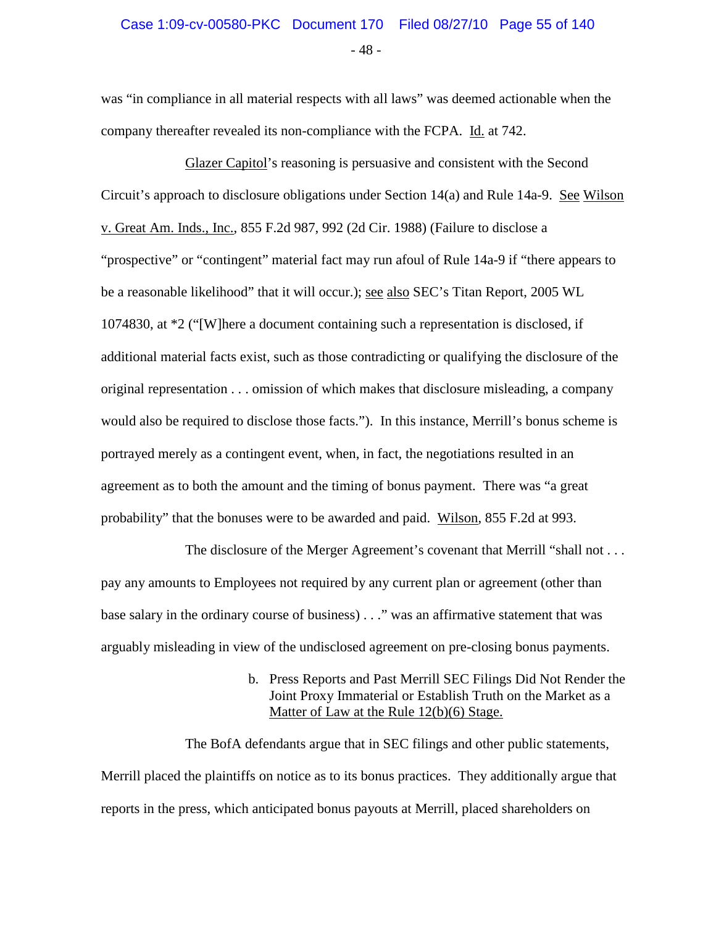## - 48 - Case 1:09-cv-00580-PKC Document 170 Filed 08/27/10 Page 55 of 140

was "in compliance in all material respects with all laws" was deemed actionable when the company thereafter revealed its non-compliance with the FCPA. Id. at 742.

Glazer Capitol's reasoning is persuasive and consistent with the Second Circuit's approach to disclosure obligations under Section 14(a) and Rule 14a-9. See Wilson v. Great Am. Inds., Inc., 855 F.2d 987, 992 (2d Cir. 1988) (Failure to disclose a "prospective" or "contingent" material fact may run afoul of Rule 14a-9 if "there appears to be a reasonable likelihood" that it will occur.); see also SEC's Titan Report, 2005 WL 1074830, at \*2 ("[W]here a document containing such a representation is disclosed, if additional material facts exist, such as those contradicting or qualifying the disclosure of the original representation . . . omission of which makes that disclosure misleading, a company would also be required to disclose those facts."). In this instance, Merrill's bonus scheme is portrayed merely as a contingent event, when, in fact, the negotiations resulted in an agreement as to both the amount and the timing of bonus payment. There was "a great probability" that the bonuses were to be awarded and paid. Wilson, 855 F.2d at 993.

The disclosure of the Merger Agreement's covenant that Merrill "shall not . . . pay any amounts to Employees not required by any current plan or agreement (other than base salary in the ordinary course of business) . . ." was an affirmative statement that was arguably misleading in view of the undisclosed agreement on pre-closing bonus payments.

> b. Press Reports and Past Merrill SEC Filings Did Not Render the Joint Proxy Immaterial or Establish Truth on the Market as a Matter of Law at the Rule 12(b)(6) Stage.

The BofA defendants argue that in SEC filings and other public statements, Merrill placed the plaintiffs on notice as to its bonus practices. They additionally argue that reports in the press, which anticipated bonus payouts at Merrill, placed shareholders on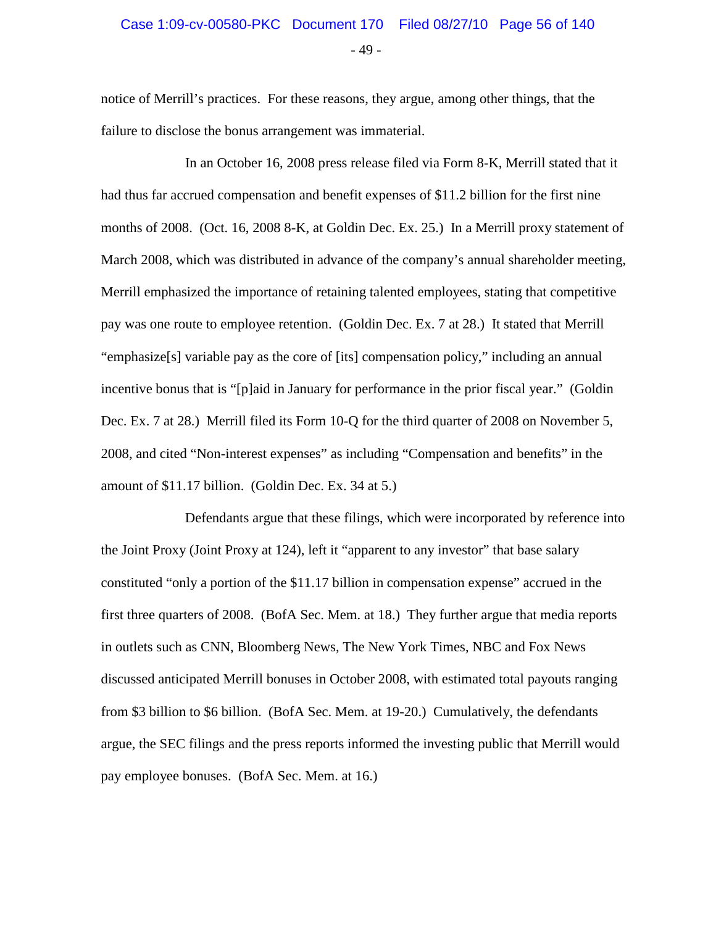#### Case 1:09-cv-00580-PKC Document 170 Filed 08/27/10 Page 56 of 140

- 49 -

notice of Merrill's practices. For these reasons, they argue, among other things, that the failure to disclose the bonus arrangement was immaterial.

In an October 16, 2008 press release filed via Form 8-K, Merrill stated that it had thus far accrued compensation and benefit expenses of \$11.2 billion for the first nine months of 2008. (Oct. 16, 2008 8-K, at Goldin Dec. Ex. 25.) In a Merrill proxy statement of March 2008, which was distributed in advance of the company's annual shareholder meeting, Merrill emphasized the importance of retaining talented employees, stating that competitive pay was one route to employee retention. (Goldin Dec. Ex. 7 at 28.) It stated that Merrill "emphasize[s] variable pay as the core of [its] compensation policy," including an annual incentive bonus that is "[p]aid in January for performance in the prior fiscal year." (Goldin Dec. Ex. 7 at 28.) Merrill filed its Form 10-Q for the third quarter of 2008 on November 5, 2008, and cited "Non-interest expenses" as including "Compensation and benefits" in the amount of \$11.17 billion. (Goldin Dec. Ex. 34 at 5.)

Defendants argue that these filings, which were incorporated by reference into the Joint Proxy (Joint Proxy at 124), left it "apparent to any investor" that base salary constituted "only a portion of the \$11.17 billion in compensation expense" accrued in the first three quarters of 2008. (BofA Sec. Mem. at 18.) They further argue that media reports in outlets such as CNN, Bloomberg News, The New York Times, NBC and Fox News discussed anticipated Merrill bonuses in October 2008, with estimated total payouts ranging from \$3 billion to \$6 billion. (BofA Sec. Mem. at 19-20.) Cumulatively, the defendants argue, the SEC filings and the press reports informed the investing public that Merrill would pay employee bonuses. (BofA Sec. Mem. at 16.)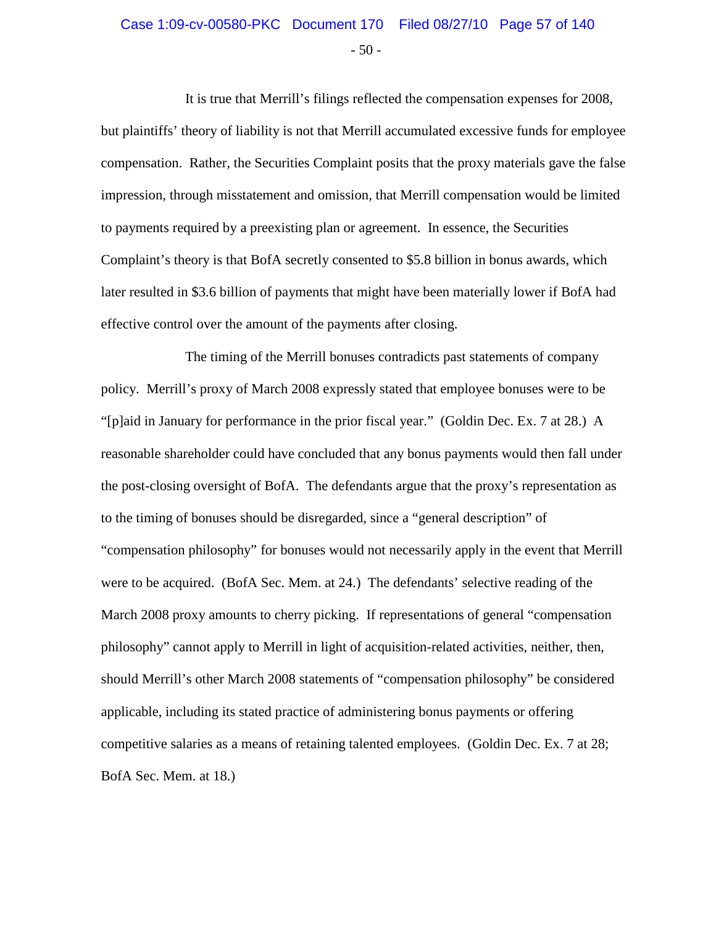#### $-50 -$ Case 1:09-cv-00580-PKC Document 170 Filed 08/27/10 Page 57 of 140

It is true that Merrill's filings reflected the compensation expenses for 2008, but plaintiffs' theory of liability is not that Merrill accumulated excessive funds for employee compensation. Rather, the Securities Complaint posits that the proxy materials gave the false impression, through misstatement and omission, that Merrill compensation would be limited to payments required by a preexisting plan or agreement. In essence, the Securities Complaint's theory is that BofA secretly consented to \$5.8 billion in bonus awards, which later resulted in \$3.6 billion of payments that might have been materially lower if BofA had effective control over the amount of the payments after closing.

The timing of the Merrill bonuses contradicts past statements of company policy. Merrill's proxy of March 2008 expressly stated that employee bonuses were to be "[p]aid in January for performance in the prior fiscal year." (Goldin Dec. Ex. 7 at 28.) A reasonable shareholder could have concluded that any bonus payments would then fall under the post-closing oversight of BofA. The defendants argue that the proxy's representation as to the timing of bonuses should be disregarded, since a "general description" of "compensation philosophy" for bonuses would not necessarily apply in the event that Merrill were to be acquired. (BofA Sec. Mem. at 24.) The defendants' selective reading of the March 2008 proxy amounts to cherry picking. If representations of general "compensation philosophy" cannot apply to Merrill in light of acquisition-related activities, neither, then, should Merrill's other March 2008 statements of "compensation philosophy" be considered applicable, including its stated practice of administering bonus payments or offering competitive salaries as a means of retaining talented employees. (Goldin Dec. Ex. 7 at 28; BofA Sec. Mem. at 18.)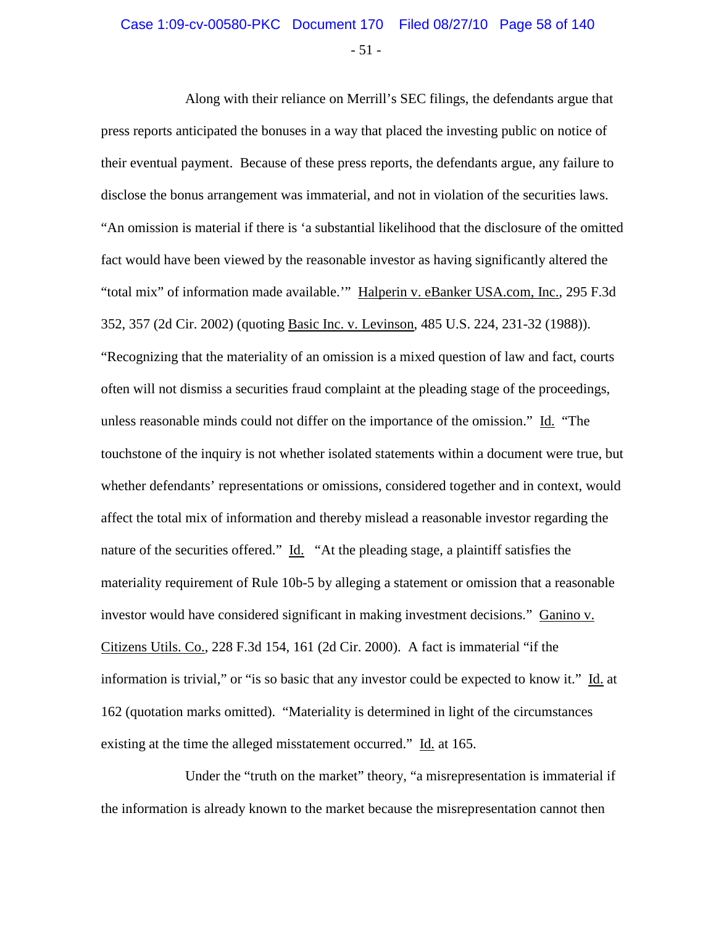### $-51 -$ Case 1:09-cv-00580-PKC Document 170 Filed 08/27/10 Page 58 of 140

Along with their reliance on Merrill's SEC filings, the defendants argue that press reports anticipated the bonuses in a way that placed the investing public on notice of their eventual payment. Because of these press reports, the defendants argue, any failure to disclose the bonus arrangement was immaterial, and not in violation of the securities laws. "An omission is material if there is 'a substantial likelihood that the disclosure of the omitted fact would have been viewed by the reasonable investor as having significantly altered the "total mix" of information made available.'" Halperin v. eBanker USA.com, Inc., 295 F.3d 352, 357 (2d Cir. 2002) (quoting Basic Inc. v. Levinson, 485 U.S. 224, 231-32 (1988)). "Recognizing that the materiality of an omission is a mixed question of law and fact, courts often will not dismiss a securities fraud complaint at the pleading stage of the proceedings, unless reasonable minds could not differ on the importance of the omission." Id. "The touchstone of the inquiry is not whether isolated statements within a document were true, but whether defendants' representations or omissions, considered together and in context, would affect the total mix of information and thereby mislead a reasonable investor regarding the nature of the securities offered."  $\underline{Id}$ . "At the pleading stage, a plaintiff satisfies the materiality requirement of Rule 10b-5 by alleging a statement or omission that a reasonable investor would have considered significant in making investment decisions." Ganino v. Citizens Utils. Co., 228 F.3d 154, 161 (2d Cir. 2000). A fact is immaterial "if the information is trivial," or "is so basic that any investor could be expected to know it." Id. at 162 (quotation marks omitted). "Materiality is determined in light of the circumstances existing at the time the alleged misstatement occurred." Id. at 165.

Under the "truth on the market" theory, "a misrepresentation is immaterial if the information is already known to the market because the misrepresentation cannot then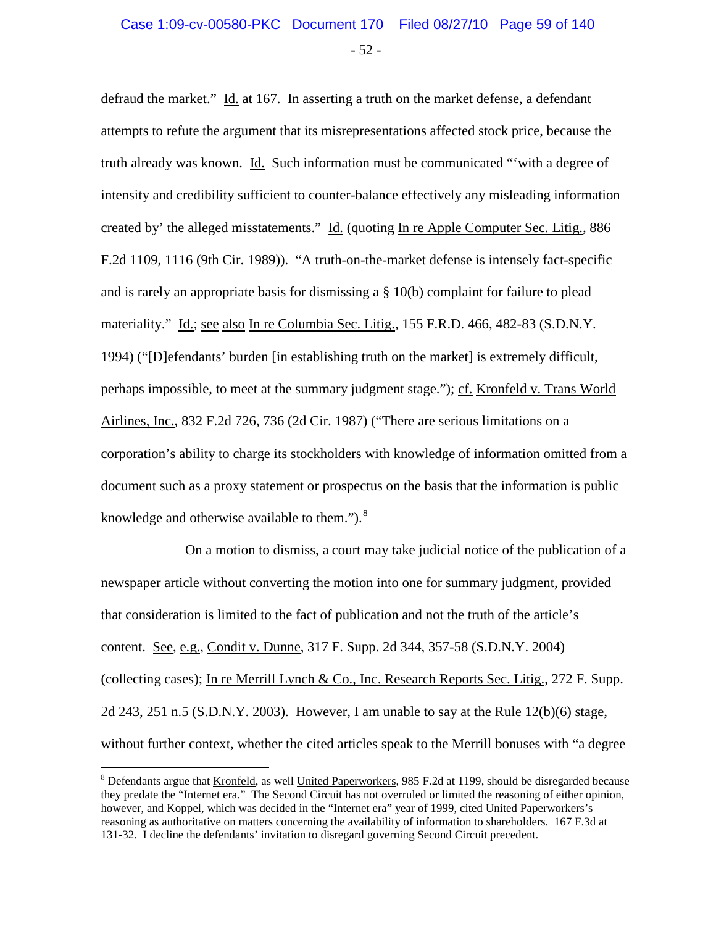defraud the market." Id. at 167. In asserting a truth on the market defense, a defendant attempts to refute the argument that its misrepresentations affected stock price, because the truth already was known. Id. Such information must be communicated "'with a degree of intensity and credibility sufficient to counter-balance effectively any misleading information created by' the alleged misstatements." Id. (quoting In re Apple Computer Sec. Litig., 886 F.2d 1109, 1116 (9th Cir. 1989)). "A truth-on-the-market defense is intensely fact-specific and is rarely an appropriate basis for dismissing a § 10(b) complaint for failure to plead materiality." Id.; see also In re Columbia Sec. Litig., 155 F.R.D. 466, 482-83 (S.D.N.Y. 1994) ("[D]efendants' burden [in establishing truth on the market] is extremely difficult, perhaps impossible, to meet at the summary judgment stage."); cf. Kronfeld v. Trans World Airlines, Inc., 832 F.2d 726, 736 (2d Cir. 1987) ("There are serious limitations on a corporation's ability to charge its stockholders with knowledge of information omitted from a document such as a proxy statement or prospectus on the basis that the information is public knowledge and otherwise available to them." $)$ .<sup>[8](#page-58-0)</sup>

On a motion to dismiss, a court may take judicial notice of the publication of a newspaper article without converting the motion into one for summary judgment, provided that consideration is limited to the fact of publication and not the truth of the article's content. See, e.g., Condit v. Dunne, 317 F. Supp. 2d 344, 357-58 (S.D.N.Y. 2004) (collecting cases); In re Merrill Lynch & Co., Inc. Research Reports Sec. Litig., 272 F. Supp. 2d 243, 251 n.5 (S.D.N.Y. 2003). However, I am unable to say at the Rule 12(b)(6) stage, without further context, whether the cited articles speak to the Merrill bonuses with "a degree

<span id="page-58-0"></span><sup>&</sup>lt;sup>8</sup> Defendants argue that Kronfeld, as well United Paperworkers, 985 F.2d at 1199, should be disregarded because they predate the "Internet era." The Second Circuit has not overruled or limited the reasoning of either opinion, however, and Koppel, which was decided in the "Internet era" year of 1999, cited United Paperworkers's reasoning as authoritative on matters concerning the availability of information to shareholders. 167 F.3d at 131-32. I decline the defendants' invitation to disregard governing Second Circuit precedent.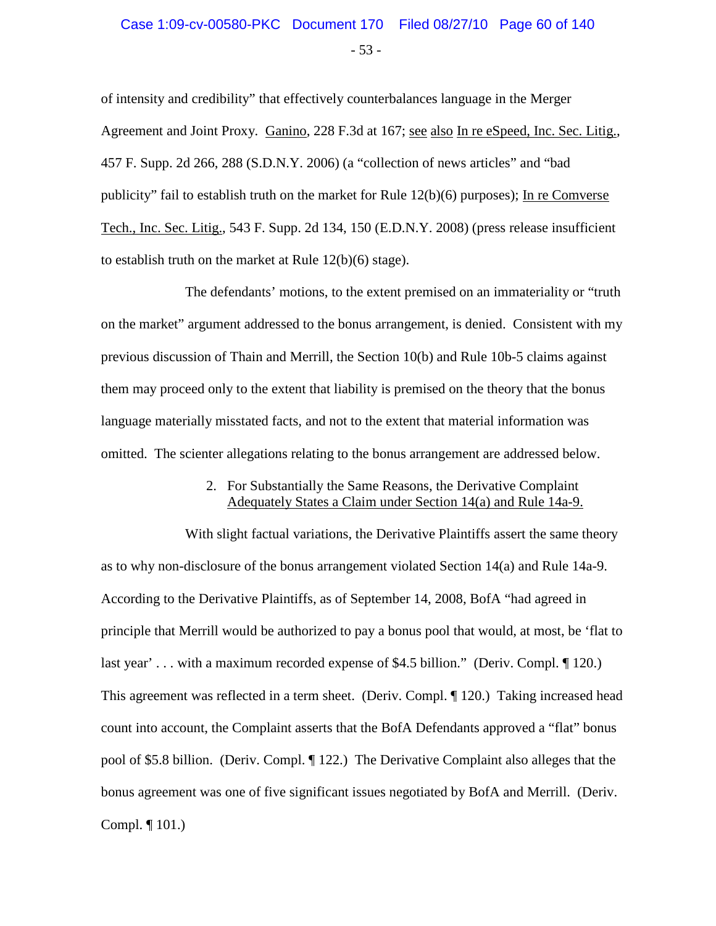### - 53 - Case 1:09-cv-00580-PKC Document 170 Filed 08/27/10 Page 60 of 140

of intensity and credibility" that effectively counterbalances language in the Merger Agreement and Joint Proxy. Ganino, 228 F.3d at 167; see also In re eSpeed, Inc. Sec. Litig., 457 F. Supp. 2d 266, 288 (S.D.N.Y. 2006) (a "collection of news articles" and "bad publicity" fail to establish truth on the market for Rule 12(b)(6) purposes); In re Comverse Tech., Inc. Sec. Litig., 543 F. Supp. 2d 134, 150 (E.D.N.Y. 2008) (press release insufficient to establish truth on the market at Rule 12(b)(6) stage).

The defendants' motions, to the extent premised on an immateriality or "truth on the market" argument addressed to the bonus arrangement, is denied. Consistent with my previous discussion of Thain and Merrill, the Section 10(b) and Rule 10b-5 claims against them may proceed only to the extent that liability is premised on the theory that the bonus language materially misstated facts, and not to the extent that material information was omitted. The scienter allegations relating to the bonus arrangement are addressed below.

#### 2. For Substantially the Same Reasons, the Derivative Complaint Adequately States a Claim under Section 14(a) and Rule 14a-9.

With slight factual variations, the Derivative Plaintiffs assert the same theory as to why non-disclosure of the bonus arrangement violated Section 14(a) and Rule 14a-9. According to the Derivative Plaintiffs, as of September 14, 2008, BofA "had agreed in principle that Merrill would be authorized to pay a bonus pool that would, at most, be 'flat to last year' . . . with a maximum recorded expense of \$4.5 billion." (Deriv. Compl. 120.) This agreement was reflected in a term sheet. (Deriv. Compl. ¶ 120.) Taking increased head count into account, the Complaint asserts that the BofA Defendants approved a "flat" bonus pool of \$5.8 billion. (Deriv. Compl. ¶ 122.) The Derivative Complaint also alleges that the bonus agreement was one of five significant issues negotiated by BofA and Merrill. (Deriv. Compl. ¶ 101.)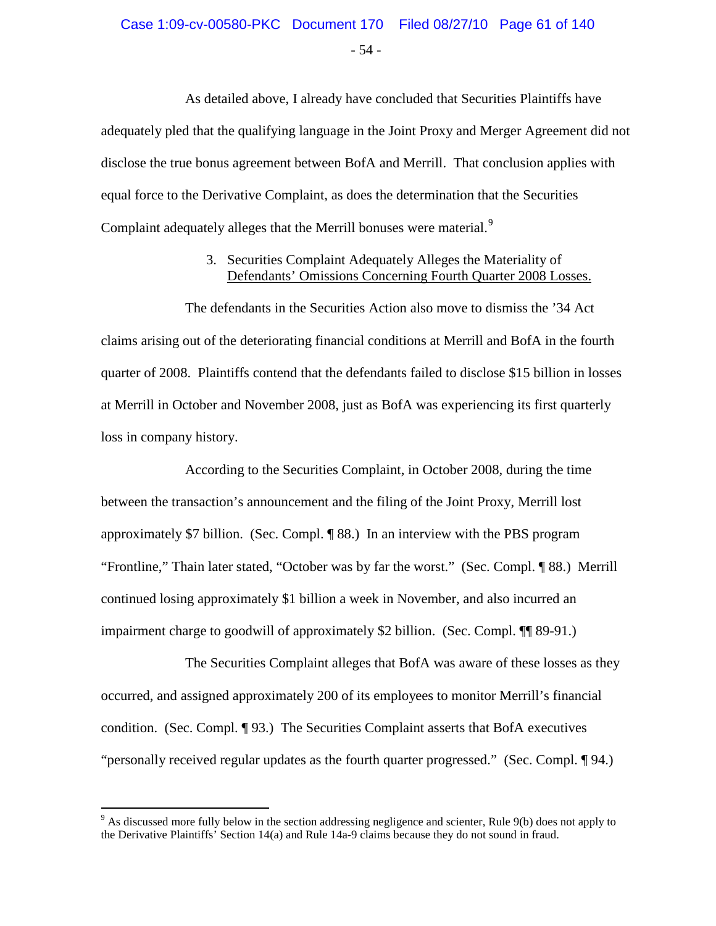# Case 1:09-cv-00580-PKC Document 170 Filed 08/27/10 Page 61 of 140

- 54 -

As detailed above, I already have concluded that Securities Plaintiffs have adequately pled that the qualifying language in the Joint Proxy and Merger Agreement did not disclose the true bonus agreement between BofA and Merrill. That conclusion applies with equal force to the Derivative Complaint, as does the determination that the Securities Complaint adequately alleges that the Merrill bonuses were material.<sup>[9](#page-60-0)</sup>

#### 3. Securities Complaint Adequately Alleges the Materiality of Defendants' Omissions Concerning Fourth Quarter 2008 Losses.

The defendants in the Securities Action also move to dismiss the '34 Act claims arising out of the deteriorating financial conditions at Merrill and BofA in the fourth quarter of 2008. Plaintiffs contend that the defendants failed to disclose \$15 billion in losses at Merrill in October and November 2008, just as BofA was experiencing its first quarterly loss in company history.

According to the Securities Complaint, in October 2008, during the time between the transaction's announcement and the filing of the Joint Proxy, Merrill lost approximately \$7 billion. (Sec. Compl. ¶ 88.) In an interview with the PBS program "Frontline," Thain later stated, "October was by far the worst." (Sec. Compl. ¶ 88.) Merrill continued losing approximately \$1 billion a week in November, and also incurred an impairment charge to goodwill of approximately \$2 billion. (Sec. Compl. ¶¶ 89-91.)

The Securities Complaint alleges that BofA was aware of these losses as they occurred, and assigned approximately 200 of its employees to monitor Merrill's financial condition. (Sec. Compl. ¶ 93.) The Securities Complaint asserts that BofA executives "personally received regular updates as the fourth quarter progressed." (Sec. Compl. ¶ 94.)

<span id="page-60-0"></span><sup>&</sup>lt;sup>9</sup> As discussed more fully below in the section addressing negligence and scienter, Rule 9(b) does not apply to the Derivative Plaintiffs' Section 14(a) and Rule 14a-9 claims because they do not sound in fraud.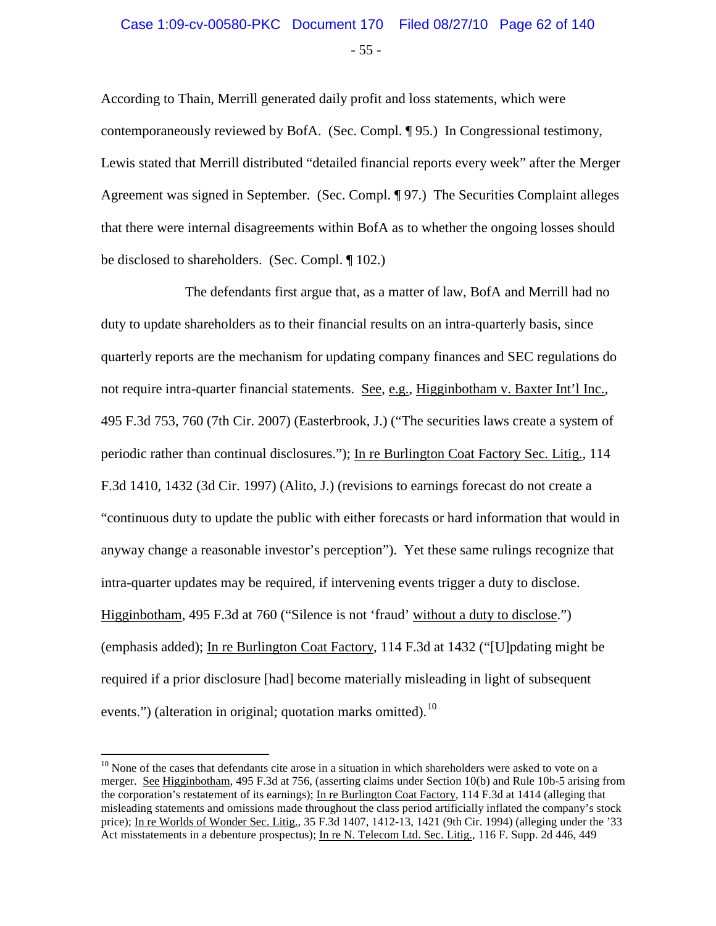## - 55 - Case 1:09-cv-00580-PKC Document 170 Filed 08/27/10 Page 62 of 140

According to Thain, Merrill generated daily profit and loss statements, which were contemporaneously reviewed by BofA. (Sec. Compl. ¶ 95.) In Congressional testimony, Lewis stated that Merrill distributed "detailed financial reports every week" after the Merger Agreement was signed in September. (Sec. Compl. ¶ 97.) The Securities Complaint alleges that there were internal disagreements within BofA as to whether the ongoing losses should be disclosed to shareholders. (Sec. Compl. ¶ 102.)

The defendants first argue that, as a matter of law, BofA and Merrill had no duty to update shareholders as to their financial results on an intra-quarterly basis, since quarterly reports are the mechanism for updating company finances and SEC regulations do not require intra-quarter financial statements. See, e.g., Higginbotham v. Baxter Int'l Inc., 495 F.3d 753, 760 (7th Cir. 2007) (Easterbrook, J.) ("The securities laws create a system of periodic rather than continual disclosures."); In re Burlington Coat Factory Sec. Litig., 114 F.3d 1410, 1432 (3d Cir. 1997) (Alito, J.) (revisions to earnings forecast do not create a "continuous duty to update the public with either forecasts or hard information that would in anyway change a reasonable investor's perception"). Yet these same rulings recognize that intra-quarter updates may be required, if intervening events trigger a duty to disclose. Higginbotham, 495 F.3d at 760 ("Silence is not 'fraud' without a duty to disclose.") (emphasis added); In re Burlington Coat Factory, 114 F.3d at 1432 ("[U]pdating might be required if a prior disclosure [had] become materially misleading in light of subsequent events.") (alteration in original; quotation marks omitted). $^{10}$  $^{10}$  $^{10}$ 

<span id="page-61-0"></span> $10$  None of the cases that defendants cite arose in a situation in which shareholders were asked to vote on a merger. See Higginbotham, 495 F.3d at 756, (asserting claims under Section 10(b) and Rule 10b-5 arising from the corporation's restatement of its earnings); In re Burlington Coat Factory, 114 F.3d at 1414 (alleging that misleading statements and omissions made throughout the class period artificially inflated the company's stock price); In re Worlds of Wonder Sec. Litig., 35 F.3d 1407, 1412-13, 1421 (9th Cir. 1994) (alleging under the '33 Act misstatements in a debenture prospectus); In re N. Telecom Ltd. Sec. Litig., 116 F. Supp. 2d 446, 449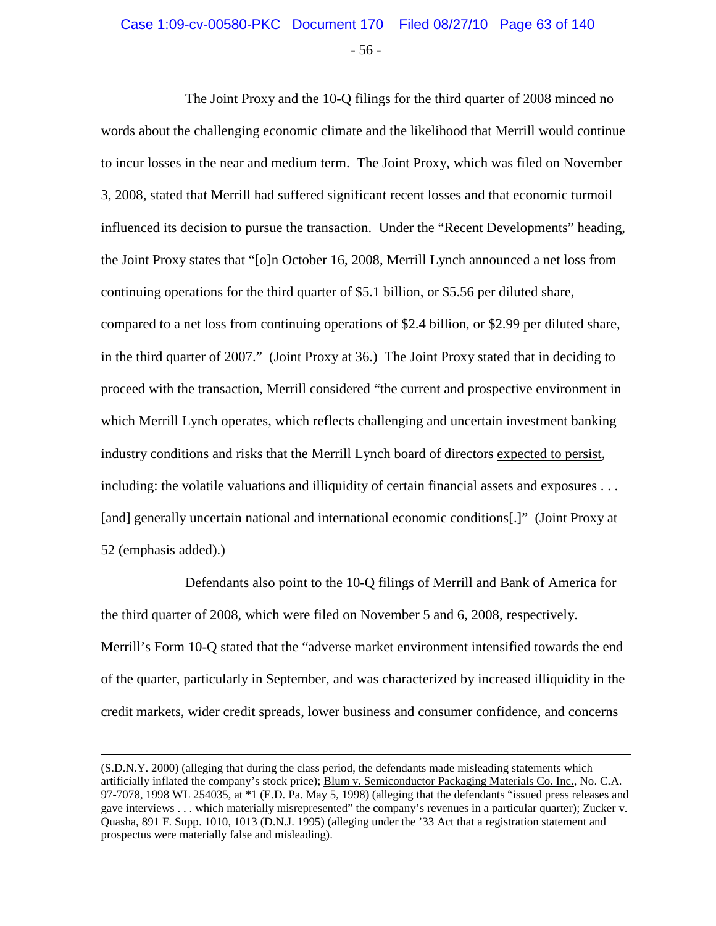## - 56 - Case 1:09-cv-00580-PKC Document 170 Filed 08/27/10 Page 63 of 140

The Joint Proxy and the 10-Q filings for the third quarter of 2008 minced no words about the challenging economic climate and the likelihood that Merrill would continue to incur losses in the near and medium term. The Joint Proxy, which was filed on November 3, 2008, stated that Merrill had suffered significant recent losses and that economic turmoil influenced its decision to pursue the transaction. Under the "Recent Developments" heading, the Joint Proxy states that "[o]n October 16, 2008, Merrill Lynch announced a net loss from continuing operations for the third quarter of \$5.1 billion, or \$5.56 per diluted share, compared to a net loss from continuing operations of \$2.4 billion, or \$2.99 per diluted share, in the third quarter of 2007." (Joint Proxy at 36.) The Joint Proxy stated that in deciding to proceed with the transaction, Merrill considered "the current and prospective environment in which Merrill Lynch operates, which reflects challenging and uncertain investment banking industry conditions and risks that the Merrill Lynch board of directors expected to persist, including: the volatile valuations and illiquidity of certain financial assets and exposures . . . [and] generally uncertain national and international economic conditions[.]" (Joint Proxy at 52 (emphasis added).)

Defendants also point to the 10-Q filings of Merrill and Bank of America for the third quarter of 2008, which were filed on November 5 and 6, 2008, respectively. Merrill's Form 10-Q stated that the "adverse market environment intensified towards the end of the quarter, particularly in September, and was characterized by increased illiquidity in the credit markets, wider credit spreads, lower business and consumer confidence, and concerns

 $\overline{a}$ 

<sup>(</sup>S.D.N.Y. 2000) (alleging that during the class period, the defendants made misleading statements which artificially inflated the company's stock price); Blum v. Semiconductor Packaging Materials Co. Inc., No. C.A. 97-7078, 1998 WL 254035, at \*1 (E.D. Pa. May 5, 1998) (alleging that the defendants "issued press releases and gave interviews . . . which materially misrepresented" the company's revenues in a particular quarter); Zucker v. Quasha, 891 F. Supp. 1010, 1013 (D.N.J. 1995) (alleging under the '33 Act that a registration statement and prospectus were materially false and misleading).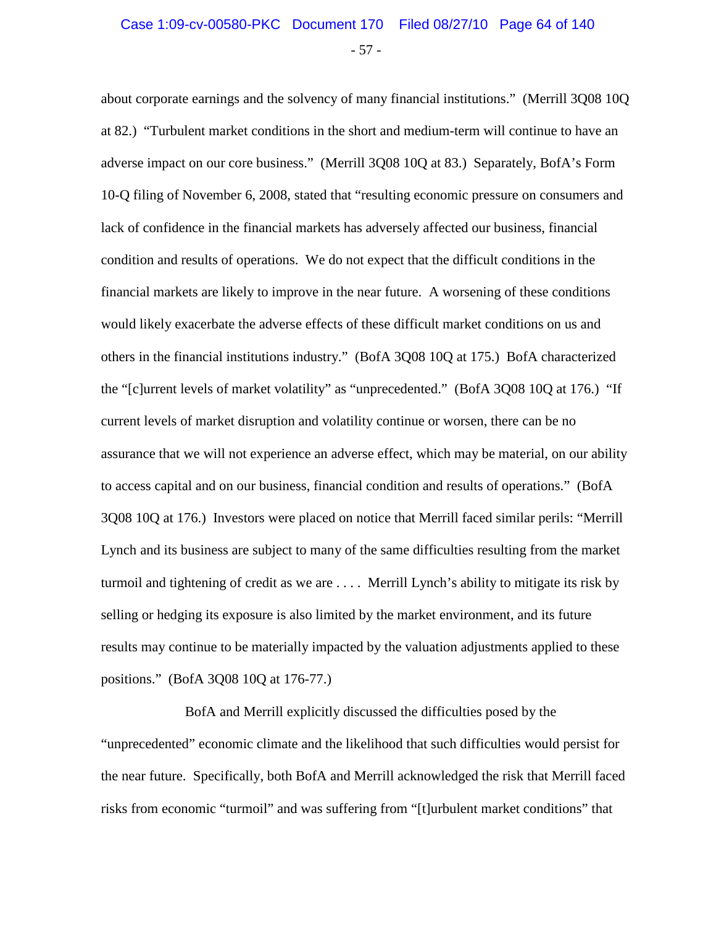about corporate earnings and the solvency of many financial institutions." (Merrill 3Q08 10Q at 82.) "Turbulent market conditions in the short and medium-term will continue to have an adverse impact on our core business." (Merrill 3Q08 10Q at 83.) Separately, BofA's Form 10-Q filing of November 6, 2008, stated that "resulting economic pressure on consumers and lack of confidence in the financial markets has adversely affected our business, financial condition and results of operations. We do not expect that the difficult conditions in the financial markets are likely to improve in the near future. A worsening of these conditions would likely exacerbate the adverse effects of these difficult market conditions on us and others in the financial institutions industry." (BofA 3Q08 10Q at 175.) BofA characterized the "[c]urrent levels of market volatility" as "unprecedented." (BofA 3Q08 10Q at 176.) "If current levels of market disruption and volatility continue or worsen, there can be no assurance that we will not experience an adverse effect, which may be material, on our ability to access capital and on our business, financial condition and results of operations." (BofA 3Q08 10Q at 176.) Investors were placed on notice that Merrill faced similar perils: "Merrill Lynch and its business are subject to many of the same difficulties resulting from the market turmoil and tightening of credit as we are . . . . Merrill Lynch's ability to mitigate its risk by selling or hedging its exposure is also limited by the market environment, and its future results may continue to be materially impacted by the valuation adjustments applied to these positions." (BofA 3Q08 10Q at 176-77.)

BofA and Merrill explicitly discussed the difficulties posed by the "unprecedented" economic climate and the likelihood that such difficulties would persist for the near future. Specifically, both BofA and Merrill acknowledged the risk that Merrill faced risks from economic "turmoil" and was suffering from "[t]urbulent market conditions" that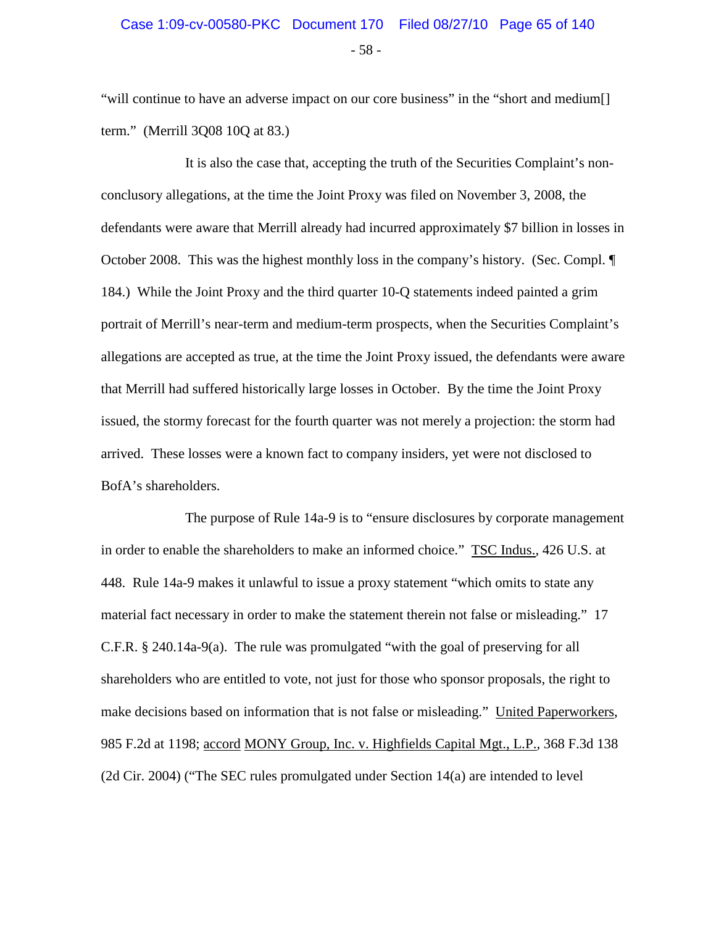"will continue to have an adverse impact on our core business" in the "short and medium[] term." (Merrill 3Q08 10Q at 83.)

It is also the case that, accepting the truth of the Securities Complaint's nonconclusory allegations, at the time the Joint Proxy was filed on November 3, 2008, the defendants were aware that Merrill already had incurred approximately \$7 billion in losses in October 2008. This was the highest monthly loss in the company's history. (Sec. Compl. ¶ 184.) While the Joint Proxy and the third quarter 10-Q statements indeed painted a grim portrait of Merrill's near-term and medium-term prospects, when the Securities Complaint's allegations are accepted as true, at the time the Joint Proxy issued, the defendants were aware that Merrill had suffered historically large losses in October. By the time the Joint Proxy issued, the stormy forecast for the fourth quarter was not merely a projection: the storm had arrived. These losses were a known fact to company insiders, yet were not disclosed to BofA's shareholders.

The purpose of Rule 14a-9 is to "ensure disclosures by corporate management in order to enable the shareholders to make an informed choice." TSC Indus., 426 U.S. at 448. Rule 14a-9 makes it unlawful to issue a proxy statement "which omits to state any material fact necessary in order to make the statement therein not false or misleading." 17 C.F.R. § 240.14a-9(a). The rule was promulgated "with the goal of preserving for all shareholders who are entitled to vote, not just for those who sponsor proposals, the right to make decisions based on information that is not false or misleading." United Paperworkers, 985 F.2d at 1198; accord MONY Group, Inc. v. Highfields Capital Mgt., L.P., 368 F.3d 138 (2d Cir. 2004) ("The SEC rules promulgated under Section 14(a) are intended to level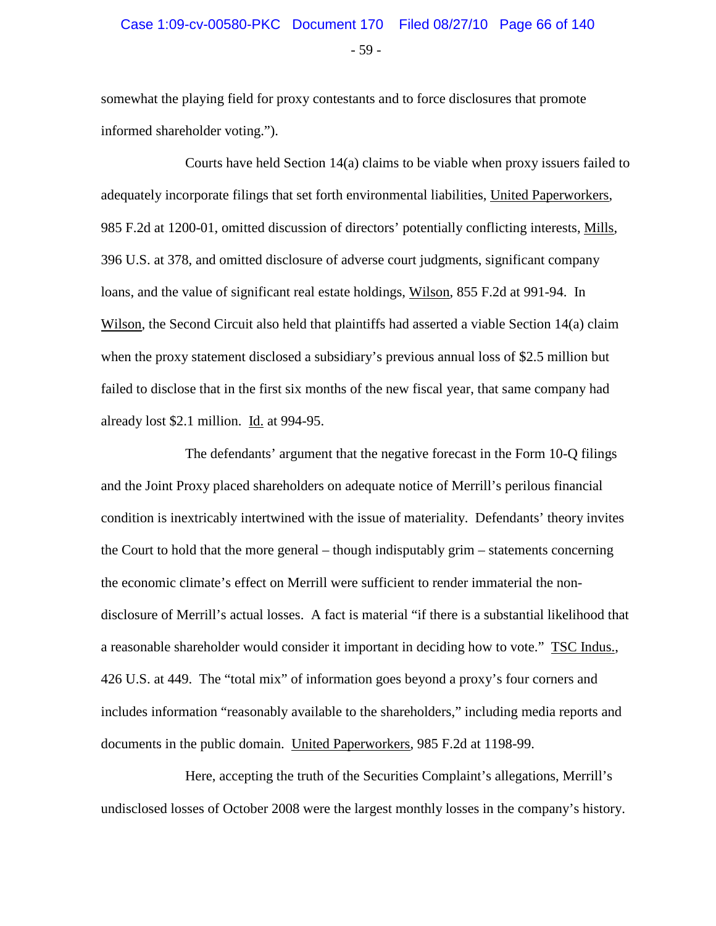## - 59 - Case 1:09-cv-00580-PKC Document 170 Filed 08/27/10 Page 66 of 140

somewhat the playing field for proxy contestants and to force disclosures that promote informed shareholder voting.").

Courts have held Section 14(a) claims to be viable when proxy issuers failed to adequately incorporate filings that set forth environmental liabilities, United Paperworkers, 985 F.2d at 1200-01, omitted discussion of directors' potentially conflicting interests, Mills, 396 U.S. at 378, and omitted disclosure of adverse court judgments, significant company loans, and the value of significant real estate holdings, Wilson, 855 F.2d at 991-94. In Wilson, the Second Circuit also held that plaintiffs had asserted a viable Section 14(a) claim when the proxy statement disclosed a subsidiary's previous annual loss of \$2.5 million but failed to disclose that in the first six months of the new fiscal year, that same company had already lost \$2.1 million. Id. at 994-95.

The defendants' argument that the negative forecast in the Form 10-Q filings and the Joint Proxy placed shareholders on adequate notice of Merrill's perilous financial condition is inextricably intertwined with the issue of materiality. Defendants' theory invites the Court to hold that the more general – though indisputably grim – statements concerning the economic climate's effect on Merrill were sufficient to render immaterial the nondisclosure of Merrill's actual losses. A fact is material "if there is a substantial likelihood that a reasonable shareholder would consider it important in deciding how to vote." TSC Indus., 426 U.S. at 449. The "total mix" of information goes beyond a proxy's four corners and includes information "reasonably available to the shareholders," including media reports and documents in the public domain. United Paperworkers, 985 F.2d at 1198-99.

Here, accepting the truth of the Securities Complaint's allegations, Merrill's undisclosed losses of October 2008 were the largest monthly losses in the company's history.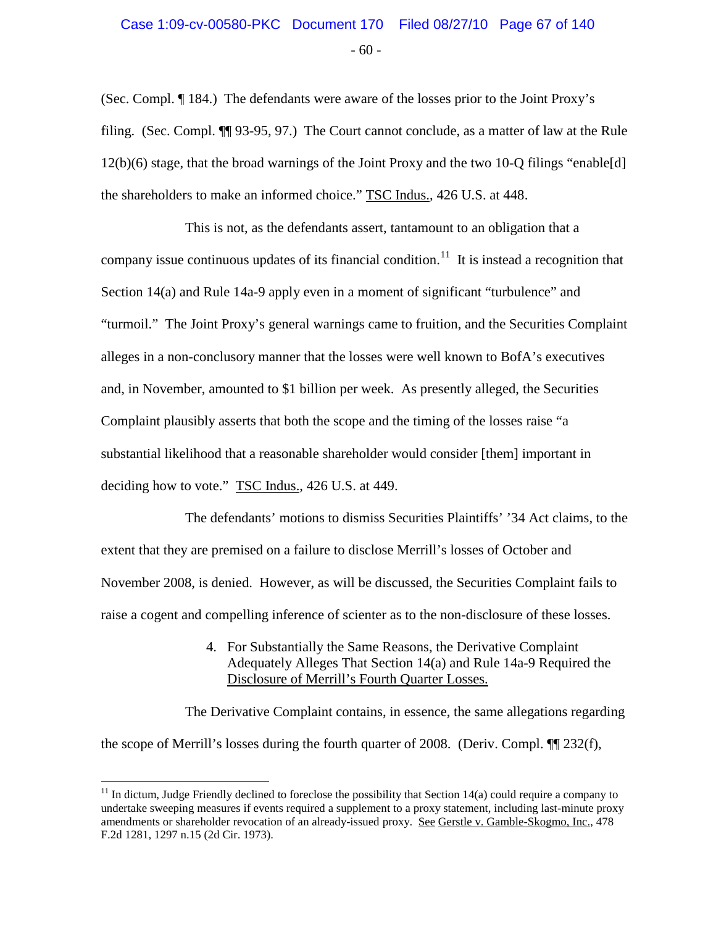## - 60 - Case 1:09-cv-00580-PKC Document 170 Filed 08/27/10 Page 67 of 140

(Sec. Compl. ¶ 184.) The defendants were aware of the losses prior to the Joint Proxy's filing. (Sec. Compl. ¶¶ 93-95, 97.) The Court cannot conclude, as a matter of law at the Rule 12(b)(6) stage, that the broad warnings of the Joint Proxy and the two 10-Q filings "enable[d] the shareholders to make an informed choice." TSC Indus., 426 U.S. at 448.

This is not, as the defendants assert, tantamount to an obligation that a company issue continuous updates of its financial condition.<sup>[11](#page-66-0)</sup> It is instead a recognition that Section 14(a) and Rule 14a-9 apply even in a moment of significant "turbulence" and "turmoil." The Joint Proxy's general warnings came to fruition, and the Securities Complaint alleges in a non-conclusory manner that the losses were well known to BofA's executives and, in November, amounted to \$1 billion per week. As presently alleged, the Securities Complaint plausibly asserts that both the scope and the timing of the losses raise "a substantial likelihood that a reasonable shareholder would consider [them] important in deciding how to vote." TSC Indus., 426 U.S. at 449.

The defendants' motions to dismiss Securities Plaintiffs' '34 Act claims, to the extent that they are premised on a failure to disclose Merrill's losses of October and November 2008, is denied. However, as will be discussed, the Securities Complaint fails to raise a cogent and compelling inference of scienter as to the non-disclosure of these losses.

> 4. For Substantially the Same Reasons, the Derivative Complaint Adequately Alleges That Section 14(a) and Rule 14a-9 Required the Disclosure of Merrill's Fourth Quarter Losses.

The Derivative Complaint contains, in essence, the same allegations regarding the scope of Merrill's losses during the fourth quarter of 2008. (Deriv. Compl.  $\P$ [232(f),

<span id="page-66-0"></span> $11$  In dictum, Judge Friendly declined to foreclose the possibility that Section 14(a) could require a company to undertake sweeping measures if events required a supplement to a proxy statement, including last-minute proxy amendments or shareholder revocation of an already-issued proxy. See Gerstle v. Gamble-Skogmo, Inc., 478 F.2d 1281, 1297 n.15 (2d Cir. 1973).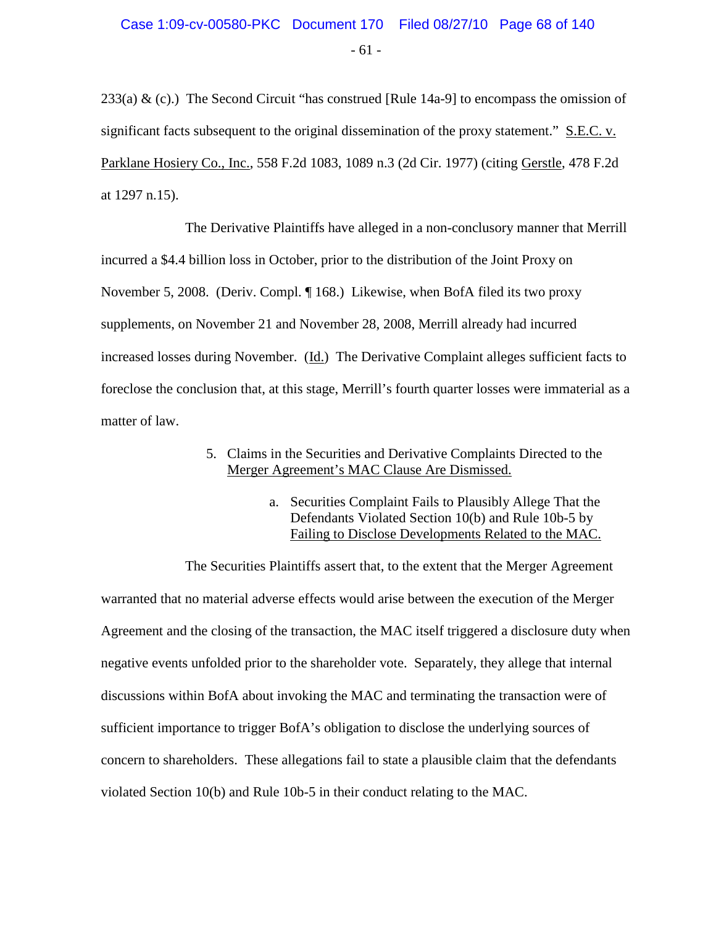- 61 -

233(a)  $\&$  (c).) The Second Circuit "has construed [Rule 14a-9] to encompass the omission of significant facts subsequent to the original dissemination of the proxy statement." S.E.C. v. Parklane Hosiery Co., Inc., 558 F.2d 1083, 1089 n.3 (2d Cir. 1977) (citing Gerstle, 478 F.2d at 1297 n.15).

The Derivative Plaintiffs have alleged in a non-conclusory manner that Merrill incurred a \$4.4 billion loss in October, prior to the distribution of the Joint Proxy on November 5, 2008. (Deriv. Compl. ¶ 168.) Likewise, when BofA filed its two proxy supplements, on November 21 and November 28, 2008, Merrill already had incurred increased losses during November. (Id.) The Derivative Complaint alleges sufficient facts to foreclose the conclusion that, at this stage, Merrill's fourth quarter losses were immaterial as a matter of law.

- 5. Claims in the Securities and Derivative Complaints Directed to the Merger Agreement's MAC Clause Are Dismissed.
	- a. Securities Complaint Fails to Plausibly Allege That the Defendants Violated Section 10(b) and Rule 10b-5 by Failing to Disclose Developments Related to the MAC.

The Securities Plaintiffs assert that, to the extent that the Merger Agreement warranted that no material adverse effects would arise between the execution of the Merger Agreement and the closing of the transaction, the MAC itself triggered a disclosure duty when negative events unfolded prior to the shareholder vote. Separately, they allege that internal discussions within BofA about invoking the MAC and terminating the transaction were of sufficient importance to trigger BofA's obligation to disclose the underlying sources of concern to shareholders. These allegations fail to state a plausible claim that the defendants violated Section 10(b) and Rule 10b-5 in their conduct relating to the MAC.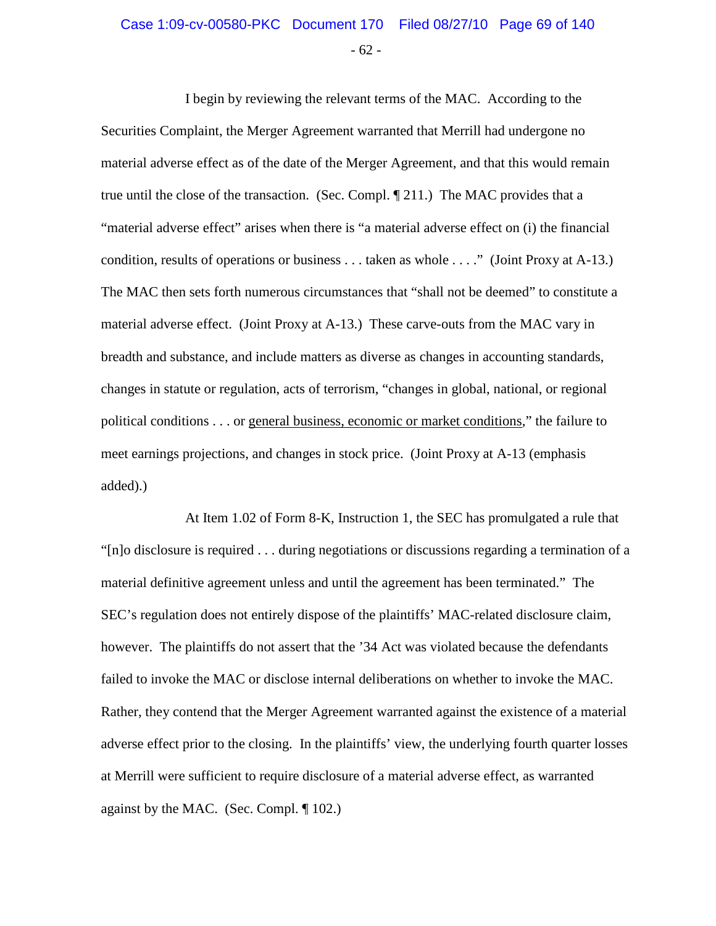### - 62 - Case 1:09-cv-00580-PKC Document 170 Filed 08/27/10 Page 69 of 140

I begin by reviewing the relevant terms of the MAC. According to the Securities Complaint, the Merger Agreement warranted that Merrill had undergone no material adverse effect as of the date of the Merger Agreement, and that this would remain true until the close of the transaction. (Sec. Compl. ¶ 211.) The MAC provides that a "material adverse effect" arises when there is "a material adverse effect on (i) the financial condition, results of operations or business . . . taken as whole . . . ." (Joint Proxy at A-13.) The MAC then sets forth numerous circumstances that "shall not be deemed" to constitute a material adverse effect. (Joint Proxy at A-13.) These carve-outs from the MAC vary in breadth and substance, and include matters as diverse as changes in accounting standards, changes in statute or regulation, acts of terrorism, "changes in global, national, or regional political conditions . . . or general business, economic or market conditions," the failure to meet earnings projections, and changes in stock price. (Joint Proxy at A-13 (emphasis added).)

At Item 1.02 of Form 8-K, Instruction 1, the SEC has promulgated a rule that "[n]o disclosure is required . . . during negotiations or discussions regarding a termination of a material definitive agreement unless and until the agreement has been terminated." The SEC's regulation does not entirely dispose of the plaintiffs' MAC-related disclosure claim, however. The plaintiffs do not assert that the '34 Act was violated because the defendants failed to invoke the MAC or disclose internal deliberations on whether to invoke the MAC. Rather, they contend that the Merger Agreement warranted against the existence of a material adverse effect prior to the closing. In the plaintiffs' view, the underlying fourth quarter losses at Merrill were sufficient to require disclosure of a material adverse effect, as warranted against by the MAC. (Sec. Compl. ¶ 102.)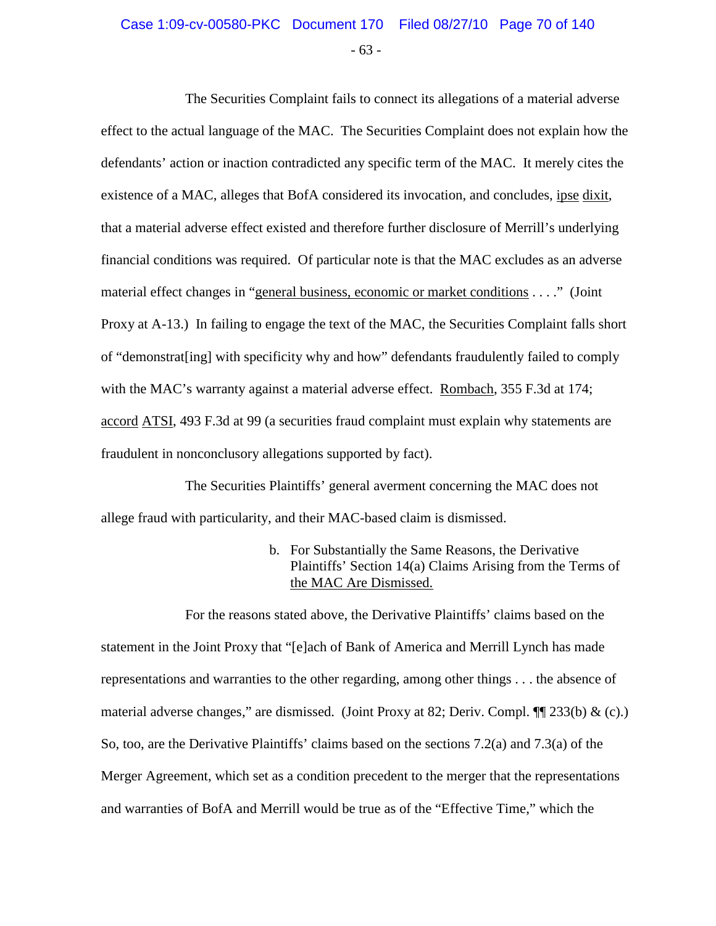### - 63 - Case 1:09-cv-00580-PKC Document 170 Filed 08/27/10 Page 70 of 140

The Securities Complaint fails to connect its allegations of a material adverse effect to the actual language of the MAC. The Securities Complaint does not explain how the defendants' action or inaction contradicted any specific term of the MAC. It merely cites the existence of a MAC, alleges that BofA considered its invocation, and concludes, ipse dixit, that a material adverse effect existed and therefore further disclosure of Merrill's underlying financial conditions was required. Of particular note is that the MAC excludes as an adverse material effect changes in "general business, economic or market conditions . . . ." (Joint Proxy at A-13.) In failing to engage the text of the MAC, the Securities Complaint falls short of "demonstrat[ing] with specificity why and how" defendants fraudulently failed to comply with the MAC's warranty against a material adverse effect. Rombach, 355 F.3d at 174; accord ATSI, 493 F.3d at 99 (a securities fraud complaint must explain why statements are fraudulent in nonconclusory allegations supported by fact).

The Securities Plaintiffs' general averment concerning the MAC does not allege fraud with particularity, and their MAC-based claim is dismissed.

> b. For Substantially the Same Reasons, the Derivative Plaintiffs' Section 14(a) Claims Arising from the Terms of the MAC Are Dismissed.

For the reasons stated above, the Derivative Plaintiffs' claims based on the statement in the Joint Proxy that "[e]ach of Bank of America and Merrill Lynch has made representations and warranties to the other regarding, among other things . . . the absence of material adverse changes," are dismissed. (Joint Proxy at 82; Deriv. Compl. ¶¶ 233(b) & (c).) So, too, are the Derivative Plaintiffs' claims based on the sections 7.2(a) and 7.3(a) of the Merger Agreement, which set as a condition precedent to the merger that the representations and warranties of BofA and Merrill would be true as of the "Effective Time," which the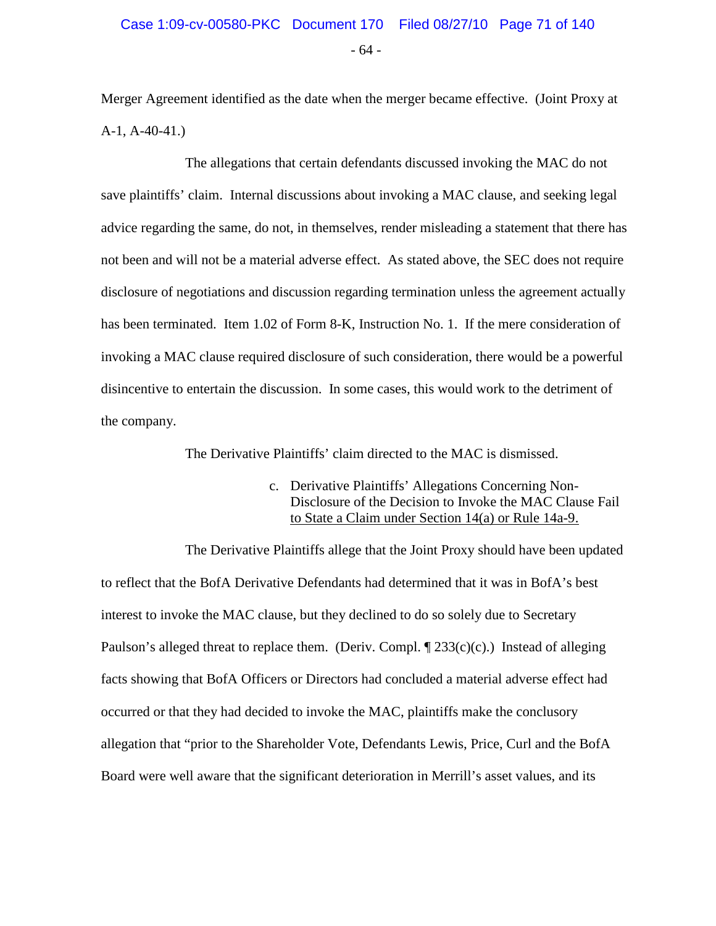- 64 -

Merger Agreement identified as the date when the merger became effective. (Joint Proxy at A-1, A-40-41.)

The allegations that certain defendants discussed invoking the MAC do not save plaintiffs' claim. Internal discussions about invoking a MAC clause, and seeking legal advice regarding the same, do not, in themselves, render misleading a statement that there has not been and will not be a material adverse effect. As stated above, the SEC does not require disclosure of negotiations and discussion regarding termination unless the agreement actually has been terminated. Item 1.02 of Form 8-K, Instruction No. 1. If the mere consideration of invoking a MAC clause required disclosure of such consideration, there would be a powerful disincentive to entertain the discussion. In some cases, this would work to the detriment of the company.

The Derivative Plaintiffs' claim directed to the MAC is dismissed.

c. Derivative Plaintiffs' Allegations Concerning Non-Disclosure of the Decision to Invoke the MAC Clause Fail to State a Claim under Section 14(a) or Rule 14a-9.

The Derivative Plaintiffs allege that the Joint Proxy should have been updated to reflect that the BofA Derivative Defendants had determined that it was in BofA's best interest to invoke the MAC clause, but they declined to do so solely due to Secretary Paulson's alleged threat to replace them. (Deriv. Compl.  $\P$  233(c)(c).) Instead of alleging facts showing that BofA Officers or Directors had concluded a material adverse effect had occurred or that they had decided to invoke the MAC, plaintiffs make the conclusory allegation that "prior to the Shareholder Vote, Defendants Lewis, Price, Curl and the BofA Board were well aware that the significant deterioration in Merrill's asset values, and its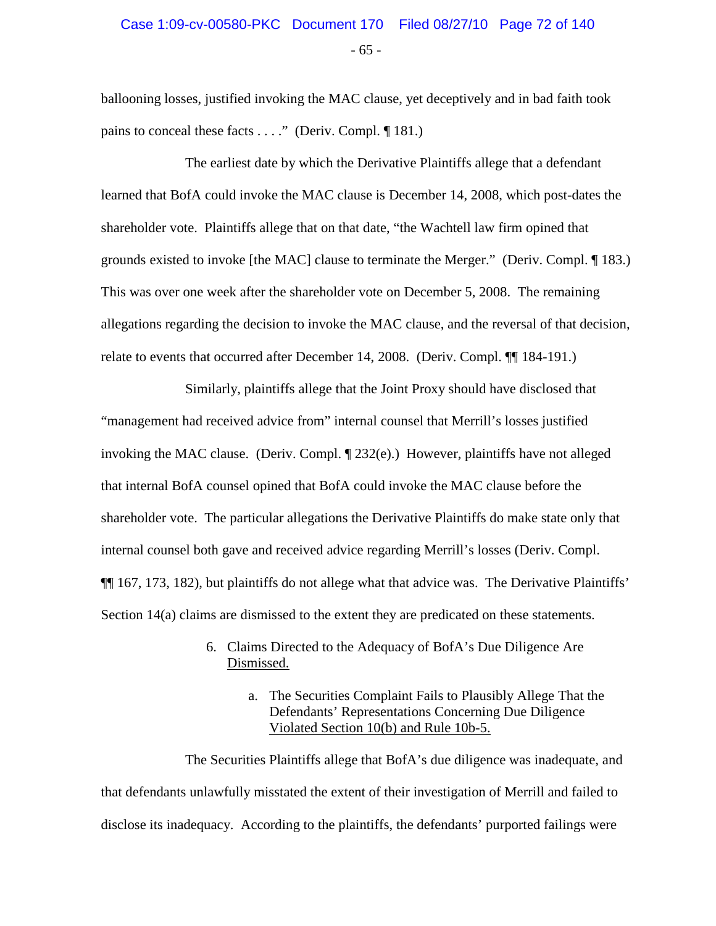## - 65 - Case 1:09-cv-00580-PKC Document 170 Filed 08/27/10 Page 72 of 140

ballooning losses, justified invoking the MAC clause, yet deceptively and in bad faith took pains to conceal these facts . . . ." (Deriv. Compl. ¶ 181.)

The earliest date by which the Derivative Plaintiffs allege that a defendant learned that BofA could invoke the MAC clause is December 14, 2008, which post-dates the shareholder vote. Plaintiffs allege that on that date, "the Wachtell law firm opined that grounds existed to invoke [the MAC] clause to terminate the Merger." (Deriv. Compl. ¶ 183.) This was over one week after the shareholder vote on December 5, 2008. The remaining allegations regarding the decision to invoke the MAC clause, and the reversal of that decision, relate to events that occurred after December 14, 2008. (Deriv. Compl. ¶¶ 184-191.)

Similarly, plaintiffs allege that the Joint Proxy should have disclosed that "management had received advice from" internal counsel that Merrill's losses justified invoking the MAC clause. (Deriv. Compl. ¶ 232(e).) However, plaintiffs have not alleged that internal BofA counsel opined that BofA could invoke the MAC clause before the shareholder vote. The particular allegations the Derivative Plaintiffs do make state only that internal counsel both gave and received advice regarding Merrill's losses (Deriv. Compl. ¶¶ 167, 173, 182), but plaintiffs do not allege what that advice was. The Derivative Plaintiffs' Section 14(a) claims are dismissed to the extent they are predicated on these statements.

- 6. Claims Directed to the Adequacy of BofA's Due Diligence Are Dismissed.
	- a. The Securities Complaint Fails to Plausibly Allege That the Defendants' Representations Concerning Due Diligence Violated Section 10(b) and Rule 10b-5.

The Securities Plaintiffs allege that BofA's due diligence was inadequate, and that defendants unlawfully misstated the extent of their investigation of Merrill and failed to disclose its inadequacy. According to the plaintiffs, the defendants' purported failings were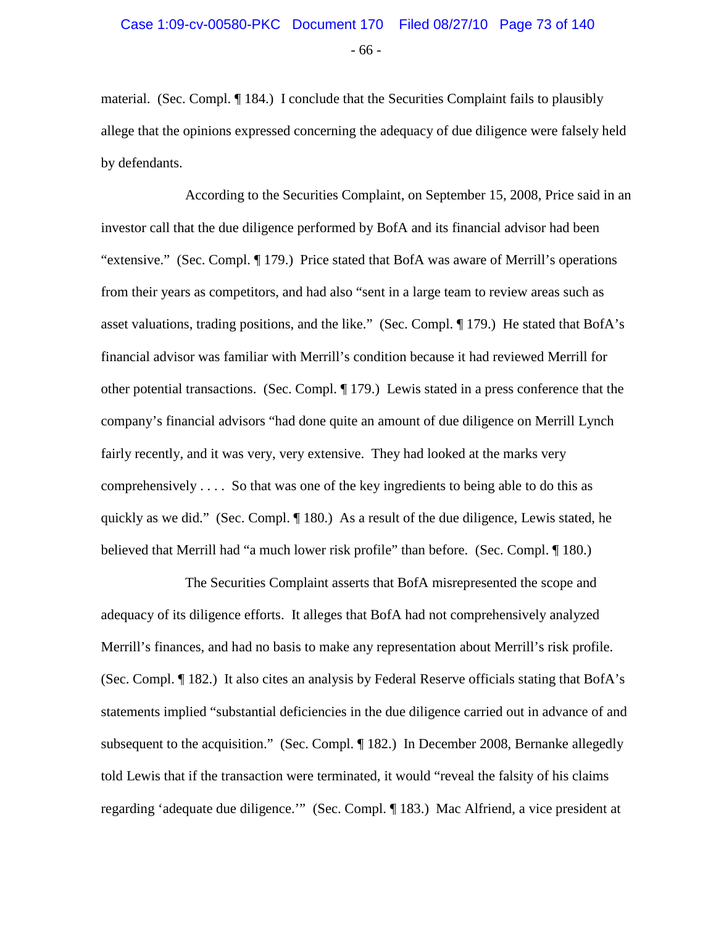# - 66 - Case 1:09-cv-00580-PKC Document 170 Filed 08/27/10 Page 73 of 140

material. (Sec. Compl. ¶ 184.) I conclude that the Securities Complaint fails to plausibly allege that the opinions expressed concerning the adequacy of due diligence were falsely held by defendants.

According to the Securities Complaint, on September 15, 2008, Price said in an investor call that the due diligence performed by BofA and its financial advisor had been "extensive." (Sec. Compl. ¶ 179.) Price stated that BofA was aware of Merrill's operations from their years as competitors, and had also "sent in a large team to review areas such as asset valuations, trading positions, and the like." (Sec. Compl. ¶ 179.) He stated that BofA's financial advisor was familiar with Merrill's condition because it had reviewed Merrill for other potential transactions. (Sec. Compl. ¶ 179.) Lewis stated in a press conference that the company's financial advisors "had done quite an amount of due diligence on Merrill Lynch fairly recently, and it was very, very extensive. They had looked at the marks very comprehensively . . . . So that was one of the key ingredients to being able to do this as quickly as we did." (Sec. Compl. ¶ 180.) As a result of the due diligence, Lewis stated, he believed that Merrill had "a much lower risk profile" than before. (Sec. Compl. ¶ 180.)

The Securities Complaint asserts that BofA misrepresented the scope and adequacy of its diligence efforts. It alleges that BofA had not comprehensively analyzed Merrill's finances, and had no basis to make any representation about Merrill's risk profile. (Sec. Compl. ¶ 182.) It also cites an analysis by Federal Reserve officials stating that BofA's statements implied "substantial deficiencies in the due diligence carried out in advance of and subsequent to the acquisition." (Sec. Compl. ¶ 182.) In December 2008, Bernanke allegedly told Lewis that if the transaction were terminated, it would "reveal the falsity of his claims regarding 'adequate due diligence.'" (Sec. Compl. ¶ 183.) Mac Alfriend, a vice president at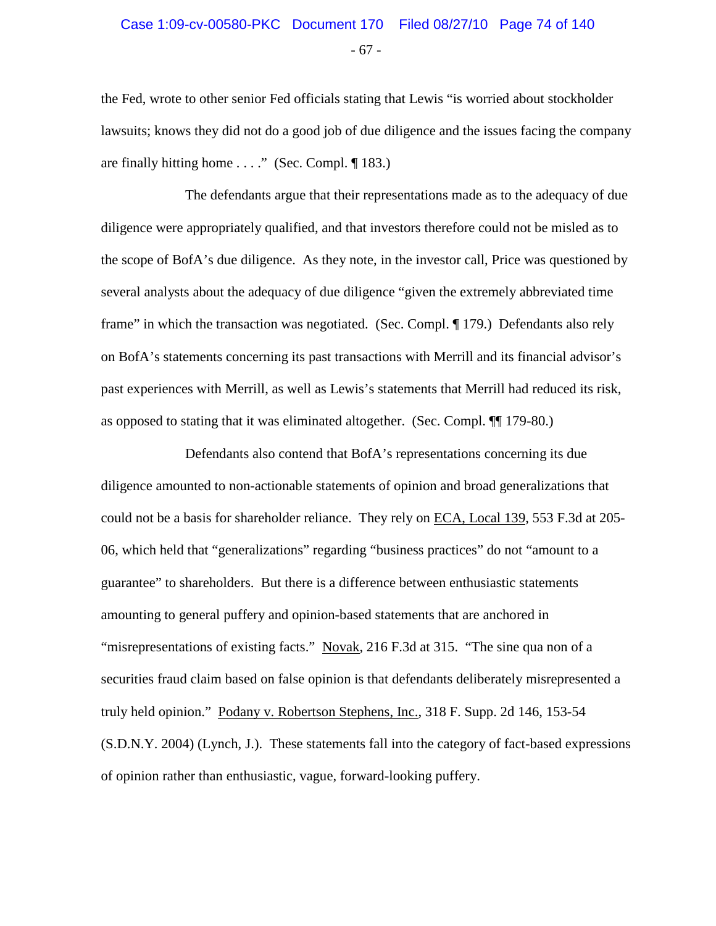# - 67 - Case 1:09-cv-00580-PKC Document 170 Filed 08/27/10 Page 74 of 140

the Fed, wrote to other senior Fed officials stating that Lewis "is worried about stockholder lawsuits; knows they did not do a good job of due diligence and the issues facing the company are finally hitting home  $\dots$ ." (Sec. Compl. ¶ 183.)

The defendants argue that their representations made as to the adequacy of due diligence were appropriately qualified, and that investors therefore could not be misled as to the scope of BofA's due diligence. As they note, in the investor call, Price was questioned by several analysts about the adequacy of due diligence "given the extremely abbreviated time frame" in which the transaction was negotiated. (Sec. Compl. ¶ 179.) Defendants also rely on BofA's statements concerning its past transactions with Merrill and its financial advisor's past experiences with Merrill, as well as Lewis's statements that Merrill had reduced its risk, as opposed to stating that it was eliminated altogether. (Sec. Compl. ¶¶ 179-80.)

Defendants also contend that BofA's representations concerning its due diligence amounted to non-actionable statements of opinion and broad generalizations that could not be a basis for shareholder reliance. They rely on ECA, Local 139, 553 F.3d at 205- 06, which held that "generalizations" regarding "business practices" do not "amount to a guarantee" to shareholders. But there is a difference between enthusiastic statements amounting to general puffery and opinion-based statements that are anchored in "misrepresentations of existing facts." Novak, 216 F.3d at 315. "The sine qua non of a securities fraud claim based on false opinion is that defendants deliberately misrepresented a truly held opinion." Podany v. Robertson Stephens, Inc., 318 F. Supp. 2d 146, 153-54 (S.D.N.Y. 2004) (Lynch, J.). These statements fall into the category of fact-based expressions of opinion rather than enthusiastic, vague, forward-looking puffery.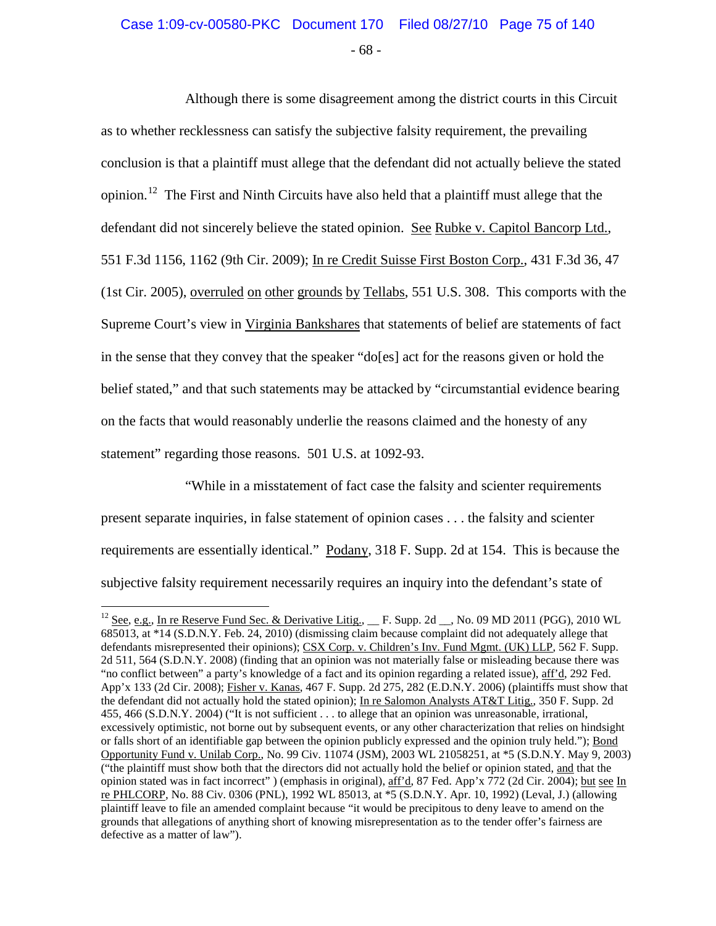# Case 1:09-cv-00580-PKC Document 170 Filed 08/27/10 Page 75 of 140

- 68 -

Although there is some disagreement among the district courts in this Circuit as to whether recklessness can satisfy the subjective falsity requirement, the prevailing conclusion is that a plaintiff must allege that the defendant did not actually believe the stated opinion.<sup>[12](#page-74-0)</sup> The First and Ninth Circuits have also held that a plaintiff must allege that the defendant did not sincerely believe the stated opinion. See Rubke v. Capitol Bancorp Ltd., 551 F.3d 1156, 1162 (9th Cir. 2009); In re Credit Suisse First Boston Corp., 431 F.3d 36, 47 (1st Cir. 2005), overruled on other grounds by Tellabs, 551 U.S. 308. This comports with the Supreme Court's view in Virginia Bankshares that statements of belief are statements of fact in the sense that they convey that the speaker "do[es] act for the reasons given or hold the belief stated," and that such statements may be attacked by "circumstantial evidence bearing on the facts that would reasonably underlie the reasons claimed and the honesty of any statement" regarding those reasons. 501 U.S. at 1092-93.

"While in a misstatement of fact case the falsity and scienter requirements present separate inquiries, in false statement of opinion cases . . . the falsity and scienter requirements are essentially identical." Podany, 318 F. Supp. 2d at 154. This is because the subjective falsity requirement necessarily requires an inquiry into the defendant's state of

<span id="page-74-0"></span><sup>&</sup>lt;sup>12</sup> See, e.g., In re Reserve Fund Sec. & Derivative Litig., F. Supp. 2d , No. 09 MD 2011 (PGG), 2010 WL 685013, at \*14 (S.D.N.Y. Feb. 24, 2010) (dismissing claim because complaint did not adequately allege that defendants misrepresented their opinions); CSX Corp. v. Children's Inv. Fund Mgmt. (UK) LLP, 562 F. Supp. 2d 511, 564 (S.D.N.Y. 2008) (finding that an opinion was not materially false or misleading because there was "no conflict between" a party's knowledge of a fact and its opinion regarding a related issue), aff'd, 292 Fed. App'x 133 (2d Cir. 2008); Fisher v. Kanas, 467 F. Supp. 2d 275, 282 (E.D.N.Y. 2006) (plaintiffs must show that the defendant did not actually hold the stated opinion); In re Salomon Analysts AT&T Litig., 350 F. Supp. 2d 455, 466 (S.D.N.Y. 2004) ("It is not sufficient . . . to allege that an opinion was unreasonable, irrational, excessively optimistic, not borne out by subsequent events, or any other characterization that relies on hindsight or falls short of an identifiable gap between the opinion publicly expressed and the opinion truly held."); Bond Opportunity Fund v. Unilab Corp., No. 99 Civ. 11074 (JSM), 2003 WL 21058251, at \*5 (S.D.N.Y. May 9, 2003) ("the plaintiff must show both that the directors did not actually hold the belief or opinion stated, and that the opinion stated was in fact incorrect" ) (emphasis in original), aff'd, 87 Fed. App'x 772 (2d Cir. 2004); but see In re PHLCORP, No. 88 Civ. 0306 (PNL), 1992 WL 85013, at \*5 (S.D.N.Y. Apr. 10, 1992) (Leval, J.) (allowing plaintiff leave to file an amended complaint because "it would be precipitous to deny leave to amend on the grounds that allegations of anything short of knowing misrepresentation as to the tender offer's fairness are defective as a matter of law").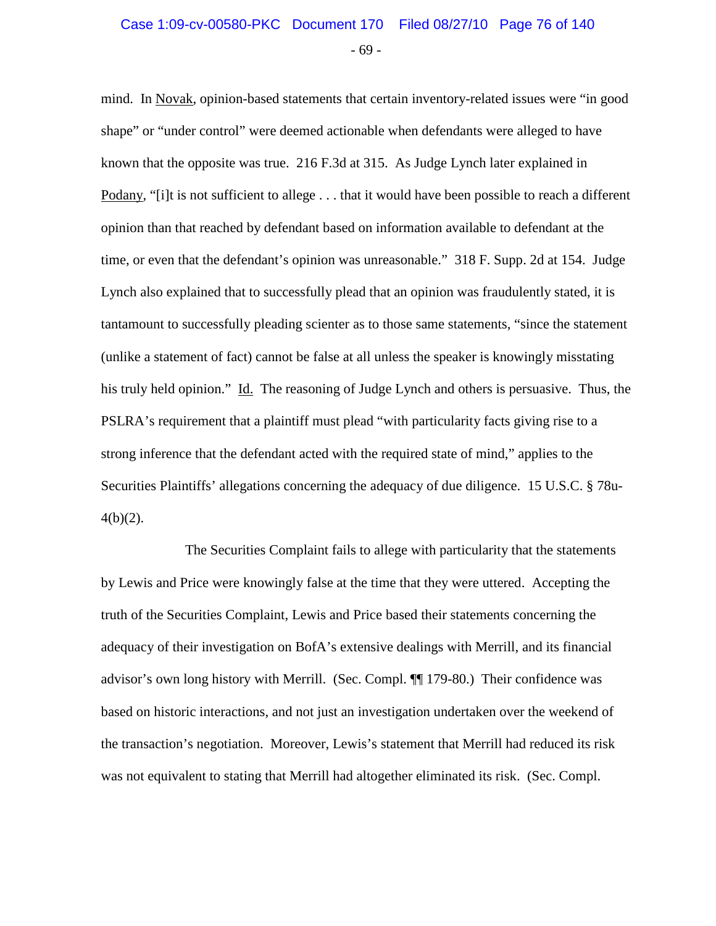# - 69 - Case 1:09-cv-00580-PKC Document 170 Filed 08/27/10 Page 76 of 140

mind. In Novak, opinion-based statements that certain inventory-related issues were "in good shape" or "under control" were deemed actionable when defendants were alleged to have known that the opposite was true. 216 F.3d at 315. As Judge Lynch later explained in Podany, "[i]t is not sufficient to allege . . . that it would have been possible to reach a different opinion than that reached by defendant based on information available to defendant at the time, or even that the defendant's opinion was unreasonable." 318 F. Supp. 2d at 154. Judge Lynch also explained that to successfully plead that an opinion was fraudulently stated, it is tantamount to successfully pleading scienter as to those same statements, "since the statement (unlike a statement of fact) cannot be false at all unless the speaker is knowingly misstating his truly held opinion." Id. The reasoning of Judge Lynch and others is persuasive. Thus, the PSLRA's requirement that a plaintiff must plead "with particularity facts giving rise to a strong inference that the defendant acted with the required state of mind," applies to the Securities Plaintiffs' allegations concerning the adequacy of due diligence. 15 U.S.C. § 78u- $4(b)(2)$ .

The Securities Complaint fails to allege with particularity that the statements by Lewis and Price were knowingly false at the time that they were uttered. Accepting the truth of the Securities Complaint, Lewis and Price based their statements concerning the adequacy of their investigation on BofA's extensive dealings with Merrill, and its financial advisor's own long history with Merrill. (Sec. Compl. ¶¶ 179-80.) Their confidence was based on historic interactions, and not just an investigation undertaken over the weekend of the transaction's negotiation. Moreover, Lewis's statement that Merrill had reduced its risk was not equivalent to stating that Merrill had altogether eliminated its risk. (Sec. Compl.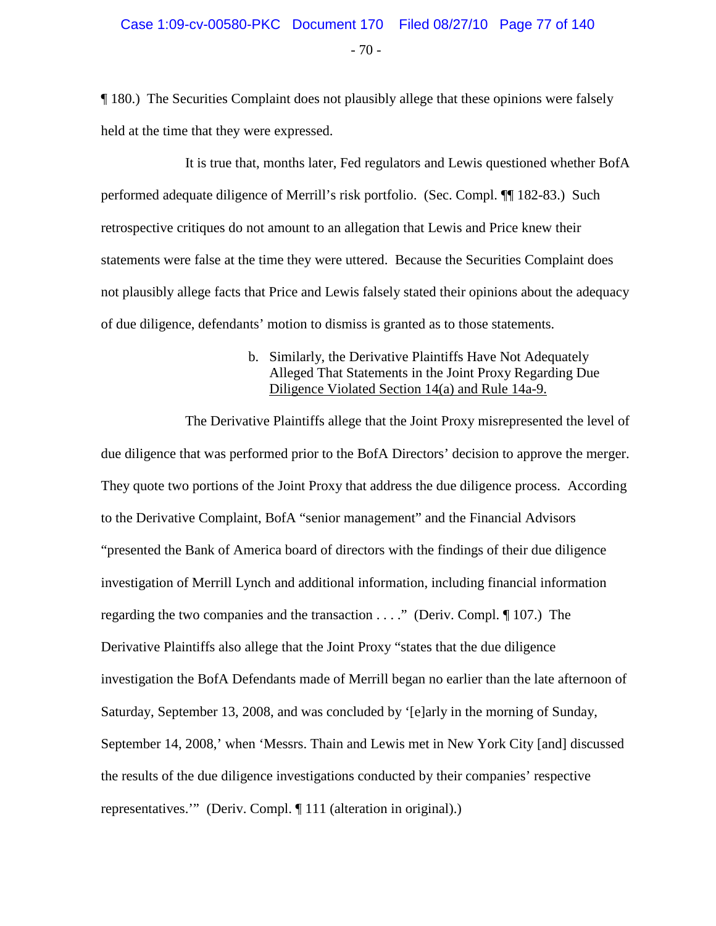$-70 -$ 

¶ 180.) The Securities Complaint does not plausibly allege that these opinions were falsely held at the time that they were expressed.

It is true that, months later, Fed regulators and Lewis questioned whether BofA performed adequate diligence of Merrill's risk portfolio. (Sec. Compl. ¶¶ 182-83.) Such retrospective critiques do not amount to an allegation that Lewis and Price knew their statements were false at the time they were uttered. Because the Securities Complaint does not plausibly allege facts that Price and Lewis falsely stated their opinions about the adequacy of due diligence, defendants' motion to dismiss is granted as to those statements.

#### b. Similarly, the Derivative Plaintiffs Have Not Adequately Alleged That Statements in the Joint Proxy Regarding Due Diligence Violated Section 14(a) and Rule 14a-9.

The Derivative Plaintiffs allege that the Joint Proxy misrepresented the level of due diligence that was performed prior to the BofA Directors' decision to approve the merger. They quote two portions of the Joint Proxy that address the due diligence process. According to the Derivative Complaint, BofA "senior management" and the Financial Advisors "presented the Bank of America board of directors with the findings of their due diligence investigation of Merrill Lynch and additional information, including financial information regarding the two companies and the transaction . . . ." (Deriv. Compl. ¶ 107.) The Derivative Plaintiffs also allege that the Joint Proxy "states that the due diligence investigation the BofA Defendants made of Merrill began no earlier than the late afternoon of Saturday, September 13, 2008, and was concluded by '[e]arly in the morning of Sunday, September 14, 2008,' when 'Messrs. Thain and Lewis met in New York City [and] discussed the results of the due diligence investigations conducted by their companies' respective representatives.'" (Deriv. Compl. ¶ 111 (alteration in original).)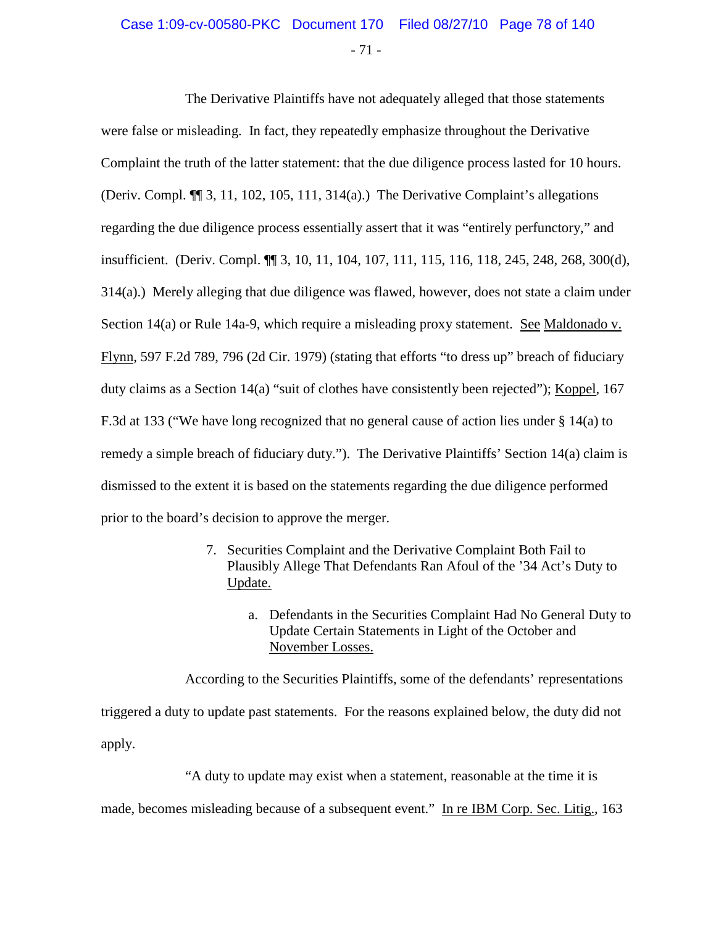# Case 1:09-cv-00580-PKC Document 170 Filed 08/27/10 Page 78 of 140

- 71 -

The Derivative Plaintiffs have not adequately alleged that those statements were false or misleading. In fact, they repeatedly emphasize throughout the Derivative Complaint the truth of the latter statement: that the due diligence process lasted for 10 hours. (Deriv. Compl. ¶¶ 3, 11, 102, 105, 111, 314(a).) The Derivative Complaint's allegations regarding the due diligence process essentially assert that it was "entirely perfunctory," and insufficient. (Deriv. Compl. ¶¶ 3, 10, 11, 104, 107, 111, 115, 116, 118, 245, 248, 268, 300(d), 314(a).) Merely alleging that due diligence was flawed, however, does not state a claim under Section 14(a) or Rule 14a-9, which require a misleading proxy statement. See Maldonado v. Flynn, 597 F.2d 789, 796 (2d Cir. 1979) (stating that efforts "to dress up" breach of fiduciary duty claims as a Section 14(a) "suit of clothes have consistently been rejected"); Koppel, 167 F.3d at 133 ("We have long recognized that no general cause of action lies under § 14(a) to remedy a simple breach of fiduciary duty."). The Derivative Plaintiffs' Section 14(a) claim is dismissed to the extent it is based on the statements regarding the due diligence performed prior to the board's decision to approve the merger.

- 7. Securities Complaint and the Derivative Complaint Both Fail to Plausibly Allege That Defendants Ran Afoul of the '34 Act's Duty to Update.
	- a. Defendants in the Securities Complaint Had No General Duty to Update Certain Statements in Light of the October and November Losses.

According to the Securities Plaintiffs, some of the defendants' representations triggered a duty to update past statements. For the reasons explained below, the duty did not apply.

"A duty to update may exist when a statement, reasonable at the time it is

made, becomes misleading because of a subsequent event." In re IBM Corp. Sec. Litig., 163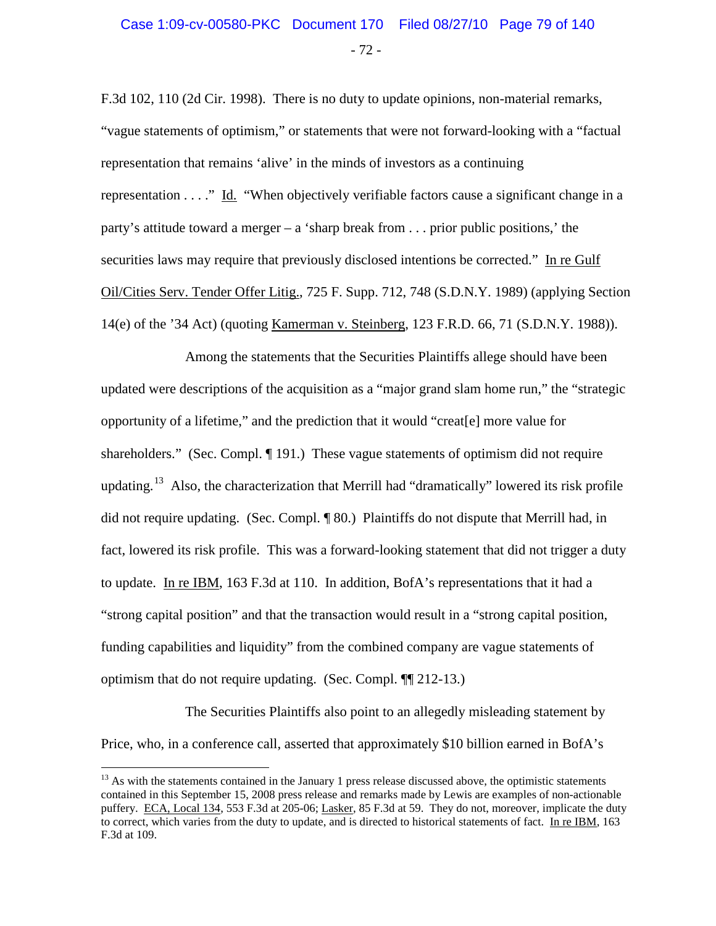F.3d 102, 110 (2d Cir. 1998). There is no duty to update opinions, non-material remarks, "vague statements of optimism," or statements that were not forward-looking with a "factual representation that remains 'alive' in the minds of investors as a continuing representation . . . ." Id. "When objectively verifiable factors cause a significant change in a party's attitude toward a merger – a 'sharp break from . . . prior public positions,' the securities laws may require that previously disclosed intentions be corrected." In re Gulf Oil/Cities Serv. Tender Offer Litig., 725 F. Supp. 712, 748 (S.D.N.Y. 1989) (applying Section 14(e) of the '34 Act) (quoting Kamerman v. Steinberg, 123 F.R.D. 66, 71 (S.D.N.Y. 1988)).

Among the statements that the Securities Plaintiffs allege should have been updated were descriptions of the acquisition as a "major grand slam home run," the "strategic opportunity of a lifetime," and the prediction that it would "creat[e] more value for shareholders." (Sec. Compl. ¶ 191.) These vague statements of optimism did not require updating.<sup>[13](#page-78-0)</sup> Also, the characterization that Merrill had "dramatically" lowered its risk profile did not require updating. (Sec. Compl. ¶ 80.) Plaintiffs do not dispute that Merrill had, in fact, lowered its risk profile. This was a forward-looking statement that did not trigger a duty to update. In re IBM, 163 F.3d at 110. In addition, BofA's representations that it had a "strong capital position" and that the transaction would result in a "strong capital position, funding capabilities and liquidity" from the combined company are vague statements of optimism that do not require updating. (Sec. Compl. ¶¶ 212-13.)

The Securities Plaintiffs also point to an allegedly misleading statement by Price, who, in a conference call, asserted that approximately \$10 billion earned in BofA's

<span id="page-78-0"></span><sup>&</sup>lt;sup>13</sup> As with the statements contained in the January 1 press release discussed above, the optimistic statements contained in this September 15, 2008 press release and remarks made by Lewis are examples of non-actionable puffery. ECA, Local 134, 553 F.3d at 205-06; Lasker, 85 F.3d at 59. They do not, moreover, implicate the duty to correct, which varies from the duty to update, and is directed to historical statements of fact. In re IBM, 163 F.3d at 109.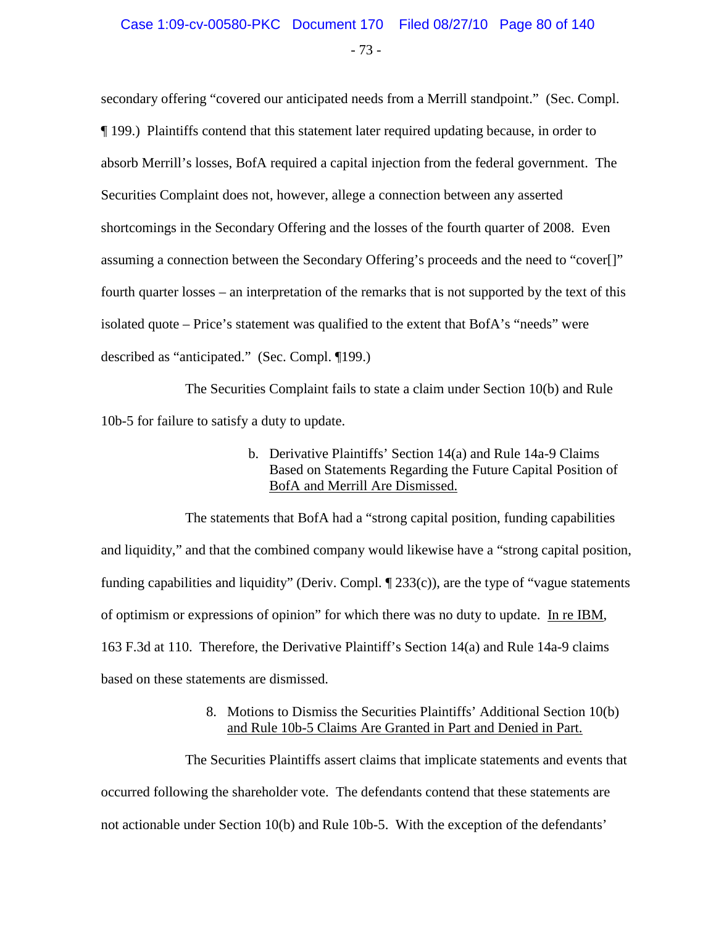secondary offering "covered our anticipated needs from a Merrill standpoint." (Sec. Compl. ¶ 199.) Plaintiffs contend that this statement later required updating because, in order to absorb Merrill's losses, BofA required a capital injection from the federal government. The Securities Complaint does not, however, allege a connection between any asserted shortcomings in the Secondary Offering and the losses of the fourth quarter of 2008. Even assuming a connection between the Secondary Offering's proceeds and the need to "cover[]" fourth quarter losses – an interpretation of the remarks that is not supported by the text of this isolated quote – Price's statement was qualified to the extent that BofA's "needs" were described as "anticipated." (Sec. Compl. ¶199.)

The Securities Complaint fails to state a claim under Section 10(b) and Rule 10b-5 for failure to satisfy a duty to update.

> b. Derivative Plaintiffs' Section 14(a) and Rule 14a-9 Claims Based on Statements Regarding the Future Capital Position of BofA and Merrill Are Dismissed.

The statements that BofA had a "strong capital position, funding capabilities and liquidity," and that the combined company would likewise have a "strong capital position, funding capabilities and liquidity" (Deriv. Compl.  $\P$  233(c)), are the type of "vague statements of optimism or expressions of opinion" for which there was no duty to update. In re IBM, 163 F.3d at 110. Therefore, the Derivative Plaintiff's Section 14(a) and Rule 14a-9 claims based on these statements are dismissed.

> 8. Motions to Dismiss the Securities Plaintiffs' Additional Section 10(b) and Rule 10b-5 Claims Are Granted in Part and Denied in Part.

The Securities Plaintiffs assert claims that implicate statements and events that occurred following the shareholder vote. The defendants contend that these statements are not actionable under Section 10(b) and Rule 10b-5. With the exception of the defendants'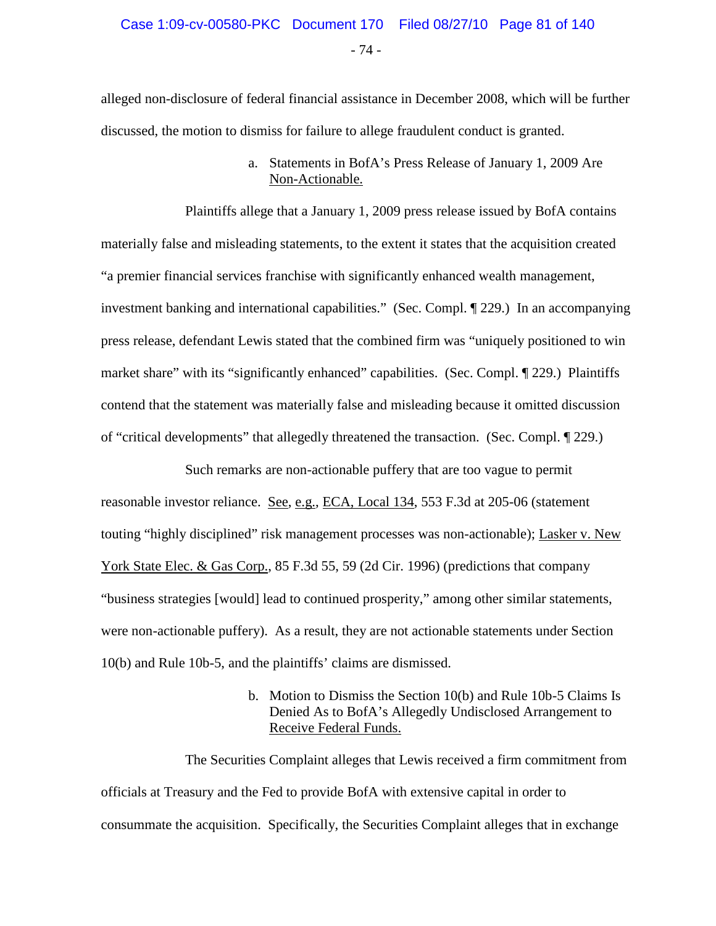- 74 -

alleged non-disclosure of federal financial assistance in December 2008, which will be further discussed, the motion to dismiss for failure to allege fraudulent conduct is granted.

> a. Statements in BofA's Press Release of January 1, 2009 Are Non-Actionable.

Plaintiffs allege that a January 1, 2009 press release issued by BofA contains materially false and misleading statements, to the extent it states that the acquisition created "a premier financial services franchise with significantly enhanced wealth management, investment banking and international capabilities." (Sec. Compl. ¶ 229.) In an accompanying press release, defendant Lewis stated that the combined firm was "uniquely positioned to win market share" with its "significantly enhanced" capabilities. (Sec. Compl. ¶ 229.) Plaintiffs contend that the statement was materially false and misleading because it omitted discussion of "critical developments" that allegedly threatened the transaction. (Sec. Compl. ¶ 229.)

Such remarks are non-actionable puffery that are too vague to permit reasonable investor reliance. See, e.g., ECA, Local 134, 553 F.3d at 205-06 (statement touting "highly disciplined" risk management processes was non-actionable); Lasker v. New York State Elec. & Gas Corp., 85 F.3d 55, 59 (2d Cir. 1996) (predictions that company "business strategies [would] lead to continued prosperity," among other similar statements, were non-actionable puffery). As a result, they are not actionable statements under Section 10(b) and Rule 10b-5, and the plaintiffs' claims are dismissed.

> b. Motion to Dismiss the Section 10(b) and Rule 10b-5 Claims Is Denied As to BofA's Allegedly Undisclosed Arrangement to Receive Federal Funds.

The Securities Complaint alleges that Lewis received a firm commitment from officials at Treasury and the Fed to provide BofA with extensive capital in order to consummate the acquisition. Specifically, the Securities Complaint alleges that in exchange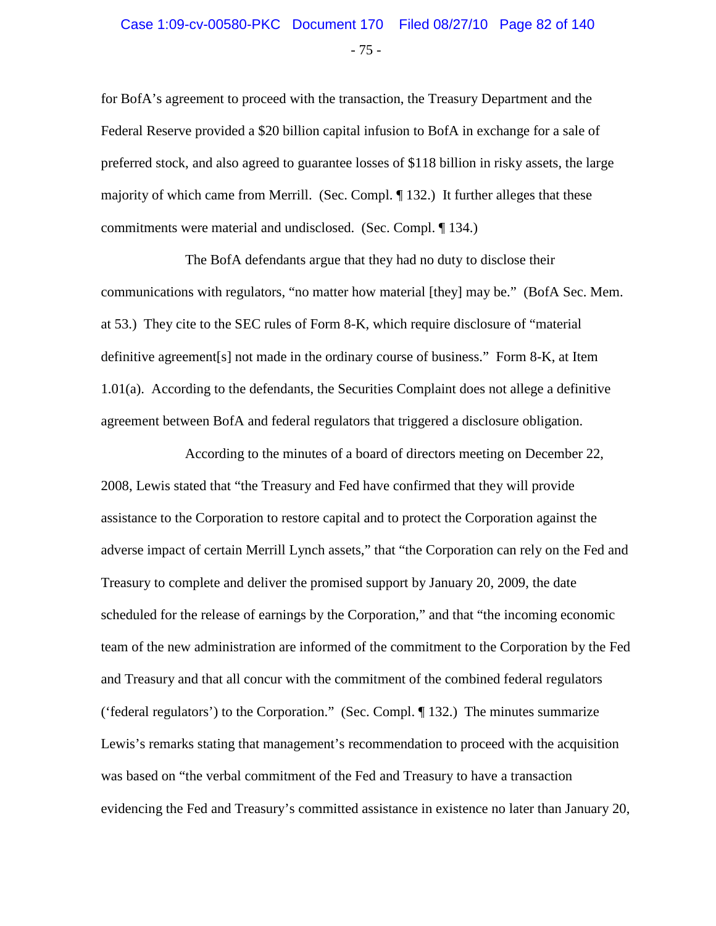# - 75 - Case 1:09-cv-00580-PKC Document 170 Filed 08/27/10 Page 82 of 140

for BofA's agreement to proceed with the transaction, the Treasury Department and the Federal Reserve provided a \$20 billion capital infusion to BofA in exchange for a sale of preferred stock, and also agreed to guarantee losses of \$118 billion in risky assets, the large majority of which came from Merrill. (Sec. Compl. ¶ 132.) It further alleges that these commitments were material and undisclosed. (Sec. Compl. ¶ 134.)

The BofA defendants argue that they had no duty to disclose their communications with regulators, "no matter how material [they] may be." (BofA Sec. Mem. at 53.) They cite to the SEC rules of Form 8-K, which require disclosure of "material definitive agreement[s] not made in the ordinary course of business." Form 8-K, at Item 1.01(a). According to the defendants, the Securities Complaint does not allege a definitive agreement between BofA and federal regulators that triggered a disclosure obligation.

According to the minutes of a board of directors meeting on December 22, 2008, Lewis stated that "the Treasury and Fed have confirmed that they will provide assistance to the Corporation to restore capital and to protect the Corporation against the adverse impact of certain Merrill Lynch assets," that "the Corporation can rely on the Fed and Treasury to complete and deliver the promised support by January 20, 2009, the date scheduled for the release of earnings by the Corporation," and that "the incoming economic team of the new administration are informed of the commitment to the Corporation by the Fed and Treasury and that all concur with the commitment of the combined federal regulators ('federal regulators') to the Corporation." (Sec. Compl. ¶ 132.) The minutes summarize Lewis's remarks stating that management's recommendation to proceed with the acquisition was based on "the verbal commitment of the Fed and Treasury to have a transaction evidencing the Fed and Treasury's committed assistance in existence no later than January 20,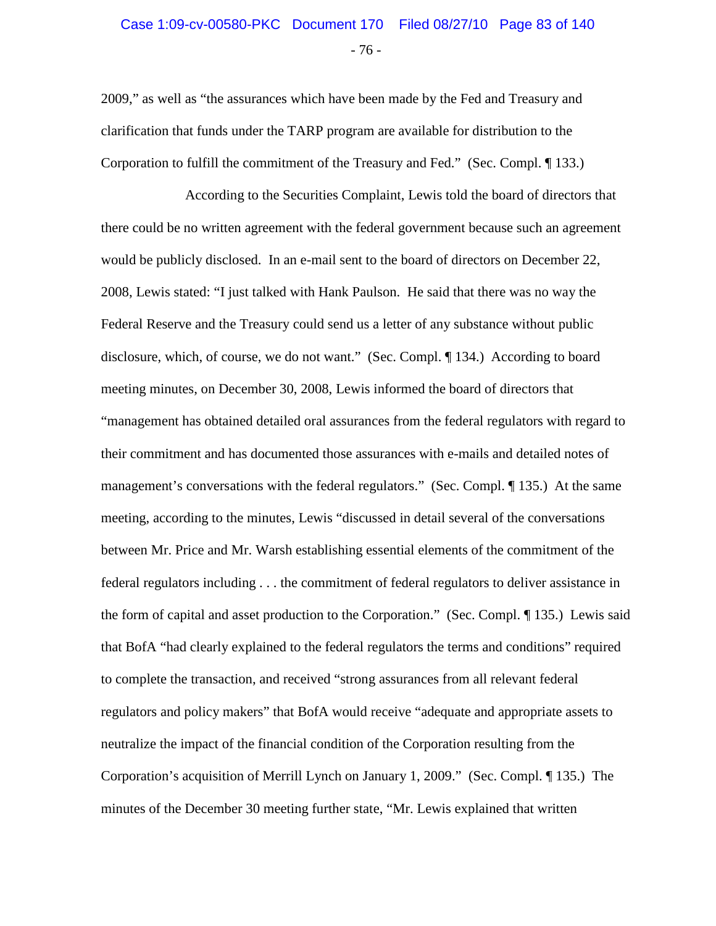# - 76 - Case 1:09-cv-00580-PKC Document 170 Filed 08/27/10 Page 83 of 140

2009," as well as "the assurances which have been made by the Fed and Treasury and clarification that funds under the TARP program are available for distribution to the Corporation to fulfill the commitment of the Treasury and Fed." (Sec. Compl. ¶ 133.)

According to the Securities Complaint, Lewis told the board of directors that there could be no written agreement with the federal government because such an agreement would be publicly disclosed. In an e-mail sent to the board of directors on December 22, 2008, Lewis stated: "I just talked with Hank Paulson. He said that there was no way the Federal Reserve and the Treasury could send us a letter of any substance without public disclosure, which, of course, we do not want." (Sec. Compl. ¶ 134.) According to board meeting minutes, on December 30, 2008, Lewis informed the board of directors that "management has obtained detailed oral assurances from the federal regulators with regard to their commitment and has documented those assurances with e-mails and detailed notes of management's conversations with the federal regulators." (Sec. Compl. ¶ 135.) At the same meeting, according to the minutes, Lewis "discussed in detail several of the conversations between Mr. Price and Mr. Warsh establishing essential elements of the commitment of the federal regulators including . . . the commitment of federal regulators to deliver assistance in the form of capital and asset production to the Corporation." (Sec. Compl. ¶ 135.) Lewis said that BofA "had clearly explained to the federal regulators the terms and conditions" required to complete the transaction, and received "strong assurances from all relevant federal regulators and policy makers" that BofA would receive "adequate and appropriate assets to neutralize the impact of the financial condition of the Corporation resulting from the Corporation's acquisition of Merrill Lynch on January 1, 2009." (Sec. Compl. ¶ 135.) The minutes of the December 30 meeting further state, "Mr. Lewis explained that written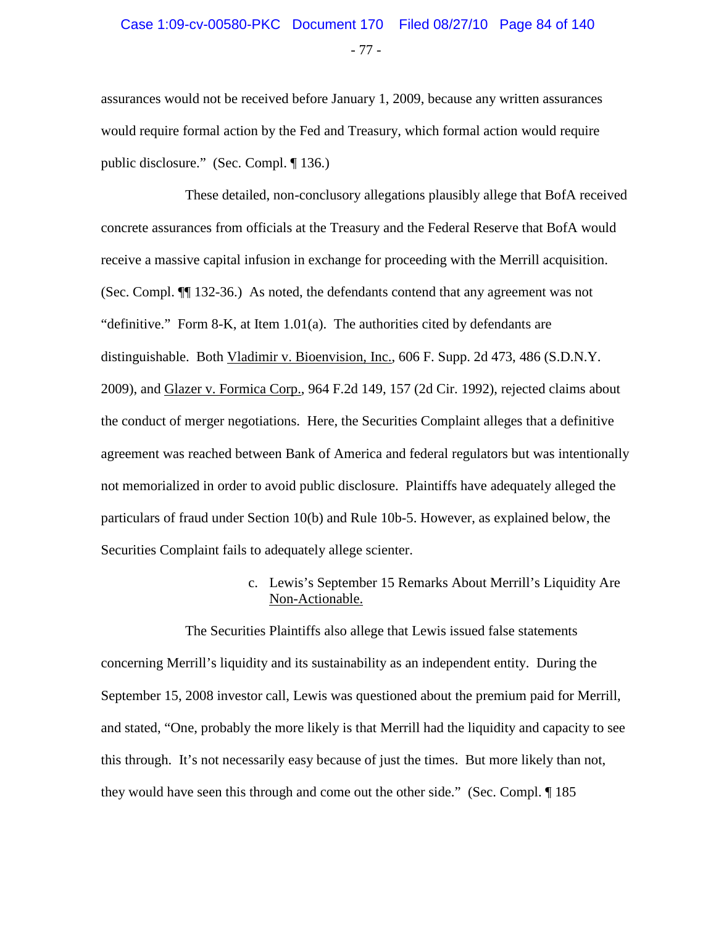# - 77 - Case 1:09-cv-00580-PKC Document 170 Filed 08/27/10 Page 84 of 140

assurances would not be received before January 1, 2009, because any written assurances would require formal action by the Fed and Treasury, which formal action would require public disclosure." (Sec. Compl. ¶ 136.)

These detailed, non-conclusory allegations plausibly allege that BofA received concrete assurances from officials at the Treasury and the Federal Reserve that BofA would receive a massive capital infusion in exchange for proceeding with the Merrill acquisition. (Sec. Compl. ¶¶ 132-36.) As noted, the defendants contend that any agreement was not "definitive." Form 8-K, at Item 1.01(a). The authorities cited by defendants are distinguishable. Both Vladimir v. Bioenvision, Inc., 606 F. Supp. 2d 473, 486 (S.D.N.Y. 2009), and Glazer v. Formica Corp., 964 F.2d 149, 157 (2d Cir. 1992), rejected claims about the conduct of merger negotiations. Here, the Securities Complaint alleges that a definitive agreement was reached between Bank of America and federal regulators but was intentionally not memorialized in order to avoid public disclosure. Plaintiffs have adequately alleged the particulars of fraud under Section 10(b) and Rule 10b-5. However, as explained below, the Securities Complaint fails to adequately allege scienter.

> c. Lewis's September 15 Remarks About Merrill's Liquidity Are Non-Actionable.

The Securities Plaintiffs also allege that Lewis issued false statements concerning Merrill's liquidity and its sustainability as an independent entity. During the September 15, 2008 investor call, Lewis was questioned about the premium paid for Merrill, and stated, "One, probably the more likely is that Merrill had the liquidity and capacity to see this through. It's not necessarily easy because of just the times. But more likely than not, they would have seen this through and come out the other side." (Sec. Compl. ¶ 185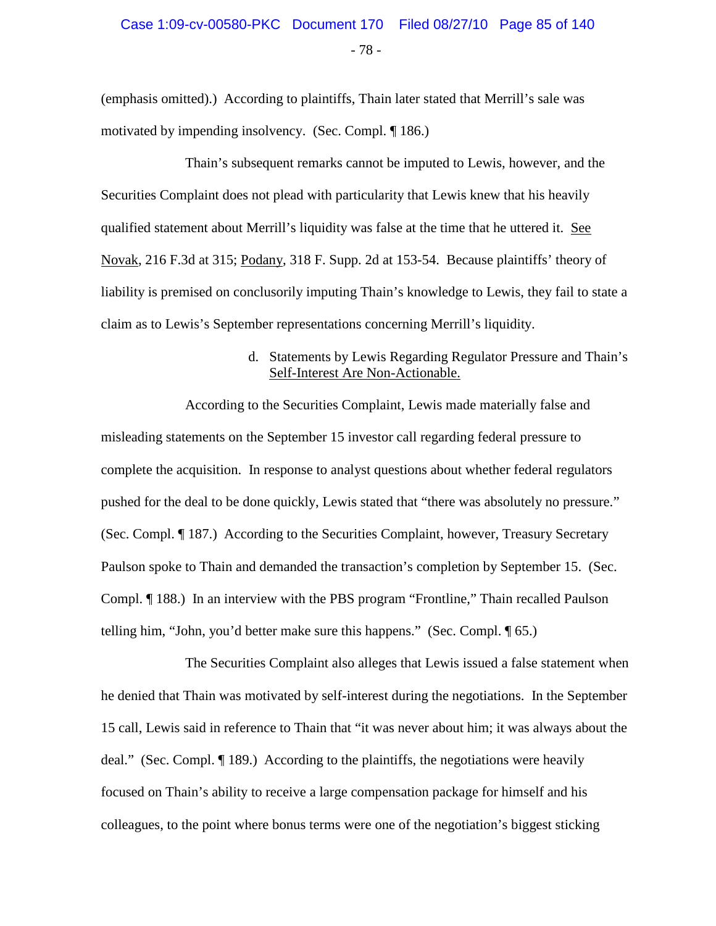- 78 -

(emphasis omitted).) According to plaintiffs, Thain later stated that Merrill's sale was motivated by impending insolvency. (Sec. Compl. ¶ 186.)

Thain's subsequent remarks cannot be imputed to Lewis, however, and the Securities Complaint does not plead with particularity that Lewis knew that his heavily qualified statement about Merrill's liquidity was false at the time that he uttered it. See Novak, 216 F.3d at 315; Podany, 318 F. Supp. 2d at 153-54. Because plaintiffs' theory of liability is premised on conclusorily imputing Thain's knowledge to Lewis, they fail to state a claim as to Lewis's September representations concerning Merrill's liquidity.

#### d. Statements by Lewis Regarding Regulator Pressure and Thain's Self-Interest Are Non-Actionable.

According to the Securities Complaint, Lewis made materially false and misleading statements on the September 15 investor call regarding federal pressure to complete the acquisition. In response to analyst questions about whether federal regulators pushed for the deal to be done quickly, Lewis stated that "there was absolutely no pressure." (Sec. Compl. ¶ 187.) According to the Securities Complaint, however, Treasury Secretary Paulson spoke to Thain and demanded the transaction's completion by September 15. (Sec. Compl. ¶ 188.) In an interview with the PBS program "Frontline," Thain recalled Paulson telling him, "John, you'd better make sure this happens." (Sec. Compl. ¶ 65.)

The Securities Complaint also alleges that Lewis issued a false statement when he denied that Thain was motivated by self-interest during the negotiations. In the September 15 call, Lewis said in reference to Thain that "it was never about him; it was always about the deal." (Sec. Compl. ¶ 189.) According to the plaintiffs, the negotiations were heavily focused on Thain's ability to receive a large compensation package for himself and his colleagues, to the point where bonus terms were one of the negotiation's biggest sticking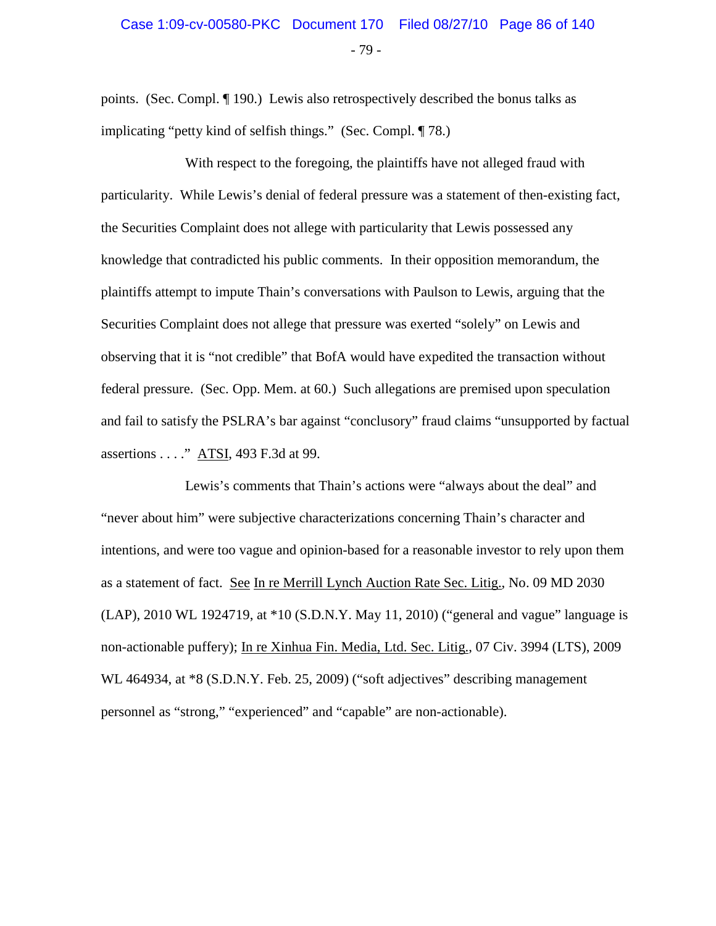# - 79 - Case 1:09-cv-00580-PKC Document 170 Filed 08/27/10 Page 86 of 140

points. (Sec. Compl. ¶ 190.) Lewis also retrospectively described the bonus talks as implicating "petty kind of selfish things." (Sec. Compl. ¶ 78.)

With respect to the foregoing, the plaintiffs have not alleged fraud with particularity. While Lewis's denial of federal pressure was a statement of then-existing fact, the Securities Complaint does not allege with particularity that Lewis possessed any knowledge that contradicted his public comments. In their opposition memorandum, the plaintiffs attempt to impute Thain's conversations with Paulson to Lewis, arguing that the Securities Complaint does not allege that pressure was exerted "solely" on Lewis and observing that it is "not credible" that BofA would have expedited the transaction without federal pressure. (Sec. Opp. Mem. at 60.) Such allegations are premised upon speculation and fail to satisfy the PSLRA's bar against "conclusory" fraud claims "unsupported by factual assertions . . . ." ATSI, 493 F.3d at 99.

Lewis's comments that Thain's actions were "always about the deal" and "never about him" were subjective characterizations concerning Thain's character and intentions, and were too vague and opinion-based for a reasonable investor to rely upon them as a statement of fact. See In re Merrill Lynch Auction Rate Sec. Litig., No. 09 MD 2030 (LAP), 2010 WL 1924719, at \*10 (S.D.N.Y. May 11, 2010) ("general and vague" language is non-actionable puffery); In re Xinhua Fin. Media, Ltd. Sec. Litig., 07 Civ. 3994 (LTS), 2009 WL 464934, at  $*8$  (S.D.N.Y. Feb. 25, 2009) ("soft adjectives" describing management personnel as "strong," "experienced" and "capable" are non-actionable).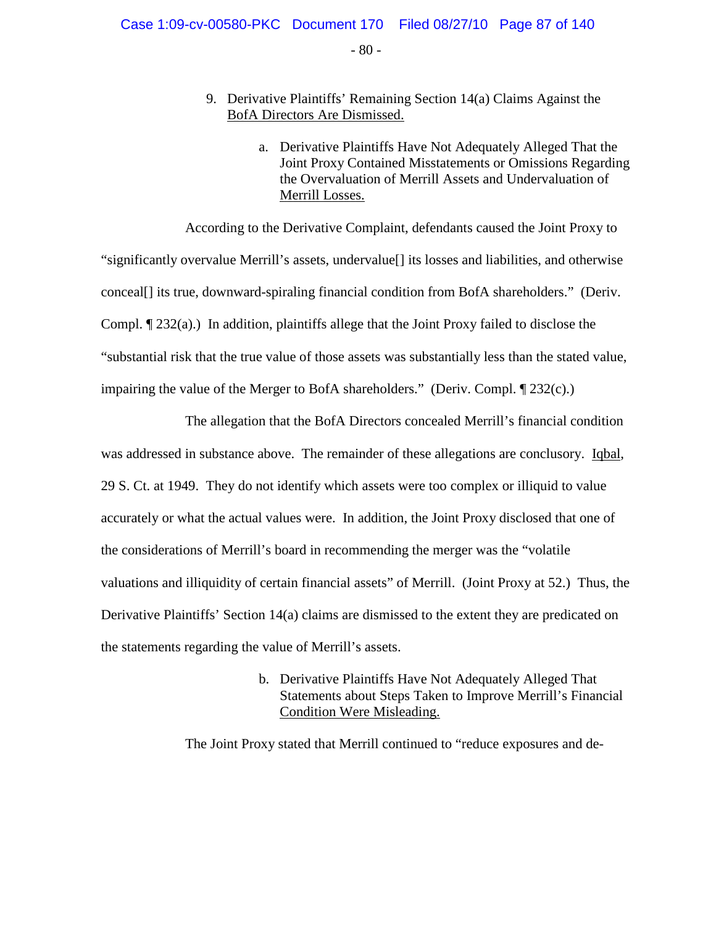#### $-80 -$

#### 9. Derivative Plaintiffs' Remaining Section 14(a) Claims Against the BofA Directors Are Dismissed.

a. Derivative Plaintiffs Have Not Adequately Alleged That the Joint Proxy Contained Misstatements or Omissions Regarding the Overvaluation of Merrill Assets and Undervaluation of Merrill Losses.

According to the Derivative Complaint, defendants caused the Joint Proxy to "significantly overvalue Merrill's assets, undervalue[] its losses and liabilities, and otherwise conceal[] its true, downward-spiraling financial condition from BofA shareholders." (Deriv. Compl. ¶ 232(a).) In addition, plaintiffs allege that the Joint Proxy failed to disclose the "substantial risk that the true value of those assets was substantially less than the stated value, impairing the value of the Merger to BofA shareholders." (Deriv. Compl. ¶ 232(c).)

The allegation that the BofA Directors concealed Merrill's financial condition was addressed in substance above. The remainder of these allegations are conclusory. Iqbal, 29 S. Ct. at 1949. They do not identify which assets were too complex or illiquid to value accurately or what the actual values were. In addition, the Joint Proxy disclosed that one of the considerations of Merrill's board in recommending the merger was the "volatile valuations and illiquidity of certain financial assets" of Merrill. (Joint Proxy at 52.) Thus, the Derivative Plaintiffs' Section 14(a) claims are dismissed to the extent they are predicated on the statements regarding the value of Merrill's assets.

> b. Derivative Plaintiffs Have Not Adequately Alleged That Statements about Steps Taken to Improve Merrill's Financial Condition Were Misleading.

The Joint Proxy stated that Merrill continued to "reduce exposures and de-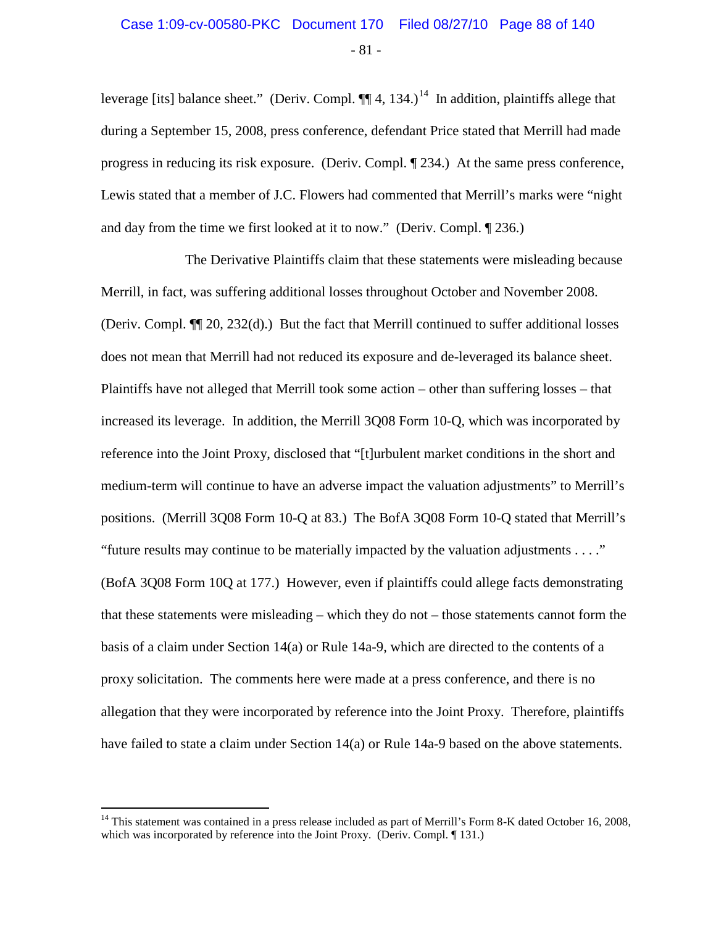# - 81 - Case 1:09-cv-00580-PKC Document 170 Filed 08/27/10 Page 88 of 140

leverage [its] balance sheet." (Deriv. Compl.  $\P\P$ 4, 134.)<sup>[14](#page-87-0)</sup> In addition, plaintiffs allege that during a September 15, 2008, press conference, defendant Price stated that Merrill had made progress in reducing its risk exposure. (Deriv. Compl. ¶ 234.) At the same press conference, Lewis stated that a member of J.C. Flowers had commented that Merrill's marks were "night and day from the time we first looked at it to now." (Deriv. Compl. ¶ 236.)

The Derivative Plaintiffs claim that these statements were misleading because Merrill, in fact, was suffering additional losses throughout October and November 2008. (Deriv. Compl. ¶¶ 20, 232(d).) But the fact that Merrill continued to suffer additional losses does not mean that Merrill had not reduced its exposure and de-leveraged its balance sheet. Plaintiffs have not alleged that Merrill took some action – other than suffering losses – that increased its leverage. In addition, the Merrill 3Q08 Form 10-Q, which was incorporated by reference into the Joint Proxy, disclosed that "[t]urbulent market conditions in the short and medium-term will continue to have an adverse impact the valuation adjustments" to Merrill's positions. (Merrill 3Q08 Form 10-Q at 83.) The BofA 3Q08 Form 10-Q stated that Merrill's "future results may continue to be materially impacted by the valuation adjustments . . . ." (BofA 3Q08 Form 10Q at 177.) However, even if plaintiffs could allege facts demonstrating that these statements were misleading – which they do not – those statements cannot form the basis of a claim under Section 14(a) or Rule 14a-9, which are directed to the contents of a proxy solicitation. The comments here were made at a press conference, and there is no allegation that they were incorporated by reference into the Joint Proxy. Therefore, plaintiffs have failed to state a claim under Section 14(a) or Rule 14a-9 based on the above statements.

<span id="page-87-0"></span> $14$  This statement was contained in a press release included as part of Merrill's Form 8-K dated October 16, 2008, which was incorporated by reference into the Joint Proxy. (Deriv. Compl. ¶ 131.)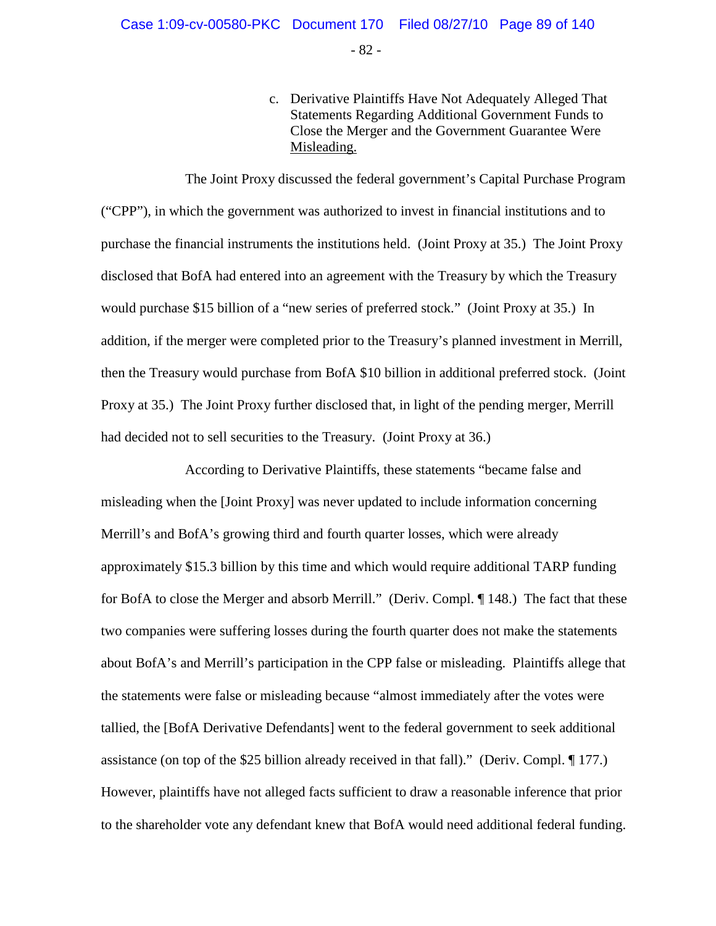- 82 -

c. Derivative Plaintiffs Have Not Adequately Alleged That Statements Regarding Additional Government Funds to Close the Merger and the Government Guarantee Were Misleading.

The Joint Proxy discussed the federal government's Capital Purchase Program ("CPP"), in which the government was authorized to invest in financial institutions and to purchase the financial instruments the institutions held. (Joint Proxy at 35.) The Joint Proxy disclosed that BofA had entered into an agreement with the Treasury by which the Treasury would purchase \$15 billion of a "new series of preferred stock." (Joint Proxy at 35.) In addition, if the merger were completed prior to the Treasury's planned investment in Merrill, then the Treasury would purchase from BofA \$10 billion in additional preferred stock. (Joint Proxy at 35.) The Joint Proxy further disclosed that, in light of the pending merger, Merrill had decided not to sell securities to the Treasury. (Joint Proxy at 36.)

According to Derivative Plaintiffs, these statements "became false and misleading when the [Joint Proxy] was never updated to include information concerning Merrill's and BofA's growing third and fourth quarter losses, which were already approximately \$15.3 billion by this time and which would require additional TARP funding for BofA to close the Merger and absorb Merrill." (Deriv. Compl. ¶ 148.) The fact that these two companies were suffering losses during the fourth quarter does not make the statements about BofA's and Merrill's participation in the CPP false or misleading. Plaintiffs allege that the statements were false or misleading because "almost immediately after the votes were tallied, the [BofA Derivative Defendants] went to the federal government to seek additional assistance (on top of the \$25 billion already received in that fall)." (Deriv. Compl. ¶ 177.) However, plaintiffs have not alleged facts sufficient to draw a reasonable inference that prior to the shareholder vote any defendant knew that BofA would need additional federal funding.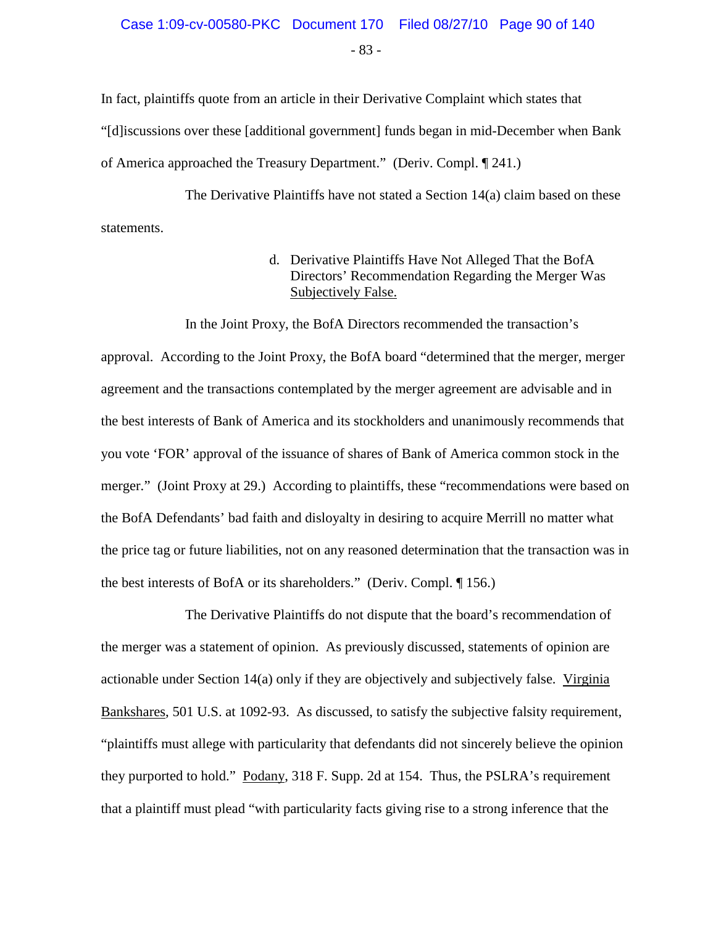# - 83 - Case 1:09-cv-00580-PKC Document 170 Filed 08/27/10 Page 90 of 140

In fact, plaintiffs quote from an article in their Derivative Complaint which states that "[d]iscussions over these [additional government] funds began in mid-December when Bank of America approached the Treasury Department." (Deriv. Compl. ¶ 241.)

The Derivative Plaintiffs have not stated a Section 14(a) claim based on these statements.

> d. Derivative Plaintiffs Have Not Alleged That the BofA Directors' Recommendation Regarding the Merger Was Subjectively False.

In the Joint Proxy, the BofA Directors recommended the transaction's approval. According to the Joint Proxy, the BofA board "determined that the merger, merger agreement and the transactions contemplated by the merger agreement are advisable and in the best interests of Bank of America and its stockholders and unanimously recommends that you vote 'FOR' approval of the issuance of shares of Bank of America common stock in the merger." (Joint Proxy at 29.) According to plaintiffs, these "recommendations were based on the BofA Defendants' bad faith and disloyalty in desiring to acquire Merrill no matter what the price tag or future liabilities, not on any reasoned determination that the transaction was in the best interests of BofA or its shareholders." (Deriv. Compl. ¶ 156.)

The Derivative Plaintiffs do not dispute that the board's recommendation of the merger was a statement of opinion. As previously discussed, statements of opinion are actionable under Section 14(a) only if they are objectively and subjectively false. Virginia Bankshares, 501 U.S. at 1092-93. As discussed, to satisfy the subjective falsity requirement, "plaintiffs must allege with particularity that defendants did not sincerely believe the opinion they purported to hold." Podany, 318 F. Supp. 2d at 154. Thus, the PSLRA's requirement that a plaintiff must plead "with particularity facts giving rise to a strong inference that the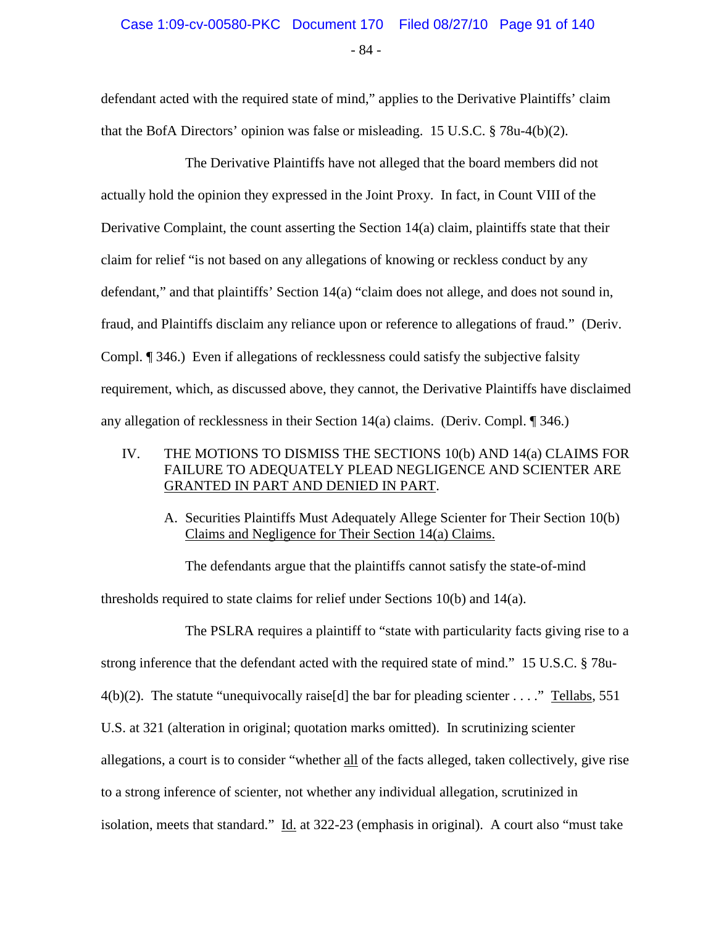# - 84 - Case 1:09-cv-00580-PKC Document 170 Filed 08/27/10 Page 91 of 140

defendant acted with the required state of mind," applies to the Derivative Plaintiffs' claim that the BofA Directors' opinion was false or misleading. 15 U.S.C. § 78u-4(b)(2).

The Derivative Plaintiffs have not alleged that the board members did not actually hold the opinion they expressed in the Joint Proxy. In fact, in Count VIII of the Derivative Complaint, the count asserting the Section 14(a) claim, plaintiffs state that their claim for relief "is not based on any allegations of knowing or reckless conduct by any defendant," and that plaintiffs' Section 14(a) "claim does not allege, and does not sound in, fraud, and Plaintiffs disclaim any reliance upon or reference to allegations of fraud." (Deriv. Compl. ¶ 346.) Even if allegations of recklessness could satisfy the subjective falsity requirement, which, as discussed above, they cannot, the Derivative Plaintiffs have disclaimed any allegation of recklessness in their Section 14(a) claims. (Deriv. Compl. ¶ 346.)

#### IV. THE MOTIONS TO DISMISS THE SECTIONS 10(b) AND 14(a) CLAIMS FOR FAILURE TO ADEQUATELY PLEAD NEGLIGENCE AND SCIENTER ARE GRANTED IN PART AND DENIED IN PART.

A. Securities Plaintiffs Must Adequately Allege Scienter for Their Section 10(b) Claims and Negligence for Their Section 14(a) Claims.

The defendants argue that the plaintiffs cannot satisfy the state-of-mind thresholds required to state claims for relief under Sections 10(b) and 14(a).

The PSLRA requires a plaintiff to "state with particularity facts giving rise to a strong inference that the defendant acted with the required state of mind." 15 U.S.C. § 78u- $4(b)(2)$ . The statute "unequivocally raise[d] the bar for pleading scienter . . . ." Tellabs, 551 U.S. at 321 (alteration in original; quotation marks omitted). In scrutinizing scienter allegations, a court is to consider "whether all of the facts alleged, taken collectively, give rise to a strong inference of scienter, not whether any individual allegation, scrutinized in isolation, meets that standard." Id. at 322-23 (emphasis in original). A court also "must take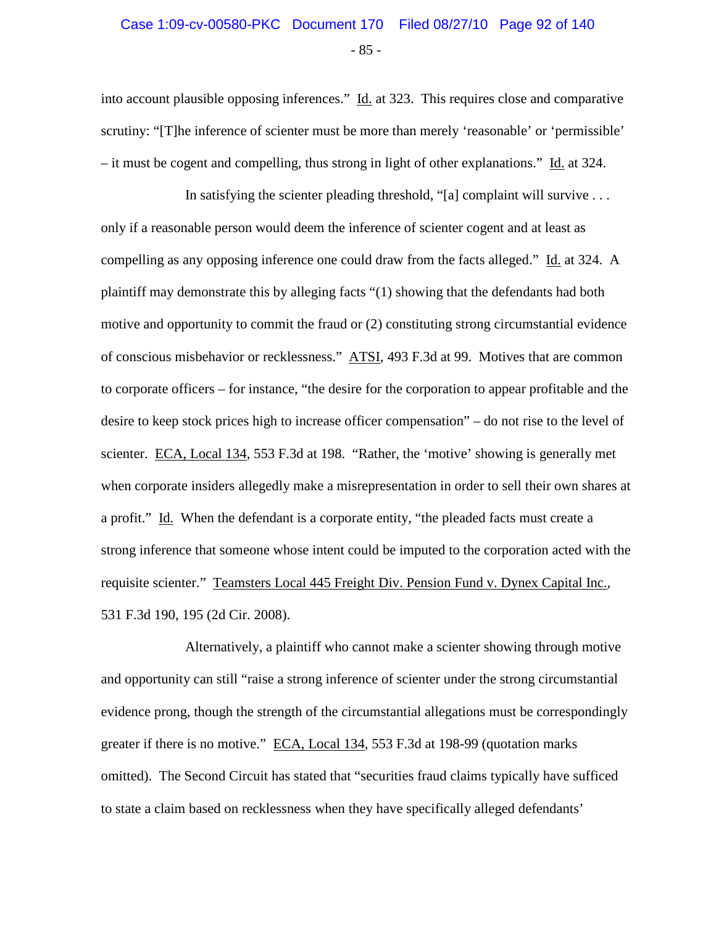# - 85 - Case 1:09-cv-00580-PKC Document 170 Filed 08/27/10 Page 92 of 140

into account plausible opposing inferences." Id. at 323. This requires close and comparative scrutiny: "[T]he inference of scienter must be more than merely 'reasonable' or 'permissible' – it must be cogent and compelling, thus strong in light of other explanations." Id. at 324.

In satisfying the scienter pleading threshold, "[a] complaint will survive  $\dots$ only if a reasonable person would deem the inference of scienter cogent and at least as compelling as any opposing inference one could draw from the facts alleged." Id. at 324. A plaintiff may demonstrate this by alleging facts "(1) showing that the defendants had both motive and opportunity to commit the fraud or (2) constituting strong circumstantial evidence of conscious misbehavior or recklessness." ATSI, 493 F.3d at 99. Motives that are common to corporate officers – for instance, "the desire for the corporation to appear profitable and the desire to keep stock prices high to increase officer compensation" – do not rise to the level of scienter. ECA, Local 134, 553 F.3d at 198. "Rather, the 'motive' showing is generally met when corporate insiders allegedly make a misrepresentation in order to sell their own shares at a profit." Id. When the defendant is a corporate entity, "the pleaded facts must create a strong inference that someone whose intent could be imputed to the corporation acted with the requisite scienter." Teamsters Local 445 Freight Div. Pension Fund v. Dynex Capital Inc.*,* 531 F.3d 190, 195 (2d Cir. 2008).

Alternatively, a plaintiff who cannot make a scienter showing through motive and opportunity can still "raise a strong inference of scienter under the strong circumstantial evidence prong, though the strength of the circumstantial allegations must be correspondingly greater if there is no motive." ECA, Local 134*,* 553 F.3d at 198-99 (quotation marks omitted). The Second Circuit has stated that "securities fraud claims typically have sufficed to state a claim based on recklessness when they have specifically alleged defendants'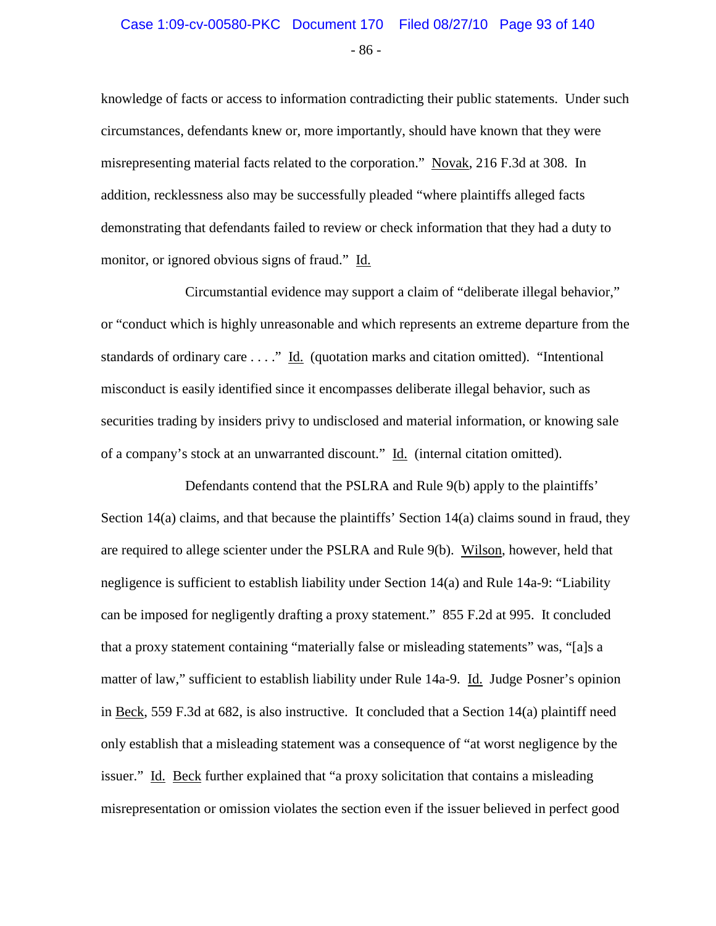# - 86 - Case 1:09-cv-00580-PKC Document 170 Filed 08/27/10 Page 93 of 140

knowledge of facts or access to information contradicting their public statements. Under such circumstances, defendants knew or, more importantly, should have known that they were misrepresenting material facts related to the corporation." Novak, 216 F.3d at 308. In addition, recklessness also may be successfully pleaded "where plaintiffs alleged facts demonstrating that defendants failed to review or check information that they had a duty to monitor, or ignored obvious signs of fraud." Id.

Circumstantial evidence may support a claim of "deliberate illegal behavior," or "conduct which is highly unreasonable and which represents an extreme departure from the standards of ordinary care . . . ." Id. (quotation marks and citation omitted). "Intentional misconduct is easily identified since it encompasses deliberate illegal behavior, such as securities trading by insiders privy to undisclosed and material information, or knowing sale of a company's stock at an unwarranted discount." Id. (internal citation omitted).

Defendants contend that the PSLRA and Rule 9(b) apply to the plaintiffs' Section 14(a) claims, and that because the plaintiffs' Section 14(a) claims sound in fraud, they are required to allege scienter under the PSLRA and Rule 9(b). Wilson, however, held that negligence is sufficient to establish liability under Section 14(a) and Rule 14a-9: "Liability can be imposed for negligently drafting a proxy statement." 855 F.2d at 995. It concluded that a proxy statement containing "materially false or misleading statements" was, "[a]s a matter of law," sufficient to establish liability under Rule 14a-9. Id. Judge Posner's opinion in Beck, 559 F.3d at 682, is also instructive. It concluded that a Section 14(a) plaintiff need only establish that a misleading statement was a consequence of "at worst negligence by the issuer." Id. Beck further explained that "a proxy solicitation that contains a misleading misrepresentation or omission violates the section even if the issuer believed in perfect good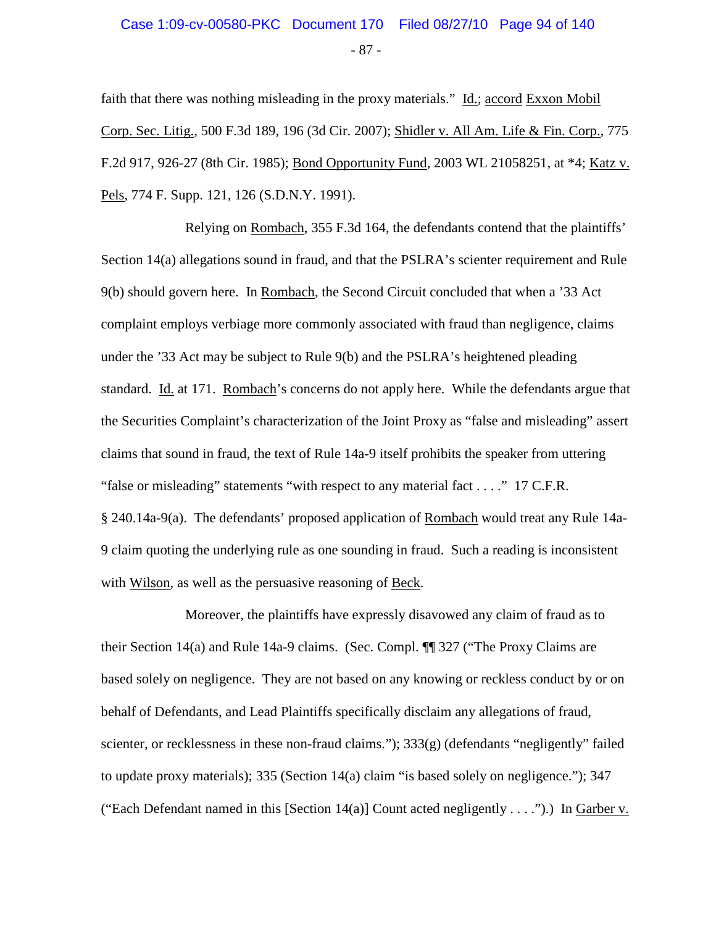# - 87 - Case 1:09-cv-00580-PKC Document 170 Filed 08/27/10 Page 94 of 140

faith that there was nothing misleading in the proxy materials." Id.; accord Exxon Mobil Corp. Sec. Litig., 500 F.3d 189, 196 (3d Cir. 2007); Shidler v. All Am. Life & Fin. Corp., 775 F.2d 917, 926-27 (8th Cir. 1985); Bond Opportunity Fund, 2003 WL 21058251, at \*4; Katz v. Pels, 774 F. Supp. 121, 126 (S.D.N.Y. 1991).

Relying on Rombach, 355 F.3d 164, the defendants contend that the plaintiffs' Section 14(a) allegations sound in fraud, and that the PSLRA's scienter requirement and Rule 9(b) should govern here. In Rombach, the Second Circuit concluded that when a '33 Act complaint employs verbiage more commonly associated with fraud than negligence, claims under the '33 Act may be subject to Rule 9(b) and the PSLRA's heightened pleading standard. Id. at 171. Rombach's concerns do not apply here. While the defendants argue that the Securities Complaint's characterization of the Joint Proxy as "false and misleading" assert claims that sound in fraud, the text of Rule 14a-9 itself prohibits the speaker from uttering "false or misleading" statements "with respect to any material fact . . . ." 17 C.F.R. § 240.14a-9(a). The defendants' proposed application of Rombach would treat any Rule 14a-9 claim quoting the underlying rule as one sounding in fraud. Such a reading is inconsistent with Wilson, as well as the persuasive reasoning of Beck.

Moreover, the plaintiffs have expressly disavowed any claim of fraud as to their Section 14(a) and Rule 14a-9 claims. (Sec. Compl. ¶¶ 327 ("The Proxy Claims are based solely on negligence. They are not based on any knowing or reckless conduct by or on behalf of Defendants, and Lead Plaintiffs specifically disclaim any allegations of fraud, scienter, or recklessness in these non-fraud claims.");  $333(g)$  (defendants "negligently" failed to update proxy materials); 335 (Section 14(a) claim "is based solely on negligence."); 347 ("Each Defendant named in this [Section 14(a)] Count acted negligently . . . .").) In Garber v.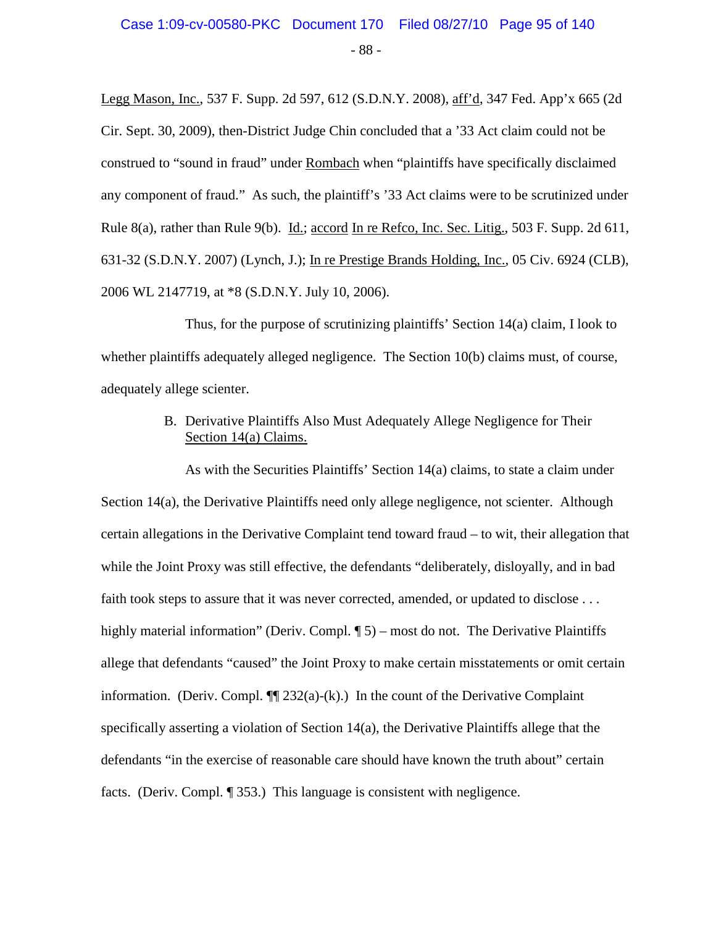# - 88 - Case 1:09-cv-00580-PKC Document 170 Filed 08/27/10 Page 95 of 140

Legg Mason, Inc., 537 F. Supp. 2d 597, 612 (S.D.N.Y. 2008), aff'd, 347 Fed. App'x 665 (2d Cir. Sept. 30, 2009), then-District Judge Chin concluded that a '33 Act claim could not be construed to "sound in fraud" under Rombach when "plaintiffs have specifically disclaimed any component of fraud." As such, the plaintiff's '33 Act claims were to be scrutinized under Rule 8(a), rather than Rule 9(b). Id.; accord In re Refco, Inc. Sec. Litig., 503 F. Supp. 2d 611, 631-32 (S.D.N.Y. 2007) (Lynch, J.); In re Prestige Brands Holding, Inc., 05 Civ. 6924 (CLB), 2006 WL 2147719, at \*8 (S.D.N.Y. July 10, 2006).

Thus, for the purpose of scrutinizing plaintiffs' Section 14(a) claim, I look to whether plaintiffs adequately alleged negligence. The Section 10(b) claims must, of course, adequately allege scienter.

#### B. Derivative Plaintiffs Also Must Adequately Allege Negligence for Their Section 14(a) Claims.

As with the Securities Plaintiffs' Section 14(a) claims, to state a claim under Section 14(a), the Derivative Plaintiffs need only allege negligence, not scienter. Although certain allegations in the Derivative Complaint tend toward fraud – to wit, their allegation that while the Joint Proxy was still effective, the defendants "deliberately, disloyally, and in bad faith took steps to assure that it was never corrected, amended, or updated to disclose . . . highly material information" (Deriv. Compl. ¶ 5) – most do not. The Derivative Plaintiffs allege that defendants "caused" the Joint Proxy to make certain misstatements or omit certain information. (Deriv. Compl.  $\P$ [232(a)-(k).) In the count of the Derivative Complaint specifically asserting a violation of Section 14(a), the Derivative Plaintiffs allege that the defendants "in the exercise of reasonable care should have known the truth about" certain facts. (Deriv. Compl. ¶ 353.) This language is consistent with negligence.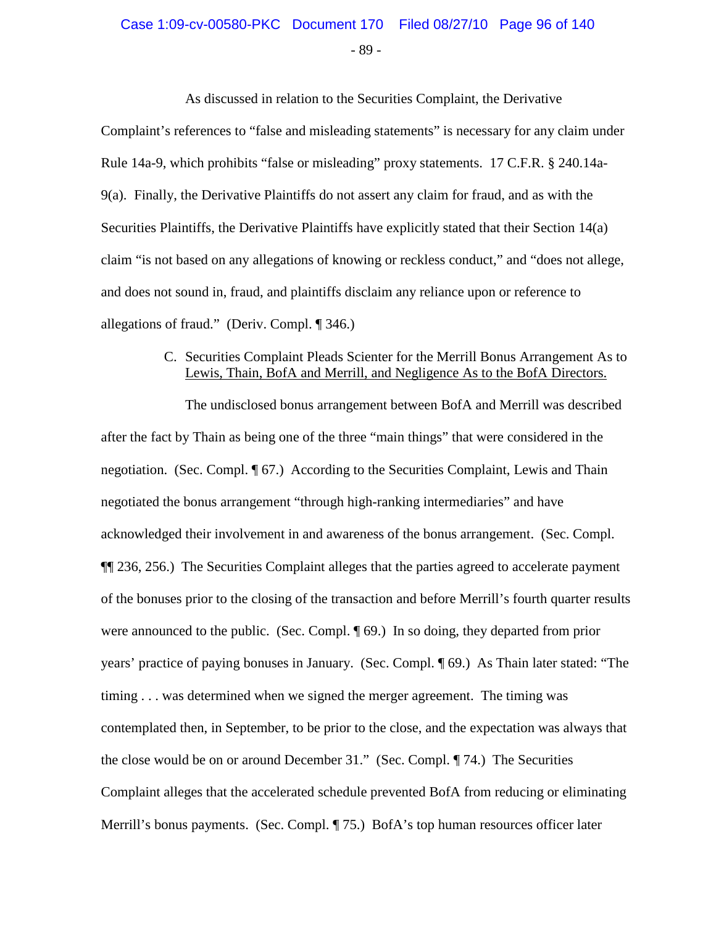# Case 1:09-cv-00580-PKC Document 170 Filed 08/27/10 Page 96 of 140

- 89 -

As discussed in relation to the Securities Complaint, the Derivative Complaint's references to "false and misleading statements" is necessary for any claim under Rule 14a-9, which prohibits "false or misleading" proxy statements. 17 C.F.R. § 240.14a-9(a). Finally, the Derivative Plaintiffs do not assert any claim for fraud, and as with the Securities Plaintiffs, the Derivative Plaintiffs have explicitly stated that their Section 14(a) claim "is not based on any allegations of knowing or reckless conduct," and "does not allege, and does not sound in, fraud, and plaintiffs disclaim any reliance upon or reference to allegations of fraud." (Deriv. Compl. ¶ 346.)

#### C. Securities Complaint Pleads Scienter for the Merrill Bonus Arrangement As to Lewis, Thain, BofA and Merrill, and Negligence As to the BofA Directors.

The undisclosed bonus arrangement between BofA and Merrill was described after the fact by Thain as being one of the three "main things" that were considered in the negotiation. (Sec. Compl. ¶ 67.) According to the Securities Complaint, Lewis and Thain negotiated the bonus arrangement "through high-ranking intermediaries" and have acknowledged their involvement in and awareness of the bonus arrangement. (Sec. Compl. ¶¶ 236, 256.) The Securities Complaint alleges that the parties agreed to accelerate payment of the bonuses prior to the closing of the transaction and before Merrill's fourth quarter results were announced to the public. (Sec. Compl. ¶ 69.) In so doing, they departed from prior years' practice of paying bonuses in January. (Sec. Compl. ¶ 69.) As Thain later stated: "The timing . . . was determined when we signed the merger agreement. The timing was contemplated then, in September, to be prior to the close, and the expectation was always that the close would be on or around December 31." (Sec. Compl. ¶ 74.) The Securities Complaint alleges that the accelerated schedule prevented BofA from reducing or eliminating Merrill's bonus payments. (Sec. Compl. ¶ 75.) BofA's top human resources officer later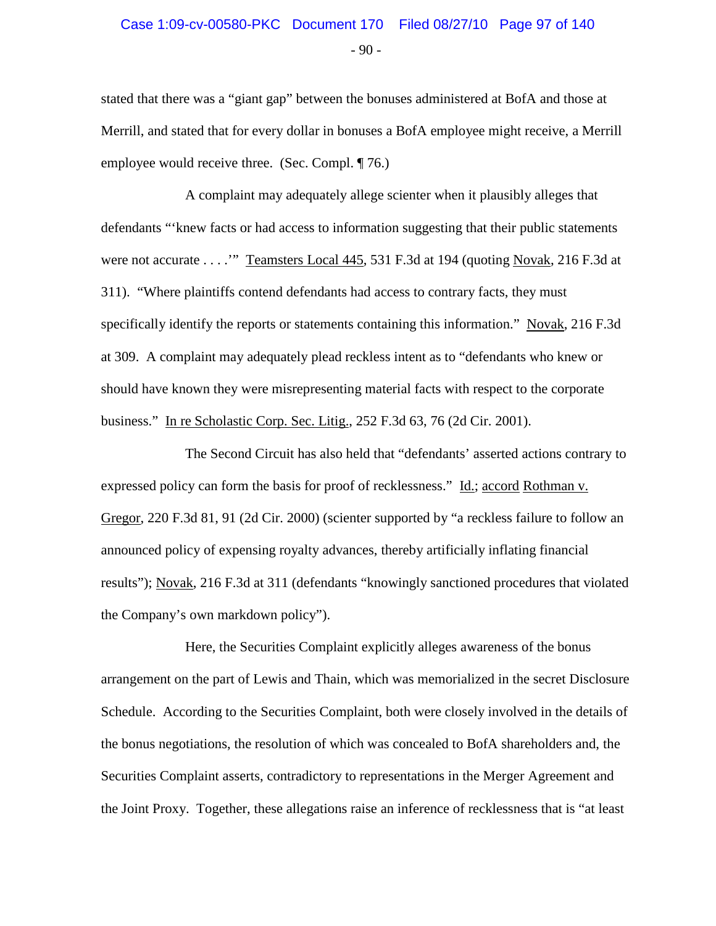## $-90 -$ Case 1:09-cv-00580-PKC Document 170 Filed 08/27/10 Page 97 of 140

stated that there was a "giant gap" between the bonuses administered at BofA and those at Merrill, and stated that for every dollar in bonuses a BofA employee might receive, a Merrill employee would receive three. (Sec. Compl. ¶ 76.)

A complaint may adequately allege scienter when it plausibly alleges that defendants "'knew facts or had access to information suggesting that their public statements were not accurate . . . .'" Teamsters Local 445, 531 F.3d at 194 (quoting Novak, 216 F.3d at 311). "Where plaintiffs contend defendants had access to contrary facts, they must specifically identify the reports or statements containing this information." Novak, 216 F.3d at 309. A complaint may adequately plead reckless intent as to "defendants who knew or should have known they were misrepresenting material facts with respect to the corporate business." In re Scholastic Corp. Sec. Litig., 252 F.3d 63, 76 (2d Cir. 2001).

The Second Circuit has also held that "defendants' asserted actions contrary to expressed policy can form the basis for proof of recklessness." Id.; accord Rothman v. Gregor, 220 F.3d 81, 91 (2d Cir. 2000) (scienter supported by "a reckless failure to follow an announced policy of expensing royalty advances, thereby artificially inflating financial results"); Novak, 216 F.3d at 311 (defendants "knowingly sanctioned procedures that violated the Company's own markdown policy").

Here, the Securities Complaint explicitly alleges awareness of the bonus arrangement on the part of Lewis and Thain, which was memorialized in the secret Disclosure Schedule. According to the Securities Complaint, both were closely involved in the details of the bonus negotiations, the resolution of which was concealed to BofA shareholders and, the Securities Complaint asserts, contradictory to representations in the Merger Agreement and the Joint Proxy. Together, these allegations raise an inference of recklessness that is "at least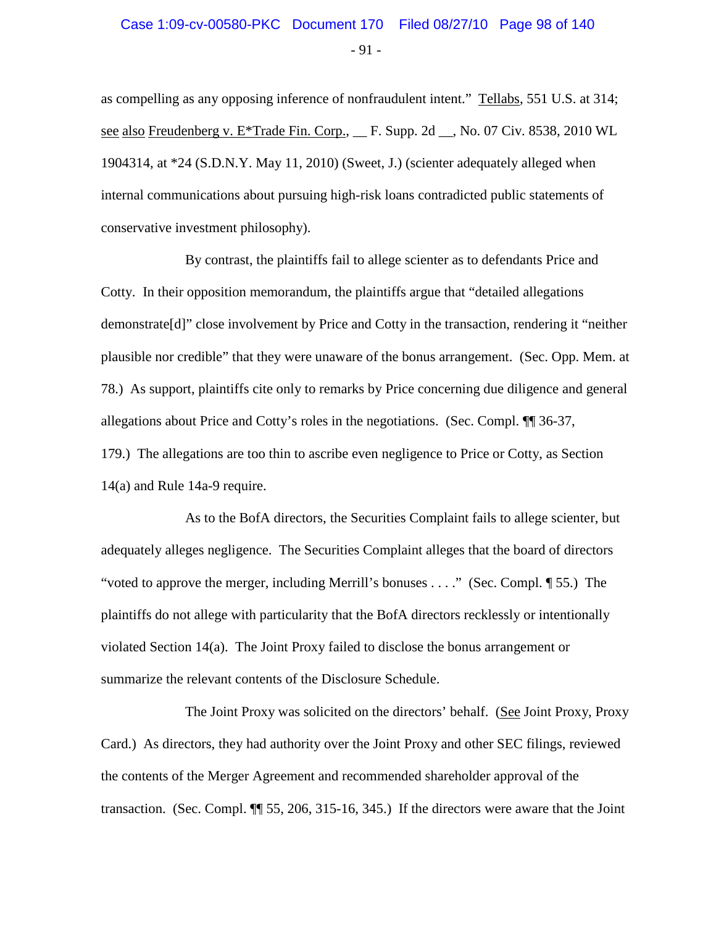# $-91 -$ Case 1:09-cv-00580-PKC Document 170 Filed 08/27/10 Page 98 of 140

as compelling as any opposing inference of nonfraudulent intent." Tellabs, 551 U.S. at 314; see also Freudenberg v. E<sup>\*</sup>Trade Fin. Corp., F. Supp. 2d , No. 07 Civ. 8538, 2010 WL 1904314, at \*24 (S.D.N.Y. May 11, 2010) (Sweet, J.) (scienter adequately alleged when internal communications about pursuing high-risk loans contradicted public statements of conservative investment philosophy).

By contrast, the plaintiffs fail to allege scienter as to defendants Price and Cotty. In their opposition memorandum, the plaintiffs argue that "detailed allegations demonstrate[d]" close involvement by Price and Cotty in the transaction, rendering it "neither plausible nor credible" that they were unaware of the bonus arrangement. (Sec. Opp. Mem. at 78.) As support, plaintiffs cite only to remarks by Price concerning due diligence and general allegations about Price and Cotty's roles in the negotiations. (Sec. Compl. ¶¶ 36-37, 179.) The allegations are too thin to ascribe even negligence to Price or Cotty, as Section 14(a) and Rule 14a-9 require.

As to the BofA directors, the Securities Complaint fails to allege scienter, but adequately alleges negligence. The Securities Complaint alleges that the board of directors "voted to approve the merger, including Merrill's bonuses . . . ." (Sec. Compl. ¶ 55.) The plaintiffs do not allege with particularity that the BofA directors recklessly or intentionally violated Section 14(a). The Joint Proxy failed to disclose the bonus arrangement or summarize the relevant contents of the Disclosure Schedule.

The Joint Proxy was solicited on the directors' behalf. (See Joint Proxy, Proxy Card.) As directors, they had authority over the Joint Proxy and other SEC filings, reviewed the contents of the Merger Agreement and recommended shareholder approval of the transaction. (Sec. Compl. ¶¶ 55, 206, 315-16, 345.) If the directors were aware that the Joint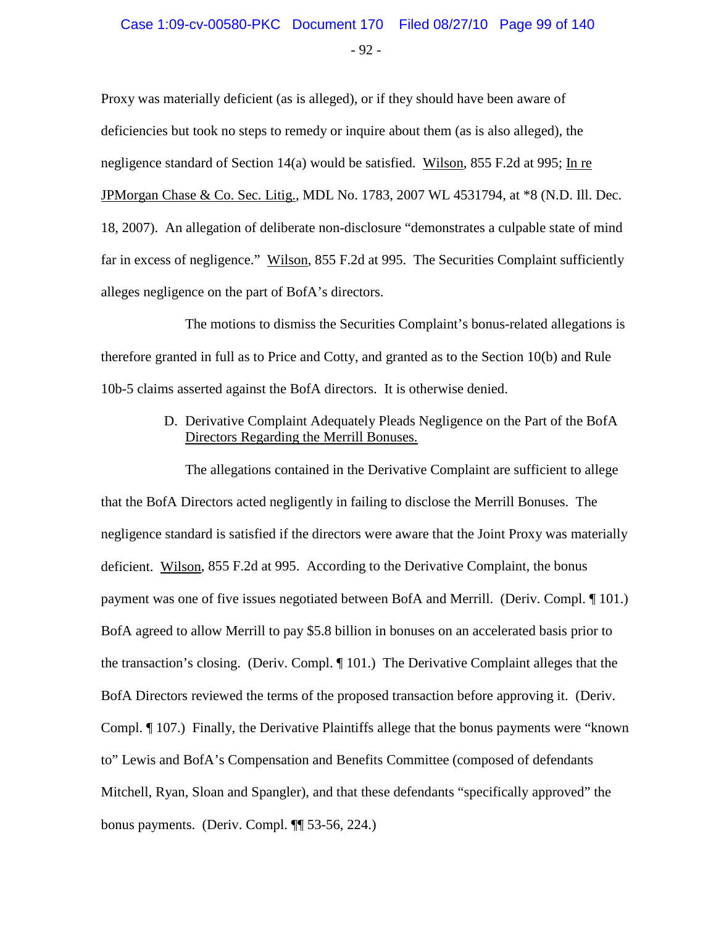## $-92 -$ Case 1:09-cv-00580-PKC Document 170 Filed 08/27/10 Page 99 of 140

Proxy was materially deficient (as is alleged), or if they should have been aware of deficiencies but took no steps to remedy or inquire about them (as is also alleged), the negligence standard of Section 14(a) would be satisfied. Wilson, 855 F.2d at 995; In re JPMorgan Chase & Co. Sec. Litig., MDL No. 1783, 2007 WL 4531794, at \*8 (N.D. Ill. Dec. 18, 2007). An allegation of deliberate non-disclosure "demonstrates a culpable state of mind far in excess of negligence." Wilson, 855 F.2d at 995. The Securities Complaint sufficiently alleges negligence on the part of BofA's directors.

The motions to dismiss the Securities Complaint's bonus-related allegations is therefore granted in full as to Price and Cotty, and granted as to the Section 10(b) and Rule 10b-5 claims asserted against the BofA directors. It is otherwise denied.

> D. Derivative Complaint Adequately Pleads Negligence on the Part of the BofA Directors Regarding the Merrill Bonuses.

The allegations contained in the Derivative Complaint are sufficient to allege that the BofA Directors acted negligently in failing to disclose the Merrill Bonuses. The negligence standard is satisfied if the directors were aware that the Joint Proxy was materially deficient. Wilson, 855 F.2d at 995. According to the Derivative Complaint, the bonus payment was one of five issues negotiated between BofA and Merrill. (Deriv. Compl. ¶ 101.) BofA agreed to allow Merrill to pay \$5.8 billion in bonuses on an accelerated basis prior to the transaction's closing. (Deriv. Compl. ¶ 101.) The Derivative Complaint alleges that the BofA Directors reviewed the terms of the proposed transaction before approving it. (Deriv. Compl. ¶ 107.) Finally, the Derivative Plaintiffs allege that the bonus payments were "known to" Lewis and BofA's Compensation and Benefits Committee (composed of defendants Mitchell, Ryan, Sloan and Spangler), and that these defendants "specifically approved" the bonus payments. (Deriv. Compl. ¶¶ 53-56, 224.)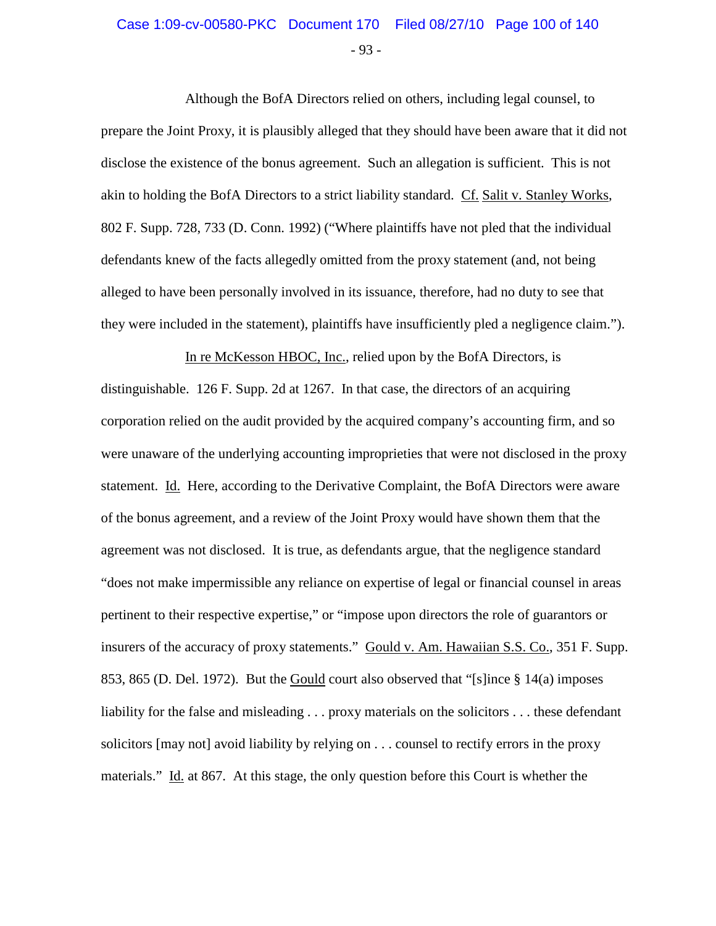# - 93 - Case 1:09-cv-00580-PKC Document 170 Filed 08/27/10 Page 100 of 140

Although the BofA Directors relied on others, including legal counsel, to prepare the Joint Proxy, it is plausibly alleged that they should have been aware that it did not disclose the existence of the bonus agreement. Such an allegation is sufficient. This is not akin to holding the BofA Directors to a strict liability standard. Cf. Salit v. Stanley Works, 802 F. Supp. 728, 733 (D. Conn. 1992) ("Where plaintiffs have not pled that the individual defendants knew of the facts allegedly omitted from the proxy statement (and, not being alleged to have been personally involved in its issuance, therefore, had no duty to see that they were included in the statement), plaintiffs have insufficiently pled a negligence claim.").

In re McKesson HBOC, Inc., relied upon by the BofA Directors, is distinguishable. 126 F. Supp. 2d at 1267. In that case, the directors of an acquiring corporation relied on the audit provided by the acquired company's accounting firm, and so were unaware of the underlying accounting improprieties that were not disclosed in the proxy statement. Id. Here, according to the Derivative Complaint, the BofA Directors were aware of the bonus agreement, and a review of the Joint Proxy would have shown them that the agreement was not disclosed. It is true, as defendants argue, that the negligence standard "does not make impermissible any reliance on expertise of legal or financial counsel in areas pertinent to their respective expertise," or "impose upon directors the role of guarantors or insurers of the accuracy of proxy statements." Gould v. Am. Hawaiian S.S. Co., 351 F. Supp. 853, 865 (D. Del. 1972). But the Gould court also observed that "[s]ince § 14(a) imposes liability for the false and misleading . . . proxy materials on the solicitors . . . these defendant solicitors [may not] avoid liability by relying on . . . counsel to rectify errors in the proxy materials." Id. at 867. At this stage, the only question before this Court is whether the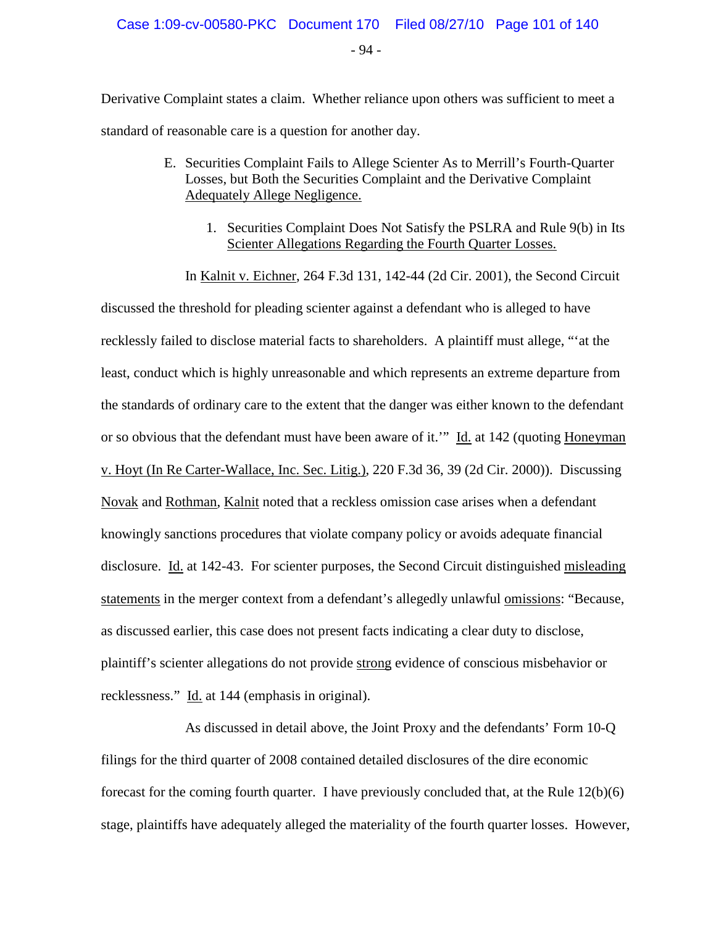- 94 -

Derivative Complaint states a claim. Whether reliance upon others was sufficient to meet a standard of reasonable care is a question for another day.

- E. Securities Complaint Fails to Allege Scienter As to Merrill's Fourth-Quarter Losses, but Both the Securities Complaint and the Derivative Complaint Adequately Allege Negligence.
	- 1. Securities Complaint Does Not Satisfy the PSLRA and Rule 9(b) in Its Scienter Allegations Regarding the Fourth Quarter Losses.

In Kalnit v. Eichner, 264 F.3d 131, 142-44 (2d Cir. 2001), the Second Circuit

discussed the threshold for pleading scienter against a defendant who is alleged to have recklessly failed to disclose material facts to shareholders. A plaintiff must allege, "'at the least, conduct which is highly unreasonable and which represents an extreme departure from the standards of ordinary care to the extent that the danger was either known to the defendant or so obvious that the defendant must have been aware of it." Id. at 142 (quoting Honeyman v. Hoyt (In Re Carter-Wallace, Inc. Sec. Litig.), 220 F.3d 36, 39 (2d Cir. 2000)). Discussing Novak and Rothman, Kalnit noted that a reckless omission case arises when a defendant knowingly sanctions procedures that violate company policy or avoids adequate financial disclosure. Id. at 142-43. For scienter purposes, the Second Circuit distinguished misleading statements in the merger context from a defendant's allegedly unlawful omissions: "Because, as discussed earlier, this case does not present facts indicating a clear duty to disclose, plaintiff's scienter allegations do not provide strong evidence of conscious misbehavior or recklessness." Id. at 144 (emphasis in original).

As discussed in detail above, the Joint Proxy and the defendants' Form 10-Q filings for the third quarter of 2008 contained detailed disclosures of the dire economic forecast for the coming fourth quarter. I have previously concluded that, at the Rule 12(b)(6) stage, plaintiffs have adequately alleged the materiality of the fourth quarter losses. However,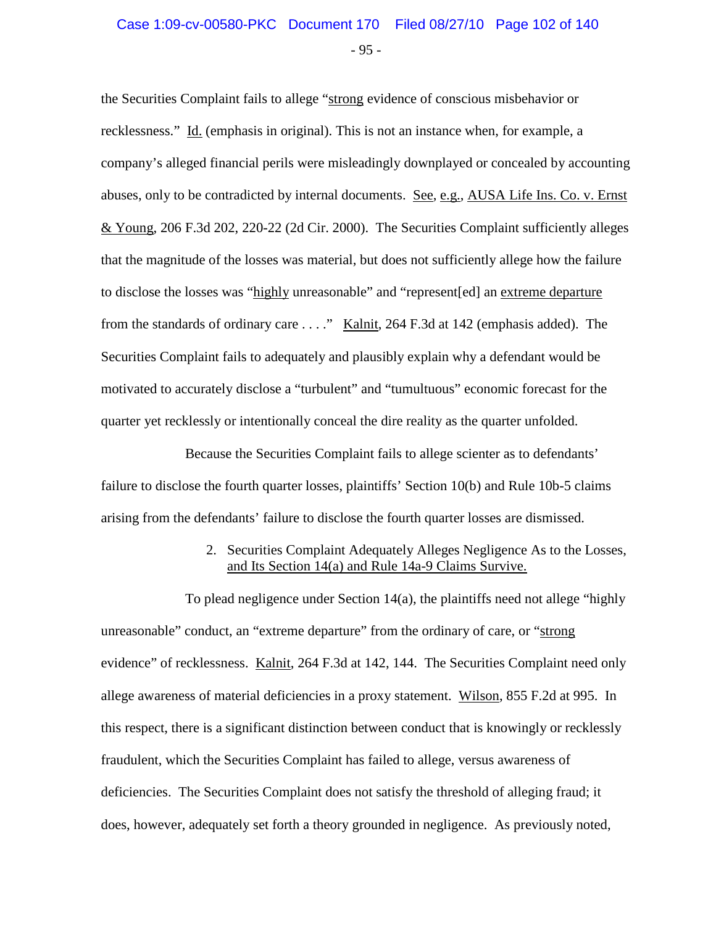### $-95 -$ Case 1:09-cv-00580-PKC Document 170 Filed 08/27/10 Page 102 of 140

the Securities Complaint fails to allege "strong evidence of conscious misbehavior or recklessness." Id. (emphasis in original). This is not an instance when, for example, a company's alleged financial perils were misleadingly downplayed or concealed by accounting abuses, only to be contradicted by internal documents. See, e.g., AUSA Life Ins. Co. v. Ernst & Young, 206 F.3d 202, 220-22 (2d Cir. 2000). The Securities Complaint sufficiently alleges that the magnitude of the losses was material, but does not sufficiently allege how the failure to disclose the losses was "highly unreasonable" and "represent[ed] an extreme departure from the standards of ordinary care . . . ." Kalnit, 264 F.3d at 142 (emphasis added). The Securities Complaint fails to adequately and plausibly explain why a defendant would be motivated to accurately disclose a "turbulent" and "tumultuous" economic forecast for the quarter yet recklessly or intentionally conceal the dire reality as the quarter unfolded.

Because the Securities Complaint fails to allege scienter as to defendants' failure to disclose the fourth quarter losses, plaintiffs' Section 10(b) and Rule 10b-5 claims arising from the defendants' failure to disclose the fourth quarter losses are dismissed.

#### 2. Securities Complaint Adequately Alleges Negligence As to the Losses, and Its Section 14(a) and Rule 14a-9 Claims Survive.

To plead negligence under Section 14(a), the plaintiffs need not allege "highly unreasonable" conduct, an "extreme departure" from the ordinary of care, or "strong evidence" of recklessness. Kalnit, 264 F.3d at 142, 144. The Securities Complaint need only allege awareness of material deficiencies in a proxy statement. Wilson, 855 F.2d at 995. In this respect, there is a significant distinction between conduct that is knowingly or recklessly fraudulent, which the Securities Complaint has failed to allege, versus awareness of deficiencies. The Securities Complaint does not satisfy the threshold of alleging fraud; it does, however, adequately set forth a theory grounded in negligence. As previously noted,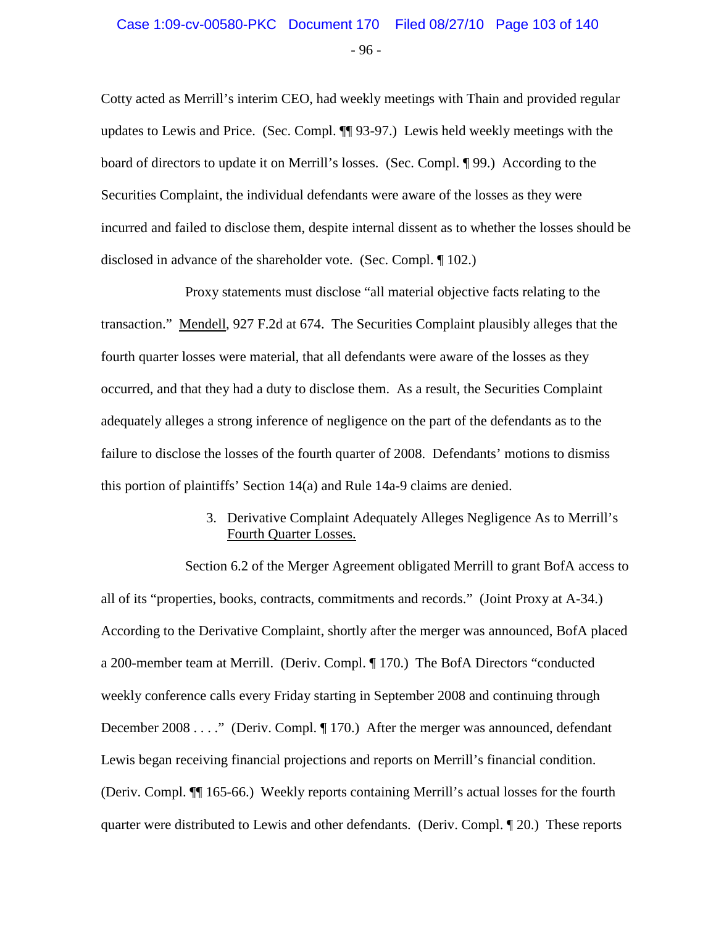# - 96 - Case 1:09-cv-00580-PKC Document 170 Filed 08/27/10 Page 103 of 140

Cotty acted as Merrill's interim CEO, had weekly meetings with Thain and provided regular updates to Lewis and Price. (Sec. Compl. ¶¶ 93-97.) Lewis held weekly meetings with the board of directors to update it on Merrill's losses. (Sec. Compl. ¶ 99.) According to the Securities Complaint, the individual defendants were aware of the losses as they were incurred and failed to disclose them, despite internal dissent as to whether the losses should be disclosed in advance of the shareholder vote. (Sec. Compl. ¶ 102.)

Proxy statements must disclose "all material objective facts relating to the transaction." Mendell, 927 F.2d at 674. The Securities Complaint plausibly alleges that the fourth quarter losses were material, that all defendants were aware of the losses as they occurred, and that they had a duty to disclose them. As a result, the Securities Complaint adequately alleges a strong inference of negligence on the part of the defendants as to the failure to disclose the losses of the fourth quarter of 2008. Defendants' motions to dismiss this portion of plaintiffs' Section 14(a) and Rule 14a-9 claims are denied.

#### 3. Derivative Complaint Adequately Alleges Negligence As to Merrill's Fourth Quarter Losses.

Section 6.2 of the Merger Agreement obligated Merrill to grant BofA access to all of its "properties, books, contracts, commitments and records." (Joint Proxy at A-34.) According to the Derivative Complaint, shortly after the merger was announced, BofA placed a 200-member team at Merrill. (Deriv. Compl. ¶ 170.) The BofA Directors "conducted weekly conference calls every Friday starting in September 2008 and continuing through December 2008 . . . ." (Deriv. Compl. ¶ 170.) After the merger was announced, defendant Lewis began receiving financial projections and reports on Merrill's financial condition. (Deriv. Compl. ¶¶ 165-66.) Weekly reports containing Merrill's actual losses for the fourth quarter were distributed to Lewis and other defendants. (Deriv. Compl. ¶ 20.) These reports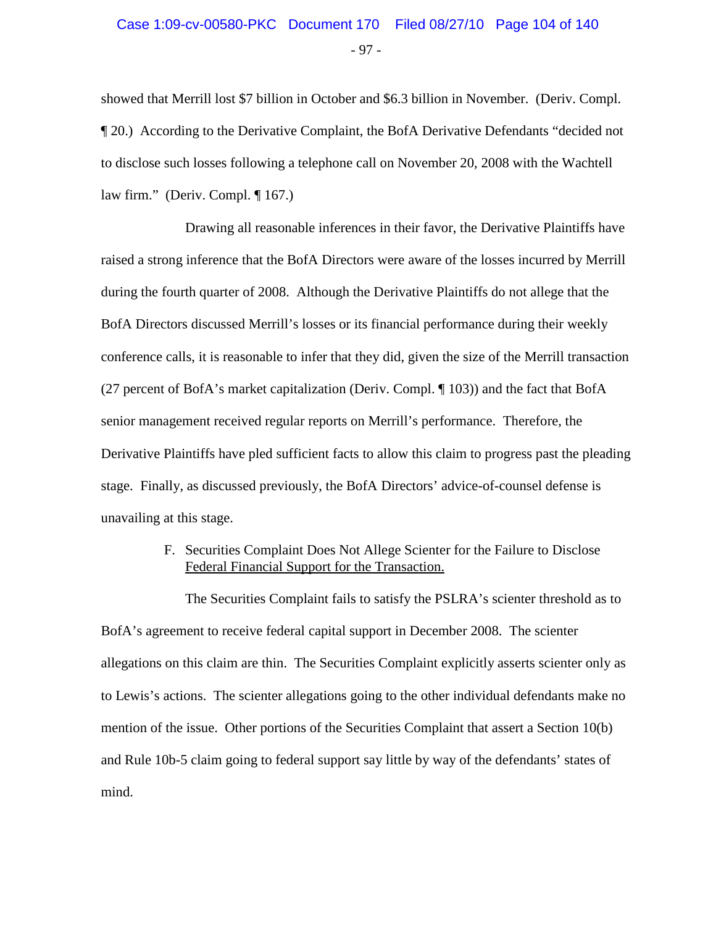showed that Merrill lost \$7 billion in October and \$6.3 billion in November. (Deriv. Compl. ¶ 20.) According to the Derivative Complaint, the BofA Derivative Defendants "decided not to disclose such losses following a telephone call on November 20, 2008 with the Wachtell law firm." (Deriv. Compl. ¶ 167.)

Drawing all reasonable inferences in their favor, the Derivative Plaintiffs have raised a strong inference that the BofA Directors were aware of the losses incurred by Merrill during the fourth quarter of 2008. Although the Derivative Plaintiffs do not allege that the BofA Directors discussed Merrill's losses or its financial performance during their weekly conference calls, it is reasonable to infer that they did, given the size of the Merrill transaction (27 percent of BofA's market capitalization (Deriv. Compl. ¶ 103)) and the fact that BofA senior management received regular reports on Merrill's performance. Therefore, the Derivative Plaintiffs have pled sufficient facts to allow this claim to progress past the pleading stage. Finally, as discussed previously, the BofA Directors' advice-of-counsel defense is unavailing at this stage.

#### F. Securities Complaint Does Not Allege Scienter for the Failure to Disclose Federal Financial Support for the Transaction.

The Securities Complaint fails to satisfy the PSLRA's scienter threshold as to BofA's agreement to receive federal capital support in December 2008. The scienter allegations on this claim are thin. The Securities Complaint explicitly asserts scienter only as to Lewis's actions. The scienter allegations going to the other individual defendants make no mention of the issue. Other portions of the Securities Complaint that assert a Section 10(b) and Rule 10b-5 claim going to federal support say little by way of the defendants' states of mind.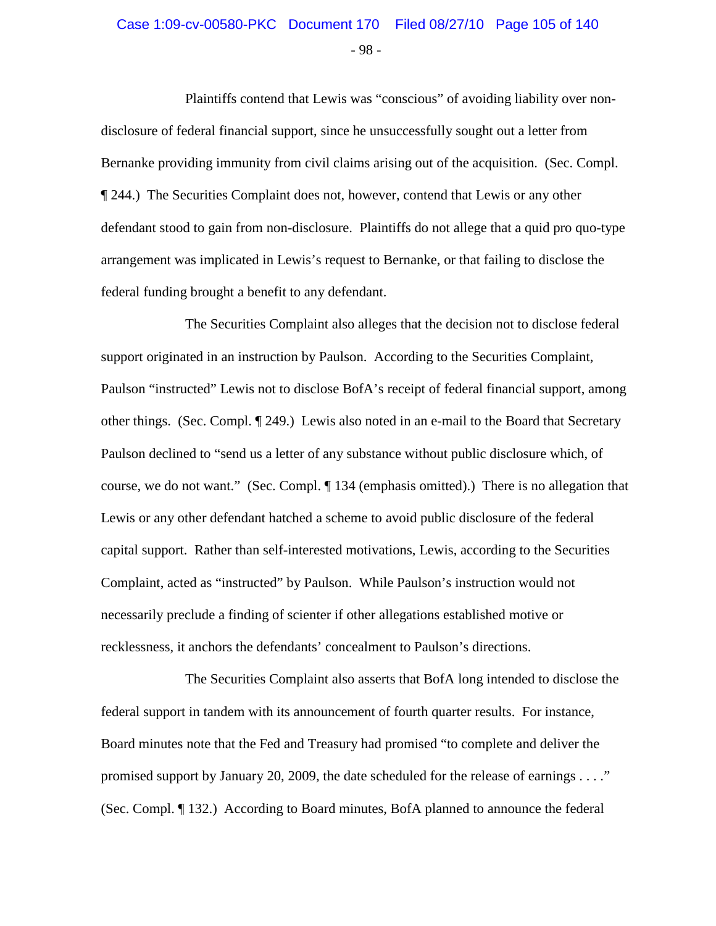# - 98 - Case 1:09-cv-00580-PKC Document 170 Filed 08/27/10 Page 105 of 140

Plaintiffs contend that Lewis was "conscious" of avoiding liability over nondisclosure of federal financial support, since he unsuccessfully sought out a letter from Bernanke providing immunity from civil claims arising out of the acquisition. (Sec. Compl. ¶ 244.) The Securities Complaint does not, however, contend that Lewis or any other defendant stood to gain from non-disclosure. Plaintiffs do not allege that a quid pro quo-type arrangement was implicated in Lewis's request to Bernanke, or that failing to disclose the federal funding brought a benefit to any defendant.

The Securities Complaint also alleges that the decision not to disclose federal support originated in an instruction by Paulson. According to the Securities Complaint, Paulson "instructed" Lewis not to disclose BofA's receipt of federal financial support, among other things. (Sec. Compl. ¶ 249.) Lewis also noted in an e-mail to the Board that Secretary Paulson declined to "send us a letter of any substance without public disclosure which, of course, we do not want." (Sec. Compl. ¶ 134 (emphasis omitted).) There is no allegation that Lewis or any other defendant hatched a scheme to avoid public disclosure of the federal capital support. Rather than self-interested motivations, Lewis, according to the Securities Complaint, acted as "instructed" by Paulson. While Paulson's instruction would not necessarily preclude a finding of scienter if other allegations established motive or recklessness, it anchors the defendants' concealment to Paulson's directions.

The Securities Complaint also asserts that BofA long intended to disclose the federal support in tandem with its announcement of fourth quarter results. For instance, Board minutes note that the Fed and Treasury had promised "to complete and deliver the promised support by January 20, 2009, the date scheduled for the release of earnings . . . ." (Sec. Compl. ¶ 132.) According to Board minutes, BofA planned to announce the federal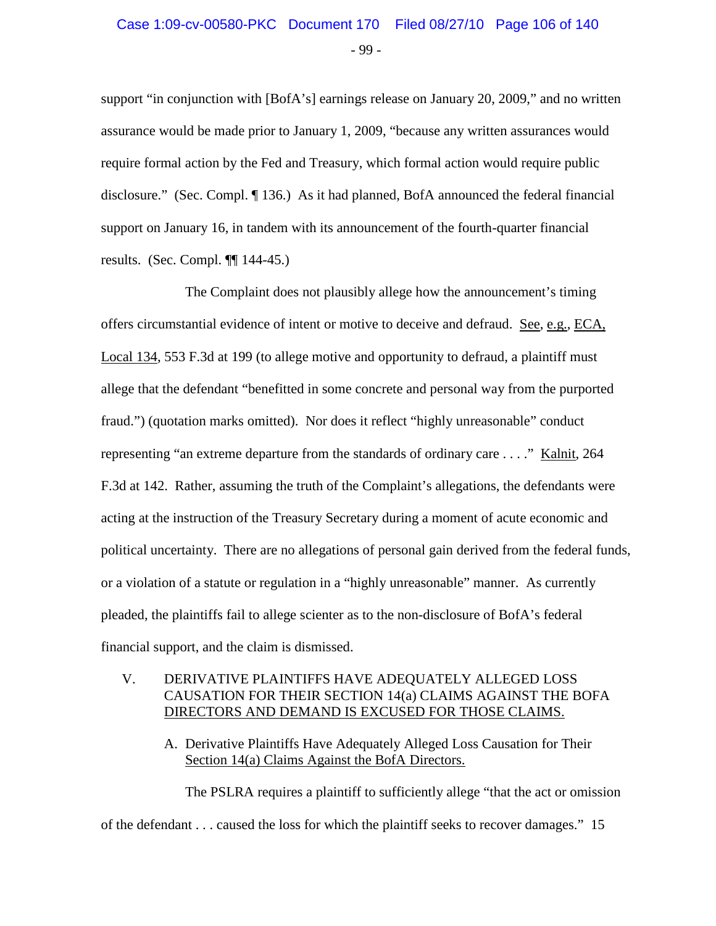# - 99 - Case 1:09-cv-00580-PKC Document 170 Filed 08/27/10 Page 106 of 140

support "in conjunction with [BofA's] earnings release on January 20, 2009," and no written assurance would be made prior to January 1, 2009, "because any written assurances would require formal action by the Fed and Treasury, which formal action would require public disclosure." (Sec. Compl. ¶ 136.) As it had planned, BofA announced the federal financial support on January 16, in tandem with its announcement of the fourth-quarter financial results. (Sec. Compl. ¶¶ 144-45.)

The Complaint does not plausibly allege how the announcement's timing offers circumstantial evidence of intent or motive to deceive and defraud. See, e.g., ECA, Local 134, 553 F.3d at 199 (to allege motive and opportunity to defraud, a plaintiff must allege that the defendant "benefitted in some concrete and personal way from the purported fraud.") (quotation marks omitted). Nor does it reflect "highly unreasonable" conduct representing "an extreme departure from the standards of ordinary care . . . ." Kalnit, 264 F.3d at 142. Rather, assuming the truth of the Complaint's allegations, the defendants were acting at the instruction of the Treasury Secretary during a moment of acute economic and political uncertainty. There are no allegations of personal gain derived from the federal funds, or a violation of a statute or regulation in a "highly unreasonable" manner. As currently pleaded, the plaintiffs fail to allege scienter as to the non-disclosure of BofA's federal financial support, and the claim is dismissed.

#### V. DERIVATIVE PLAINTIFFS HAVE ADEQUATELY ALLEGED LOSS CAUSATION FOR THEIR SECTION 14(a) CLAIMS AGAINST THE BOFA DIRECTORS AND DEMAND IS EXCUSED FOR THOSE CLAIMS.

A. Derivative Plaintiffs Have Adequately Alleged Loss Causation for Their Section 14(a) Claims Against the BofA Directors.

The PSLRA requires a plaintiff to sufficiently allege "that the act or omission of the defendant . . . caused the loss for which the plaintiff seeks to recover damages." 15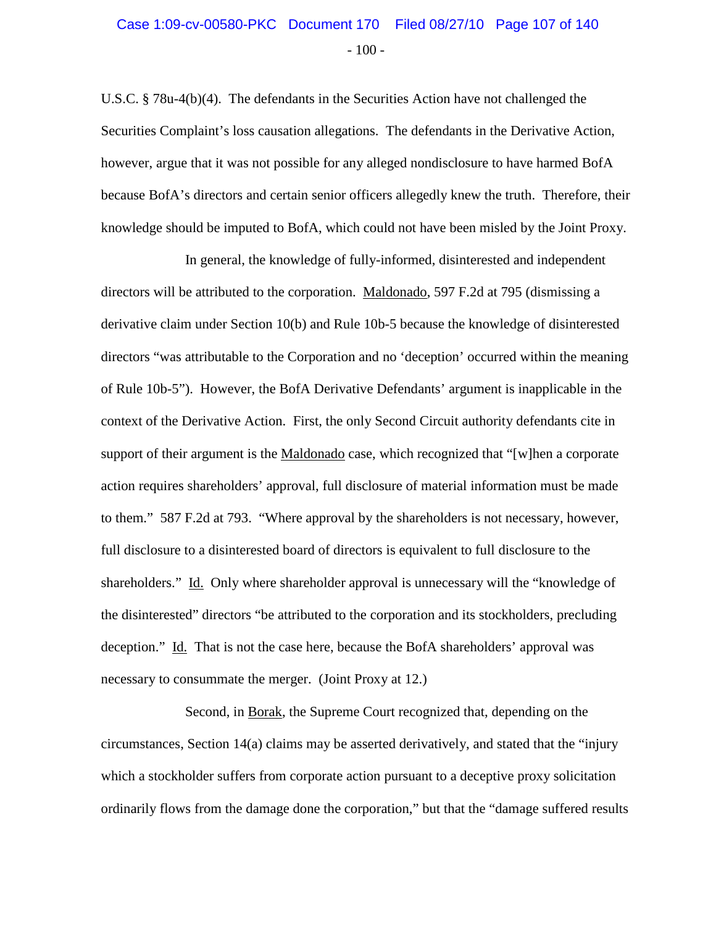# $-100-$ Case 1:09-cv-00580-PKC Document 170 Filed 08/27/10 Page 107 of 140

U.S.C. § 78u-4(b)(4). The defendants in the Securities Action have not challenged the Securities Complaint's loss causation allegations. The defendants in the Derivative Action, however, argue that it was not possible for any alleged nondisclosure to have harmed BofA because BofA's directors and certain senior officers allegedly knew the truth. Therefore, their knowledge should be imputed to BofA, which could not have been misled by the Joint Proxy.

In general, the knowledge of fully-informed, disinterested and independent directors will be attributed to the corporation. Maldonado, 597 F.2d at 795 (dismissing a derivative claim under Section 10(b) and Rule 10b-5 because the knowledge of disinterested directors "was attributable to the Corporation and no 'deception' occurred within the meaning of Rule 10b-5"). However, the BofA Derivative Defendants' argument is inapplicable in the context of the Derivative Action. First, the only Second Circuit authority defendants cite in support of their argument is the Maldonado case, which recognized that "[w]hen a corporate action requires shareholders' approval, full disclosure of material information must be made to them." 587 F.2d at 793. "Where approval by the shareholders is not necessary, however, full disclosure to a disinterested board of directors is equivalent to full disclosure to the shareholders." Id. Only where shareholder approval is unnecessary will the "knowledge of the disinterested" directors "be attributed to the corporation and its stockholders, precluding deception." Id. That is not the case here, because the BofA shareholders' approval was necessary to consummate the merger. (Joint Proxy at 12.)

Second, in Borak, the Supreme Court recognized that, depending on the circumstances, Section 14(a) claims may be asserted derivatively, and stated that the "injury which a stockholder suffers from corporate action pursuant to a deceptive proxy solicitation ordinarily flows from the damage done the corporation," but that the "damage suffered results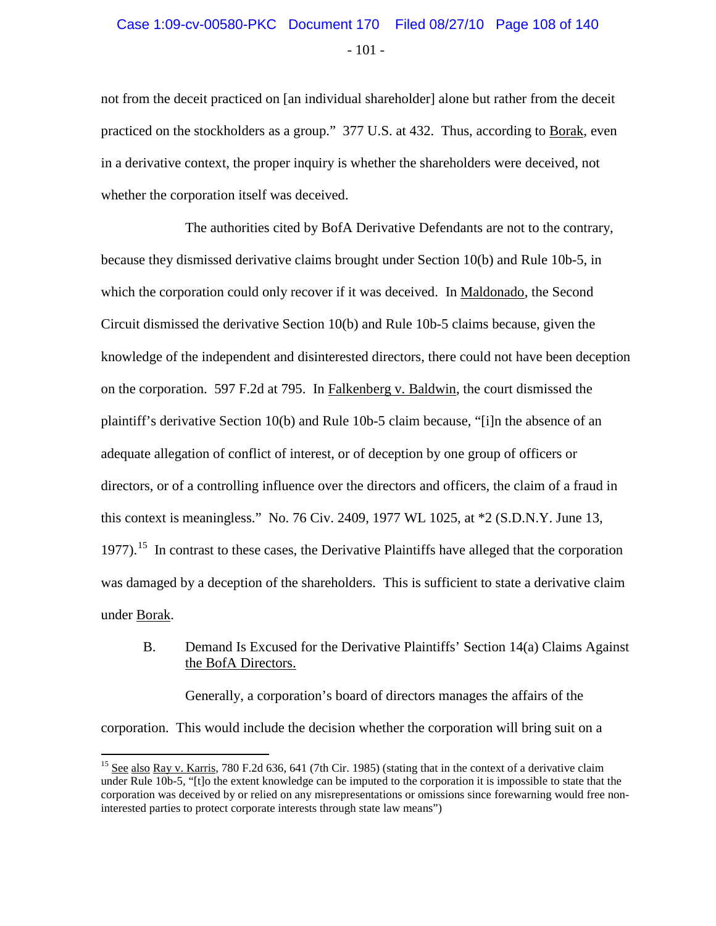# - 101 - Case 1:09-cv-00580-PKC Document 170 Filed 08/27/10 Page 108 of 140

not from the deceit practiced on [an individual shareholder] alone but rather from the deceit practiced on the stockholders as a group." 377 U.S. at 432. Thus, according to Borak, even in a derivative context, the proper inquiry is whether the shareholders were deceived, not whether the corporation itself was deceived.

The authorities cited by BofA Derivative Defendants are not to the contrary, because they dismissed derivative claims brought under Section 10(b) and Rule 10b-5, in which the corporation could only recover if it was deceived. In Maldonado, the Second Circuit dismissed the derivative Section 10(b) and Rule 10b-5 claims because, given the knowledge of the independent and disinterested directors, there could not have been deception on the corporation. 597 F.2d at 795. In Falkenberg v. Baldwin, the court dismissed the plaintiff's derivative Section 10(b) and Rule 10b-5 claim because, "[i]n the absence of an adequate allegation of conflict of interest, or of deception by one group of officers or directors, or of a controlling influence over the directors and officers, the claim of a fraud in this context is meaningless." No. 76 Civ. 2409, 1977 WL 1025, at \*2 (S.D.N.Y. June 13, 1977).<sup>[15](#page-107-0)</sup> In contrast to these cases, the Derivative Plaintiffs have alleged that the corporation was damaged by a deception of the shareholders. This is sufficient to state a derivative claim under Borak.

#### B. Demand Is Excused for the Derivative Plaintiffs' Section 14(a) Claims Against the BofA Directors.

Generally, a corporation's board of directors manages the affairs of the corporation. This would include the decision whether the corporation will bring suit on a

<span id="page-107-0"></span><sup>&</sup>lt;sup>15</sup> See also Ray v. Karris, 780 F.2d 636, 641 (7th Cir. 1985) (stating that in the context of a derivative claim under Rule 10b-5, "[t]o the extent knowledge can be imputed to the corporation it is impossible to state that the corporation was deceived by or relied on any misrepresentations or omissions since forewarning would free noninterested parties to protect corporate interests through state law means")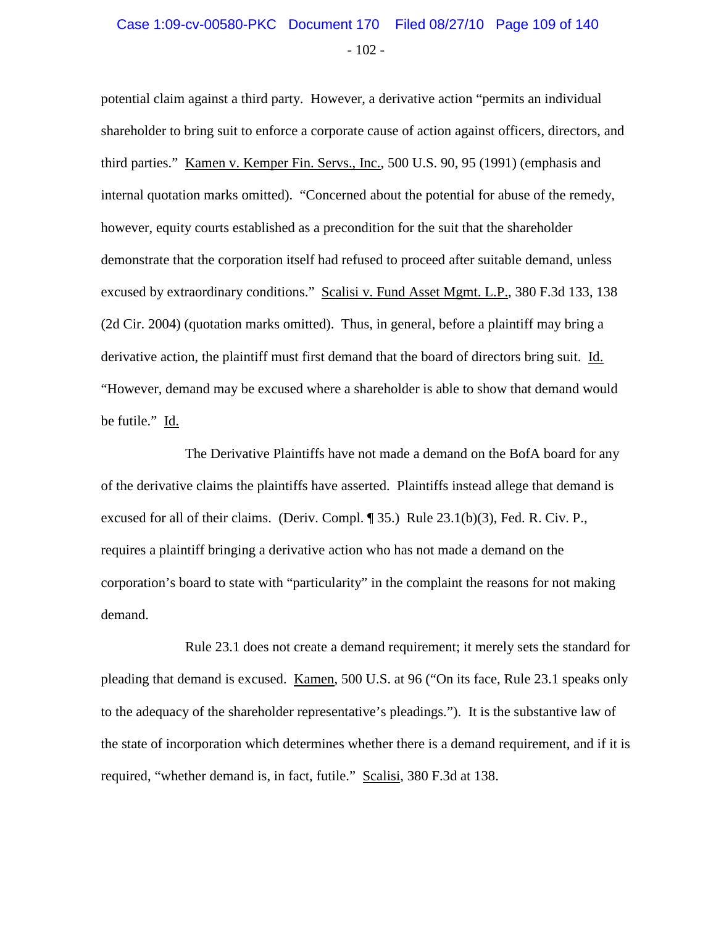### $-102 -$ Case 1:09-cv-00580-PKC Document 170 Filed 08/27/10 Page 109 of 140

potential claim against a third party. However, a derivative action "permits an individual shareholder to bring suit to enforce a corporate cause of action against officers, directors, and third parties." Kamen v. Kemper Fin. Servs., Inc., 500 U.S. 90, 95 (1991) (emphasis and internal quotation marks omitted). "Concerned about the potential for abuse of the remedy, however, equity courts established as a precondition for the suit that the shareholder demonstrate that the corporation itself had refused to proceed after suitable demand, unless excused by extraordinary conditions." Scalisi v. Fund Asset Mgmt. L.P., 380 F.3d 133, 138 (2d Cir. 2004) (quotation marks omitted). Thus, in general, before a plaintiff may bring a derivative action, the plaintiff must first demand that the board of directors bring suit. Id. "However, demand may be excused where a shareholder is able to show that demand would be futile." Id.

The Derivative Plaintiffs have not made a demand on the BofA board for any of the derivative claims the plaintiffs have asserted. Plaintiffs instead allege that demand is excused for all of their claims. (Deriv. Compl. ¶ 35.) Rule 23.1(b)(3), Fed. R. Civ. P., requires a plaintiff bringing a derivative action who has not made a demand on the corporation's board to state with "particularity" in the complaint the reasons for not making demand.

Rule 23.1 does not create a demand requirement; it merely sets the standard for pleading that demand is excused. Kamen, 500 U.S. at 96 ("On its face, Rule 23.1 speaks only to the adequacy of the shareholder representative's pleadings."). It is the substantive law of the state of incorporation which determines whether there is a demand requirement, and if it is required, "whether demand is, in fact, futile." Scalisi, 380 F.3d at 138.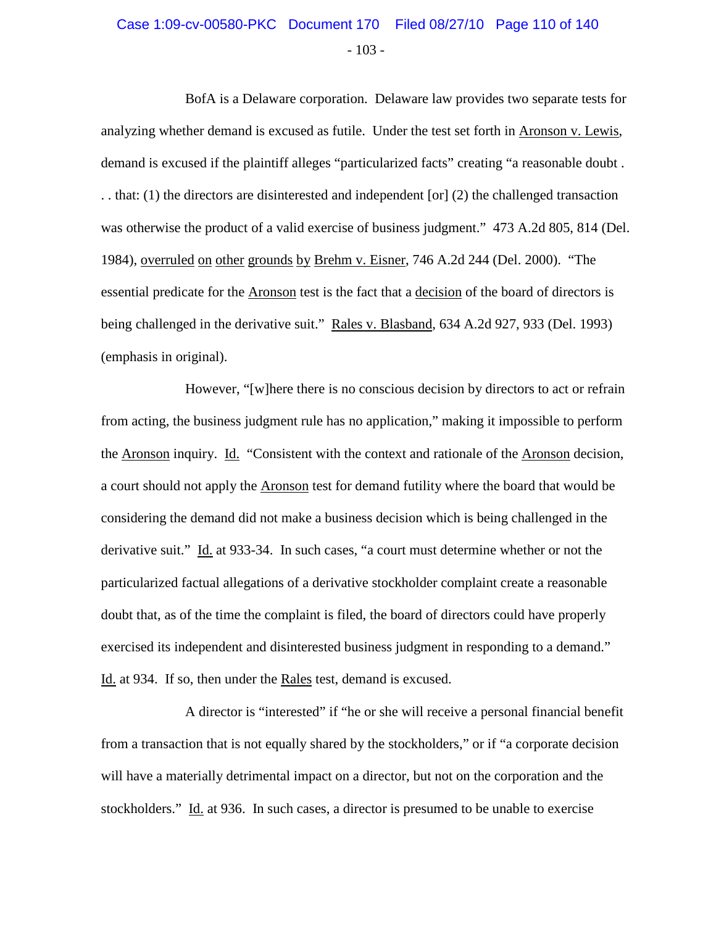### $-103 -$ Case 1:09-cv-00580-PKC Document 170 Filed 08/27/10 Page 110 of 140

BofA is a Delaware corporation. Delaware law provides two separate tests for analyzing whether demand is excused as futile. Under the test set forth in Aronson v. Lewis, demand is excused if the plaintiff alleges "particularized facts" creating "a reasonable doubt . . . that: (1) the directors are disinterested and independent [or] (2) the challenged transaction was otherwise the product of a valid exercise of business judgment." 473 A.2d 805, 814 (Del. 1984), overruled on other grounds by Brehm v. Eisner, 746 A.2d 244 (Del. 2000). "The essential predicate for the Aronson test is the fact that a decision of the board of directors is being challenged in the derivative suit." Rales v. Blasband, 634 A.2d 927, 933 (Del. 1993) (emphasis in original).

However, "[w]here there is no conscious decision by directors to act or refrain from acting, the business judgment rule has no application," making it impossible to perform the Aronson inquiry. Id. "Consistent with the context and rationale of the Aronson decision, a court should not apply the Aronson test for demand futility where the board that would be considering the demand did not make a business decision which is being challenged in the derivative suit." Id. at 933-34. In such cases, "a court must determine whether or not the particularized factual allegations of a derivative stockholder complaint create a reasonable doubt that, as of the time the complaint is filed, the board of directors could have properly exercised its independent and disinterested business judgment in responding to a demand." Id. at 934. If so, then under the Rales test, demand is excused.

A director is "interested" if "he or she will receive a personal financial benefit from a transaction that is not equally shared by the stockholders," or if "a corporate decision will have a materially detrimental impact on a director, but not on the corporation and the stockholders." Id. at 936. In such cases, a director is presumed to be unable to exercise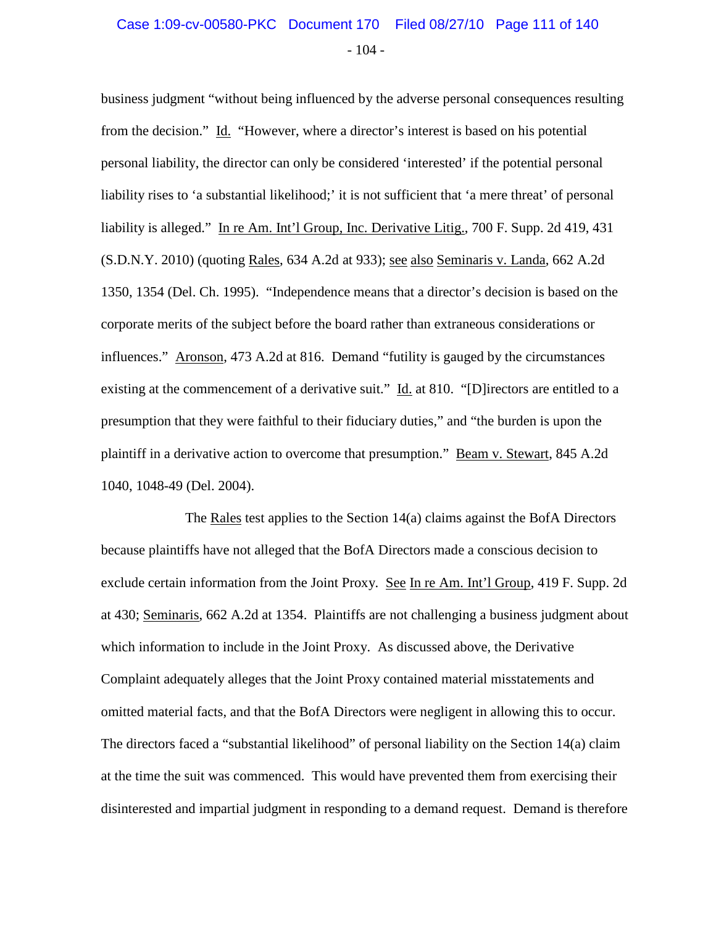### $-104 -$ Case 1:09-cv-00580-PKC Document 170 Filed 08/27/10 Page 111 of 140

business judgment "without being influenced by the adverse personal consequences resulting from the decision." Id. "However, where a director's interest is based on his potential personal liability, the director can only be considered 'interested' if the potential personal liability rises to 'a substantial likelihood;' it is not sufficient that 'a mere threat' of personal liability is alleged." In re Am. Int'l Group, Inc. Derivative Litig., 700 F. Supp. 2d 419, 431 (S.D.N.Y. 2010) (quoting Rales, 634 A.2d at 933); see also Seminaris v. Landa, 662 A.2d 1350, 1354 (Del. Ch. 1995). "Independence means that a director's decision is based on the corporate merits of the subject before the board rather than extraneous considerations or influences." Aronson, 473 A.2d at 816. Demand "futility is gauged by the circumstances existing at the commencement of a derivative suit." Id. at 810. "[D] irectors are entitled to a presumption that they were faithful to their fiduciary duties," and "the burden is upon the plaintiff in a derivative action to overcome that presumption." Beam v. Stewart, 845 A.2d 1040, 1048-49 (Del. 2004).

The Rales test applies to the Section 14(a) claims against the BofA Directors because plaintiffs have not alleged that the BofA Directors made a conscious decision to exclude certain information from the Joint Proxy. See In re Am. Int'l Group, 419 F. Supp. 2d at 430; Seminaris, 662 A.2d at 1354. Plaintiffs are not challenging a business judgment about which information to include in the Joint Proxy. As discussed above, the Derivative Complaint adequately alleges that the Joint Proxy contained material misstatements and omitted material facts, and that the BofA Directors were negligent in allowing this to occur. The directors faced a "substantial likelihood" of personal liability on the Section 14(a) claim at the time the suit was commenced. This would have prevented them from exercising their disinterested and impartial judgment in responding to a demand request. Demand is therefore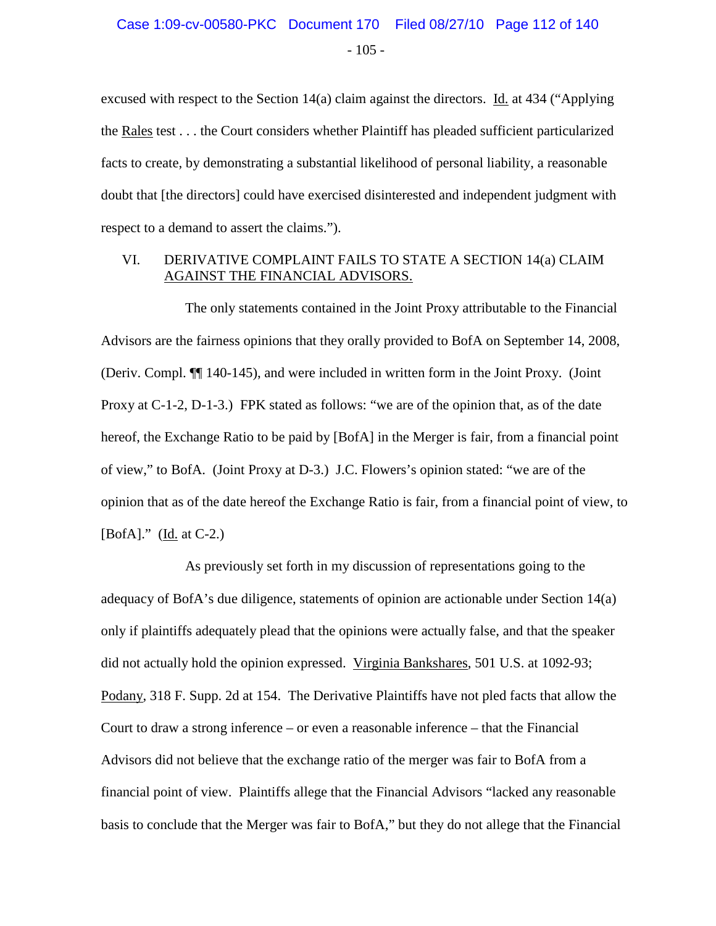excused with respect to the Section 14(a) claim against the directors. Id. at 434 ("Applying the Rales test . . . the Court considers whether Plaintiff has pleaded sufficient particularized facts to create, by demonstrating a substantial likelihood of personal liability, a reasonable doubt that [the directors] could have exercised disinterested and independent judgment with respect to a demand to assert the claims.").

#### VI. DERIVATIVE COMPLAINT FAILS TO STATE A SECTION 14(a) CLAIM AGAINST THE FINANCIAL ADVISORS.

The only statements contained in the Joint Proxy attributable to the Financial Advisors are the fairness opinions that they orally provided to BofA on September 14, 2008, (Deriv. Compl. ¶¶ 140-145), and were included in written form in the Joint Proxy. (Joint Proxy at C-1-2, D-1-3.) FPK stated as follows: "we are of the opinion that, as of the date hereof, the Exchange Ratio to be paid by [BofA] in the Merger is fair, from a financial point of view," to BofA. (Joint Proxy at D-3.) J.C. Flowers's opinion stated: "we are of the opinion that as of the date hereof the Exchange Ratio is fair, from a financial point of view, to [BofA]." (Id. at C-2.)

As previously set forth in my discussion of representations going to the adequacy of BofA's due diligence, statements of opinion are actionable under Section 14(a) only if plaintiffs adequately plead that the opinions were actually false, and that the speaker did not actually hold the opinion expressed. Virginia Bankshares, 501 U.S. at 1092-93; Podany, 318 F. Supp. 2d at 154. The Derivative Plaintiffs have not pled facts that allow the Court to draw a strong inference – or even a reasonable inference – that the Financial Advisors did not believe that the exchange ratio of the merger was fair to BofA from a financial point of view. Plaintiffs allege that the Financial Advisors "lacked any reasonable basis to conclude that the Merger was fair to BofA," but they do not allege that the Financial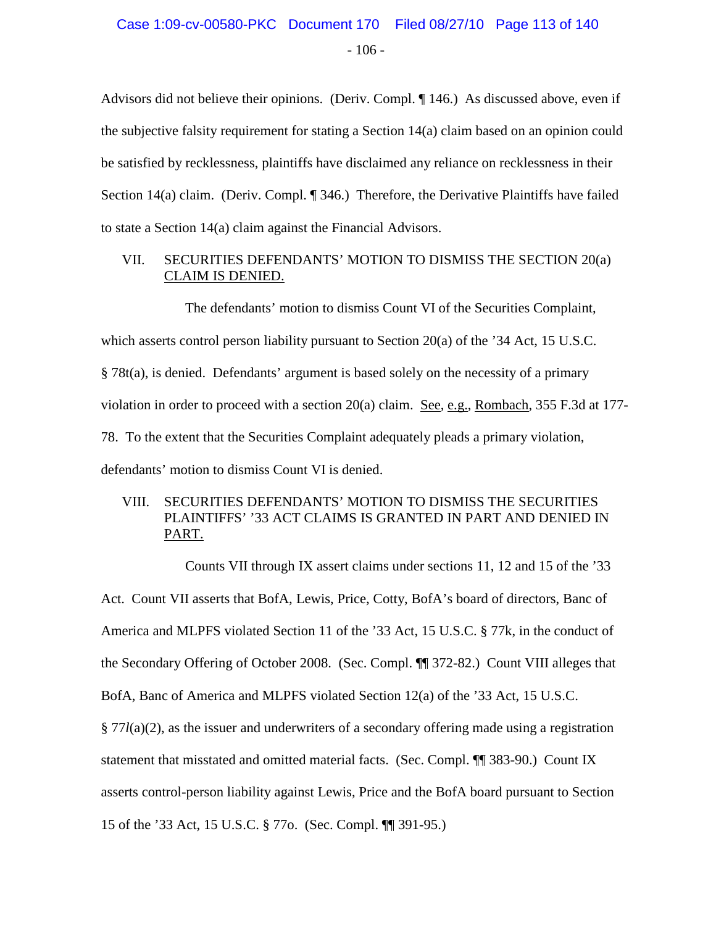Advisors did not believe their opinions. (Deriv. Compl. ¶ 146.) As discussed above, even if the subjective falsity requirement for stating a Section 14(a) claim based on an opinion could be satisfied by recklessness, plaintiffs have disclaimed any reliance on recklessness in their Section 14(a) claim. (Deriv. Compl. ¶ 346.) Therefore, the Derivative Plaintiffs have failed to state a Section 14(a) claim against the Financial Advisors.

#### VII. SECURITIES DEFENDANTS' MOTION TO DISMISS THE SECTION 20(a) CLAIM IS DENIED.

The defendants' motion to dismiss Count VI of the Securities Complaint, which asserts control person liability pursuant to Section 20(a) of the '34 Act, 15 U.S.C. § 78t(a), is denied. Defendants' argument is based solely on the necessity of a primary violation in order to proceed with a section 20(a) claim. See, e.g., Rombach, 355 F.3d at 177- 78. To the extent that the Securities Complaint adequately pleads a primary violation, defendants' motion to dismiss Count VI is denied.

#### VIII. SECURITIES DEFENDANTS' MOTION TO DISMISS THE SECURITIES PLAINTIFFS' '33 ACT CLAIMS IS GRANTED IN PART AND DENIED IN PART.

Counts VII through IX assert claims under sections 11, 12 and 15 of the '33

Act. Count VII asserts that BofA, Lewis, Price, Cotty, BofA's board of directors, Banc of America and MLPFS violated Section 11 of the '33 Act, 15 U.S.C. § 77k, in the conduct of the Secondary Offering of October 2008. (Sec. Compl. ¶¶ 372-82.) Count VIII alleges that BofA, Banc of America and MLPFS violated Section 12(a) of the '33 Act, 15 U.S.C. § 77*l*(a)(2), as the issuer and underwriters of a secondary offering made using a registration statement that misstated and omitted material facts. (Sec. Compl. ¶¶ 383-90.) Count IX asserts control-person liability against Lewis, Price and the BofA board pursuant to Section 15 of the '33 Act, 15 U.S.C. § 77o. (Sec. Compl. ¶¶ 391-95.)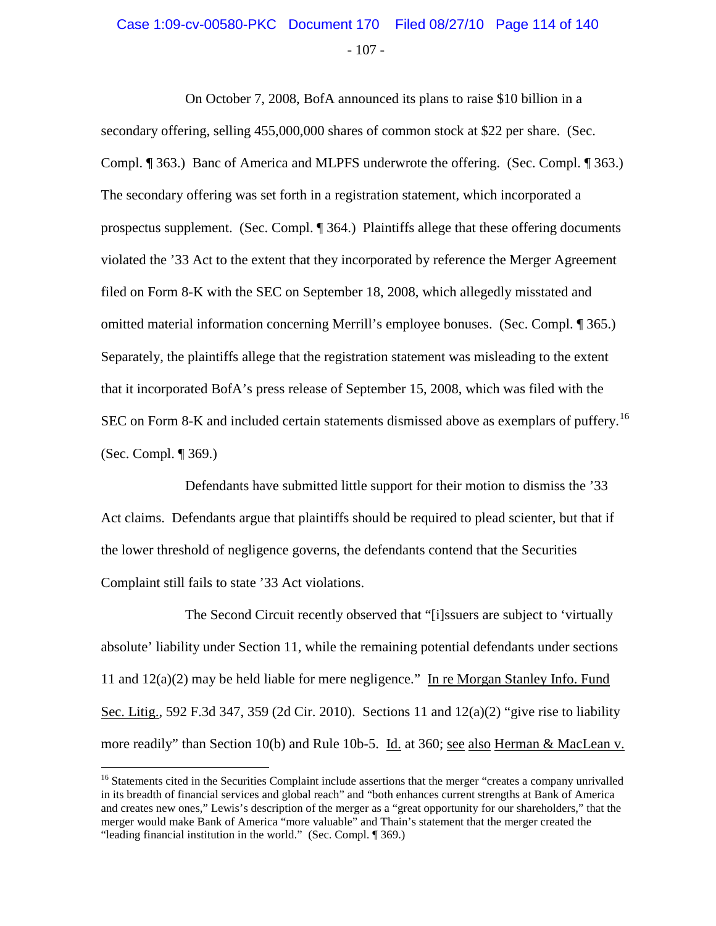### - 107 - Case 1:09-cv-00580-PKC Document 170 Filed 08/27/10 Page 114 of 140

On October 7, 2008, BofA announced its plans to raise \$10 billion in a secondary offering, selling 455,000,000 shares of common stock at \$22 per share. (Sec. Compl. ¶ 363.) Banc of America and MLPFS underwrote the offering. (Sec. Compl. ¶ 363.) The secondary offering was set forth in a registration statement, which incorporated a prospectus supplement. (Sec. Compl. ¶ 364.) Plaintiffs allege that these offering documents violated the '33 Act to the extent that they incorporated by reference the Merger Agreement filed on Form 8-K with the SEC on September 18, 2008, which allegedly misstated and omitted material information concerning Merrill's employee bonuses. (Sec. Compl. ¶ 365.) Separately, the plaintiffs allege that the registration statement was misleading to the extent that it incorporated BofA's press release of September 15, 2008, which was filed with the SEC on Form 8-K and included certain statements dismissed above as exemplars of puffery.<sup>[16](#page-113-0)</sup> (Sec. Compl. ¶ 369.)

Defendants have submitted little support for their motion to dismiss the '33 Act claims. Defendants argue that plaintiffs should be required to plead scienter, but that if the lower threshold of negligence governs, the defendants contend that the Securities Complaint still fails to state '33 Act violations.

The Second Circuit recently observed that "[i]ssuers are subject to 'virtually absolute' liability under Section 11, while the remaining potential defendants under sections 11 and  $12(a)(2)$  may be held liable for mere negligence." In re Morgan Stanley Info. Fund Sec. Litig., 592 F.3d 347, 359 (2d Cir. 2010). Sections 11 and 12(a)(2) "give rise to liability more readily" than Section 10(b) and Rule 10b-5. Id. at 360; see also Herman & MacLean v.

<span id="page-113-0"></span><sup>&</sup>lt;sup>16</sup> Statements cited in the Securities Complaint include assertions that the merger "creates a company unrivalled in its breadth of financial services and global reach" and "both enhances current strengths at Bank of America and creates new ones," Lewis's description of the merger as a "great opportunity for our shareholders," that the merger would make Bank of America "more valuable" and Thain's statement that the merger created the "leading financial institution in the world." (Sec. Compl. ¶ 369.)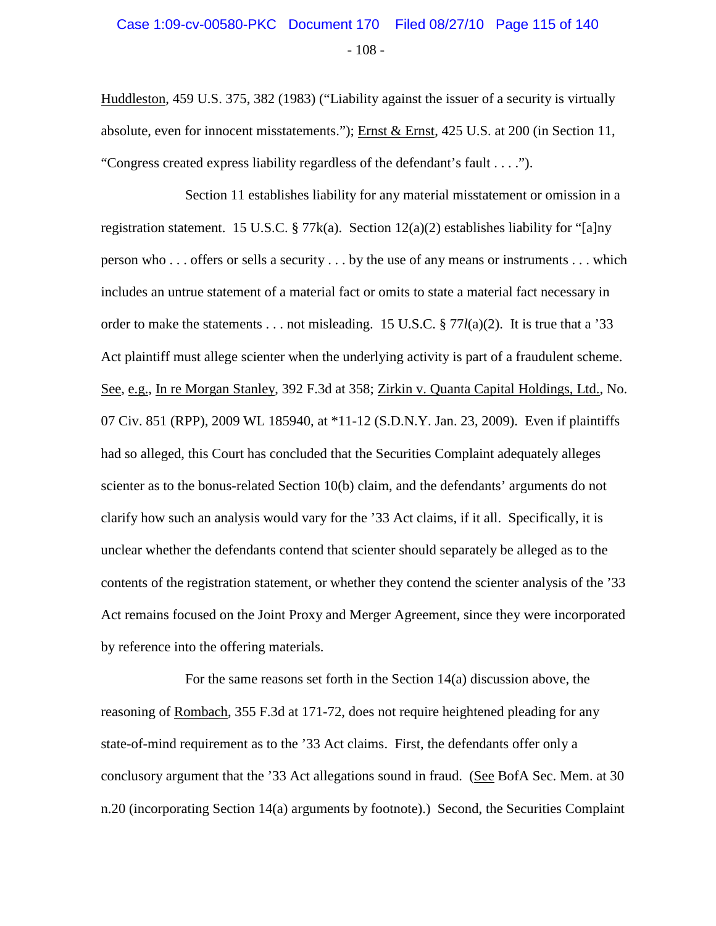### - 108 - Case 1:09-cv-00580-PKC Document 170 Filed 08/27/10 Page 115 of 140

Huddleston, 459 U.S. 375, 382 (1983) ("Liability against the issuer of a security is virtually absolute, even for innocent misstatements."); Ernst & Ernst, 425 U.S. at 200 (in Section 11, "Congress created express liability regardless of the defendant's fault . . . .").

Section 11 establishes liability for any material misstatement or omission in a registration statement. 15 U.S.C. § 77 $k(a)$ . Section 12(a)(2) establishes liability for "[a]ny person who . . . offers or sells a security . . . by the use of any means or instruments . . . which includes an untrue statement of a material fact or omits to state a material fact necessary in order to make the statements . . . not misleading. 15 U.S.C. § 77*l*(a)(2). It is true that a '33 Act plaintiff must allege scienter when the underlying activity is part of a fraudulent scheme. See, e.g., In re Morgan Stanley, 392 F.3d at 358; Zirkin v. Quanta Capital Holdings, Ltd., No. 07 Civ. 851 (RPP), 2009 WL 185940, at \*11-12 (S.D.N.Y. Jan. 23, 2009). Even if plaintiffs had so alleged, this Court has concluded that the Securities Complaint adequately alleges scienter as to the bonus-related Section 10(b) claim, and the defendants' arguments do not clarify how such an analysis would vary for the '33 Act claims, if it all. Specifically, it is unclear whether the defendants contend that scienter should separately be alleged as to the contents of the registration statement, or whether they contend the scienter analysis of the '33 Act remains focused on the Joint Proxy and Merger Agreement, since they were incorporated by reference into the offering materials.

For the same reasons set forth in the Section 14(a) discussion above, the reasoning of Rombach, 355 F.3d at 171-72, does not require heightened pleading for any state-of-mind requirement as to the '33 Act claims. First, the defendants offer only a conclusory argument that the '33 Act allegations sound in fraud. (See BofA Sec. Mem. at 30 n.20 (incorporating Section 14(a) arguments by footnote).) Second, the Securities Complaint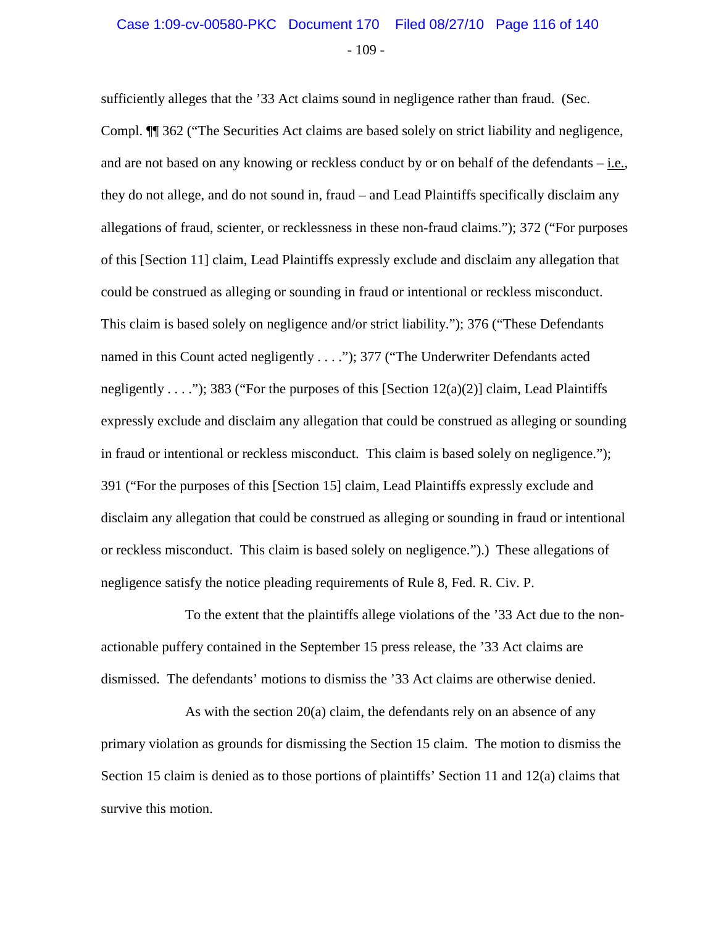### $-109-$ Case 1:09-cv-00580-PKC Document 170 Filed 08/27/10 Page 116 of 140

sufficiently alleges that the '33 Act claims sound in negligence rather than fraud. (Sec. Compl. ¶¶ 362 ("The Securities Act claims are based solely on strict liability and negligence, and are not based on any knowing or reckless conduct by or on behalf of the defendants – i.e., they do not allege, and do not sound in, fraud – and Lead Plaintiffs specifically disclaim any allegations of fraud, scienter, or recklessness in these non-fraud claims."); 372 ("For purposes of this [Section 11] claim, Lead Plaintiffs expressly exclude and disclaim any allegation that could be construed as alleging or sounding in fraud or intentional or reckless misconduct. This claim is based solely on negligence and/or strict liability."); 376 ("These Defendants named in this Count acted negligently . . . ."); 377 ("The Underwriter Defendants acted negligently . . . ."); 383 ("For the purposes of this [Section  $12(a)(2)$ ] claim, Lead Plaintiffs expressly exclude and disclaim any allegation that could be construed as alleging or sounding in fraud or intentional or reckless misconduct. This claim is based solely on negligence."); 391 ("For the purposes of this [Section 15] claim, Lead Plaintiffs expressly exclude and disclaim any allegation that could be construed as alleging or sounding in fraud or intentional or reckless misconduct. This claim is based solely on negligence.").) These allegations of negligence satisfy the notice pleading requirements of Rule 8, Fed. R. Civ. P.

To the extent that the plaintiffs allege violations of the '33 Act due to the nonactionable puffery contained in the September 15 press release, the '33 Act claims are dismissed. The defendants' motions to dismiss the '33 Act claims are otherwise denied.

As with the section 20(a) claim, the defendants rely on an absence of any primary violation as grounds for dismissing the Section 15 claim. The motion to dismiss the Section 15 claim is denied as to those portions of plaintiffs' Section 11 and 12(a) claims that survive this motion.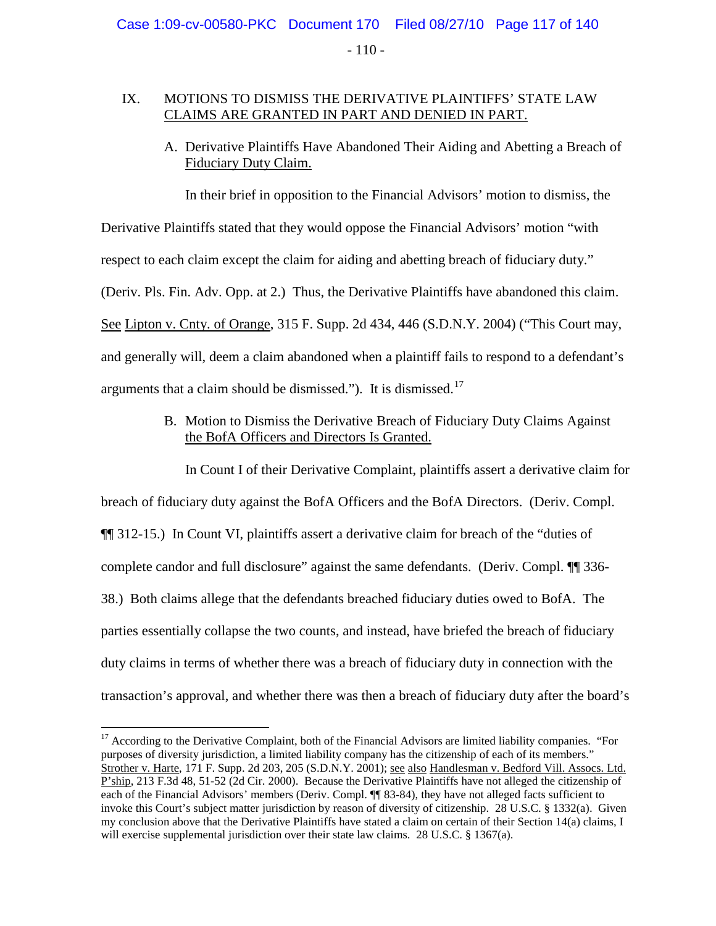$-110-$ 

#### IX. MOTIONS TO DISMISS THE DERIVATIVE PLAINTIFFS' STATE LAW CLAIMS ARE GRANTED IN PART AND DENIED IN PART.

A. Derivative Plaintiffs Have Abandoned Their Aiding and Abetting a Breach of Fiduciary Duty Claim.

In their brief in opposition to the Financial Advisors' motion to dismiss, the

Derivative Plaintiffs stated that they would oppose the Financial Advisors' motion "with

respect to each claim except the claim for aiding and abetting breach of fiduciary duty."

(Deriv. Pls. Fin. Adv. Opp. at 2.) Thus, the Derivative Plaintiffs have abandoned this claim.

See Lipton v. Cnty. of Orange, 315 F. Supp. 2d 434, 446 (S.D.N.Y. 2004) ("This Court may,

and generally will, deem a claim abandoned when a plaintiff fails to respond to a defendant's

arguments that a claim should be dismissed."). It is dismissed.[17](#page-116-0)

B. Motion to Dismiss the Derivative Breach of Fiduciary Duty Claims Against the BofA Officers and Directors Is Granted.

In Count I of their Derivative Complaint, plaintiffs assert a derivative claim for

breach of fiduciary duty against the BofA Officers and the BofA Directors. (Deriv. Compl. ¶¶ 312-15.) In Count VI, plaintiffs assert a derivative claim for breach of the "duties of complete candor and full disclosure" against the same defendants. (Deriv. Compl. ¶¶ 336- 38.) Both claims allege that the defendants breached fiduciary duties owed to BofA. The parties essentially collapse the two counts, and instead, have briefed the breach of fiduciary duty claims in terms of whether there was a breach of fiduciary duty in connection with the transaction's approval, and whether there was then a breach of fiduciary duty after the board's

<span id="page-116-0"></span><sup>&</sup>lt;sup>17</sup> According to the Derivative Complaint, both of the Financial Advisors are limited liability companies. "For purposes of diversity jurisdiction, a limited liability company has the citizenship of each of its members." Strother v. Harte, 171 F. Supp. 2d 203, 205 (S.D.N.Y. 2001); see also Handlesman v. Bedford Vill. Assocs. Ltd. P'ship, 213 F.3d 48, 51-52 (2d Cir. 2000). Because the Derivative Plaintiffs have not alleged the citizenship of each of the Financial Advisors' members (Deriv. Compl. ¶¶ 83-84), they have not alleged facts sufficient to invoke this Court's subject matter jurisdiction by reason of diversity of citizenship. 28 U.S.C. § 1332(a). Given my conclusion above that the Derivative Plaintiffs have stated a claim on certain of their Section 14(a) claims, I will exercise supplemental jurisdiction over their state law claims. 28 U.S.C. § 1367(a).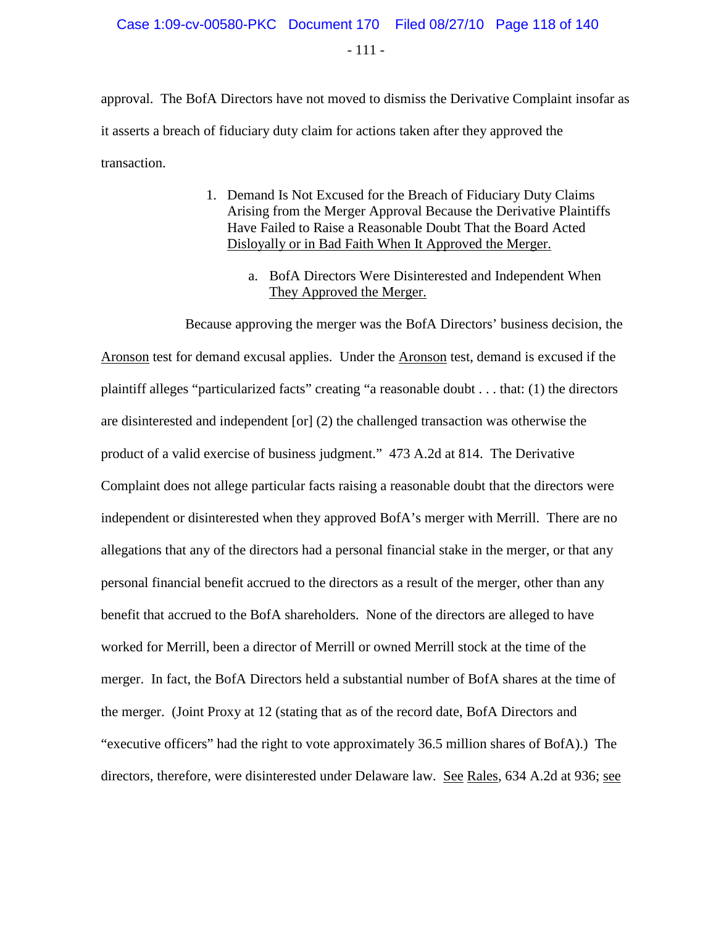$-111 -$ 

approval. The BofA Directors have not moved to dismiss the Derivative Complaint insofar as it asserts a breach of fiduciary duty claim for actions taken after they approved the transaction.

- 1. Demand Is Not Excused for the Breach of Fiduciary Duty Claims Arising from the Merger Approval Because the Derivative Plaintiffs Have Failed to Raise a Reasonable Doubt That the Board Acted Disloyally or in Bad Faith When It Approved the Merger.
	- a. BofA Directors Were Disinterested and Independent When They Approved the Merger.

Because approving the merger was the BofA Directors' business decision, the Aronson test for demand excusal applies. Under the Aronson test, demand is excused if the plaintiff alleges "particularized facts" creating "a reasonable doubt . . . that: (1) the directors are disinterested and independent [or] (2) the challenged transaction was otherwise the product of a valid exercise of business judgment." 473 A.2d at 814. The Derivative Complaint does not allege particular facts raising a reasonable doubt that the directors were independent or disinterested when they approved BofA's merger with Merrill. There are no allegations that any of the directors had a personal financial stake in the merger, or that any personal financial benefit accrued to the directors as a result of the merger, other than any benefit that accrued to the BofA shareholders. None of the directors are alleged to have worked for Merrill, been a director of Merrill or owned Merrill stock at the time of the merger. In fact, the BofA Directors held a substantial number of BofA shares at the time of the merger. (Joint Proxy at 12 (stating that as of the record date, BofA Directors and "executive officers" had the right to vote approximately 36.5 million shares of BofA).) The directors, therefore, were disinterested under Delaware law. See Rales, 634 A.2d at 936; see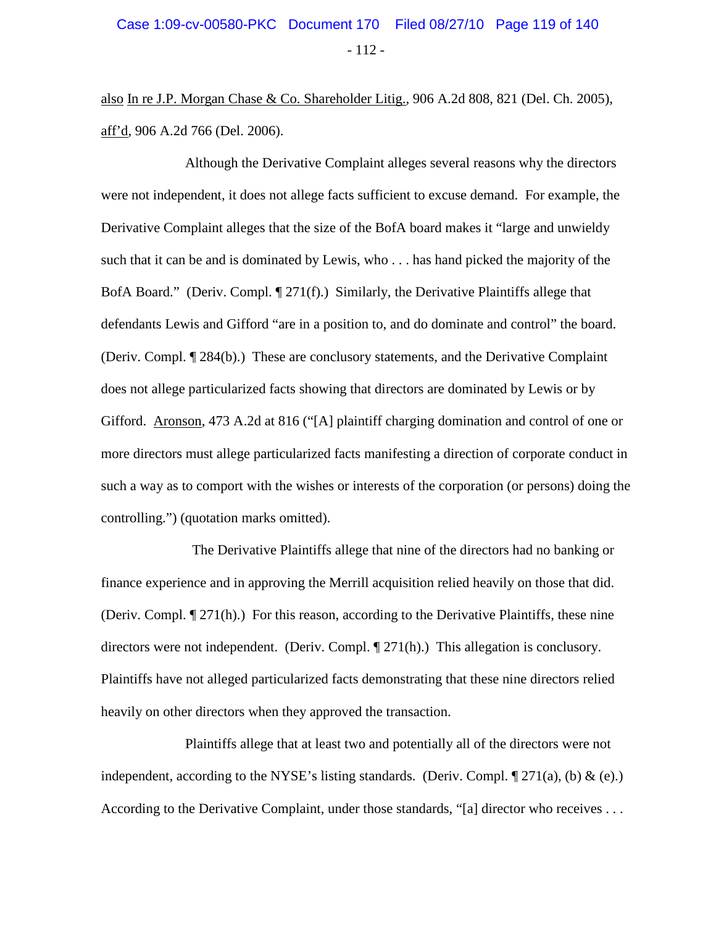# - 112 - Case 1:09-cv-00580-PKC Document 170 Filed 08/27/10 Page 119 of 140

also In re J.P. Morgan Chase & Co. Shareholder Litig., 906 A.2d 808, 821 (Del. Ch. 2005), aff'd, 906 A.2d 766 (Del. 2006).

Although the Derivative Complaint alleges several reasons why the directors were not independent, it does not allege facts sufficient to excuse demand. For example, the Derivative Complaint alleges that the size of the BofA board makes it "large and unwieldy such that it can be and is dominated by Lewis, who . . . has hand picked the majority of the BofA Board." (Deriv. Compl. ¶ 271(f).) Similarly, the Derivative Plaintiffs allege that defendants Lewis and Gifford "are in a position to, and do dominate and control" the board. (Deriv. Compl. ¶ 284(b).) These are conclusory statements, and the Derivative Complaint does not allege particularized facts showing that directors are dominated by Lewis or by Gifford. Aronson, 473 A.2d at 816 ("[A] plaintiff charging domination and control of one or more directors must allege particularized facts manifesting a direction of corporate conduct in such a way as to comport with the wishes or interests of the corporation (or persons) doing the controlling.") (quotation marks omitted).

 The Derivative Plaintiffs allege that nine of the directors had no banking or finance experience and in approving the Merrill acquisition relied heavily on those that did. (Deriv. Compl. ¶ 271(h).) For this reason, according to the Derivative Plaintiffs, these nine directors were not independent. (Deriv. Compl. ¶ 271(h).) This allegation is conclusory. Plaintiffs have not alleged particularized facts demonstrating that these nine directors relied heavily on other directors when they approved the transaction.

Plaintiffs allege that at least two and potentially all of the directors were not independent, according to the NYSE's listing standards. (Deriv. Compl.  $\mathcal{F}(271(a), (b) \& (e).)$ ) According to the Derivative Complaint, under those standards, "[a] director who receives . . .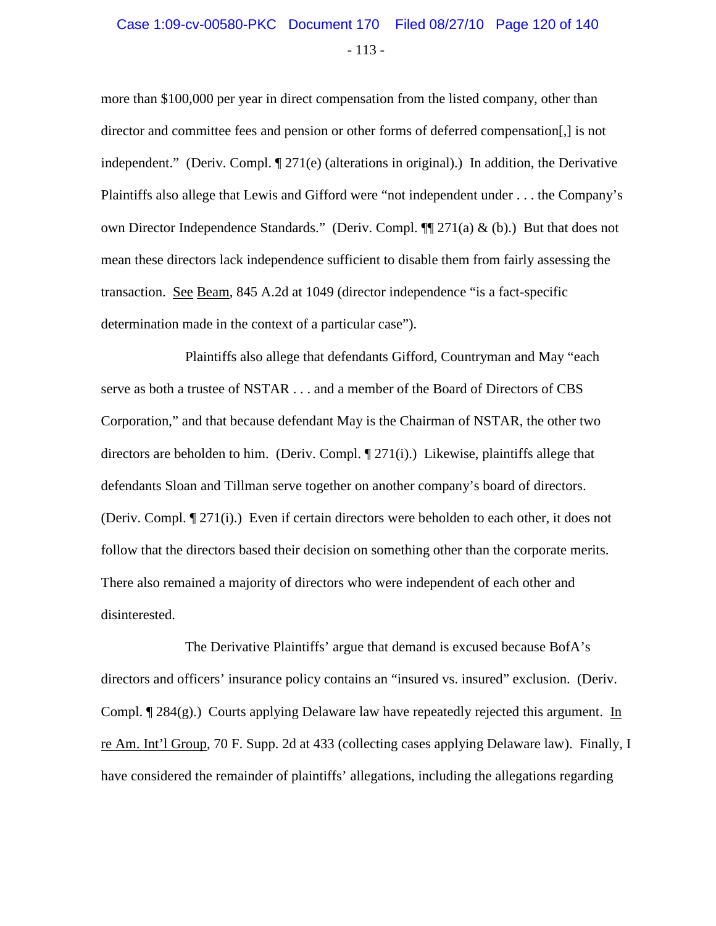### - 113 - Case 1:09-cv-00580-PKC Document 170 Filed 08/27/10 Page 120 of 140

more than \$100,000 per year in direct compensation from the listed company, other than director and committee fees and pension or other forms of deferred compensation[,] is not independent." (Deriv. Compl.  $\P$  271(e) (alterations in original).) In addition, the Derivative Plaintiffs also allege that Lewis and Gifford were "not independent under . . . the Company's own Director Independence Standards." (Deriv. Compl. ¶¶ 271(a) & (b).) But that does not mean these directors lack independence sufficient to disable them from fairly assessing the transaction. See Beam, 845 A.2d at 1049 (director independence "is a fact-specific determination made in the context of a particular case").

Plaintiffs also allege that defendants Gifford, Countryman and May "each serve as both a trustee of NSTAR . . . and a member of the Board of Directors of CBS Corporation," and that because defendant May is the Chairman of NSTAR, the other two directors are beholden to him. (Deriv. Compl.  $\P$  271(i).) Likewise, plaintiffs allege that defendants Sloan and Tillman serve together on another company's board of directors. (Deriv. Compl. ¶ 271(i).) Even if certain directors were beholden to each other, it does not follow that the directors based their decision on something other than the corporate merits. There also remained a majority of directors who were independent of each other and disinterested.

The Derivative Plaintiffs' argue that demand is excused because BofA's directors and officers' insurance policy contains an "insured vs. insured" exclusion. (Deriv. Compl. ¶ 284(g).) Courts applying Delaware law have repeatedly rejected this argument. In re Am. Int'l Group, 70 F. Supp. 2d at 433 (collecting cases applying Delaware law). Finally, I have considered the remainder of plaintiffs' allegations, including the allegations regarding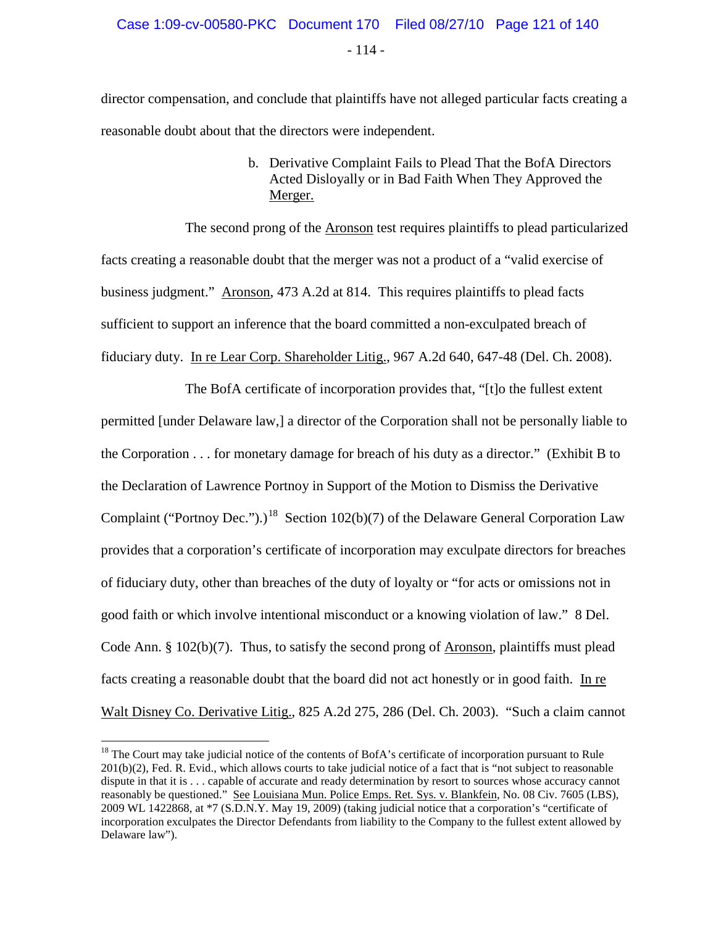- 114 -

director compensation, and conclude that plaintiffs have not alleged particular facts creating a reasonable doubt about that the directors were independent.

> b. Derivative Complaint Fails to Plead That the BofA Directors Acted Disloyally or in Bad Faith When They Approved the Merger.

The second prong of the Aronson test requires plaintiffs to plead particularized facts creating a reasonable doubt that the merger was not a product of a "valid exercise of business judgment." Aronson, 473 A.2d at 814. This requires plaintiffs to plead facts sufficient to support an inference that the board committed a non-exculpated breach of fiduciary duty. In re Lear Corp. Shareholder Litig., 967 A.2d 640, 647-48 (Del. Ch. 2008).

The BofA certificate of incorporation provides that, "[t]o the fullest extent permitted [under Delaware law,] a director of the Corporation shall not be personally liable to the Corporation . . . for monetary damage for breach of his duty as a director." (Exhibit B to the Declaration of Lawrence Portnoy in Support of the Motion to Dismiss the Derivative Complaint ("Portnoy Dec.").)<sup>[18](#page-120-0)</sup> Section 102(b)(7) of the Delaware General Corporation Law provides that a corporation's certificate of incorporation may exculpate directors for breaches of fiduciary duty, other than breaches of the duty of loyalty or "for acts or omissions not in good faith or which involve intentional misconduct or a knowing violation of law." 8 Del. Code Ann. § 102(b)(7). Thus, to satisfy the second prong of Aronson, plaintiffs must plead facts creating a reasonable doubt that the board did not act honestly or in good faith. In re Walt Disney Co. Derivative Litig., 825 A.2d 275, 286 (Del. Ch. 2003). "Such a claim cannot

<span id="page-120-0"></span><sup>&</sup>lt;sup>18</sup> The Court may take judicial notice of the contents of BofA's certificate of incorporation pursuant to Rule 201(b)(2), Fed. R. Evid., which allows courts to take judicial notice of a fact that is "not subject to reasonable dispute in that it is . . . capable of accurate and ready determination by resort to sources whose accuracy cannot reasonably be questioned." See Louisiana Mun. Police Emps. Ret. Sys. v. Blankfein, No. 08 Civ. 7605 (LBS), 2009 WL 1422868, at \*7 (S.D.N.Y. May 19, 2009) (taking judicial notice that a corporation's "certificate of incorporation exculpates the Director Defendants from liability to the Company to the fullest extent allowed by Delaware law").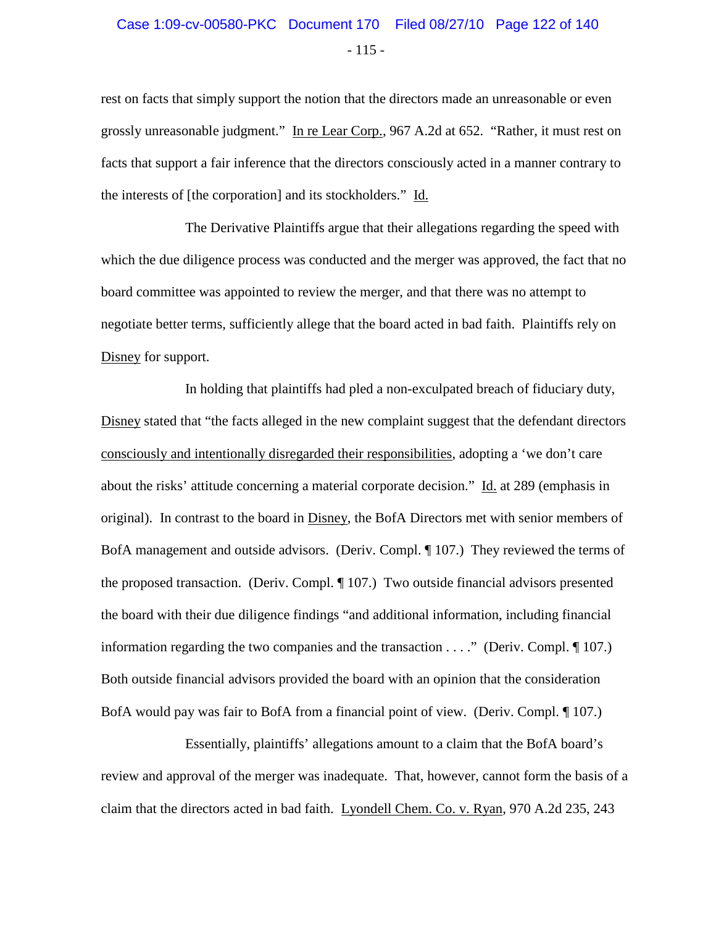# $-115 -$ Case 1:09-cv-00580-PKC Document 170 Filed 08/27/10 Page 122 of 140

rest on facts that simply support the notion that the directors made an unreasonable or even grossly unreasonable judgment." In re Lear Corp., 967 A.2d at 652. "Rather, it must rest on facts that support a fair inference that the directors consciously acted in a manner contrary to the interests of [the corporation] and its stockholders." Id.

The Derivative Plaintiffs argue that their allegations regarding the speed with which the due diligence process was conducted and the merger was approved, the fact that no board committee was appointed to review the merger, and that there was no attempt to negotiate better terms, sufficiently allege that the board acted in bad faith. Plaintiffs rely on Disney for support.

In holding that plaintiffs had pled a non-exculpated breach of fiduciary duty, Disney stated that "the facts alleged in the new complaint suggest that the defendant directors consciously and intentionally disregarded their responsibilities, adopting a 'we don't care about the risks' attitude concerning a material corporate decision." Id. at 289 (emphasis in original). In contrast to the board in Disney, the BofA Directors met with senior members of BofA management and outside advisors. (Deriv. Compl. ¶ 107.) They reviewed the terms of the proposed transaction. (Deriv. Compl. ¶ 107.) Two outside financial advisors presented the board with their due diligence findings "and additional information, including financial information regarding the two companies and the transaction . . . ." (Deriv. Compl. ¶ 107.) Both outside financial advisors provided the board with an opinion that the consideration BofA would pay was fair to BofA from a financial point of view. (Deriv. Compl. ¶ 107.)

Essentially, plaintiffs' allegations amount to a claim that the BofA board's review and approval of the merger was inadequate. That, however, cannot form the basis of a claim that the directors acted in bad faith. Lyondell Chem. Co. v. Ryan, 970 A.2d 235, 243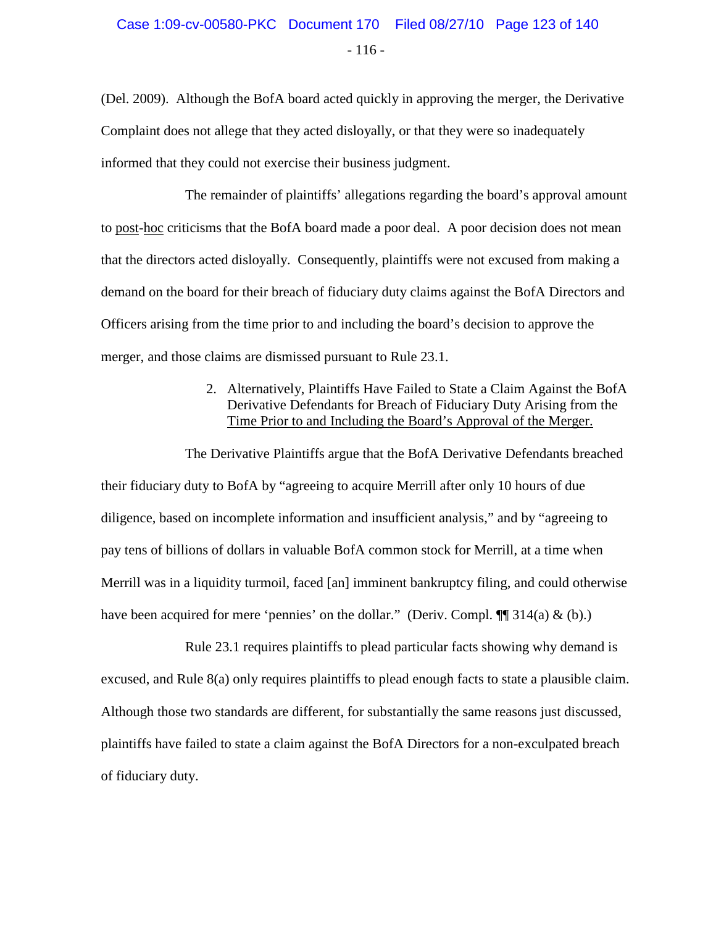# - 116 - Case 1:09-cv-00580-PKC Document 170 Filed 08/27/10 Page 123 of 140

(Del. 2009). Although the BofA board acted quickly in approving the merger, the Derivative Complaint does not allege that they acted disloyally, or that they were so inadequately informed that they could not exercise their business judgment.

The remainder of plaintiffs' allegations regarding the board's approval amount to post-hoc criticisms that the BofA board made a poor deal. A poor decision does not mean that the directors acted disloyally. Consequently, plaintiffs were not excused from making a demand on the board for their breach of fiduciary duty claims against the BofA Directors and Officers arising from the time prior to and including the board's decision to approve the merger, and those claims are dismissed pursuant to Rule 23.1.

#### 2. Alternatively, Plaintiffs Have Failed to State a Claim Against the BofA Derivative Defendants for Breach of Fiduciary Duty Arising from the Time Prior to and Including the Board's Approval of the Merger.

The Derivative Plaintiffs argue that the BofA Derivative Defendants breached their fiduciary duty to BofA by "agreeing to acquire Merrill after only 10 hours of due diligence, based on incomplete information and insufficient analysis," and by "agreeing to pay tens of billions of dollars in valuable BofA common stock for Merrill, at a time when Merrill was in a liquidity turmoil, faced [an] imminent bankruptcy filing, and could otherwise have been acquired for mere 'pennies' on the dollar." (Deriv. Compl.  $\P$  314(a) & (b).)

Rule 23.1 requires plaintiffs to plead particular facts showing why demand is excused, and Rule 8(a) only requires plaintiffs to plead enough facts to state a plausible claim. Although those two standards are different, for substantially the same reasons just discussed, plaintiffs have failed to state a claim against the BofA Directors for a non-exculpated breach of fiduciary duty.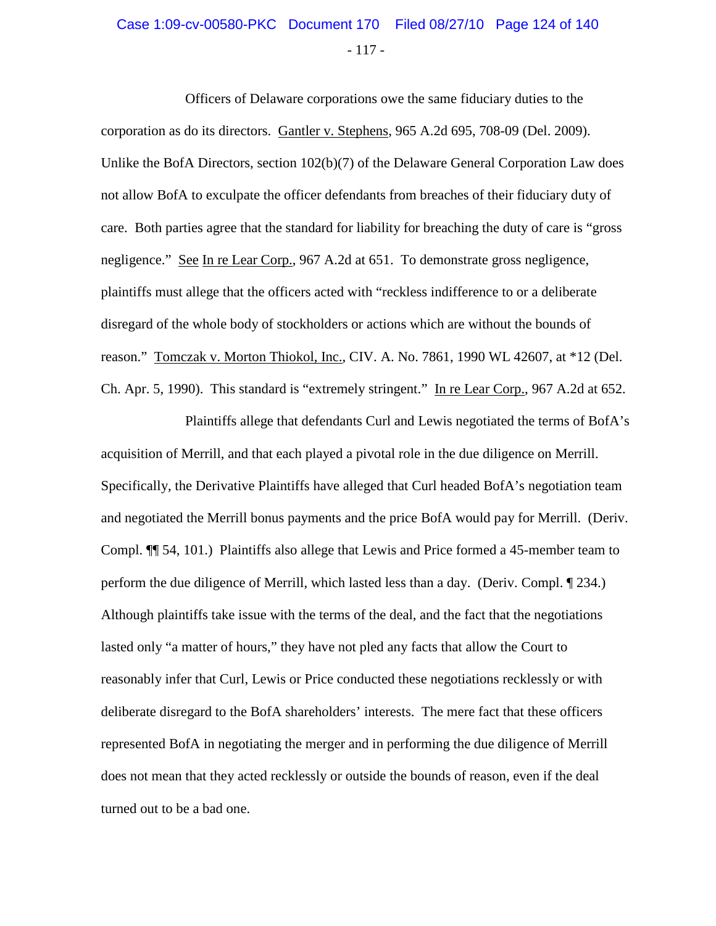### - 117 - Case 1:09-cv-00580-PKC Document 170 Filed 08/27/10 Page 124 of 140

Officers of Delaware corporations owe the same fiduciary duties to the corporation as do its directors. Gantler v. Stephens, 965 A.2d 695, 708-09 (Del. 2009). Unlike the BofA Directors, section 102(b)(7) of the Delaware General Corporation Law does not allow BofA to exculpate the officer defendants from breaches of their fiduciary duty of care. Both parties agree that the standard for liability for breaching the duty of care is "gross negligence." See In re Lear Corp., 967 A.2d at 651. To demonstrate gross negligence, plaintiffs must allege that the officers acted with "reckless indifference to or a deliberate disregard of the whole body of stockholders or actions which are without the bounds of reason." Tomczak v. Morton Thiokol, Inc., CIV. A. No. 7861, 1990 WL 42607, at \*12 (Del. Ch. Apr. 5, 1990). This standard is "extremely stringent." In re Lear Corp., 967 A.2d at 652.

Plaintiffs allege that defendants Curl and Lewis negotiated the terms of BofA's acquisition of Merrill, and that each played a pivotal role in the due diligence on Merrill. Specifically, the Derivative Plaintiffs have alleged that Curl headed BofA's negotiation team and negotiated the Merrill bonus payments and the price BofA would pay for Merrill. (Deriv. Compl. ¶¶ 54, 101.) Plaintiffs also allege that Lewis and Price formed a 45-member team to perform the due diligence of Merrill, which lasted less than a day. (Deriv. Compl. ¶ 234.) Although plaintiffs take issue with the terms of the deal, and the fact that the negotiations lasted only "a matter of hours," they have not pled any facts that allow the Court to reasonably infer that Curl, Lewis or Price conducted these negotiations recklessly or with deliberate disregard to the BofA shareholders' interests. The mere fact that these officers represented BofA in negotiating the merger and in performing the due diligence of Merrill does not mean that they acted recklessly or outside the bounds of reason, even if the deal turned out to be a bad one.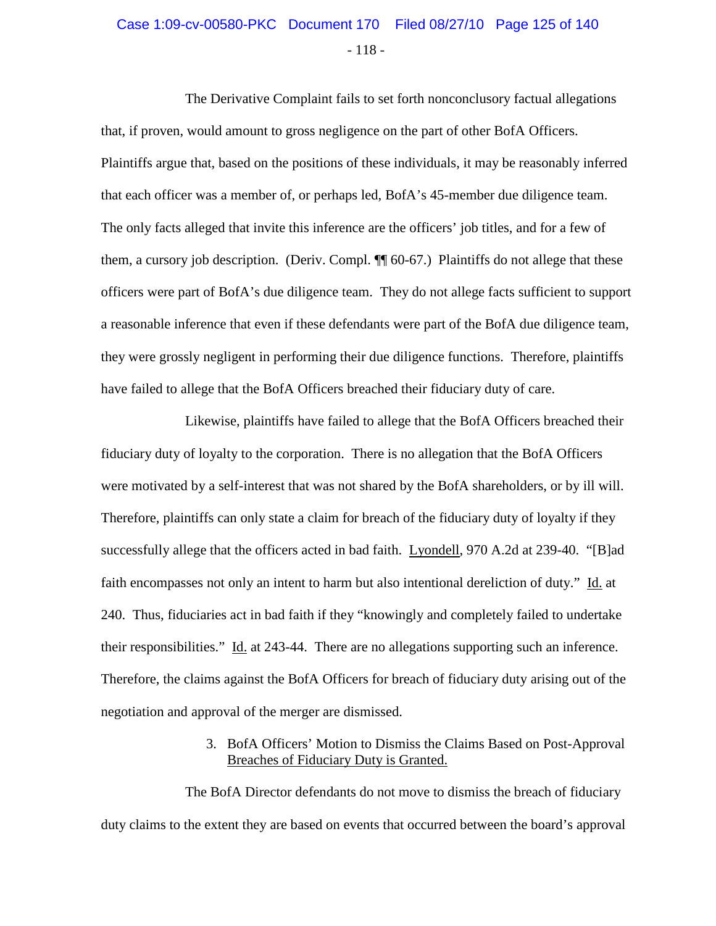# - 118 - Case 1:09-cv-00580-PKC Document 170 Filed 08/27/10 Page 125 of 140

The Derivative Complaint fails to set forth nonconclusory factual allegations that, if proven, would amount to gross negligence on the part of other BofA Officers. Plaintiffs argue that, based on the positions of these individuals, it may be reasonably inferred that each officer was a member of, or perhaps led, BofA's 45-member due diligence team. The only facts alleged that invite this inference are the officers' job titles, and for a few of them, a cursory job description. (Deriv. Compl. ¶¶ 60-67.) Plaintiffs do not allege that these officers were part of BofA's due diligence team. They do not allege facts sufficient to support a reasonable inference that even if these defendants were part of the BofA due diligence team, they were grossly negligent in performing their due diligence functions. Therefore, plaintiffs have failed to allege that the BofA Officers breached their fiduciary duty of care.

Likewise, plaintiffs have failed to allege that the BofA Officers breached their fiduciary duty of loyalty to the corporation. There is no allegation that the BofA Officers were motivated by a self-interest that was not shared by the BofA shareholders, or by ill will. Therefore, plaintiffs can only state a claim for breach of the fiduciary duty of loyalty if they successfully allege that the officers acted in bad faith. Lyondell, 970 A.2d at 239-40. "[B]ad faith encompasses not only an intent to harm but also intentional dereliction of duty." Id. at 240. Thus, fiduciaries act in bad faith if they "knowingly and completely failed to undertake their responsibilities." Id. at 243-44. There are no allegations supporting such an inference. Therefore, the claims against the BofA Officers for breach of fiduciary duty arising out of the negotiation and approval of the merger are dismissed.

#### 3. BofA Officers' Motion to Dismiss the Claims Based on Post-Approval Breaches of Fiduciary Duty is Granted.

The BofA Director defendants do not move to dismiss the breach of fiduciary duty claims to the extent they are based on events that occurred between the board's approval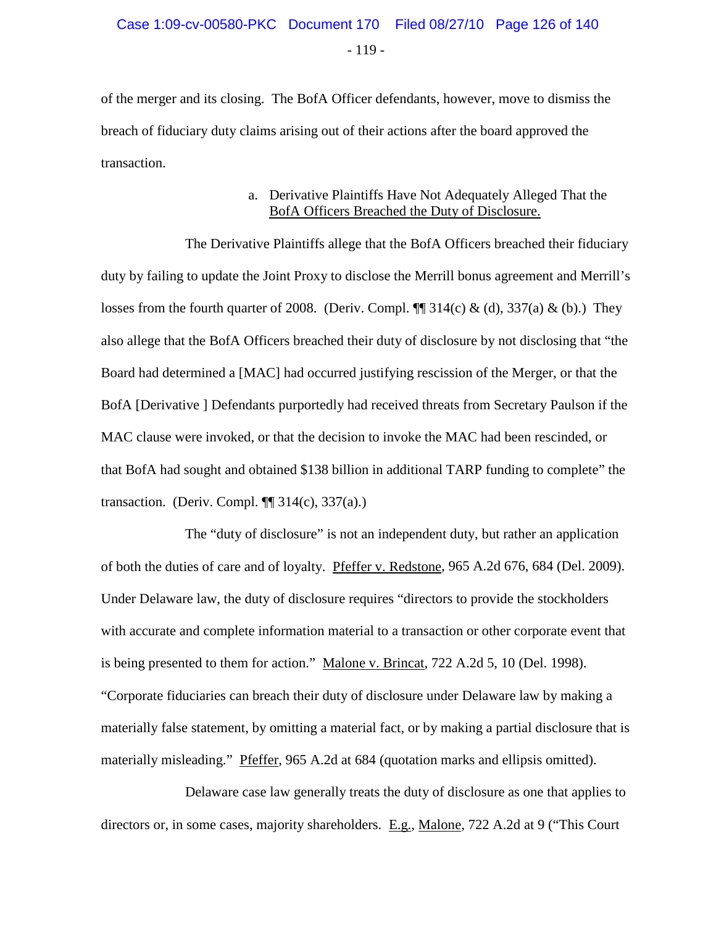of the merger and its closing. The BofA Officer defendants, however, move to dismiss the breach of fiduciary duty claims arising out of their actions after the board approved the transaction.

#### a. Derivative Plaintiffs Have Not Adequately Alleged That the BofA Officers Breached the Duty of Disclosure.

The Derivative Plaintiffs allege that the BofA Officers breached their fiduciary duty by failing to update the Joint Proxy to disclose the Merrill bonus agreement and Merrill's losses from the fourth quarter of 2008. (Deriv. Compl.  $\P$  314(c) & (d), 337(a) & (b).) They also allege that the BofA Officers breached their duty of disclosure by not disclosing that "the Board had determined a [MAC] had occurred justifying rescission of the Merger, or that the BofA [Derivative ] Defendants purportedly had received threats from Secretary Paulson if the MAC clause were invoked, or that the decision to invoke the MAC had been rescinded, or that BofA had sought and obtained \$138 billion in additional TARP funding to complete" the transaction. (Deriv. Compl.  $\P$  314(c), 337(a).)

The "duty of disclosure" is not an independent duty, but rather an application of both the duties of care and of loyalty. Pfeffer v. Redstone, 965 A.2d 676, 684 (Del. 2009). Under Delaware law, the duty of disclosure requires "directors to provide the stockholders with accurate and complete information material to a transaction or other corporate event that is being presented to them for action." Malone v. Brincat, 722 A.2d 5, 10 (Del. 1998). "Corporate fiduciaries can breach their duty of disclosure under Delaware law by making a materially false statement, by omitting a material fact, or by making a partial disclosure that is materially misleading." Pfeffer, 965 A.2d at 684 (quotation marks and ellipsis omitted).

Delaware case law generally treats the duty of disclosure as one that applies to directors or, in some cases, majority shareholders. E.g., Malone, 722 A.2d at 9 ("This Court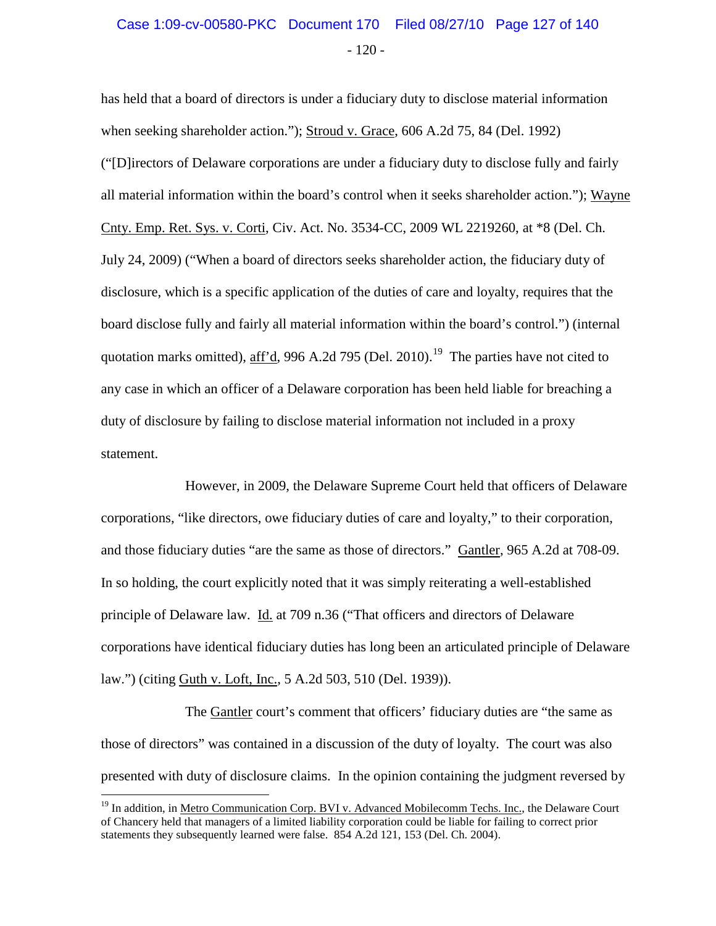### - 120 - Case 1:09-cv-00580-PKC Document 170 Filed 08/27/10 Page 127 of 140

has held that a board of directors is under a fiduciary duty to disclose material information when seeking shareholder action."); Stroud v. Grace, 606 A.2d 75, 84 (Del. 1992) ("[D]irectors of Delaware corporations are under a fiduciary duty to disclose fully and fairly all material information within the board's control when it seeks shareholder action."); Wayne Cnty. Emp. Ret. Sys. v. Corti, Civ. Act. No. 3534-CC, 2009 WL 2219260, at \*8 (Del. Ch. July 24, 2009) ("When a board of directors seeks shareholder action, the fiduciary duty of disclosure, which is a specific application of the duties of care and loyalty, requires that the board disclose fully and fairly all material information within the board's control.") (internal quotation marks omitted), aff'd, 996 A.2d 795 (Del. 2010).<sup>[19](#page-126-0)</sup> The parties have not cited to any case in which an officer of a Delaware corporation has been held liable for breaching a duty of disclosure by failing to disclose material information not included in a proxy statement.

However, in 2009, the Delaware Supreme Court held that officers of Delaware corporations, "like directors, owe fiduciary duties of care and loyalty," to their corporation, and those fiduciary duties "are the same as those of directors." Gantler, 965 A.2d at 708-09. In so holding, the court explicitly noted that it was simply reiterating a well-established principle of Delaware law. Id. at 709 n.36 ("That officers and directors of Delaware corporations have identical fiduciary duties has long been an articulated principle of Delaware law.") (citing Guth v. Loft, Inc., 5 A.2d 503, 510 (Del. 1939)).

The Gantler court's comment that officers' fiduciary duties are "the same as those of directors" was contained in a discussion of the duty of loyalty. The court was also presented with duty of disclosure claims. In the opinion containing the judgment reversed by

<span id="page-126-0"></span><sup>&</sup>lt;sup>19</sup> In addition, in Metro Communication Corp. BVI v. Advanced Mobilecomm Techs. Inc., the Delaware Court of Chancery held that managers of a limited liability corporation could be liable for failing to correct prior statements they subsequently learned were false. 854 A.2d 121, 153 (Del. Ch. 2004).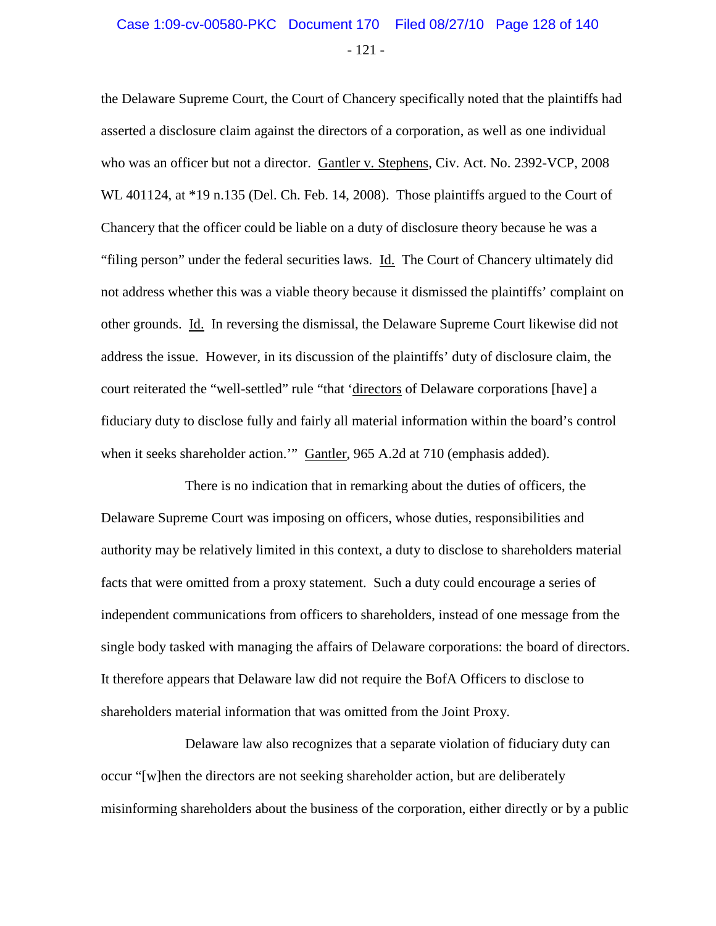### - 121 - Case 1:09-cv-00580-PKC Document 170 Filed 08/27/10 Page 128 of 140

the Delaware Supreme Court, the Court of Chancery specifically noted that the plaintiffs had asserted a disclosure claim against the directors of a corporation, as well as one individual who was an officer but not a director. Gantler v. Stephens, Civ. Act. No. 2392-VCP, 2008 WL 401124, at \*19 n.135 (Del. Ch. Feb. 14, 2008). Those plaintiffs argued to the Court of Chancery that the officer could be liable on a duty of disclosure theory because he was a "filing person" under the federal securities laws. Id. The Court of Chancery ultimately did not address whether this was a viable theory because it dismissed the plaintiffs' complaint on other grounds. Id. In reversing the dismissal, the Delaware Supreme Court likewise did not address the issue. However, in its discussion of the plaintiffs' duty of disclosure claim, the court reiterated the "well-settled" rule "that 'directors of Delaware corporations [have] a fiduciary duty to disclose fully and fairly all material information within the board's control when it seeks shareholder action." Gantler, 965 A.2d at 710 (emphasis added).

There is no indication that in remarking about the duties of officers, the Delaware Supreme Court was imposing on officers, whose duties, responsibilities and authority may be relatively limited in this context, a duty to disclose to shareholders material facts that were omitted from a proxy statement. Such a duty could encourage a series of independent communications from officers to shareholders, instead of one message from the single body tasked with managing the affairs of Delaware corporations: the board of directors. It therefore appears that Delaware law did not require the BofA Officers to disclose to shareholders material information that was omitted from the Joint Proxy.

Delaware law also recognizes that a separate violation of fiduciary duty can occur "[w]hen the directors are not seeking shareholder action, but are deliberately misinforming shareholders about the business of the corporation, either directly or by a public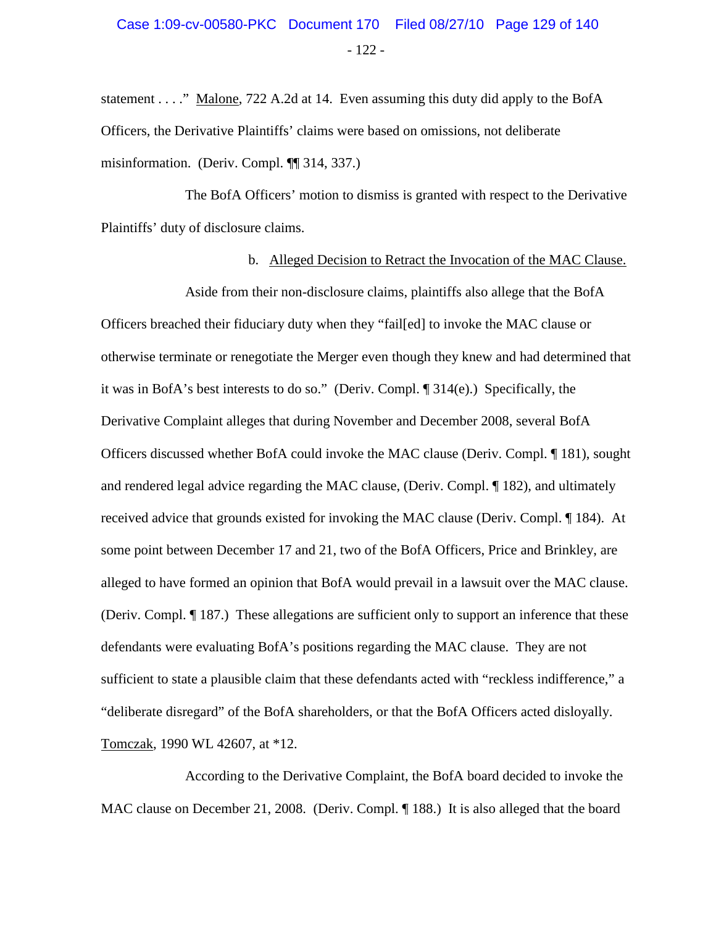statement . . . ." Malone, 722 A.2d at 14. Even assuming this duty did apply to the BofA Officers, the Derivative Plaintiffs' claims were based on omissions, not deliberate misinformation. (Deriv. Compl. ¶¶ 314, 337.)

The BofA Officers' motion to dismiss is granted with respect to the Derivative Plaintiffs' duty of disclosure claims.

#### b. Alleged Decision to Retract the Invocation of the MAC Clause.

Aside from their non-disclosure claims, plaintiffs also allege that the BofA Officers breached their fiduciary duty when they "fail[ed] to invoke the MAC clause or otherwise terminate or renegotiate the Merger even though they knew and had determined that it was in BofA's best interests to do so." (Deriv. Compl. ¶ 314(e).) Specifically, the Derivative Complaint alleges that during November and December 2008, several BofA Officers discussed whether BofA could invoke the MAC clause (Deriv. Compl. ¶ 181), sought and rendered legal advice regarding the MAC clause, (Deriv. Compl. ¶ 182), and ultimately received advice that grounds existed for invoking the MAC clause (Deriv. Compl. ¶ 184). At some point between December 17 and 21, two of the BofA Officers, Price and Brinkley, are alleged to have formed an opinion that BofA would prevail in a lawsuit over the MAC clause. (Deriv. Compl. ¶ 187.) These allegations are sufficient only to support an inference that these defendants were evaluating BofA's positions regarding the MAC clause. They are not sufficient to state a plausible claim that these defendants acted with "reckless indifference," a "deliberate disregard" of the BofA shareholders, or that the BofA Officers acted disloyally. Tomczak, 1990 WL 42607, at \*12.

According to the Derivative Complaint, the BofA board decided to invoke the MAC clause on December 21, 2008. (Deriv. Compl. ¶ 188.) It is also alleged that the board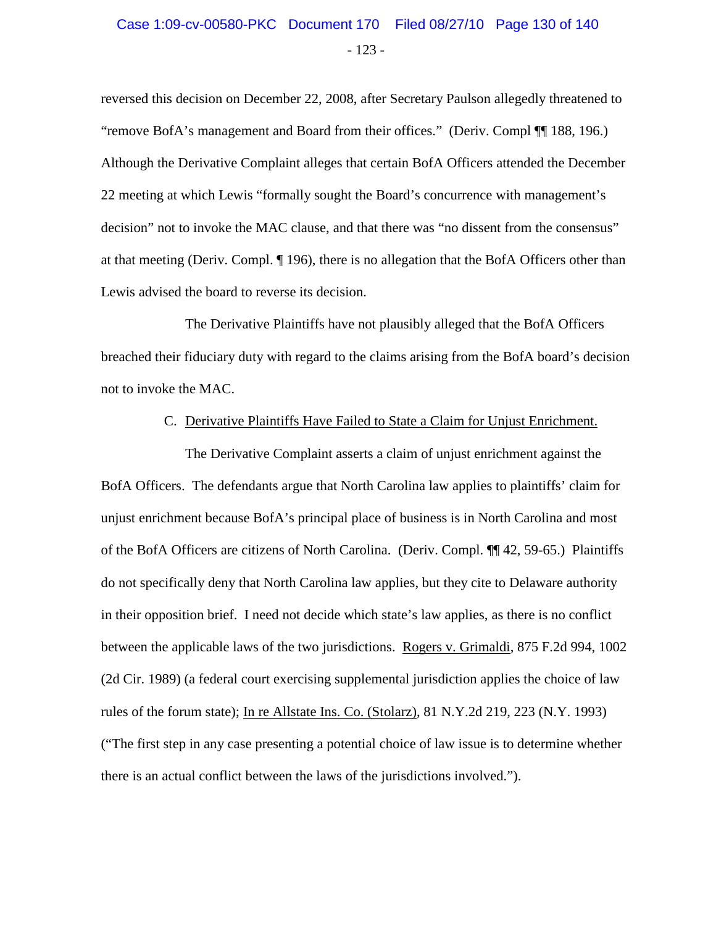### - 123 - Case 1:09-cv-00580-PKC Document 170 Filed 08/27/10 Page 130 of 140

reversed this decision on December 22, 2008, after Secretary Paulson allegedly threatened to "remove BofA's management and Board from their offices." (Deriv. Compl ¶¶ 188, 196.) Although the Derivative Complaint alleges that certain BofA Officers attended the December 22 meeting at which Lewis "formally sought the Board's concurrence with management's decision" not to invoke the MAC clause, and that there was "no dissent from the consensus" at that meeting (Deriv. Compl. ¶ 196), there is no allegation that the BofA Officers other than Lewis advised the board to reverse its decision.

The Derivative Plaintiffs have not plausibly alleged that the BofA Officers breached their fiduciary duty with regard to the claims arising from the BofA board's decision not to invoke the MAC.

#### C. Derivative Plaintiffs Have Failed to State a Claim for Unjust Enrichment.

The Derivative Complaint asserts a claim of unjust enrichment against the BofA Officers. The defendants argue that North Carolina law applies to plaintiffs' claim for unjust enrichment because BofA's principal place of business is in North Carolina and most of the BofA Officers are citizens of North Carolina. (Deriv. Compl. ¶¶ 42, 59-65.) Plaintiffs do not specifically deny that North Carolina law applies, but they cite to Delaware authority in their opposition brief. I need not decide which state's law applies, as there is no conflict between the applicable laws of the two jurisdictions. Rogers v. Grimaldi, 875 F.2d 994, 1002 (2d Cir. 1989) (a federal court exercising supplemental jurisdiction applies the choice of law rules of the forum state); In re Allstate Ins. Co. (Stolarz), 81 N.Y.2d 219, 223 (N.Y. 1993) ("The first step in any case presenting a potential choice of law issue is to determine whether there is an actual conflict between the laws of the jurisdictions involved.").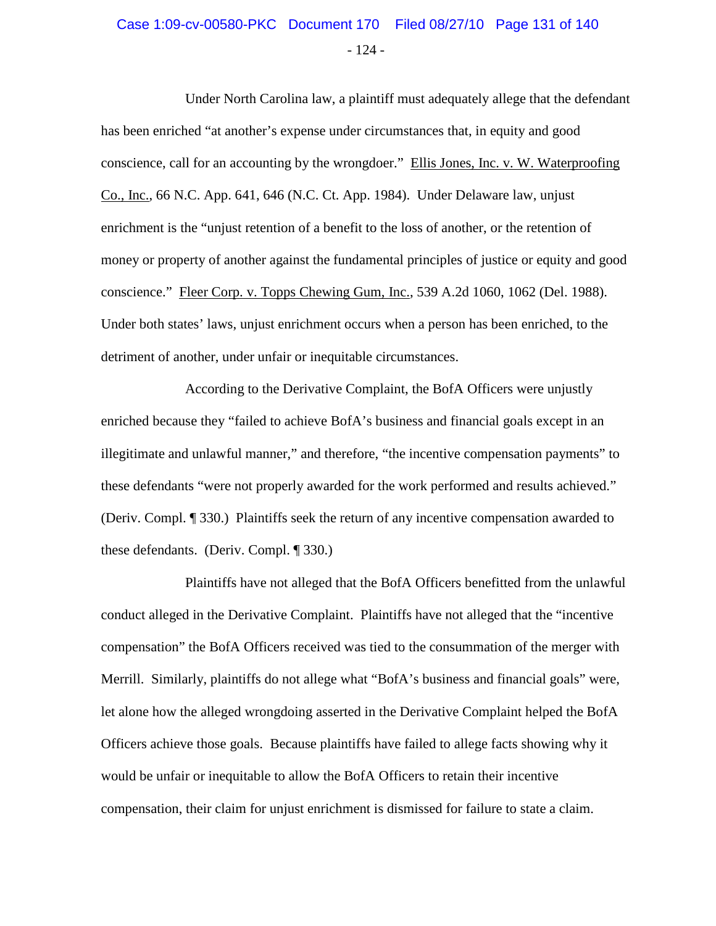### - 124 - Case 1:09-cv-00580-PKC Document 170 Filed 08/27/10 Page 131 of 140

Under North Carolina law, a plaintiff must adequately allege that the defendant has been enriched "at another's expense under circumstances that, in equity and good conscience, call for an accounting by the wrongdoer." Ellis Jones, Inc. v. W. Waterproofing Co., Inc., 66 N.C. App. 641, 646 (N.C. Ct. App. 1984). Under Delaware law, unjust enrichment is the "unjust retention of a benefit to the loss of another, or the retention of money or property of another against the fundamental principles of justice or equity and good conscience." Fleer Corp. v. Topps Chewing Gum, Inc., 539 A.2d 1060, 1062 (Del. 1988). Under both states' laws, unjust enrichment occurs when a person has been enriched, to the detriment of another, under unfair or inequitable circumstances.

According to the Derivative Complaint, the BofA Officers were unjustly enriched because they "failed to achieve BofA's business and financial goals except in an illegitimate and unlawful manner," and therefore, "the incentive compensation payments" to these defendants "were not properly awarded for the work performed and results achieved." (Deriv. Compl. ¶ 330.) Plaintiffs seek the return of any incentive compensation awarded to these defendants. (Deriv. Compl. ¶ 330.)

Plaintiffs have not alleged that the BofA Officers benefitted from the unlawful conduct alleged in the Derivative Complaint. Plaintiffs have not alleged that the "incentive compensation" the BofA Officers received was tied to the consummation of the merger with Merrill. Similarly, plaintiffs do not allege what "BofA's business and financial goals" were, let alone how the alleged wrongdoing asserted in the Derivative Complaint helped the BofA Officers achieve those goals. Because plaintiffs have failed to allege facts showing why it would be unfair or inequitable to allow the BofA Officers to retain their incentive compensation, their claim for unjust enrichment is dismissed for failure to state a claim.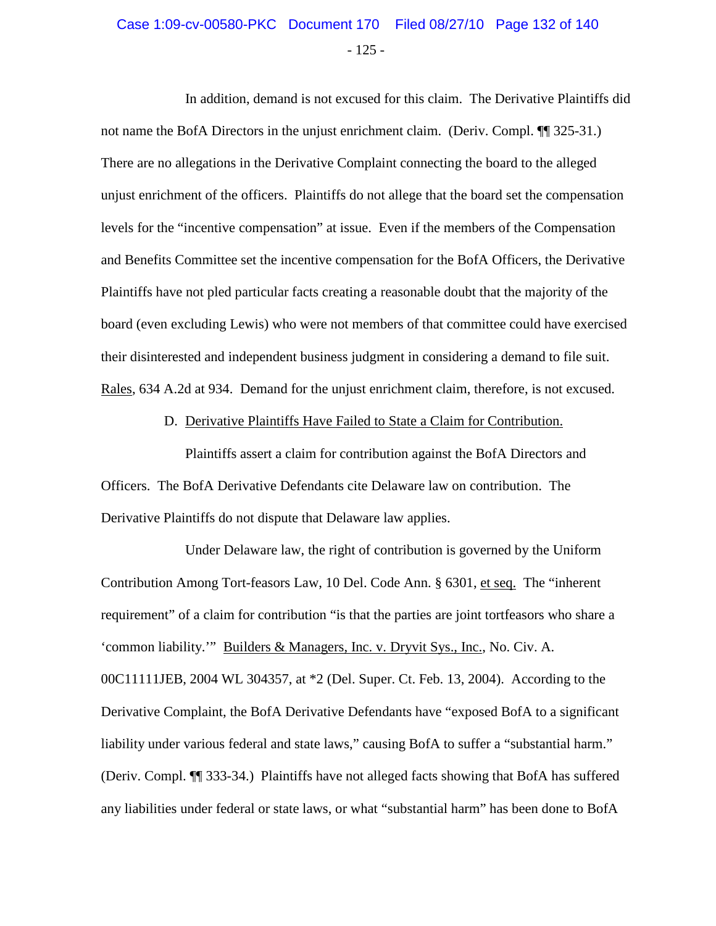## - 125 - Case 1:09-cv-00580-PKC Document 170 Filed 08/27/10 Page 132 of 140

In addition, demand is not excused for this claim. The Derivative Plaintiffs did not name the BofA Directors in the unjust enrichment claim. (Deriv. Compl. ¶ 325-31.) There are no allegations in the Derivative Complaint connecting the board to the alleged unjust enrichment of the officers. Plaintiffs do not allege that the board set the compensation levels for the "incentive compensation" at issue. Even if the members of the Compensation and Benefits Committee set the incentive compensation for the BofA Officers, the Derivative Plaintiffs have not pled particular facts creating a reasonable doubt that the majority of the board (even excluding Lewis) who were not members of that committee could have exercised their disinterested and independent business judgment in considering a demand to file suit. Rales, 634 A.2d at 934. Demand for the unjust enrichment claim, therefore, is not excused.

D. Derivative Plaintiffs Have Failed to State a Claim for Contribution.

Plaintiffs assert a claim for contribution against the BofA Directors and Officers. The BofA Derivative Defendants cite Delaware law on contribution. The Derivative Plaintiffs do not dispute that Delaware law applies.

Under Delaware law, the right of contribution is governed by the Uniform Contribution Among Tort-feasors Law, 10 Del. Code Ann. § 6301, et seq. The "inherent requirement" of a claim for contribution "is that the parties are joint tortfeasors who share a 'common liability.'" Builders & Managers, Inc. v. Dryvit Sys., Inc., No. Civ. A. 00C11111JEB, 2004 WL 304357, at \*2 (Del. Super. Ct. Feb. 13, 2004). According to the Derivative Complaint, the BofA Derivative Defendants have "exposed BofA to a significant liability under various federal and state laws," causing BofA to suffer a "substantial harm." (Deriv. Compl. ¶¶ 333-34.) Plaintiffs have not alleged facts showing that BofA has suffered any liabilities under federal or state laws, or what "substantial harm" has been done to BofA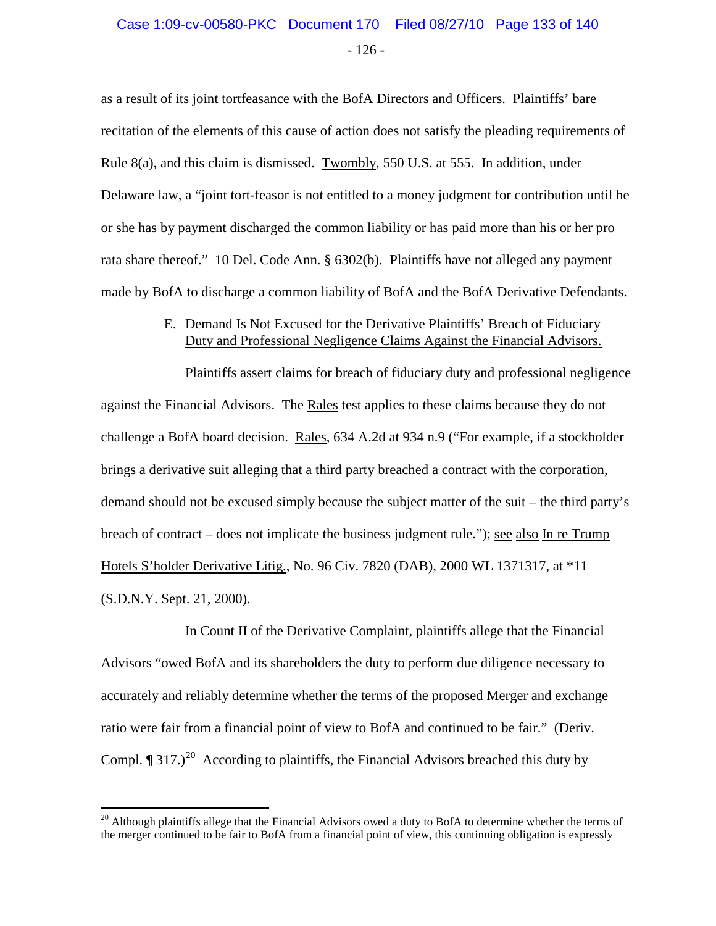### - 126 - Case 1:09-cv-00580-PKC Document 170 Filed 08/27/10 Page 133 of 140

as a result of its joint tortfeasance with the BofA Directors and Officers. Plaintiffs' bare recitation of the elements of this cause of action does not satisfy the pleading requirements of Rule 8(a), and this claim is dismissed. Twombly, 550 U.S. at 555. In addition, under Delaware law, a "joint tort-feasor is not entitled to a money judgment for contribution until he or she has by payment discharged the common liability or has paid more than his or her pro rata share thereof." 10 Del. Code Ann. § 6302(b). Plaintiffs have not alleged any payment made by BofA to discharge a common liability of BofA and the BofA Derivative Defendants.

#### E. Demand Is Not Excused for the Derivative Plaintiffs' Breach of Fiduciary Duty and Professional Negligence Claims Against the Financial Advisors.

Plaintiffs assert claims for breach of fiduciary duty and professional negligence against the Financial Advisors. The Rales test applies to these claims because they do not challenge a BofA board decision. Rales, 634 A.2d at 934 n.9 ("For example, if a stockholder brings a derivative suit alleging that a third party breached a contract with the corporation, demand should not be excused simply because the subject matter of the suit – the third party's breach of contract – does not implicate the business judgment rule."); see also In re Trump Hotels S'holder Derivative Litig., No. 96 Civ. 7820 (DAB), 2000 WL 1371317, at \*11 (S.D.N.Y. Sept. 21, 2000).

In Count II of the Derivative Complaint, plaintiffs allege that the Financial Advisors "owed BofA and its shareholders the duty to perform due diligence necessary to accurately and reliably determine whether the terms of the proposed Merger and exchange ratio were fair from a financial point of view to BofA and continued to be fair." (Deriv. Compl.  $\P$  317.)<sup>[20](#page-132-0)</sup> According to plaintiffs, the Financial Advisors breached this duty by

<span id="page-132-0"></span><sup>&</sup>lt;sup>20</sup> Although plaintiffs allege that the Financial Advisors owed a duty to BofA to determine whether the terms of the merger continued to be fair to BofA from a financial point of view, this continuing obligation is expressly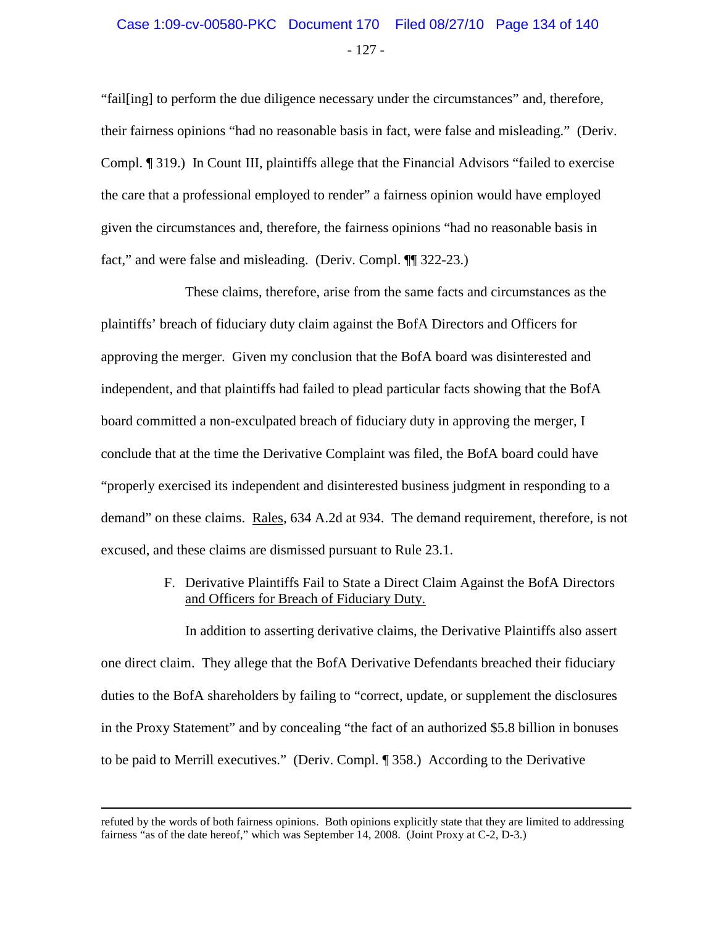## - 127 - Case 1:09-cv-00580-PKC Document 170 Filed 08/27/10 Page 134 of 140

"fail[ing] to perform the due diligence necessary under the circumstances" and, therefore, their fairness opinions "had no reasonable basis in fact, were false and misleading." (Deriv. Compl. ¶ 319.) In Count III, plaintiffs allege that the Financial Advisors "failed to exercise the care that a professional employed to render" a fairness opinion would have employed given the circumstances and, therefore, the fairness opinions "had no reasonable basis in fact," and were false and misleading. (Deriv. Compl. ¶¶ 322-23.)

These claims, therefore, arise from the same facts and circumstances as the plaintiffs' breach of fiduciary duty claim against the BofA Directors and Officers for approving the merger. Given my conclusion that the BofA board was disinterested and independent, and that plaintiffs had failed to plead particular facts showing that the BofA board committed a non-exculpated breach of fiduciary duty in approving the merger, I conclude that at the time the Derivative Complaint was filed, the BofA board could have "properly exercised its independent and disinterested business judgment in responding to a demand" on these claims. Rales, 634 A.2d at 934. The demand requirement, therefore, is not excused, and these claims are dismissed pursuant to Rule 23.1.

> F. Derivative Plaintiffs Fail to State a Direct Claim Against the BofA Directors and Officers for Breach of Fiduciary Duty.

In addition to asserting derivative claims, the Derivative Plaintiffs also assert one direct claim. They allege that the BofA Derivative Defendants breached their fiduciary duties to the BofA shareholders by failing to "correct, update, or supplement the disclosures in the Proxy Statement" and by concealing "the fact of an authorized \$5.8 billion in bonuses to be paid to Merrill executives." (Deriv. Compl. ¶ 358.) According to the Derivative

 $\overline{a}$ 

refuted by the words of both fairness opinions. Both opinions explicitly state that they are limited to addressing fairness "as of the date hereof," which was September 14, 2008. (Joint Proxy at C-2, D-3.)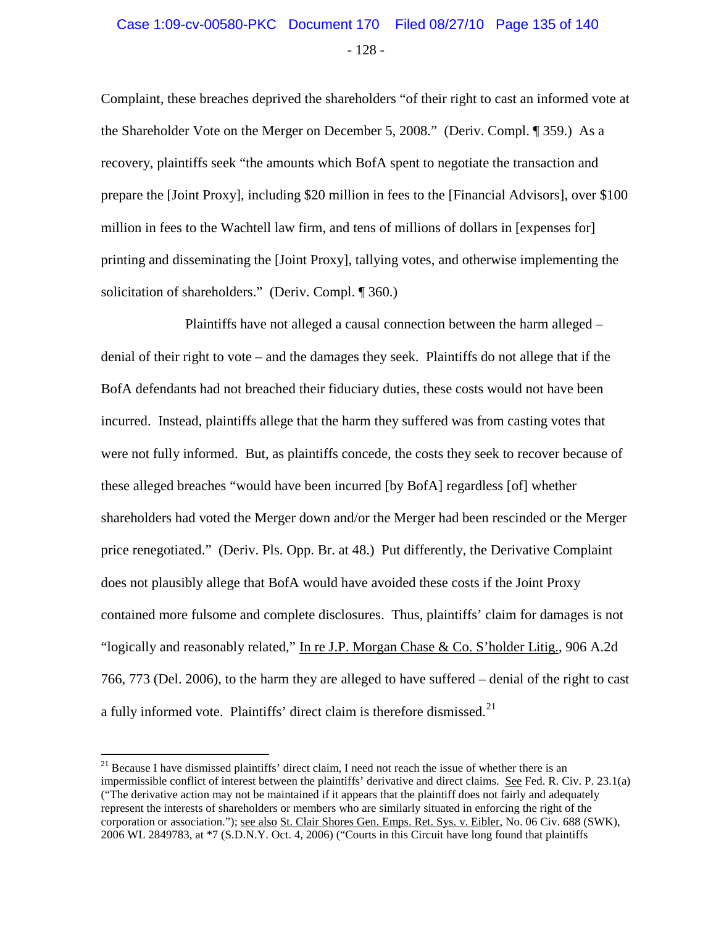# - 128 - Case 1:09-cv-00580-PKC Document 170 Filed 08/27/10 Page 135 of 140

Complaint, these breaches deprived the shareholders "of their right to cast an informed vote at the Shareholder Vote on the Merger on December 5, 2008." (Deriv. Compl. ¶ 359.) As a recovery, plaintiffs seek "the amounts which BofA spent to negotiate the transaction and prepare the [Joint Proxy], including \$20 million in fees to the [Financial Advisors], over \$100 million in fees to the Wachtell law firm, and tens of millions of dollars in [expenses for] printing and disseminating the [Joint Proxy], tallying votes, and otherwise implementing the solicitation of shareholders." (Deriv. Compl. ¶ 360.)

Plaintiffs have not alleged a causal connection between the harm alleged – denial of their right to vote – and the damages they seek. Plaintiffs do not allege that if the BofA defendants had not breached their fiduciary duties, these costs would not have been incurred. Instead, plaintiffs allege that the harm they suffered was from casting votes that were not fully informed. But, as plaintiffs concede, the costs they seek to recover because of these alleged breaches "would have been incurred [by BofA] regardless [of] whether shareholders had voted the Merger down and/or the Merger had been rescinded or the Merger price renegotiated." (Deriv. Pls. Opp. Br. at 48.) Put differently, the Derivative Complaint does not plausibly allege that BofA would have avoided these costs if the Joint Proxy contained more fulsome and complete disclosures. Thus, plaintiffs' claim for damages is not "logically and reasonably related," In re J.P. Morgan Chase & Co. S'holder Litig., 906 A.2d 766, 773 (Del. 2006), to the harm they are alleged to have suffered – denial of the right to cast a fully informed vote. Plaintiffs' direct claim is therefore dismissed. $2<sup>1</sup>$ 

<span id="page-134-0"></span> $^{21}$  Because I have dismissed plaintiffs' direct claim, I need not reach the issue of whether there is an impermissible conflict of interest between the plaintiffs' derivative and direct claims. See Fed. R. Civ. P. 23.1(a) ("The derivative action may not be maintained if it appears that the plaintiff does not fairly and adequately represent the interests of shareholders or members who are similarly situated in enforcing the right of the corporation or association."); see also St. Clair Shores Gen. Emps. Ret. Sys. v. Eibler, No. 06 Civ. 688 (SWK), 2006 WL 2849783, at \*7 (S.D.N.Y. Oct. 4, 2006) ("Courts in this Circuit have long found that plaintiffs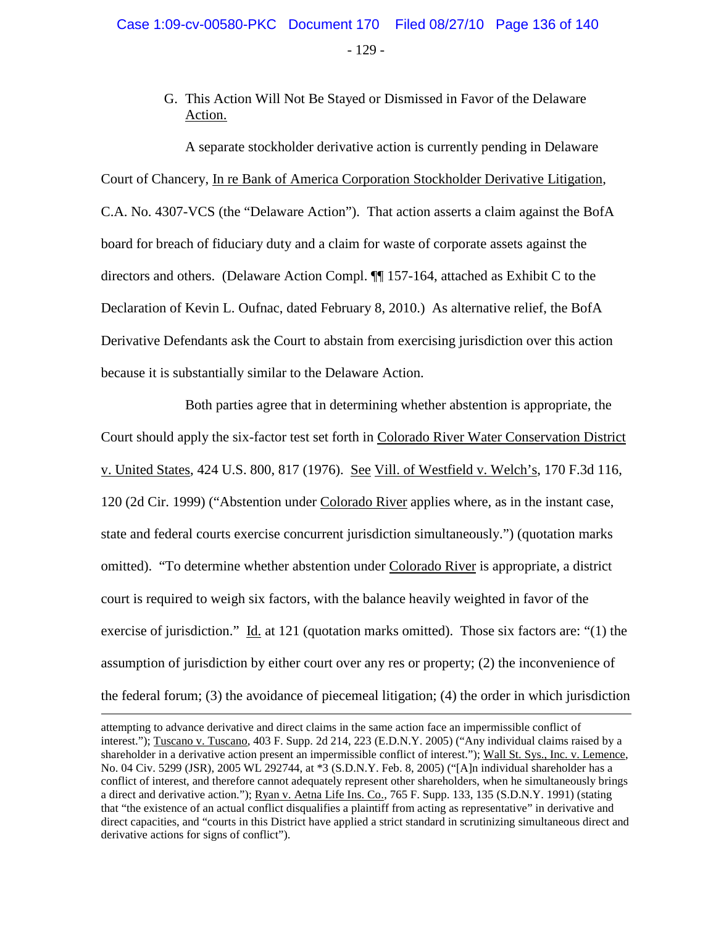G. This Action Will Not Be Stayed or Dismissed in Favor of the Delaware Action.

A separate stockholder derivative action is currently pending in Delaware Court of Chancery, In re Bank of America Corporation Stockholder Derivative Litigation, C.A. No. 4307-VCS (the "Delaware Action"). That action asserts a claim against the BofA board for breach of fiduciary duty and a claim for waste of corporate assets against the directors and others. (Delaware Action Compl. ¶¶ 157-164, attached as Exhibit C to the Declaration of Kevin L. Oufnac, dated February 8, 2010.) As alternative relief, the BofA Derivative Defendants ask the Court to abstain from exercising jurisdiction over this action because it is substantially similar to the Delaware Action.

Both parties agree that in determining whether abstention is appropriate, the Court should apply the six-factor test set forth in Colorado River Water Conservation District v. United States, 424 U.S. 800, 817 (1976). See Vill. of Westfield v. Welch's, 170 F.3d 116, 120 (2d Cir. 1999) ("Abstention under Colorado River applies where, as in the instant case, state and federal courts exercise concurrent jurisdiction simultaneously.") (quotation marks omitted). "To determine whether abstention under Colorado River is appropriate, a district court is required to weigh six factors, with the balance heavily weighted in favor of the exercise of jurisdiction." Id. at 121 (quotation marks omitted). Those six factors are: "(1) the assumption of jurisdiction by either court over any res or property; (2) the inconvenience of the federal forum; (3) the avoidance of piecemeal litigation; (4) the order in which jurisdiction

 $\overline{a}$ 

attempting to advance derivative and direct claims in the same action face an impermissible conflict of interest."); Tuscano v. Tuscano, 403 F. Supp. 2d 214, 223 (E.D.N.Y. 2005) ("Any individual claims raised by a shareholder in a derivative action present an impermissible conflict of interest."); Wall St. Sys., Inc. v. Lemence, No. 04 Civ. 5299 (JSR), 2005 WL 292744, at \*3 (S.D.N.Y. Feb. 8, 2005) ("[A]n individual shareholder has a conflict of interest, and therefore cannot adequately represent other shareholders, when he simultaneously brings a direct and derivative action."); Ryan v. Aetna Life Ins. Co., 765 F. Supp. 133, 135 (S.D.N.Y. 1991) (stating that "the existence of an actual conflict disqualifies a plaintiff from acting as representative" in derivative and direct capacities, and "courts in this District have applied a strict standard in scrutinizing simultaneous direct and derivative actions for signs of conflict").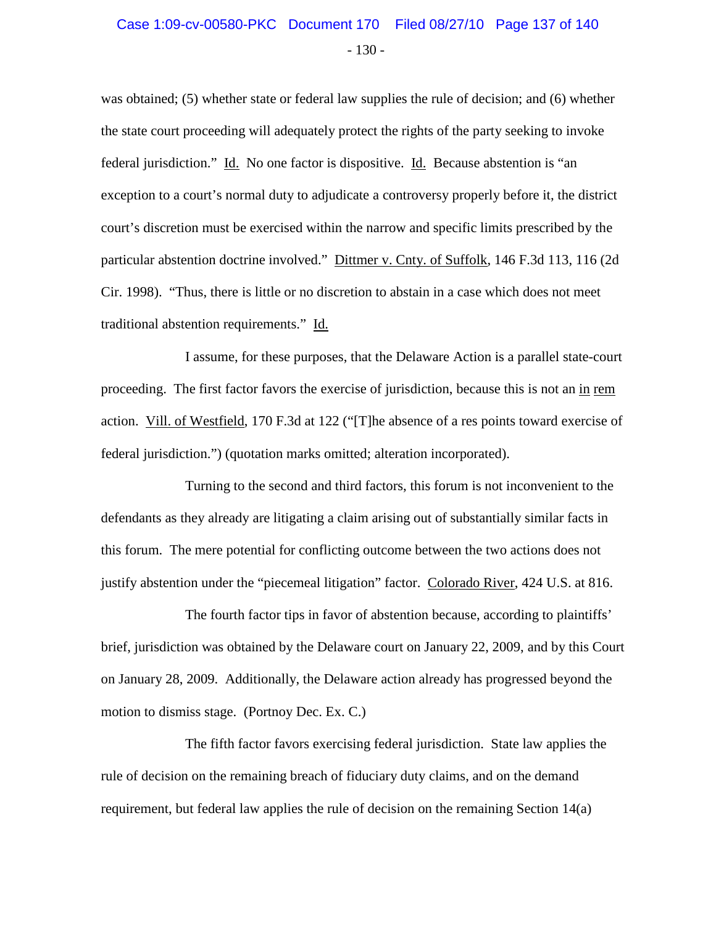### - 130 - Case 1:09-cv-00580-PKC Document 170 Filed 08/27/10 Page 137 of 140

was obtained; (5) whether state or federal law supplies the rule of decision; and (6) whether the state court proceeding will adequately protect the rights of the party seeking to invoke federal jurisdiction." Id. No one factor is dispositive. Id. Because abstention is "an exception to a court's normal duty to adjudicate a controversy properly before it, the district court's discretion must be exercised within the narrow and specific limits prescribed by the particular abstention doctrine involved." Dittmer v. Cnty. of Suffolk, 146 F.3d 113, 116 (2d Cir. 1998). "Thus, there is little or no discretion to abstain in a case which does not meet traditional abstention requirements." Id.

I assume, for these purposes, that the Delaware Action is a parallel state-court proceeding. The first factor favors the exercise of jurisdiction, because this is not an in rem action. Vill. of Westfield, 170 F.3d at 122 ("[T]he absence of a res points toward exercise of federal jurisdiction.") (quotation marks omitted; alteration incorporated).

Turning to the second and third factors, this forum is not inconvenient to the defendants as they already are litigating a claim arising out of substantially similar facts in this forum. The mere potential for conflicting outcome between the two actions does not justify abstention under the "piecemeal litigation" factor. Colorado River, 424 U.S. at 816.

The fourth factor tips in favor of abstention because, according to plaintiffs' brief, jurisdiction was obtained by the Delaware court on January 22, 2009, and by this Court on January 28, 2009. Additionally, the Delaware action already has progressed beyond the motion to dismiss stage. (Portnoy Dec. Ex. C.)

The fifth factor favors exercising federal jurisdiction. State law applies the rule of decision on the remaining breach of fiduciary duty claims, and on the demand requirement, but federal law applies the rule of decision on the remaining Section 14(a)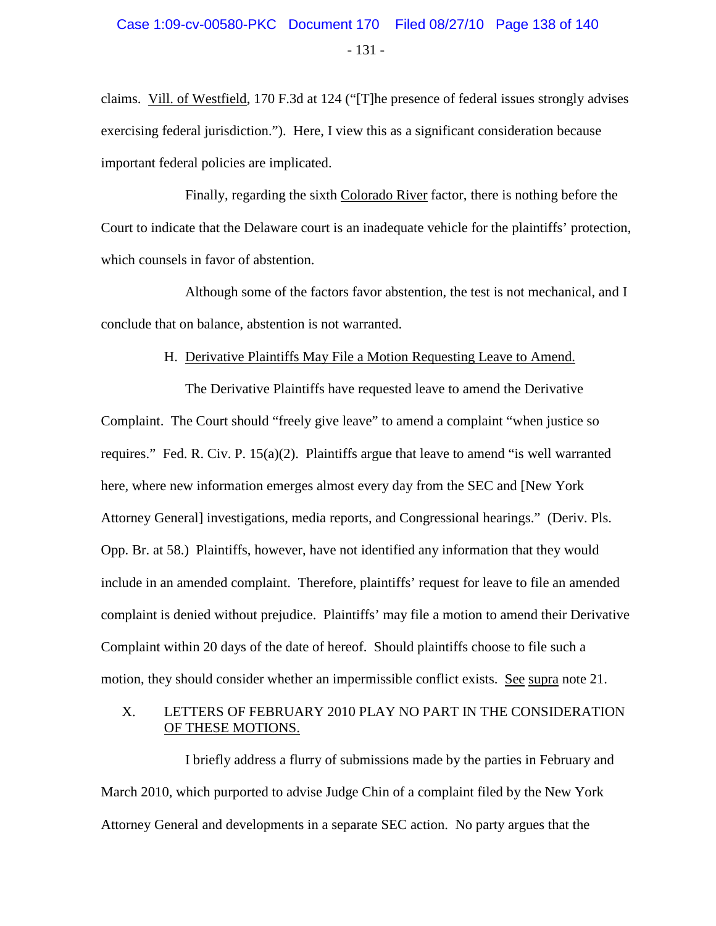claims. Vill. of Westfield, 170 F.3d at 124 ("[T]he presence of federal issues strongly advises exercising federal jurisdiction."). Here, I view this as a significant consideration because important federal policies are implicated.

Finally, regarding the sixth Colorado River factor, there is nothing before the Court to indicate that the Delaware court is an inadequate vehicle for the plaintiffs' protection, which counsels in favor of abstention.

Although some of the factors favor abstention, the test is not mechanical, and I conclude that on balance, abstention is not warranted.

#### H. Derivative Plaintiffs May File a Motion Requesting Leave to Amend.

The Derivative Plaintiffs have requested leave to amend the Derivative Complaint. The Court should "freely give leave" to amend a complaint "when justice so requires." Fed. R. Civ. P. 15(a)(2). Plaintiffs argue that leave to amend "is well warranted here, where new information emerges almost every day from the SEC and [New York Attorney General] investigations, media reports, and Congressional hearings." (Deriv. Pls. Opp. Br. at 58.) Plaintiffs, however, have not identified any information that they would include in an amended complaint. Therefore, plaintiffs' request for leave to file an amended complaint is denied without prejudice. Plaintiffs' may file a motion to amend their Derivative Complaint within 20 days of the date of hereof. Should plaintiffs choose to file such a motion, they should consider whether an impermissible conflict exists. See supra note 21.

#### X. LETTERS OF FEBRUARY 2010 PLAY NO PART IN THE CONSIDERATION OF THESE MOTIONS.

I briefly address a flurry of submissions made by the parties in February and March 2010, which purported to advise Judge Chin of a complaint filed by the New York Attorney General and developments in a separate SEC action. No party argues that the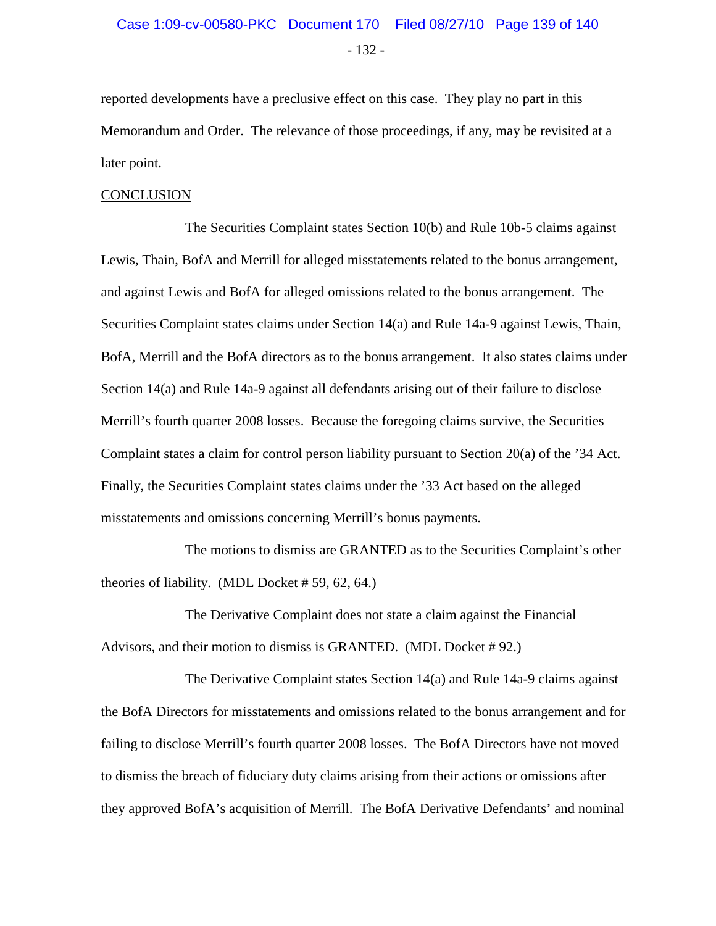# - 132 - Case 1:09-cv-00580-PKC Document 170 Filed 08/27/10 Page 139 of 140

reported developments have a preclusive effect on this case. They play no part in this Memorandum and Order. The relevance of those proceedings, if any, may be revisited at a later point.

#### **CONCLUSION**

The Securities Complaint states Section 10(b) and Rule 10b-5 claims against Lewis, Thain, BofA and Merrill for alleged misstatements related to the bonus arrangement, and against Lewis and BofA for alleged omissions related to the bonus arrangement. The Securities Complaint states claims under Section 14(a) and Rule 14a-9 against Lewis, Thain, BofA, Merrill and the BofA directors as to the bonus arrangement. It also states claims under Section 14(a) and Rule 14a-9 against all defendants arising out of their failure to disclose Merrill's fourth quarter 2008 losses. Because the foregoing claims survive, the Securities Complaint states a claim for control person liability pursuant to Section 20(a) of the '34 Act. Finally, the Securities Complaint states claims under the '33 Act based on the alleged misstatements and omissions concerning Merrill's bonus payments.

The motions to dismiss are GRANTED as to the Securities Complaint's other theories of liability. (MDL Docket # 59, 62, 64.)

The Derivative Complaint does not state a claim against the Financial Advisors, and their motion to dismiss is GRANTED. (MDL Docket # 92.)

The Derivative Complaint states Section 14(a) and Rule 14a-9 claims against the BofA Directors for misstatements and omissions related to the bonus arrangement and for failing to disclose Merrill's fourth quarter 2008 losses. The BofA Directors have not moved to dismiss the breach of fiduciary duty claims arising from their actions or omissions after they approved BofA's acquisition of Merrill. The BofA Derivative Defendants' and nominal